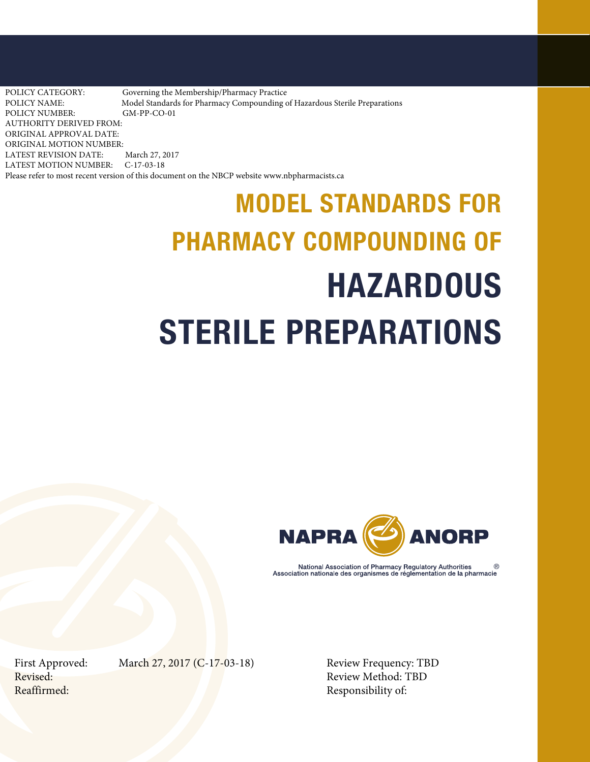POLICY CATEGORY: Governing the Membership/Pharmacy Practice<br>POLICY NAME: Model Standards for Pharmacy Compounding of Model Standards for Pharmacy Compounding of Hazardous Sterile Preparations POLICY NUMBER: GM-PP-CO-01 AUTHORITY DERIVED FROM: ORIGINAL APPROVAL DATE: ORIGINAL MOTION NUMBER: LATEST REVISION DATE: March 27, 2017 LATEST MOTION NUMBER: C-17-03-18 Please refer to most recent version of this document on the NBCP website www.nbpharmacists.ca

# MODEL STANDARDS FOR PHARMACY COMPOUNDING OF HAZARDOUS STERILE PREPARATIONS



National Association of Pharmacy Regulatory Authorities Association nationale des organismes de réglementation de la pharmacie

First Approved: March 27, 2017 (C-17-03-18) Review Frequency: TBD

Revised: Review Method: TBD Reaffirmed: Responsibility of: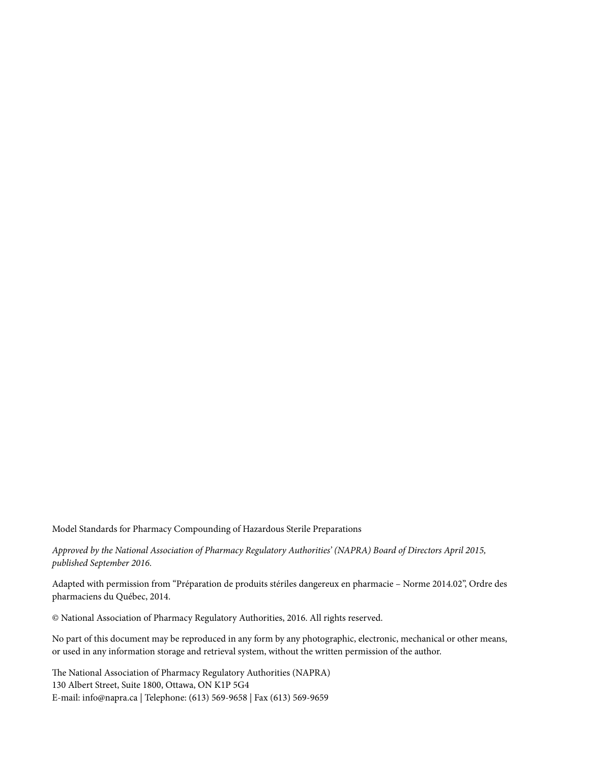Model Standards for Pharmacy Compounding of Hazardous Sterile Preparations

*Approved by the National Association of Pharmacy Regulatory Authorities' (NAPRA) Board of Directors April 2015, published September 2016.*

Adapted with permission from "Préparation de produits stériles dangereux en pharmacie – Norme 2014.02", Ordre des pharmaciens du Québec, 2014.

© National Association of Pharmacy Regulatory Authorities, 2016. All rights reserved.

No part of this document may be reproduced in any form by any photographic, electronic, mechanical or other means, or used in any information storage and retrieval system, without the written permission of the author.

The National Association of Pharmacy Regulatory Authorities (NAPRA) 130 Albert Street, Suite 1800, Ottawa, ON K1P 5G4 E-mail: info@napra.ca | Telephone: (613) 569-9658 | Fax (613) 569-9659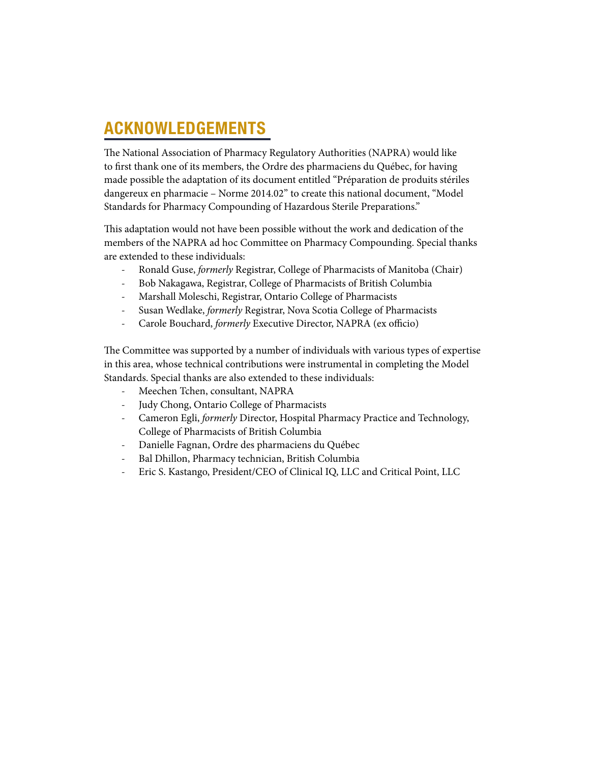# ACKNOWLEDGEMENTS

The National Association of Pharmacy Regulatory Authorities (NAPRA) would like to first thank one of its members, the Ordre des pharmaciens du Québec, for having made possible the adaptation of its document entitled "Préparation de produits stériles dangereux en pharmacie – Norme 2014.02" to create this national document, "Model Standards for Pharmacy Compounding of Hazardous Sterile Preparations."

This adaptation would not have been possible without the work and dedication of the members of the NAPRA ad hoc Committee on Pharmacy Compounding. Special thanks are extended to these individuals:

- Ronald Guse, *formerly* Registrar, College of Pharmacists of Manitoba (Chair)
- Bob Nakagawa, Registrar, College of Pharmacists of British Columbia
- Marshall Moleschi, Registrar, Ontario College of Pharmacists
- Susan Wedlake, *formerly* Registrar, Nova Scotia College of Pharmacists
- Carole Bouchard, *formerly* Executive Director, NAPRA (ex officio)

The Committee was supported by a number of individuals with various types of expertise in this area, whose technical contributions were instrumental in completing the Model Standards. Special thanks are also extended to these individuals:

- Meechen Tchen, consultant, NAPRA
- Judy Chong, Ontario College of Pharmacists
- Cameron Egli, *formerly* Director, Hospital Pharmacy Practice and Technology, College of Pharmacists of British Columbia
- Danielle Fagnan, Ordre des pharmaciens du Québec
- Bal Dhillon, Pharmacy technician, British Columbia
- Eric S. Kastango, President/CEO of Clinical IQ, LLC and Critical Point, LLC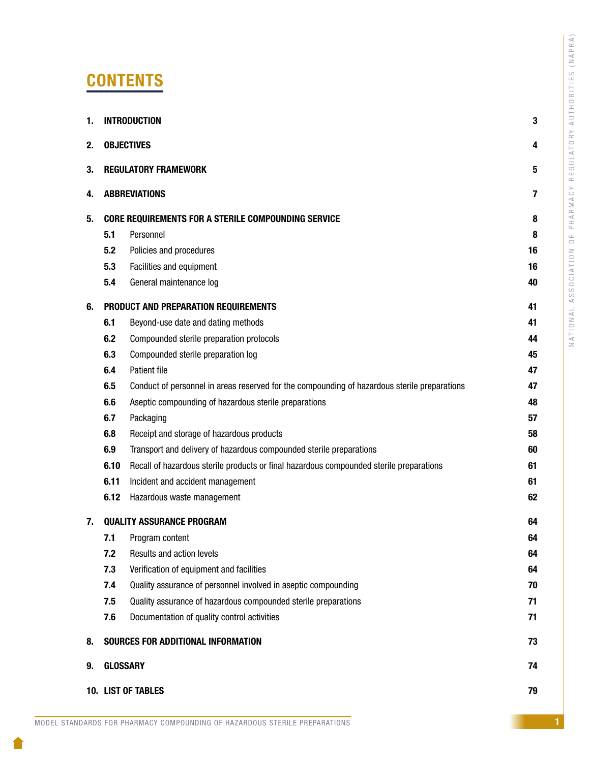# **CONTENTS**

| 1. |                 | <b>INTRODUCTION</b>                                                                          | 3  |
|----|-----------------|----------------------------------------------------------------------------------------------|----|
| 2. |                 | <b>OBJECTIVES</b>                                                                            | 4  |
| 3. |                 | <b>REGULATORY FRAMEWORK</b>                                                                  | 5  |
| 4. |                 | <b>ABBREVIATIONS</b>                                                                         | 7  |
| 5. |                 | <b>CORE REQUIREMENTS FOR A STERILE COMPOUNDING SERVICE</b>                                   | 8  |
|    | 5.1             | Personnel                                                                                    | 8  |
|    | 5.2             | Policies and procedures                                                                      | 16 |
|    | 5.3             | Facilities and equipment                                                                     | 16 |
|    | 5.4             | General maintenance log                                                                      | 40 |
| 6. |                 | PRODUCT AND PREPARATION REQUIREMENTS                                                         | 41 |
|    | 6.1             | Beyond-use date and dating methods                                                           | 41 |
|    | 6.2             | Compounded sterile preparation protocols                                                     | 44 |
|    | 6.3             | Compounded sterile preparation log                                                           | 45 |
|    | 6.4             | Patient file                                                                                 | 47 |
|    | 6.5             | Conduct of personnel in areas reserved for the compounding of hazardous sterile preparations | 47 |
|    | 6.6             | Aseptic compounding of hazardous sterile preparations                                        | 48 |
|    | 6.7             | Packaging                                                                                    | 57 |
|    | 6.8             | Receipt and storage of hazardous products                                                    | 58 |
|    | 6.9             | Transport and delivery of hazardous compounded sterile preparations                          | 60 |
|    | 6.10            | Recall of hazardous sterile products or final hazardous compounded sterile preparations      | 61 |
|    | 6.11            | Incident and accident management                                                             | 61 |
|    | 6.12            | Hazardous waste management                                                                   | 62 |
| 7. |                 | <b>QUALITY ASSURANCE PROGRAM</b>                                                             | 64 |
|    | 7.1             | Program content                                                                              | 64 |
|    | 7.2             | Results and action levels                                                                    | 64 |
|    | 7.3             | Verification of equipment and facilities                                                     | 64 |
|    | 7.4             | Quality assurance of personnel involved in aseptic compounding                               | 70 |
|    | 7.5             | Quality assurance of hazardous compounded sterile preparations                               | 71 |
|    | 7.6             | Documentation of quality control activities                                                  | 71 |
| 8. |                 | SOURCES FOR ADDITIONAL INFORMATION                                                           | 73 |
| 9. | <b>GLOSSARY</b> |                                                                                              | 74 |
|    |                 | <b>10. LIST OF TABLES</b>                                                                    | 79 |
|    |                 |                                                                                              |    |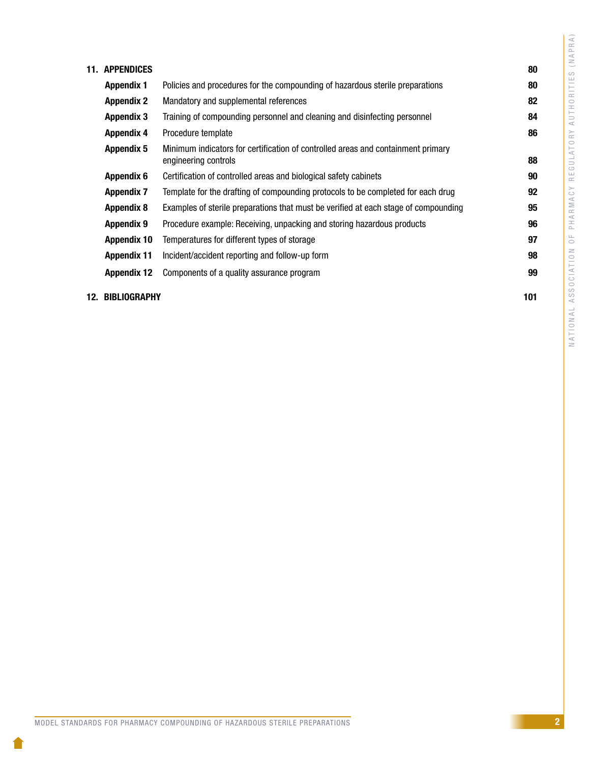| 11. | <b>APPENDICES</b>  |                                                                                                          | 80 |
|-----|--------------------|----------------------------------------------------------------------------------------------------------|----|
|     | <b>Appendix 1</b>  | Policies and procedures for the compounding of hazardous sterile preparations                            | 80 |
|     | <b>Appendix 2</b>  | Mandatory and supplemental references                                                                    | 82 |
|     | <b>Appendix 3</b>  | Training of compounding personnel and cleaning and disinfecting personnel                                | 84 |
|     | <b>Appendix 4</b>  | Procedure template                                                                                       | 86 |
|     | <b>Appendix 5</b>  | Minimum indicators for certification of controlled areas and containment primary<br>engineering controls | 88 |
|     | <b>Appendix 6</b>  | Certification of controlled areas and biological safety cabinets                                         | 90 |
|     | <b>Appendix 7</b>  | Template for the drafting of compounding protocols to be completed for each drug                         | 92 |
|     | <b>Appendix 8</b>  | Examples of sterile preparations that must be verified at each stage of compounding                      | 95 |
|     | <b>Appendix 9</b>  | Procedure example: Receiving, unpacking and storing hazardous products                                   | 96 |
|     | <b>Appendix 10</b> | Temperatures for different types of storage                                                              | 97 |
|     | <b>Appendix 11</b> | Incident/accident reporting and follow-up form                                                           | 98 |
|     | <b>Appendix 12</b> | Components of a quality assurance program                                                                | 99 |
|     |                    |                                                                                                          |    |

#### [12. BIBLIOGRAPHY](#page-103-0) 101

NATIONAL ASSOCIATION OF PHARMACY REGULATORY AUTHORITIES (NAPRA)

NATIONAL ASSOCIATION OF PHARMACY REGULATORY AUTHORITIES (NAPRA)

1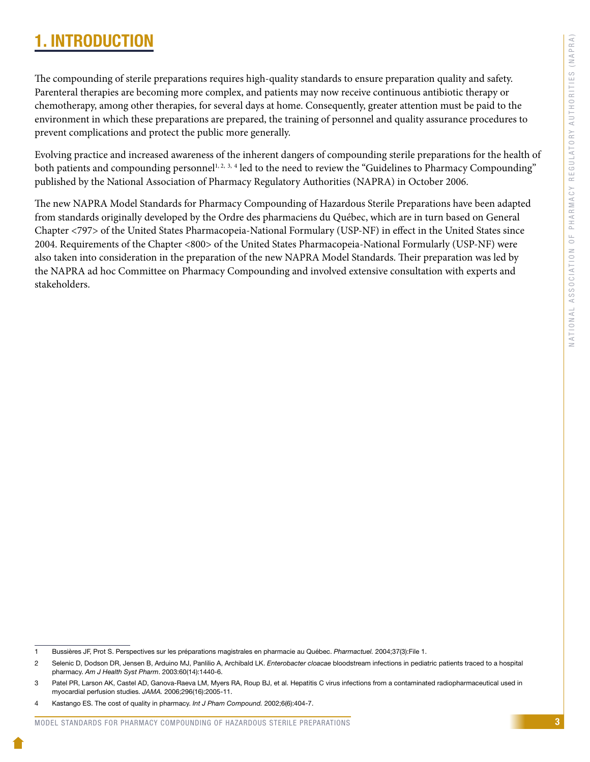# <span id="page-5-0"></span>1. INTRODUCTION

The compounding of sterile preparations requires high-quality standards to ensure preparation quality and safety. Parenteral therapies are becoming more complex, and patients may now receive continuous antibiotic therapy or chemotherapy, among other therapies, for several days at home. Consequently, greater attention must be paid to the environment in which these preparations are prepared, the training of personnel and quality assurance procedures to prevent complications and protect the public more generally.

Evolving practice and increased awareness of the inherent dangers of compounding sterile preparations for the health of both patients and compounding personnel<sup>1, 2, 3, 4</sup> led to the need to review the "Guidelines to Pharmacy Compounding" published by the National Association of Pharmacy Regulatory Authorities (NAPRA) in October 2006.

The new NAPRA Model Standards for Pharmacy Compounding of Hazardous Sterile Preparations have been adapted from standards originally developed by the Ordre des pharmaciens du Québec, which are in turn based on General Chapter <797> of the United States Pharmacopeia-National Formulary (USP-NF) in effect in the United States since 2004. Requirements of the Chapter <800> of the United States Pharmacopeia-National Formularly (USP-NF) were also taken into consideration in the preparation of the new NAPRA Model Standards. Their preparation was led by the NAPRA ad hoc Committee on Pharmacy Compounding and involved extensive consultation with experts and stakeholders.

<sup>1</sup> Bussières JF, Prot S. Perspectives sur les préparations magistrales en pharmacie au Québec. *Pharmactuel.* 2004;37(3):File 1.

<sup>2</sup> Selenic D, [Dodson](http://www.ncbi.nlm.nih.gov/pubmed?term=Dodson%20DR%5BAuthor%5D&cauthor=true&cauthor_uid=12892028) DR, [Jensen](http://www.ncbi.nlm.nih.gov/pubmed?term=Jensen%20B%5BAuthor%5D&cauthor=true&cauthor_uid=12892028) B, [Arduino](http://www.ncbi.nlm.nih.gov/pubmed?term=Arduino%20MJ%5BAuthor%5D&cauthor=true&cauthor_uid=12892028) MJ, [Panlilio](http://www.ncbi.nlm.nih.gov/pubmed?term=Panlilio%20A%5BAuthor%5D&cauthor=true&cauthor_uid=12892028) A, Archibald LK. *Enterobacter cloacae* bloodstream infections in pediatric patients traced to a hospital pharmacy. *Am J Health Syst Pharm*. 2003:60(14):1440-6.

<sup>3</sup> Patel PR, Larson AK, Castel AD, Ganova-Raeva LM, Myers RA, Roup BJ, et al. Hepatitis C virus infections from a contaminated radiopharmaceutical used in myocardial perfusion studies. *JAMA.* 2006;296(16):2005-11.

<sup>4</sup> Kastango ES. The cost of quality in pharmacy. *Int J Pham Compound.* 2002;6(6):404-7.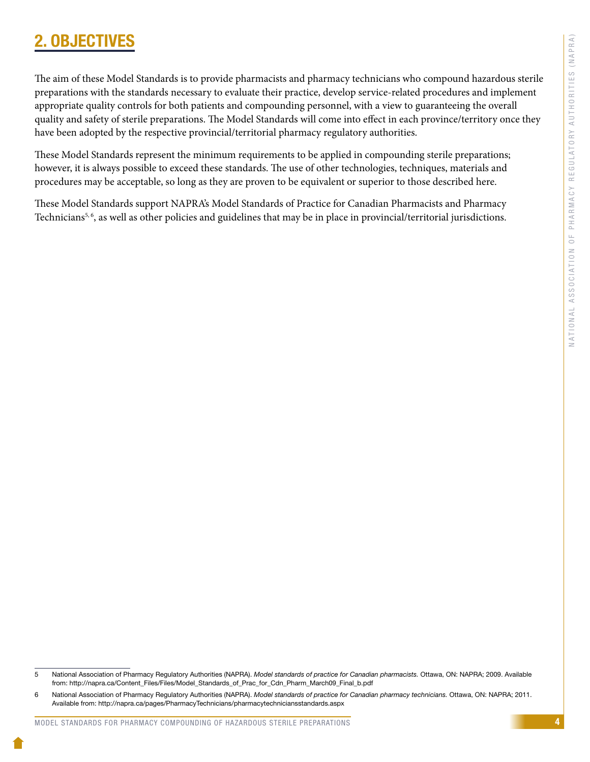4

# <span id="page-6-0"></span>2. OBJECTIV

The aim of these Model Standards is to provide pharmacists and pharmacy technicians who compound hazardous sterile preparations with the standards necessary to evaluate their practice, develop service-related procedures and implement appropriate quality controls for both patients and compounding personnel, with a view to guaranteeing the overall quality and safety of sterile preparations. The Model Standards will come into effect in each province/territory once they have been adopted by the respective provincial/territorial pharmacy regulatory authorities.

These Model Standards represent the minimum requirements to be applied in compounding sterile preparations; however, it is always possible to exceed these standards. The use of other technologies, techniques, materials and procedures may be acceptable, so long as they are proven to be equivalent or superior to those described here.

These Model Standards support NAPRA's Model Standards of Practice for Canadian Pharmacists and Pharmacy Technicians<sup>5, 6</sup>, as well as other policies and guidelines that may be in place in provincial/territorial jurisdictions.

<sup>5</sup> National Association of Pharmacy Regulatory Authorities (NAPRA). *Model standards of practice for Canadian pharmacists.* Ottawa, ON: NAPRA; 2009. Available from: http://napra.ca/Content\_Files/Files/Model\_Standards\_of\_Prac\_for\_Cdn\_Pharm\_March09\_Final\_b.pdf

<sup>6</sup> National Association of Pharmacy Regulatory Authorities (NAPRA). *Model standards of practice for Canadian pharmacy technicians.* Ottawa, ON: NAPRA; 2011. Available from: http://napra.ca/pages/PharmacyTechnicians/pharmacytechniciansstandards.aspx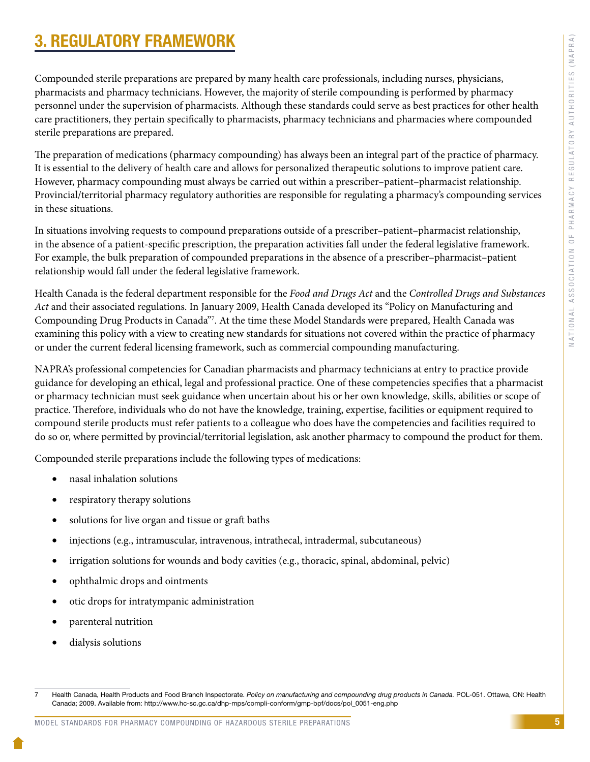# <span id="page-7-0"></span>3. REGULATORY FRAMEWORK

Compounded sterile preparations are prepared by many health care professionals, including nurses, physicians, pharmacists and pharmacy technicians. However, the majority of sterile compounding is performed by pharmacy personnel under the supervision of pharmacists. Although these standards could serve as best practices for other health care practitioners, they pertain specifically to pharmacists, pharmacy technicians and pharmacies where compounded sterile preparations are prepared.

The preparation of medications (pharmacy compounding) has always been an integral part of the practice of pharmacy. It is essential to the delivery of health care and allows for personalized therapeutic solutions to improve patient care. However, pharmacy compounding must always be carried out within a prescriber–patient–pharmacist relationship. Provincial/territorial pharmacy regulatory authorities are responsible for regulating a pharmacy's compounding services in these situations.

In situations involving requests to compound preparations outside of a prescriber–patient–pharmacist relationship, in the absence of a patient-specific prescription, the preparation activities fall under the federal legislative framework. For example, the bulk preparation of compounded preparations in the absence of a prescriber–pharmacist–patient relationship would fall under the federal legislative framework.

Health Canada is the federal department responsible for the *Food and Drugs Act* and the *Controlled Drugs and Substances Act* and their associated regulations. In January 2009, Health Canada developed its "Policy on Manufacturing and Compounding Drug Products in Canada"7 . At the time these Model Standards were prepared, Health Canada was examining this policy with a view to creating new standards for situations not covered within the practice of pharmacy or under the current federal licensing framework, such as commercial compounding manufacturing.

NAPRA's professional competencies for Canadian pharmacists and pharmacy technicians at entry to practice provide guidance for developing an ethical, legal and professional practice. One of these competencies specifies that a pharmacist or pharmacy technician must seek guidance when uncertain about his or her own knowledge, skills, abilities or scope of practice. Therefore, individuals who do not have the knowledge, training, expertise, facilities or equipment required to compound sterile products must refer patients to a colleague who does have the competencies and facilities required to do so or, where permitted by provincial/territorial legislation, ask another pharmacy to compound the product for them.

Compounded sterile preparations include the following types of medications:

- nasal inhalation solutions
- respiratory therapy solutions
- solutions for live organ and tissue or graft baths
- injections (e.g., intramuscular, intravenous, intrathecal, intradermal, subcutaneous)
- irrigation solutions for wounds and body cavities (e.g., thoracic, spinal, abdominal, pelvic)
- ophthalmic drops and ointments
- otic drops for intratympanic administration
- parenteral nutrition
- dialysis solutions

<sup>7</sup> Health Canada, Health Products and Food Branch Inspectorate. *Policy on manufacturing and compounding drug products in Canada.* POL-051. Ottawa, ON: Health Canada; 2009. Available from: http://www.hc-sc.gc.ca/dhp-mps/compli-conform/gmp-bpf/docs/pol\_0051-eng.php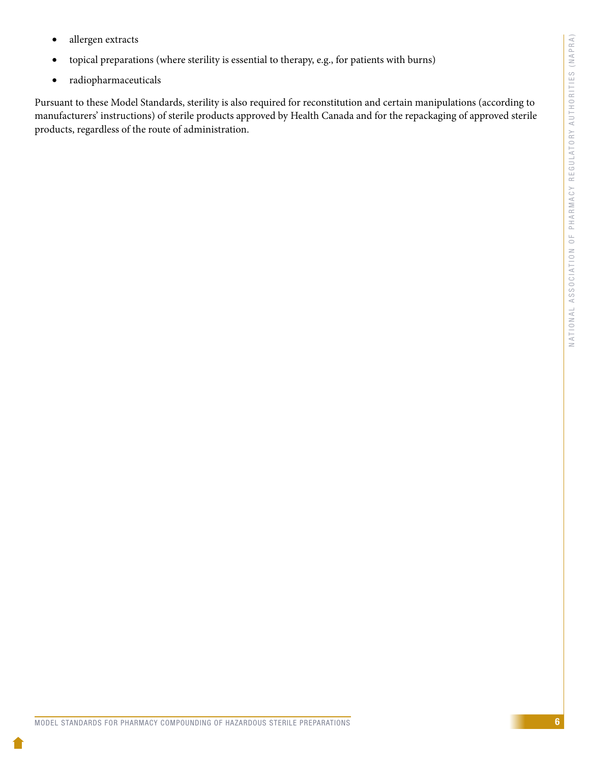- allergen extracts
- • topical preparations (where sterility is essential to therapy, e.g., for patients with burns)
- • radiopharmaceuticals

Pursuant to these Model Standards, sterility is also required for reconstitution and certain manipulations (according to manufacturers' instructions) of sterile products approved by Health Canada and for the repackaging of approved sterile products, regardless of the route of administration.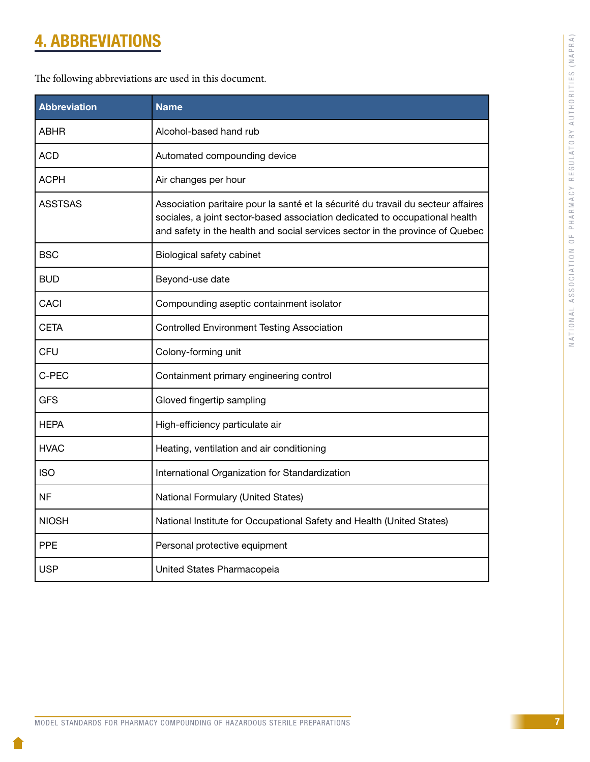# <span id="page-9-0"></span>4. ABBREVIATIONS

The following abbreviations are used in this document.

| <b>Abbreviation</b> | <b>Name</b>                                                                                                                                                                                                                                       |  |  |  |
|---------------------|---------------------------------------------------------------------------------------------------------------------------------------------------------------------------------------------------------------------------------------------------|--|--|--|
| ABHR                | Alcohol-based hand rub                                                                                                                                                                                                                            |  |  |  |
| <b>ACD</b>          | Automated compounding device                                                                                                                                                                                                                      |  |  |  |
| ACPH                | Air changes per hour                                                                                                                                                                                                                              |  |  |  |
| <b>ASSTSAS</b>      | Association paritaire pour la santé et la sécurité du travail du secteur affaires<br>sociales, a joint sector-based association dedicated to occupational health<br>and safety in the health and social services sector in the province of Quebec |  |  |  |
| <b>BSC</b>          | Biological safety cabinet                                                                                                                                                                                                                         |  |  |  |
| <b>BUD</b>          | Beyond-use date                                                                                                                                                                                                                                   |  |  |  |
| <b>CACI</b>         | Compounding aseptic containment isolator                                                                                                                                                                                                          |  |  |  |
| <b>CETA</b>         | <b>Controlled Environment Testing Association</b>                                                                                                                                                                                                 |  |  |  |
| <b>CFU</b>          | Colony-forming unit                                                                                                                                                                                                                               |  |  |  |
| C-PEC               | Containment primary engineering control                                                                                                                                                                                                           |  |  |  |
| GFS                 | Gloved fingertip sampling                                                                                                                                                                                                                         |  |  |  |
| HEPA                | High-efficiency particulate air                                                                                                                                                                                                                   |  |  |  |
| HVAC                | Heating, ventilation and air conditioning                                                                                                                                                                                                         |  |  |  |
| <b>ISO</b>          | International Organization for Standardization                                                                                                                                                                                                    |  |  |  |
| <b>NF</b>           | National Formulary (United States)                                                                                                                                                                                                                |  |  |  |
| <b>NIOSH</b>        | National Institute for Occupational Safety and Health (United States)                                                                                                                                                                             |  |  |  |
| <b>PPE</b>          | Personal protective equipment                                                                                                                                                                                                                     |  |  |  |
| USP                 | United States Pharmacopeia                                                                                                                                                                                                                        |  |  |  |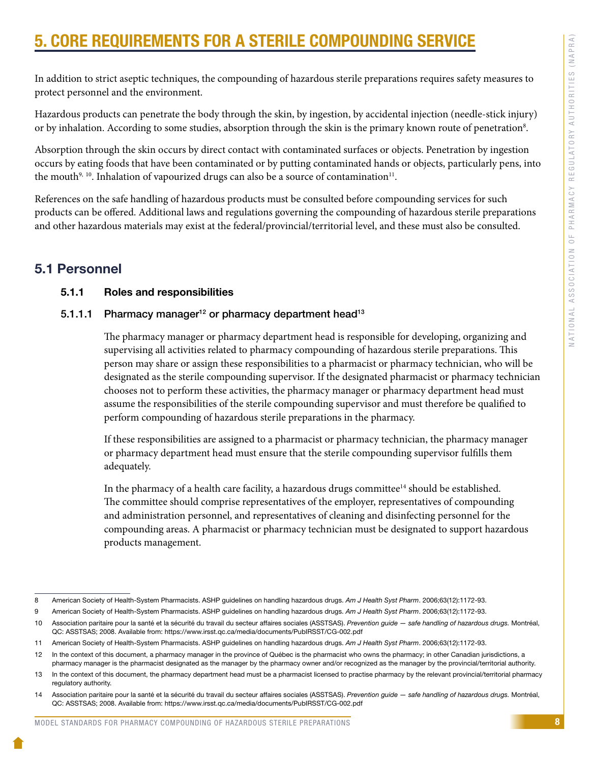# <span id="page-10-0"></span>**CORE REQUIREMENTS FOR A STERILE COMPOUNDING SERV**

In addition to strict aseptic techniques, the compounding of hazardous sterile preparations requires safety measures to protect personnel and the environment.

Hazardous products can penetrate the body through the skin, by ingestion, by accidental injection (needle-stick injury) or by inhalation. According to some studies, absorption through the skin is the primary known route of penetration<sup>8</sup>.

Absorption through the skin occurs by direct contact with contaminated surfaces or objects. Penetration by ingestion occurs by eating foods that have been contaminated or by putting contaminated hands or objects, particularly pens, into the mouth<sup>9, 10</sup>. Inhalation of vapourized drugs can also be a source of contamination<sup>11</sup>.

References on the safe handling of hazardous products must be consulted before compounding services for such products can be offered. Additional laws and regulations governing the compounding of hazardous sterile preparations and other hazardous materials may exist at the federal/provincial/territorial level, and these must also be consulted.

# 5.1 Personnel

# 5.1.1 Roles and responsibilities

# 5.1.1.1 Pharmacy manager<sup>12</sup> or pharmacy department head<sup>13</sup>

The pharmacy manager or pharmacy department head is responsible for developing, organizing and supervising all activities related to pharmacy compounding of hazardous sterile preparations. This person may share or assign these responsibilities to a pharmacist or pharmacy technician, who will be designated as the sterile compounding supervisor. If the designated pharmacist or pharmacy technician chooses not to perform these activities, the pharmacy manager or pharmacy department head must assume the responsibilities of the sterile compounding supervisor and must therefore be qualified to perform compounding of hazardous sterile preparations in the pharmacy.

If these responsibilities are assigned to a pharmacist or pharmacy technician, the pharmacy manager or pharmacy department head must ensure that the sterile compounding supervisor fulfills them adequately.

In the pharmacy of a health care facility, a hazardous drugs committee $14$  should be established. The committee should comprise representatives of the employer, representatives of compounding and administration personnel, and representatives of cleaning and disinfecting personnel for the compounding areas. A pharmacist or pharmacy technician must be designated to support hazardous products management.

<sup>8</sup> American Society of Health-System Pharmacists. ASHP guidelines on handling hazardous drugs. *Am J Health Syst Pharm*. 2006;63(12):1172-93.

<sup>9</sup> American Society of Health-System Pharmacists. ASHP guidelines on handling hazardous drugs. *Am J Health Syst Pharm*. 2006;63(12):1172-93.

<sup>10</sup> Association paritaire pour la santé et la sécurité du travail du secteur affaires sociales (ASSTSAS). *Prevention guide — safe handling of hazardous drugs.* Montréal, QC: ASSTSAS; 2008. Available from: https://www.irsst.qc.ca/media/documents/PubIRSST/CG-002.pdf

<sup>11</sup> American Society of Health-System Pharmacists. ASHP guidelines on handling hazardous drugs. *Am J Health Syst Pharm*. 2006;63(12):1172-93.

<sup>12</sup> In the context of this document, a pharmacy manager in the province of Québec is the pharmacist who owns the pharmacy; in other Canadian jurisdictions, a pharmacy manager is the pharmacist designated as the manager by the pharmacy owner and/or recognized as the manager by the provincial/territorial authority.

<sup>13</sup> In the context of this document, the pharmacy department head must be a pharmacist licensed to practise pharmacy by the relevant provincial/territorial pharmacy regulatory authority.

<sup>14</sup> Association paritaire pour la santé et la sécurité du travail du secteur affaires sociales (ASSTSAS). *Prevention guide — safe handling of hazardous drugs.* Montréal, QC: ASSTSAS; 2008. Available from: https://www.irsst.qc.ca/media/documents/PubIRSST/CG-002.pdf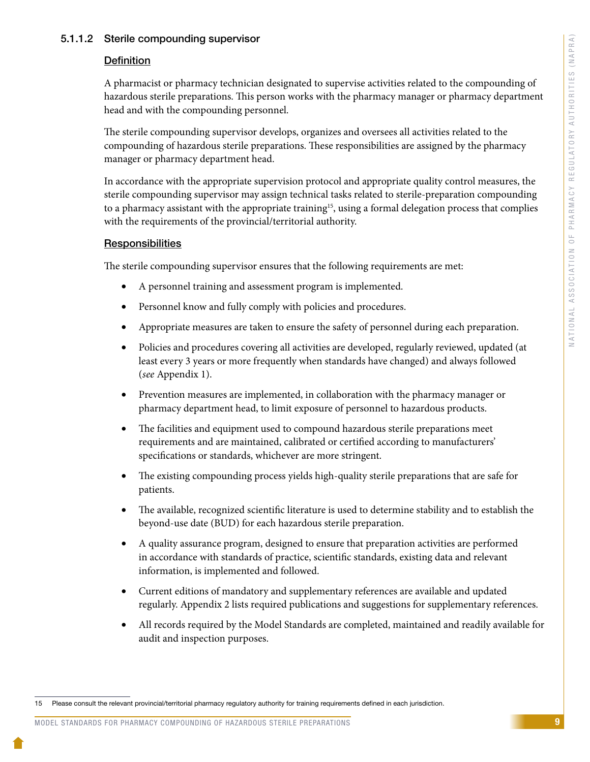#### 5.1.1.2 Sterile compounding supervisor

#### **Definition**

A pharmacist or pharmacy technician designated to supervise activities related to the compounding of hazardous sterile preparations. This person works with the pharmacy manager or pharmacy department head and with the compounding personnel.

The sterile compounding supervisor develops, organizes and oversees all activities related to the compounding of hazardous sterile preparations. These responsibilities are assigned by the pharmacy manager or pharmacy department head.

In accordance with the appropriate supervision protocol and appropriate quality control measures, the sterile compounding supervisor may assign technical tasks related to sterile-preparation compounding to a pharmacy assistant with the appropriate training<sup>15</sup>, using a formal delegation process that complies with the requirements of the provincial/territorial authority.

#### **Responsibilities**

The sterile compounding supervisor ensures that the following requirements are met:

- A personnel training and assessment program is implemented.
- Personnel know and fully comply with policies and procedures.
- • Appropriate measures are taken to ensure the safety of personnel during each preparation.
- Policies and procedures covering all activities are developed, regularly reviewed, updated (at least every 3 years or more frequently when standards have changed) and always followed (*see* Appendix 1).
- Prevention measures are implemented, in collaboration with the pharmacy manager or pharmacy department head, to limit exposure of personnel to hazardous products.
- The facilities and equipment used to compound hazardous sterile preparations meet requirements and are maintained, calibrated or certified according to manufacturers' specifications or standards, whichever are more stringent.
- The existing compounding process yields high-quality sterile preparations that are safe for patients.
- The available, recognized scientific literature is used to determine stability and to establish the beyond-use date (BUD) for each hazardous sterile preparation.
- • A quality assurance program, designed to ensure that preparation activities are performed in accordance with standards of practice, scientific standards, existing data and relevant information, is implemented and followed.
- • Current editions of mandatory and supplementary references are available and updated regularly. Appendix 2 lists required publications and suggestions for supplementary references.
- All records required by the Model Standards are completed, maintained and readily available for audit and inspection purposes.

<sup>15</sup> Please consult the relevant provincial/territorial pharmacy regulatory authority for training requirements defined in each jurisdiction.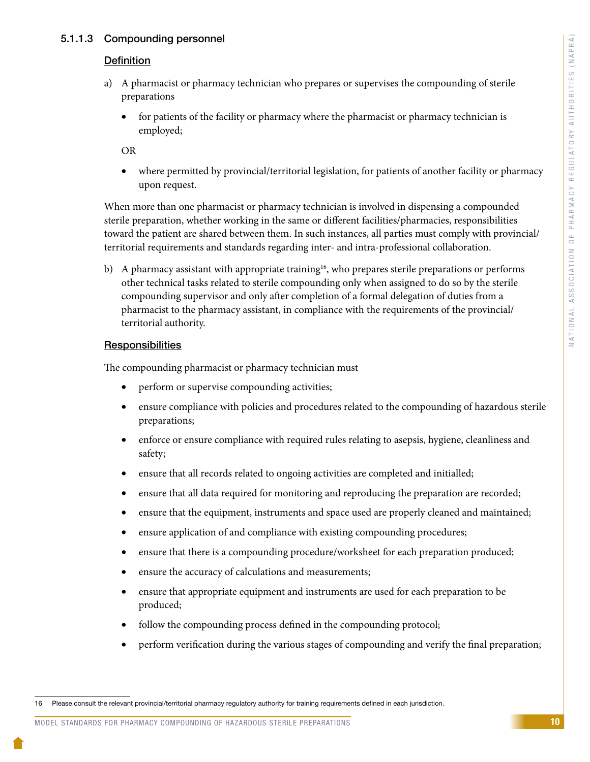# 5.1.1.3 Compounding personnel

#### **Definition**

- a) A pharmacist or pharmacy technician who prepares or supervises the compounding of sterile preparations
	- for patients of the facility or pharmacy where the pharmacist or pharmacy technician is employed;

OR

where permitted by provincial/territorial legislation, for patients of another facility or pharmacy upon request.

When more than one pharmacist or pharmacy technician is involved in dispensing a compounded sterile preparation, whether working in the same or different facilities/pharmacies, responsibilities toward the patient are shared between them. In such instances, all parties must comply with provincial/ territorial requirements and standards regarding inter- and intra-professional collaboration.

b) A pharmacy assistant with appropriate training<sup>16</sup>, who prepares sterile preparations or performs other technical tasks related to sterile compounding only when assigned to do so by the sterile compounding supervisor and only after completion of a formal delegation of duties from a pharmacist to the pharmacy assistant, in compliance with the requirements of the provincial/ territorial authority.

#### **Responsibilities**

The compounding pharmacist or pharmacy technician must

- perform or supervise compounding activities;
- ensure compliance with policies and procedures related to the compounding of hazardous sterile preparations;
- enforce or ensure compliance with required rules relating to asepsis, hygiene, cleanliness and safety;
- ensure that all records related to ongoing activities are completed and initialled;
- ensure that all data required for monitoring and reproducing the preparation are recorded;
- ensure that the equipment, instruments and space used are properly cleaned and maintained;
- ensure application of and compliance with existing compounding procedures;
- ensure that there is a compounding procedure/worksheet for each preparation produced;
- ensure the accuracy of calculations and measurements;
- ensure that appropriate equipment and instruments are used for each preparation to be produced;
- follow the compounding process defined in the compounding protocol;
- perform verification during the various stages of compounding and verify the final preparation;

#### MODEL STANDARDS FOR PHARMACY COMPOUNDING OF HAZARDOUS STERILE PREPARATIONS

<sup>16</sup> Please consult the relevant provincial/territorial pharmacy regulatory authority for training requirements defined in each jurisdiction.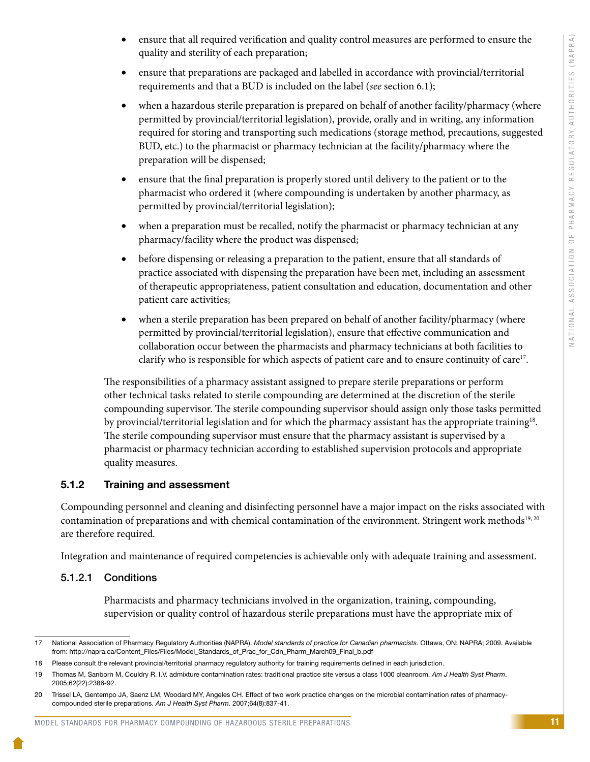- ensure that all required verification and quality control measures are performed to ensure the quality and sterility of each preparation;
- ensure that preparations are packaged and labelled in accordance with provincial/territorial requirements and that a BUD is included on the label (*see* section 6.1);
- when a hazardous sterile preparation is prepared on behalf of another facility/pharmacy (where permitted by provincial/territorial legislation), provide, orally and in writing, any information required for storing and transporting such medications (storage method, precautions, suggested BUD, etc.) to the pharmacist or pharmacy technician at the facility/pharmacy where the preparation will be dispensed;
- ensure that the final preparation is properly stored until delivery to the patient or to the pharmacist who ordered it (where compounding is undertaken by another pharmacy, as permitted by provincial/territorial legislation);
- when a preparation must be recalled, notify the pharmacist or pharmacy technician at any pharmacy/facility where the product was dispensed;
- before dispensing or releasing a preparation to the patient, ensure that all standards of practice associated with dispensing the preparation have been met, including an assessment of therapeutic appropriateness, patient consultation and education, documentation and other patient care activities;
- when a sterile preparation has been prepared on behalf of another facility/pharmacy (where permitted by provincial/territorial legislation), ensure that effective communication and collaboration occur between the pharmacists and pharmacy technicians at both facilities to clarify who is responsible for which aspects of patient care and to ensure continuity of care<sup>17</sup>.

The responsibilities of a pharmacy assistant assigned to prepare sterile preparations or perform other technical tasks related to sterile compounding are determined at the discretion of the sterile compounding supervisor. The sterile compounding supervisor should assign only those tasks permitted by provincial/territorial legislation and for which the pharmacy assistant has the appropriate training18. The sterile compounding supervisor must ensure that the pharmacy assistant is supervised by a pharmacist or pharmacy technician according to established supervision protocols and appropriate quality measures.

# 5.1.2 Training and assessment

Compounding personnel and cleaning and disinfecting personnel have a major impact on the risks associated with contamination of preparations and with chemical contamination of the environment. Stringent work methods<sup>19, 20</sup> are therefore required.

Integration and maintenance of required competencies is achievable only with adequate training and assessment.

# 5.1.2.1 Conditions

Pharmacists and pharmacy technicians involved in the organization, training, compounding, supervision or quality control of hazardous sterile preparations must have the appropriate mix of

<sup>17</sup> National Association of Pharmacy Regulatory Authorities (NAPRA). *Model standards of practice for Canadian pharmacists.* Ottawa, ON: NAPRA; 2009. Available from: http://napra.ca/Content\_Files/Files/Model\_Standards\_of\_Prac\_for\_Cdn\_Pharm\_March09\_Final\_b.pdf

<sup>18</sup> Please consult the relevant provincial/territorial pharmacy regulatory authority for training requirements defined in each jurisdiction.

<sup>19</sup> Thomas M, Sanborn M, Couldry R. I.V. admixture contamination rates: traditional practice site versus a class 1000 cleanroom. *Am J Health Syst Pharm*. 2005;62(22):2386-92.

<sup>20</sup> Trissel LA, Gentempo JA, Saenz LM, Woodard MY, Angeles CH. Effect of two work practice changes on the microbial contamination rates of pharmacycompounded sterile preparations. *Am J Health Syst Pharm*. 2007;64(8):837-41.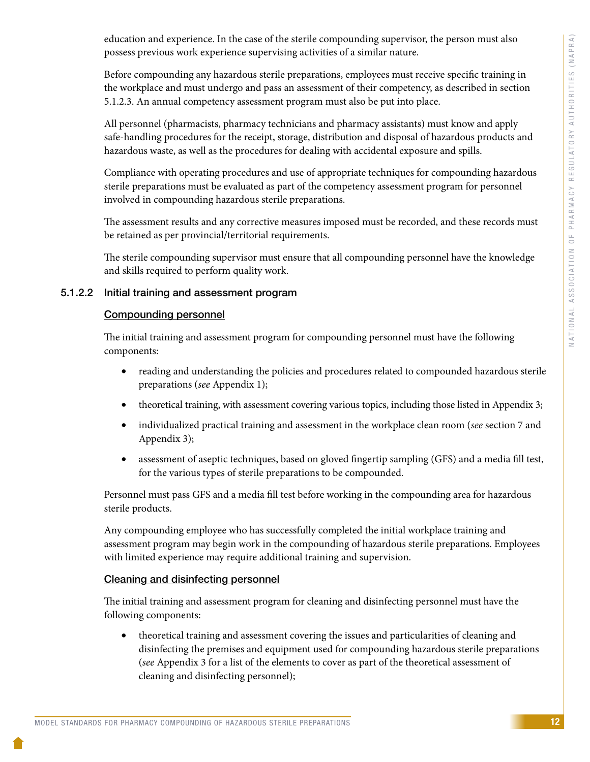education and experience. In the case of the sterile compounding supervisor, the person must also possess previous work experience supervising activities of a similar nature.

Before compounding any hazardous sterile preparations, employees must receive specific training in the workplace and must undergo and pass an assessment of their competency, as described in section 5.1.2.3. An annual competency assessment program must also be put into place.

All personnel (pharmacists, pharmacy technicians and pharmacy assistants) must know and apply safe-handling procedures for the receipt, storage, distribution and disposal of hazardous products and hazardous waste, as well as the procedures for dealing with accidental exposure and spills.

Compliance with operating procedures and use of appropriate techniques for compounding hazardous sterile preparations must be evaluated as part of the competency assessment program for personnel involved in compounding hazardous sterile preparations.

The assessment results and any corrective measures imposed must be recorded, and these records must be retained as per provincial/territorial requirements.

The sterile compounding supervisor must ensure that all compounding personnel have the knowledge and skills required to perform quality work.

# 5.1.2.2 Initial training and assessment program

# Compounding personnel

The initial training and assessment program for compounding personnel must have the following components:

- reading and understanding the policies and procedures related to compounded hazardous sterile preparations (*see* Appendix 1);
- theoretical training, with assessment covering various topics, including those listed in Appendix 3;
- • individualized practical training and assessment in the workplace clean room (*see* section 7 and Appendix 3);
- assessment of aseptic techniques, based on gloved fingertip sampling (GFS) and a media fill test, for the various types of sterile preparations to be compounded.

Personnel must pass GFS and a media fill test before working in the compounding area for hazardous sterile products.

Any compounding employee who has successfully completed the initial workplace training and assessment program may begin work in the compounding of hazardous sterile preparations. Employees with limited experience may require additional training and supervision.

# Cleaning and disinfecting personnel

The initial training and assessment program for cleaning and disinfecting personnel must have the following components:

• theoretical training and assessment covering the issues and particularities of cleaning and disinfecting the premises and equipment used for compounding hazardous sterile preparations (*see* Appendix 3 for a list of the elements to cover as part of the theoretical assessment of cleaning and disinfecting personnel);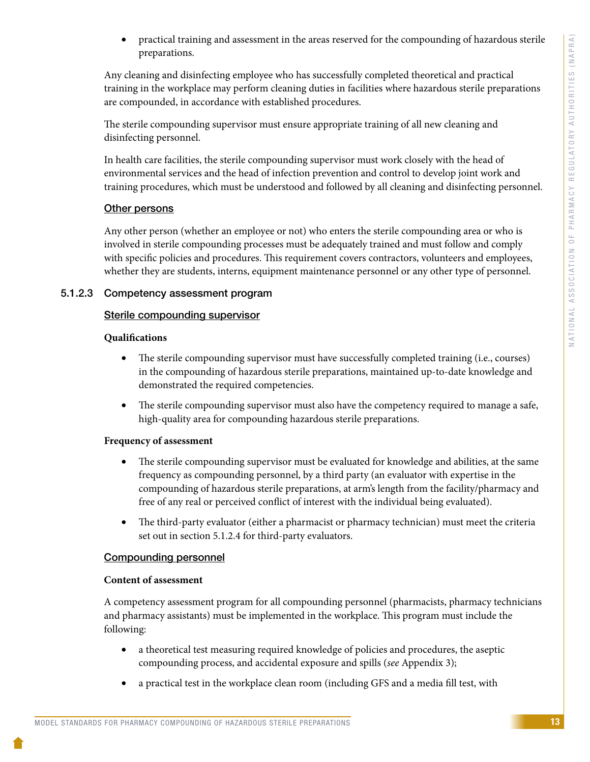practical training and assessment in the areas reserved for the compounding of hazardous sterile preparations.

Any cleaning and disinfecting employee who has successfully completed theoretical and practical training in the workplace may perform cleaning duties in facilities where hazardous sterile preparations are compounded, in accordance with established procedures.

The sterile compounding supervisor must ensure appropriate training of all new cleaning and disinfecting personnel.

In health care facilities, the sterile compounding supervisor must work closely with the head of environmental services and the head of infection prevention and control to develop joint work and training procedures, which must be understood and followed by all cleaning and disinfecting personnel.

# Other persons

Any other person (whether an employee or not) who enters the sterile compounding area or who is involved in sterile compounding processes must be adequately trained and must follow and comply with specific policies and procedures. This requirement covers contractors, volunteers and employees, whether they are students, interns, equipment maintenance personnel or any other type of personnel.

# 5.1.2.3 Competency assessment program

# Sterile compounding supervisor

# **Qualifications**

- The sterile compounding supervisor must have successfully completed training (i.e., courses) in the compounding of hazardous sterile preparations, maintained up-to-date knowledge and demonstrated the required competencies.
- The sterile compounding supervisor must also have the competency required to manage a safe, high-quality area for compounding hazardous sterile preparations.

# **Frequency of assessment**

- The sterile compounding supervisor must be evaluated for knowledge and abilities, at the same frequency as compounding personnel, by a third party (an evaluator with expertise in the compounding of hazardous sterile preparations, at arm's length from the facility/pharmacy and free of any real or perceived conflict of interest with the individual being evaluated).
- The third-party evaluator (either a pharmacist or pharmacy technician) must meet the criteria set out in section 5.1.2.4 for third-party evaluators.

# Compounding personnel

# **Content of assessment**

A competency assessment program for all compounding personnel (pharmacists, pharmacy technicians and pharmacy assistants) must be implemented in the workplace. This program must include the following:

- a theoretical test measuring required knowledge of policies and procedures, the aseptic compounding process, and accidental exposure and spills (*see* Appendix 3);
- a practical test in the workplace clean room (including GFS and a media fill test, with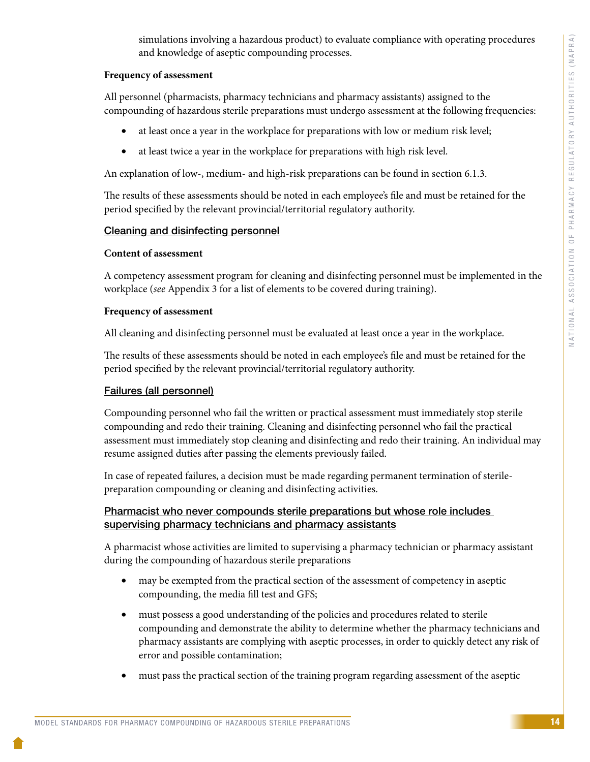simulations involving a hazardous product) to evaluate compliance with operating procedures and knowledge of aseptic compounding processes.

#### **Frequency of assessment**

All personnel (pharmacists, pharmacy technicians and pharmacy assistants) assigned to the compounding of hazardous sterile preparations must undergo assessment at the following frequencies:

- at least once a year in the workplace for preparations with low or medium risk level;
- at least twice a year in the workplace for preparations with high risk level.

An explanation of low-, medium- and high-risk preparations can be found in section 6.1.3.

The results of these assessments should be noted in each employee's file and must be retained for the period specified by the relevant provincial/territorial regulatory authority.

# Cleaning and disinfecting personnel

#### **Content of assessment**

A competency assessment program for cleaning and disinfecting personnel must be implemented in the workplace (*see* Appendix 3 for a list of elements to be covered during training).

#### **Frequency of assessment**

All cleaning and disinfecting personnel must be evaluated at least once a year in the workplace.

The results of these assessments should be noted in each employee's file and must be retained for the period specified by the relevant provincial/territorial regulatory authority.

# Failures (all personnel)

Compounding personnel who fail the written or practical assessment must immediately stop sterile compounding and redo their training. Cleaning and disinfecting personnel who fail the practical assessment must immediately stop cleaning and disinfecting and redo their training. An individual may resume assigned duties after passing the elements previously failed.

In case of repeated failures, a decision must be made regarding permanent termination of sterilepreparation compounding or cleaning and disinfecting activities.

# Pharmacist who never compounds sterile preparations but whose role includes supervising pharmacy technicians and pharmacy assistants

A pharmacist whose activities are limited to supervising a pharmacy technician or pharmacy assistant during the compounding of hazardous sterile preparations

- may be exempted from the practical section of the assessment of competency in aseptic compounding, the media fill test and GFS;
- must possess a good understanding of the policies and procedures related to sterile compounding and demonstrate the ability to determine whether the pharmacy technicians and pharmacy assistants are complying with aseptic processes, in order to quickly detect any risk of error and possible contamination;
- must pass the practical section of the training program regarding assessment of the aseptic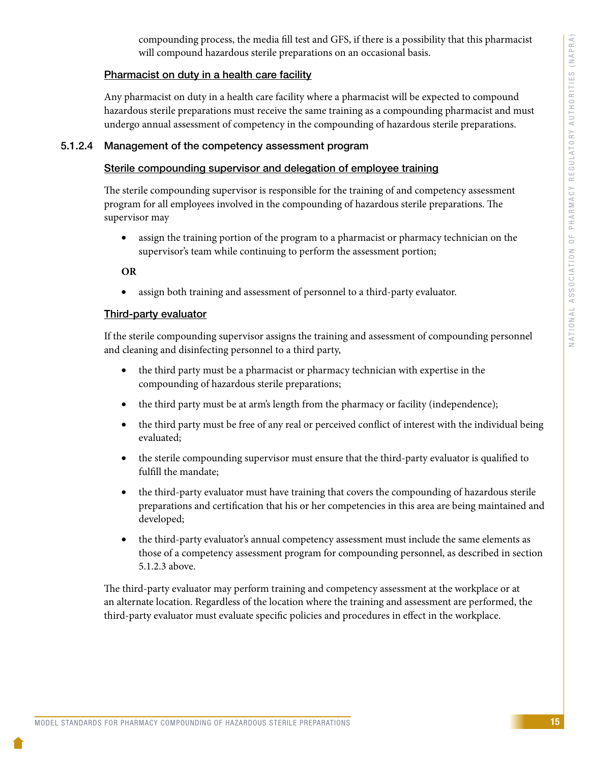compounding process, the media fill test and GFS, if there is a possibility that this pharmacist will compound hazardous sterile preparations on an occasional basis.

# Pharmacist on duty in a health care facility

Any pharmacist on duty in a health care facility where a pharmacist will be expected to compound hazardous sterile preparations must receive the same training as a compounding pharmacist and must undergo annual assessment of competency in the compounding of hazardous sterile preparations.

# 5.1.2.4 Management of the competency assessment program

# Sterile compounding supervisor and delegation of employee training

The sterile compounding supervisor is responsible for the training of and competency assessment program for all employees involved in the compounding of hazardous sterile preparations. The supervisor may

• assign the training portion of the program to a pharmacist or pharmacy technician on the supervisor's team while continuing to perform the assessment portion;

**OR**

• assign both training and assessment of personnel to a third-party evaluator.

# Third-party evaluator

If the sterile compounding supervisor assigns the training and assessment of compounding personnel and cleaning and disinfecting personnel to a third party,

- the third party must be a pharmacist or pharmacy technician with expertise in the compounding of hazardous sterile preparations;
- the third party must be at arm's length from the pharmacy or facility (independence);
- the third party must be free of any real or perceived conflict of interest with the individual being evaluated;
- the sterile compounding supervisor must ensure that the third-party evaluator is qualified to fulfill the mandate;
- the third-party evaluator must have training that covers the compounding of hazardous sterile preparations and certification that his or her competencies in this area are being maintained and developed;
- the third-party evaluator's annual competency assessment must include the same elements as those of a competency assessment program for compounding personnel, as described in section 5.1.2.3 above.

The third-party evaluator may perform training and competency assessment at the workplace or at an alternate location. Regardless of the location where the training and assessment are performed, the third-party evaluator must evaluate specific policies and procedures in effect in the workplace.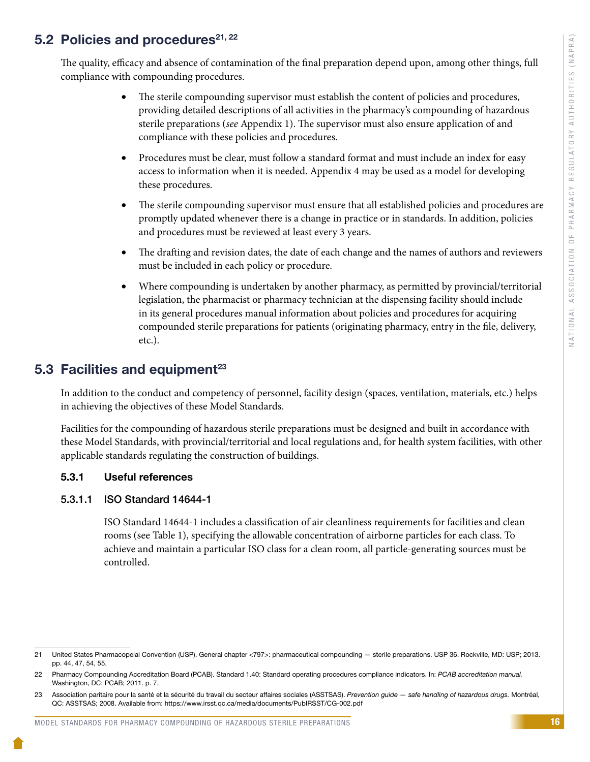# <span id="page-18-0"></span>5.2 Policies and procedures $21, 22$

The quality, efficacy and absence of contamination of the final preparation depend upon, among other things, full compliance with compounding procedures.

- The sterile compounding supervisor must establish the content of policies and procedures, providing detailed descriptions of all activities in the pharmacy's compounding of hazardous sterile preparations (*see* Appendix 1). The supervisor must also ensure application of and compliance with these policies and procedures.
- Procedures must be clear, must follow a standard format and must include an index for easy access to information when it is needed. Appendix 4 may be used as a model for developing these procedures.
- The sterile compounding supervisor must ensure that all established policies and procedures are promptly updated whenever there is a change in practice or in standards. In addition, policies and procedures must be reviewed at least every 3 years.
- The drafting and revision dates, the date of each change and the names of authors and reviewers must be included in each policy or procedure.
- Where compounding is undertaken by another pharmacy, as permitted by provincial/territorial legislation, the pharmacist or pharmacy technician at the dispensing facility should include in its general procedures manual information about policies and procedures for acquiring compounded sterile preparations for patients (originating pharmacy, entry in the file, delivery, etc.).

# 5.3 Facilities and equipment $^{23}$

In addition to the conduct and competency of personnel, facility design (spaces, ventilation, materials, etc.) helps in achieving the objectives of these Model Standards.

Facilities for the compounding of hazardous sterile preparations must be designed and built in accordance with these Model Standards, with provincial/territorial and local regulations and, for health system facilities, with other applicable standards regulating the construction of buildings.

# 5.3.1 Useful references

# 5.3.1.1 ISO Standard 14644-1

ISO Standard 14644-1 includes a classification of air cleanliness requirements for facilities and clean rooms (see Table 1), specifying the allowable concentration of airborne particles for each class. To achieve and maintain a particular ISO class for a clean room, all particle-generating sources must be controlled.

<sup>21</sup> United States Pharmacopeial Convention (USP). General chapter <797>: pharmaceutical compounding — sterile preparations. USP 36. Rockville, MD: USP; 2013. pp. 44, 47, 54, 55.

<sup>22</sup> Pharmacy Compounding Accreditation Board (PCAB). Standard 1.40: Standard operating procedures compliance indicators. In: *PCAB accreditation manual.* Washington, DC: PCAB; 2011. p. 7.

<sup>23</sup> Association paritaire pour la santé et la sécurité du travail du secteur affaires sociales (ASSTSAS). *Prevention guide — safe handling of hazardous drugs.* Montréal, QC: ASSTSAS; 2008. Available from: https://www.irsst.qc.ca/media/documents/PubIRSST/CG-002.pdf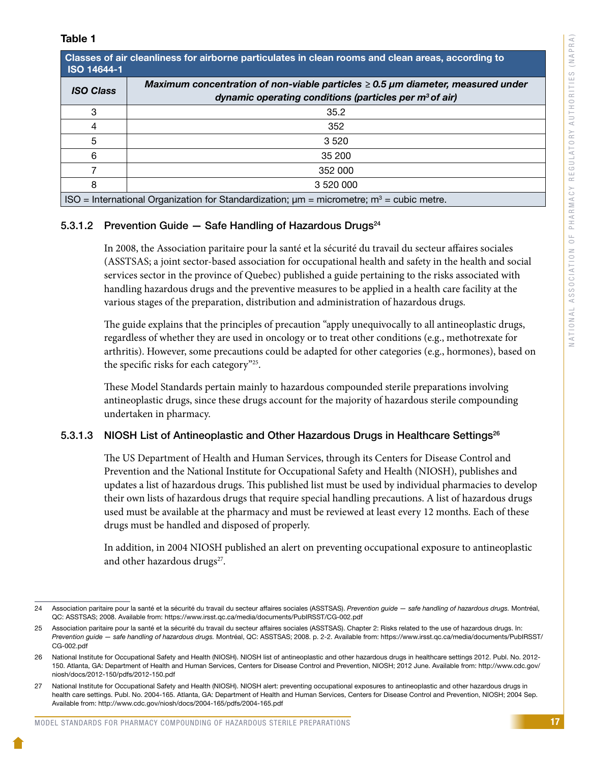| Unasses of all clearlifess for all borrie particulates in clear rooms and clear areas, according to<br><b>ISO 14644-1</b> |                                                                                      |  |  |
|---------------------------------------------------------------------------------------------------------------------------|--------------------------------------------------------------------------------------|--|--|
| <b>ISO Class</b>                                                                                                          | Maximum concentration of non-viable particles $\geq 0.5$ µm diameter, measured under |  |  |
|                                                                                                                           | dynamic operating conditions (particles per $m^3$ of air)                            |  |  |
| 3                                                                                                                         | 35.2                                                                                 |  |  |
|                                                                                                                           | 352                                                                                  |  |  |
| 5                                                                                                                         | 3 5 2 0                                                                              |  |  |
| հ                                                                                                                         | 35 200                                                                               |  |  |
|                                                                                                                           | 352 000                                                                              |  |  |
| 8                                                                                                                         | 3 520 000                                                                            |  |  |
| ISO = International Organization for Standardization; $\mu$ m = micrometre; m <sup>3</sup> = cubic metre.                 |                                                                                      |  |  |

# 5.3.1.2 Prevention Guide  $-$  Safe Handling of Hazardous Drugs<sup>24</sup>

Classes of air cleanliness for airborne particulates in clean rooms and clear

In 2008, the Association paritaire pour la santé et la sécurité du travail du secteur affaires sociales (ASSTSAS; a joint sector-based association for occupational health and safety in the health and social services sector in the province of Quebec) published a guide pertaining to the risks associated with handling hazardous drugs and the preventive measures to be applied in a health care facility at the various stages of the preparation, distribution and administration of hazardous drugs.

The guide explains that the principles of precaution "apply unequivocally to all antineoplastic drugs, regardless of whether they are used in oncology or to treat other conditions (e.g., methotrexate for arthritis). However, some precautions could be adapted for other categories (e.g., hormones), based on the specific risks for each category"25.

These Model Standards pertain mainly to hazardous compounded sterile preparations involving antineoplastic drugs, since these drugs account for the majority of hazardous sterile compounding undertaken in pharmacy.

# 5.3.1.3 NIOSH List of Antineoplastic and Other Hazardous Drugs in Healthcare Settings<sup>26</sup>

The US Department of Health and Human Services, through its Centers for Disease Control and Prevention and the National Institute for Occupational Safety and Health (NIOSH), publishes and updates a list of hazardous drugs. This published list must be used by individual pharmacies to develop their own lists of hazardous drugs that require special handling precautions. A list of hazardous drugs used must be available at the pharmacy and must be reviewed at least every 12 months. Each of these drugs must be handled and disposed of properly.

In addition, in 2004 NIOSH published an alert on preventing occupational exposure to antineoplastic and other hazardous drugs<sup>27</sup>.

<sup>24</sup> Association paritaire pour la santé et la sécurité du travail du secteur affaires sociales (ASSTSAS). *Prevention guide — safe handling of hazardous drugs.* Montréal, QC: ASSTSAS; 2008. Available from: https://www.irsst.qc.ca/media/documents/PubIRSST/CG-002.pdf

<sup>25</sup> Association paritaire pour la santé et la sécurité du travail du secteur affaires sociales (ASSTSAS). Chapter 2: Risks related to the use of hazardous drugs. In: *Prevention guide — safe handling of hazardous drugs.* Montréal, QC: ASSTSAS; 2008. p. 2-2. Available from: https://www.irsst.qc.ca/media/documents/PubIRSST/ CG-002.pdf

<sup>26</sup> National Institute for Occupational Safety and Health (NIOSH). NIOSH list of antineoplastic and other hazardous drugs in healthcare settings 2012. Publ. No. 2012- 150. Atlanta, GA: Department of Health and Human Services, Centers for Disease Control and Prevention, NIOSH; 2012 June. Available from: http://www.cdc.gov/ niosh/docs/2012-150/pdfs/2012-150.pdf

<sup>27</sup> National Institute for Occupational Safety and Health (NIOSH). NIOSH alert: preventing occupational exposures to antineoplastic and other hazardous drugs in health care settings. Publ. No. 2004-165. Atlanta, GA: Department of Health and Human Services, Centers for Disease Control and Prevention, NIOSH; 2004 Sep. Available from: http://www.cdc.gov/niosh/docs/2004-165/pdfs/2004-165.pdf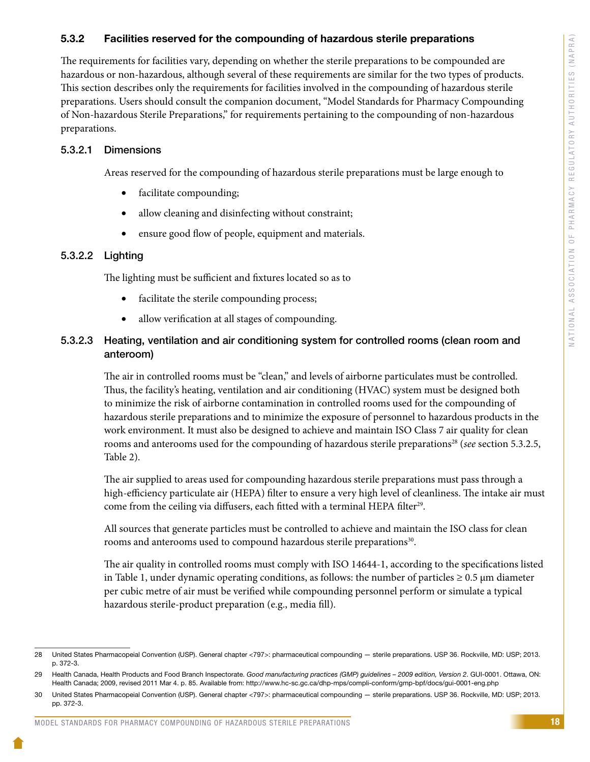#### 5.3.2 Facilities reserved for the compounding of hazardous sterile preparations

The requirements for facilities vary, depending on whether the sterile preparations to be compounded are hazardous or non-hazardous, although several of these requirements are similar for the two types of products. This section describes only the requirements for facilities involved in the compounding of hazardous sterile preparations. Users should consult the companion document, "Model Standards for Pharmacy Compounding of Non-hazardous Sterile Preparations," for requirements pertaining to the compounding of non-hazardous preparations.

#### 5.3.2.1 Dimensions

Areas reserved for the compounding of hazardous sterile preparations must be large enough to

- facilitate compounding;
- allow cleaning and disinfecting without constraint;
- ensure good flow of people, equipment and materials.

#### 5.3.2.2 Lighting

The lighting must be sufficient and fixtures located so as to

- facilitate the sterile compounding process;
- allow verification at all stages of compounding.

# 5.3.2.3 Heating, ventilation and air conditioning system for controlled rooms (clean room and anteroom)

The air in controlled rooms must be "clean," and levels of airborne particulates must be controlled. Thus, the facility's heating, ventilation and air conditioning (HVAC) system must be designed both to minimize the risk of airborne contamination in controlled rooms used for the compounding of hazardous sterile preparations and to minimize the exposure of personnel to hazardous products in the work environment. It must also be designed to achieve and maintain ISO Class 7 air quality for clean rooms and anterooms used for the compounding of hazardous sterile preparations<sup>28</sup> (*see* section 5.3.2.5, Table 2).

The air supplied to areas used for compounding hazardous sterile preparations must pass through a high-efficiency particulate air (HEPA) filter to ensure a very high level of cleanliness. The intake air must come from the ceiling via diffusers, each fitted with a terminal HEPA filter<sup>29</sup>.

All sources that generate particles must be controlled to achieve and maintain the ISO class for clean rooms and anterooms used to compound hazardous sterile preparations<sup>30</sup>.

The air quality in controlled rooms must comply with ISO 14644-1, according to the specifications listed in Table 1, under dynamic operating conditions, as follows: the number of particles  $\geq 0.5$  µm diameter per cubic metre of air must be verified while compounding personnel perform or simulate a typical hazardous sterile-product preparation (e.g., media fill).

<sup>28</sup> United States Pharmacopeial Convention (USP). General chapter <797>: pharmaceutical compounding — sterile preparations. USP 36. Rockville, MD: USP; 2013. p. 372-3.

<sup>29</sup> Health Canada, Health Products and Food Branch Inspectorate. *Good manufacturing practices (GMP) guidelines – 2009 edition, Version 2*. GUI-0001. Ottawa, ON: Health Canada; 2009, revised 2011 Mar 4. p. 85. Available from: http://www.hc-sc.gc.ca/dhp-mps/compli-conform/gmp-bpf/docs/gui-0001-eng.php

<sup>30</sup> United States Pharmacopeial Convention (USP). General chapter <797>: pharmaceutical compounding — sterile preparations. USP 36. Rockville, MD: USP; 2013. pp. 372-3.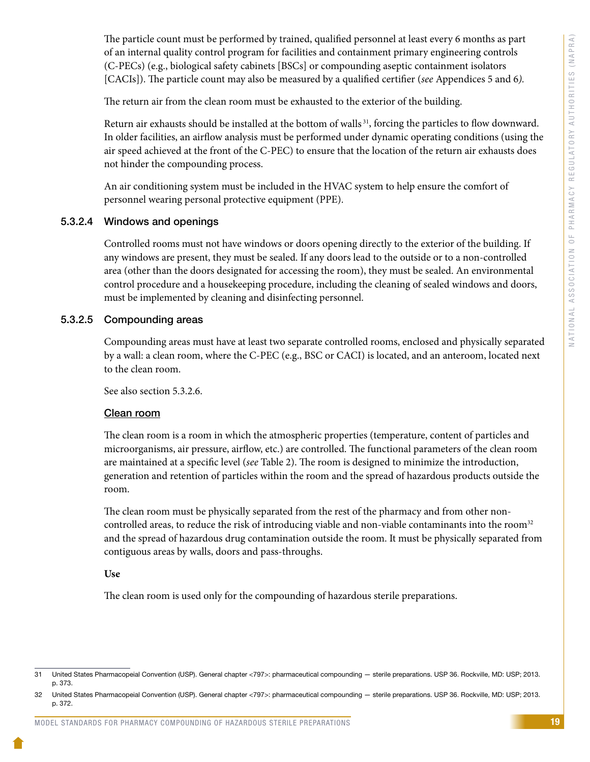The particle count must be performed by trained, qualified personnel at least every 6 months as part of an internal quality control program for facilities and containment primary engineering controls (C-PECs) (e.g., biological safety cabinets [BSCs] or compounding aseptic containment isolators [CACIs]). The particle count may also be measured by a qualified certifier (*see* Appendices 5 and 6*).*

The return air from the clean room must be exhausted to the exterior of the building.

Return air exhausts should be installed at the bottom of walls<sup>31</sup>, forcing the particles to flow downward. In older facilities, an airflow analysis must be performed under dynamic operating conditions (using the air speed achieved at the front of the C-PEC) to ensure that the location of the return air exhausts does not hinder the compounding process.

An air conditioning system must be included in the HVAC system to help ensure the comfort of personnel wearing personal protective equipment (PPE).

# 5.3.2.4 Windows and openings

Controlled rooms must not have windows or doors opening directly to the exterior of the building. If any windows are present, they must be sealed. If any doors lead to the outside or to a non-controlled area (other than the doors designated for accessing the room), they must be sealed. An environmental control procedure and a housekeeping procedure, including the cleaning of sealed windows and doors, must be implemented by cleaning and disinfecting personnel.

#### 5.3.2.5 Compounding areas

Compounding areas must have at least two separate controlled rooms, enclosed and physically separated by a wall: a clean room, where the C-PEC (e.g., BSC or CACI) is located, and an anteroom, located next to the clean room.

See also section 5.3.2.6.

#### Clean room

The clean room is a room in which the atmospheric properties (temperature, content of particles and microorganisms, air pressure, airflow, etc.) are controlled. The functional parameters of the clean room are maintained at a specific level (*see* Table 2). The room is designed to minimize the introduction, generation and retention of particles within the room and the spread of hazardous products outside the room.

The clean room must be physically separated from the rest of the pharmacy and from other noncontrolled areas, to reduce the risk of introducing viable and non-viable contaminants into the room<sup>32</sup> and the spread of hazardous drug contamination outside the room. It must be physically separated from contiguous areas by walls, doors and pass-throughs.

#### **Use**

The clean room is used only for the compounding of hazardous sterile preparations.

<sup>31</sup> United States Pharmacopeial Convention (USP). General chapter <797>: pharmaceutical compounding — sterile preparations. USP 36. Rockville, MD: USP; 2013. p. 373.

<sup>32</sup> United States Pharmacopeial Convention (USP). General chapter <797>: pharmaceutical compounding — sterile preparations. USP 36. Rockville, MD: USP; 2013. p. 372.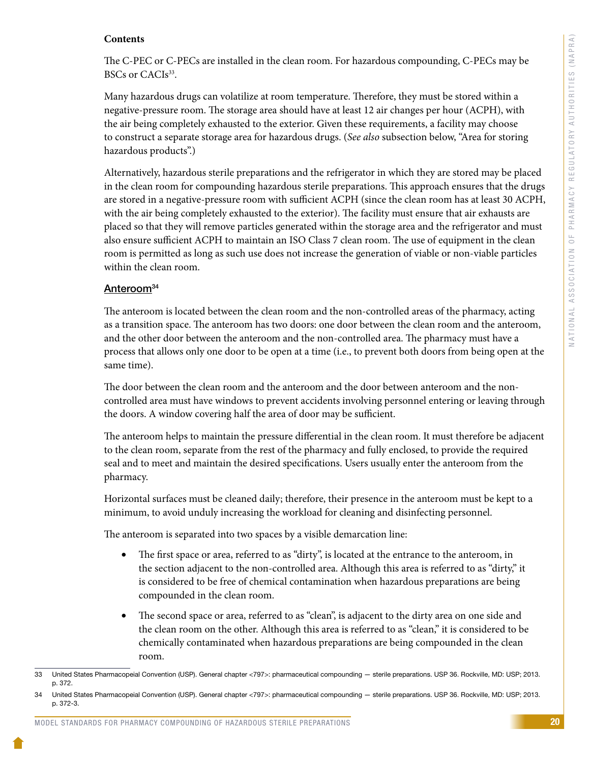# **Contents**

The C-PEC or C-PECs are installed in the clean room. For hazardous compounding, C-PECs may be BSCs or CACIs<sup>33</sup>.

Many hazardous drugs can volatilize at room temperature. Therefore, they must be stored within a negative-pressure room. The storage area should have at least 12 air changes per hour (ACPH), with the air being completely exhausted to the exterior. Given these requirements, a facility may choose to construct a separate storage area for hazardous drugs. (*See also* subsection below, "Area for storing hazardous products".)

Alternatively, hazardous sterile preparations and the refrigerator in which they are stored may be placed in the clean room for compounding hazardous sterile preparations. This approach ensures that the drugs are stored in a negative-pressure room with sufficient ACPH (since the clean room has at least 30 ACPH, with the air being completely exhausted to the exterior). The facility must ensure that air exhausts are placed so that they will remove particles generated within the storage area and the refrigerator and must also ensure sufficient ACPH to maintain an ISO Class 7 clean room. The use of equipment in the clean room is permitted as long as such use does not increase the generation of viable or non-viable particles within the clean room.

# Anteroom<sup>34</sup>

The anteroom is located between the clean room and the non-controlled areas of the pharmacy, acting as a transition space. The anteroom has two doors: one door between the clean room and the anteroom, and the other door between the anteroom and the non-controlled area. The pharmacy must have a process that allows only one door to be open at a time (i.e., to prevent both doors from being open at the same time).

The door between the clean room and the anteroom and the door between anteroom and the noncontrolled area must have windows to prevent accidents involving personnel entering or leaving through the doors. A window covering half the area of door may be sufficient.

The anteroom helps to maintain the pressure differential in the clean room. It must therefore be adjacent to the clean room, separate from the rest of the pharmacy and fully enclosed, to provide the required seal and to meet and maintain the desired specifications. Users usually enter the anteroom from the pharmacy.

Horizontal surfaces must be cleaned daily; therefore, their presence in the anteroom must be kept to a minimum, to avoid unduly increasing the workload for cleaning and disinfecting personnel.

The anteroom is separated into two spaces by a visible demarcation line:

- The first space or area, referred to as "dirty", is located at the entrance to the anteroom, in the section adjacent to the non-controlled area. Although this area is referred to as "dirty," it is considered to be free of chemical contamination when hazardous preparations are being compounded in the clean room.
- The second space or area, referred to as "clean", is adjacent to the dirty area on one side and the clean room on the other. Although this area is referred to as "clean," it is considered to be chemically contaminated when hazardous preparations are being compounded in the clean room.

<sup>33</sup> United States Pharmacopeial Convention (USP). General chapter <797>: pharmaceutical compounding — sterile preparations. USP 36. Rockville, MD: USP; 2013. p. 372.

<sup>34</sup> United States Pharmacopeial Convention (USP). General chapter <797>: pharmaceutical compounding — sterile preparations. USP 36. Rockville, MD: USP; 2013. p. 372-3.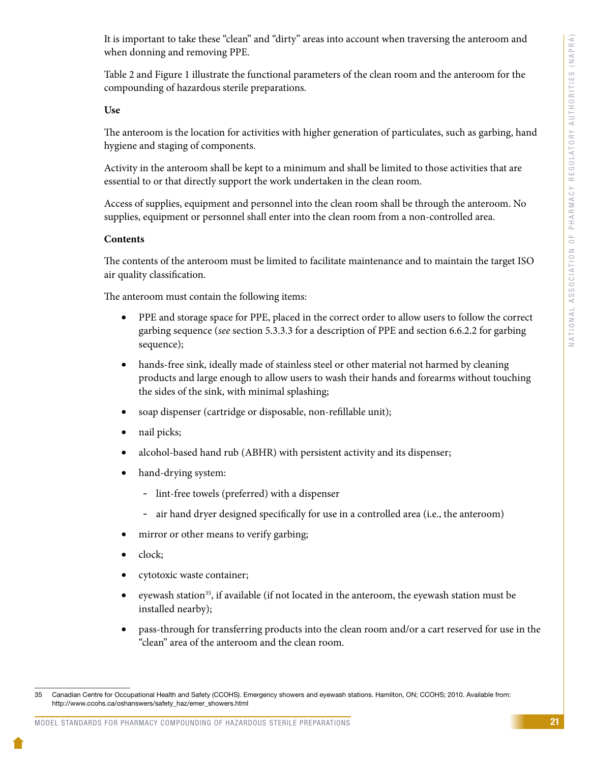It is important to take these "clean" and "dirty" areas into account when traversing the anteroom and when donning and removing PPE.

Table 2 and Figure 1 illustrate the functional parameters of the clean room and the anteroom for the compounding of hazardous sterile preparations.

#### **Use**

The anteroom is the location for activities with higher generation of particulates, such as garbing, hand hygiene and staging of components.

Activity in the anteroom shall be kept to a minimum and shall be limited to those activities that are essential to or that directly support the work undertaken in the clean room.

Access of supplies, equipment and personnel into the clean room shall be through the anteroom. No supplies, equipment or personnel shall enter into the clean room from a non-controlled area.

#### **Contents**

The contents of the anteroom must be limited to facilitate maintenance and to maintain the target ISO air quality classification.

The anteroom must contain the following items:

- PPE and storage space for PPE, placed in the correct order to allow users to follow the correct garbing sequence (*see* section 5.3.3.3 for a description of PPE and section 6.6.2.2 for garbing sequence);
- hands-free sink, ideally made of stainless steel or other material not harmed by cleaning products and large enough to allow users to wash their hands and forearms without touching the sides of the sink, with minimal splashing;
- • soap dispenser (cartridge or disposable, non-refillable unit);
- nail picks;
- alcohol-based hand rub (ABHR) with persistent activity and its dispenser;
- hand-drying system:
	- lint-free towels (preferred) with a dispenser
	- air hand dryer designed specifically for use in a controlled area (i.e., the anteroom)
- mirror or other means to verify garbing;
- clock;
- cytotoxic waste container;
- eyewash station<sup>35</sup>, if available (if not located in the anteroom, the eyewash station must be installed nearby);
- pass-through for transferring products into the clean room and/or a cart reserved for use in the "clean" area of the anteroom and the clean room.

<sup>35</sup> Canadian Centre for Occupational Health and Safety (CCOHS). Emergency showers and eyewash stations. Hamilton, ON; CCOHS; 2010. Available from: http://www.ccohs.ca/oshanswers/safety\_haz/emer\_showers.html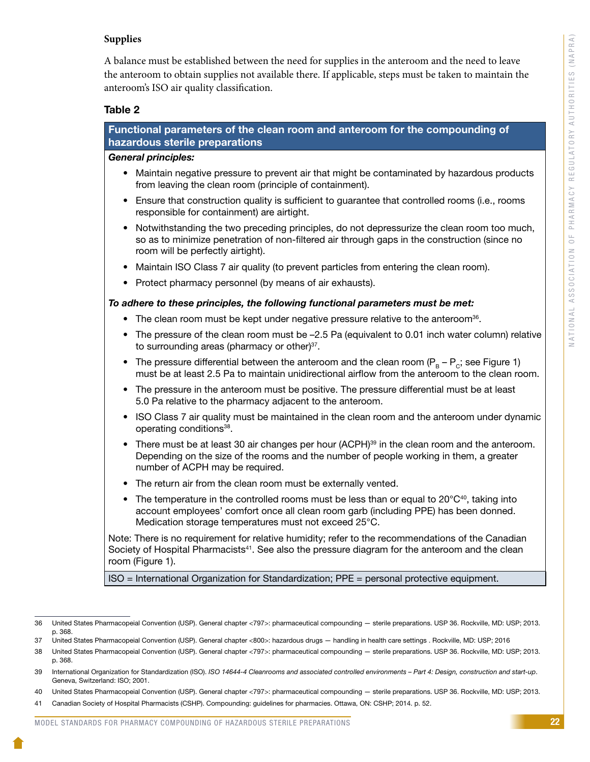# **Supplies**

A balance must be established between the need for supplies in the anteroom and the need to leave the anteroom to obtain supplies not available there. If applicable, steps must be taken to maintain the anteroom's ISO air quality classification.

#### Table 2

| Functional parameters of the clean room and anteroom for the compounding of<br>hazardous sterile preparations                                                                                                                                             |  |  |
|-----------------------------------------------------------------------------------------------------------------------------------------------------------------------------------------------------------------------------------------------------------|--|--|
| <b>General principles:</b>                                                                                                                                                                                                                                |  |  |
| Maintain negative pressure to prevent air that might be contaminated by hazardous products<br>$\bullet$<br>from leaving the clean room (principle of containment).                                                                                        |  |  |
| Ensure that construction quality is sufficient to guarantee that controlled rooms (i.e., rooms<br>$\bullet$<br>responsible for containment) are airtight.                                                                                                 |  |  |
| Notwithstanding the two preceding principles, do not depressurize the clean room too much,<br>$\bullet$<br>so as to minimize penetration of non-filtered air through gaps in the construction (since no<br>room will be perfectly airtight).              |  |  |
| Maintain ISO Class 7 air quality (to prevent particles from entering the clean room).<br>$\bullet$                                                                                                                                                        |  |  |
| Protect pharmacy personnel (by means of air exhausts).<br>$\bullet$                                                                                                                                                                                       |  |  |
| To adhere to these principles, the following functional parameters must be met:                                                                                                                                                                           |  |  |
| • The clean room must be kept under negative pressure relative to the anteroom <sup>36</sup> .                                                                                                                                                            |  |  |
| The pressure of the clean room must be -2.5 Pa (equivalent to 0.01 inch water column) relative<br>$\bullet$<br>to surrounding areas (pharmacy or other) <sup>37</sup> .                                                                                   |  |  |
| The pressure differential between the anteroom and the clean room ( $P_B - P_C$ ; see Figure 1)<br>$\bullet$<br>must be at least 2.5 Pa to maintain unidirectional airflow from the anteroom to the clean room.                                           |  |  |
| The pressure in the anteroom must be positive. The pressure differential must be at least<br>$\bullet$<br>5.0 Pa relative to the pharmacy adjacent to the anteroom.                                                                                       |  |  |
| ISO Class 7 air quality must be maintained in the clean room and the anteroom under dynamic<br>$\bullet$<br>operating conditions <sup>38</sup> .                                                                                                          |  |  |
| • There must be at least 30 air changes per hour (ACPH) <sup>39</sup> in the clean room and the anteroom.<br>Depending on the size of the rooms and the number of people working in them, a greater<br>number of ACPH may be required.                    |  |  |
| The return air from the clean room must be externally vented.<br>$\bullet$                                                                                                                                                                                |  |  |
| • The temperature in the controlled rooms must be less than or equal to $20^{\circ}C^{40}$ , taking into<br>account employees' comfort once all clean room garb (including PPE) has been donned.<br>Medication storage temperatures must not exceed 25°C. |  |  |
| Note: There is no requirement for relative humidity; refer to the recommendations of the Canadian<br>Society of Hospital Pharmacists <sup>41</sup> . See also the pressure diagram for the anteroom and the clean<br>room (Figure 1).                     |  |  |
| ISO = International Organization for Standardization; PPE = personal protective equipment.                                                                                                                                                                |  |  |

<sup>36</sup> United States Pharmacopeial Convention (USP). General chapter <797>: pharmaceutical compounding — sterile preparations. USP 36. Rockville, MD: USP; 2013. p. 368.

<sup>37</sup> United States Pharmacopeial Convention (USP). General chapter <800>: hazardous drugs — handling in health care settings . Rockville, MD: USP; 2016

<sup>38</sup> United States Pharmacopeial Convention (USP). General chapter <797>: pharmaceutical compounding — sterile preparations. USP 36. Rockville, MD: USP; 2013. p. 368.

<sup>39</sup> International Organization for Standardization (ISO). *ISO 14644-4 Cleanrooms and associated controlled environments – Part 4: Design, construction and start-up*. Geneva, Switzerland: ISO; 2001.

<sup>40</sup> United States Pharmacopeial Convention (USP). General chapter <797>: pharmaceutical compounding — sterile preparations. USP 36. Rockville, MD: USP; 2013.

<sup>41</sup> Canadian Society of Hospital Pharmacists (CSHP). Compounding: guidelines for pharmacies. Ottawa, ON: CSHP; 2014. p. 52.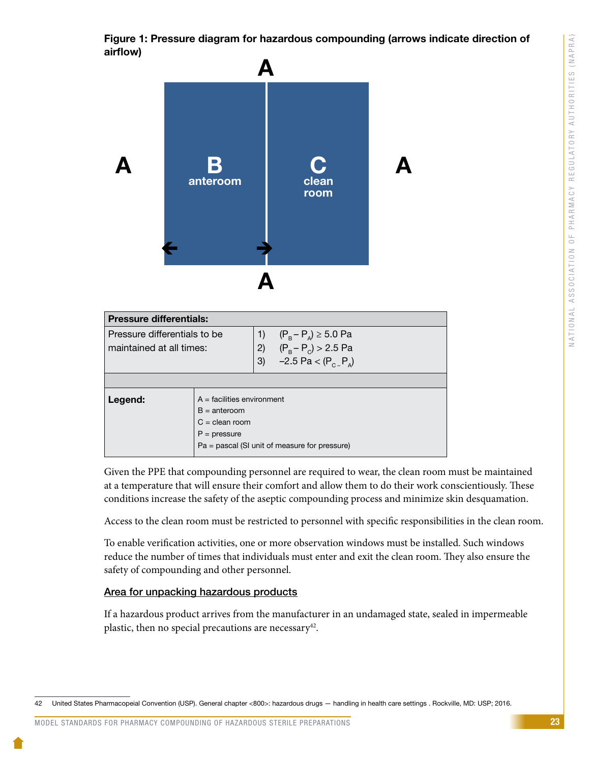Figure 1: Pressure diagram for hazardous compounding (arrows indicate direction of airflow)



| <b>Pressure differentials:</b> |                              |    |                                               |
|--------------------------------|------------------------------|----|-----------------------------------------------|
| Pressure differentials to be   |                              | 1) | $(P_B - P_A) \ge 5.0$ Pa                      |
| maintained at all times:       |                              | 2) | $(P_B - P_C) > 2.5$ Pa                        |
|                                |                              | 3) | $-2.5$ Pa < (P <sub>c-</sub> P <sub>A</sub> ) |
|                                |                              |    |                                               |
| Legend:                        | $A =$ facilities environment |    |                                               |
|                                | $B = anteroom$               |    |                                               |
| $C =$ clean room               |                              |    |                                               |
| $P = pressure$                 |                              |    |                                               |
|                                |                              |    | Pa = pascal (SI unit of measure for pressure) |

Given the PPE that compounding personnel are required to wear, the clean room must be maintained at a temperature that will ensure their comfort and allow them to do their work conscientiously. These conditions increase the safety of the aseptic compounding process and minimize skin desquamation.

Access to the clean room must be restricted to personnel with specific responsibilities in the clean room.

To enable verification activities, one or more observation windows must be installed. Such windows reduce the number of times that individuals must enter and exit the clean room. They also ensure the safety of compounding and other personnel.

# Area for unpacking hazardous products

If a hazardous product arrives from the manufacturer in an undamaged state, sealed in impermeable plastic, then no special precautions are necessary<sup>42</sup>.

<sup>42</sup> United States Pharmacopeial Convention (USP). General chapter <800>: hazardous drugs — handling in health care settings . Rockville, MD: USP; 2016.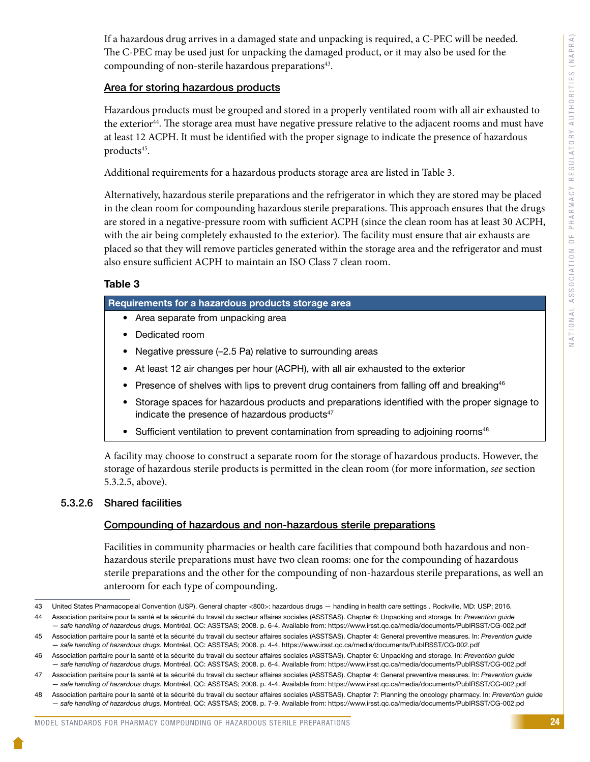If a hazardous drug arrives in a damaged state and unpacking is required, a C-PEC will be needed. The C-PEC may be used just for unpacking the damaged product, or it may also be used for the compounding of non-sterile hazardous preparations<sup>43</sup>.

# Area for storing hazardous products

Hazardous products must be grouped and stored in a properly ventilated room with all air exhausted to the exterior<sup>44</sup>. The storage area must have negative pressure relative to the adjacent rooms and must have at least 12 ACPH. It must be identified with the proper signage to indicate the presence of hazardous products<sup>45</sup>.

Additional requirements for a hazardous products storage area are listed in Table 3.

Alternatively, hazardous sterile preparations and the refrigerator in which they are stored may be placed in the clean room for compounding hazardous sterile preparations. This approach ensures that the drugs are stored in a negative-pressure room with sufficient ACPH (since the clean room has at least 30 ACPH, with the air being completely exhausted to the exterior). The facility must ensure that air exhausts are placed so that they will remove particles generated within the storage area and the refrigerator and must also ensure sufficient ACPH to maintain an ISO Class 7 clean room.

# Table 3

# Requirements for a hazardous products storage area

- Area separate from unpacking area
- Dedicated room
- Negative pressure (–2.5 Pa) relative to surrounding areas
- At least 12 air changes per hour (ACPH), with all air exhausted to the exterior
- Presence of shelves with lips to prevent drug containers from falling off and breaking<sup>46</sup>
- Storage spaces for hazardous products and preparations identified with the proper signage to indicate the presence of hazardous products<sup>47</sup>
- Sufficient ventilation to prevent contamination from spreading to adjoining rooms<sup>48</sup>

A facility may choose to construct a separate room for the storage of hazardous products. However, the storage of hazardous sterile products is permitted in the clean room (for more information, *see* section 5.3.2.5, above).

# 5.3.2.6 Shared facilities

# Compounding of hazardous and non-hazardous sterile preparations

Facilities in community pharmacies or health care facilities that compound both hazardous and nonhazardous sterile preparations must have two clean rooms: one for the compounding of hazardous sterile preparations and the other for the compounding of non-hazardous sterile preparations, as well an anteroom for each type of compounding.

44 Association paritaire pour la santé et la sécurité du travail du secteur affaires sociales (ASSTSAS). Chapter 6: Unpacking and storage. In: *Prevention guide* 

<sup>43</sup> United States Pharmacopeial Convention (USP). General chapter <800>: hazardous drugs — handling in health care settings . Rockville, MD: USP; 2016.

*<sup>—</sup> safe handling of hazardous drugs.* Montréal, QC: ASSTSAS; 2008. p. 6-4. Available from: https://www.irsst.qc.ca/media/documents/PubIRSST/CG-002.pdf 45 Association paritaire pour la santé et la sécurité du travail du secteur affaires sociales (ASSTSAS). Chapter 4: General preventive measures. In: *Prevention guide — safe handling of hazardous drugs.* Montréal, QC: ASSTSAS; 2008. p. 4-4. https://www.irsst.qc.ca/media/documents/PubIRSST/CG-002.pdf

<sup>46</sup> Association paritaire pour la santé et la sécurité du travail du secteur affaires sociales (ASSTSAS). Chapter 6: Unpacking and storage. In: *Prevention guide — safe handling of hazardous drugs.* Montréal, QC: ASSTSAS; 2008. p. 6-4. Available from: https://www.irsst.qc.ca/media/documents/PubIRSST/CG-002.pdf

<sup>47</sup> Association paritaire pour la santé et la sécurité du travail du secteur affaires sociales (ASSTSAS). Chapter 4: General preventive measures. In: *Prevention guide — safe handling of hazardous drugs.* Montréal, QC: ASSTSAS; 2008. p. 4-4. Available from: https://www.irsst.qc.ca/media/documents/PubIRSST/CG-002.pdf

<sup>48</sup> Association paritaire pour la santé et la sécurité du travail du secteur affaires sociales (ASSTSAS). Chapter 7: Planning the oncology pharmacy. In: *Prevention guide — safe handling of hazardous drugs.* Montréal, QC: ASSTSAS; 2008. p. 7-9. Available from: https://www.irsst.qc.ca/media/documents/PubIRSST/CG-002.pd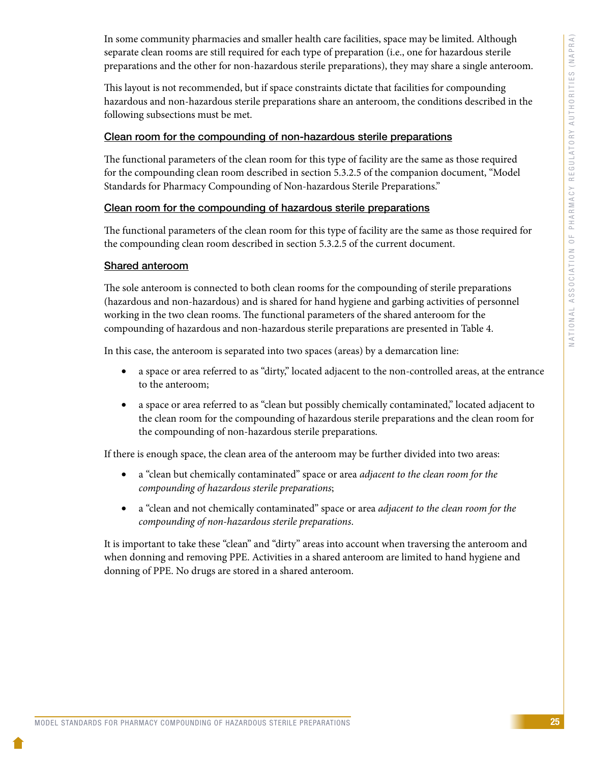In some community pharmacies and smaller health care facilities, space may be limited. Although separate clean rooms are still required for each type of preparation (i.e., one for hazardous sterile preparations and the other for non-hazardous sterile preparations), they may share a single anteroom.

This layout is not recommended, but if space constraints dictate that facilities for compounding hazardous and non-hazardous sterile preparations share an anteroom, the conditions described in the following subsections must be met.

#### Clean room for the compounding of non-hazardous sterile preparations

The functional parameters of the clean room for this type of facility are the same as those required for the compounding clean room described in section 5.3.2.5 of the companion document, "Model Standards for Pharmacy Compounding of Non-hazardous Sterile Preparations."

#### Clean room for the compounding of hazardous sterile preparations

The functional parameters of the clean room for this type of facility are the same as those required for the compounding clean room described in section 5.3.2.5 of the current document.

# Shared anteroom

The sole anteroom is connected to both clean rooms for the compounding of sterile preparations (hazardous and non-hazardous) and is shared for hand hygiene and garbing activities of personnel working in the two clean rooms. The functional parameters of the shared anteroom for the compounding of hazardous and non-hazardous sterile preparations are presented in Table 4.

In this case, the anteroom is separated into two spaces (areas) by a demarcation line:

- a space or area referred to as "dirty," located adjacent to the non-controlled areas, at the entrance to the anteroom;
- a space or area referred to as "clean but possibly chemically contaminated," located adjacent to the clean room for the compounding of hazardous sterile preparations and the clean room for the compounding of non-hazardous sterile preparations.

If there is enough space, the clean area of the anteroom may be further divided into two areas:

- a "clean but chemically contaminated" space or area *adjacent to the clean room for the compounding of hazardous sterile preparations*;
- • a "clean and not chemically contaminated" space or area *adjacent to the clean room for the compounding of non-hazardous sterile preparations*.

It is important to take these "clean" and "dirty" areas into account when traversing the anteroom and when donning and removing PPE. Activities in a shared anteroom are limited to hand hygiene and donning of PPE. No drugs are stored in a shared anteroom.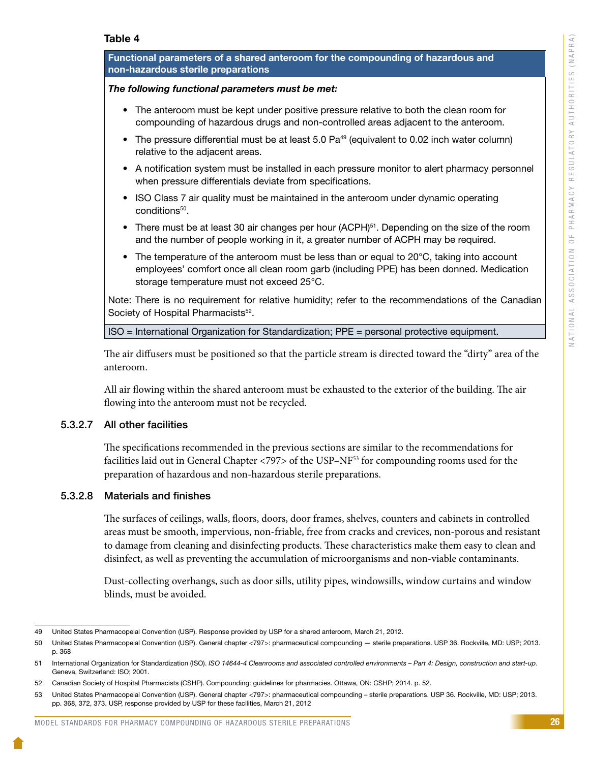#### Table 4

| Functional parameters of a shared anteroom for the compounding of hazardous and<br>non-hazardous sterile preparations                                                                                                                        |  |  |  |
|----------------------------------------------------------------------------------------------------------------------------------------------------------------------------------------------------------------------------------------------|--|--|--|
| The following functional parameters must be met:                                                                                                                                                                                             |  |  |  |
| The anteroom must be kept under positive pressure relative to both the clean room for<br>$\bullet$<br>compounding of hazardous drugs and non-controlled areas adjacent to the anteroom.                                                      |  |  |  |
| The pressure differential must be at least 5.0 Pa <sup>49</sup> (equivalent to 0.02 inch water column)<br>relative to the adjacent areas.                                                                                                    |  |  |  |
| A notification system must be installed in each pressure monitor to alert pharmacy personnel<br>$\bullet$<br>when pressure differentials deviate from specifications.                                                                        |  |  |  |
| ISO Class 7 air quality must be maintained in the anteroom under dynamic operating<br>conditions <sup>50</sup> .                                                                                                                             |  |  |  |
| There must be at least 30 air changes per hour (ACPH) <sup>51</sup> . Depending on the size of the room<br>$\bullet$<br>and the number of people working in it, a greater number of ACPH may be required.                                    |  |  |  |
| The temperature of the anteroom must be less than or equal to 20°C, taking into account<br>$\bullet$<br>employees' comfort once all clean room garb (including PPE) has been donned. Medication<br>storage temperature must not exceed 25°C. |  |  |  |
| Note: There is no requirement for relative humidity; refer to the recommendations of the Canadian<br>Society of Hospital Pharmacists <sup>52</sup> .                                                                                         |  |  |  |
| ISO = International Organization for Standardization; PPE = personal protective equipment.                                                                                                                                                   |  |  |  |
| The air diffusers must be positioned so that the particle stream is directed toward the "dirty" area of the<br>anteroom.                                                                                                                     |  |  |  |

All air flowing within the shared anteroom must be exhausted to the exterior of the building. The air flowing into the anteroom must not be recycled.

#### 5.3.2.7 All other facilities

The specifications recommended in the previous sections are similar to the recommendations for facilities laid out in General Chapter <797> of the USP-NF<sup>53</sup> for compounding rooms used for the preparation of hazardous and non-hazardous sterile preparations.

#### 5.3.2.8 Materials and finishes

The surfaces of ceilings, walls, floors, doors, door frames, shelves, counters and cabinets in controlled areas must be smooth, impervious, non-friable, free from cracks and crevices, non-porous and resistant to damage from cleaning and disinfecting products. These characteristics make them easy to clean and disinfect, as well as preventing the accumulation of microorganisms and non-viable contaminants.

Dust-collecting overhangs, such as door sills, utility pipes, windowsills, window curtains and window blinds, must be avoided.

<sup>49</sup> United States Pharmacopeial Convention (USP). Response provided by USP for a shared anteroom, March 21, 2012.

<sup>50</sup> United States Pharmacopeial Convention (USP). General chapter <797>: pharmaceutical compounding — sterile preparations. USP 36. Rockville, MD: USP; 2013. p. 368

<sup>51</sup> International Organization for Standardization (ISO). *ISO 14644-4 Cleanrooms and associated controlled environments – Part 4: Design, construction and start-up*. Geneva, Switzerland: ISO; 2001.

<sup>52</sup> Canadian Society of Hospital Pharmacists (CSHP). Compounding: guidelines for pharmacies. Ottawa, ON: CSHP; 2014. p. 52.

<sup>53</sup> United States Pharmacopeial Convention (USP). General chapter <797>: pharmaceutical compounding – sterile preparations. USP 36. Rockville, MD: USP; 2013. pp. 368, 372, 373. USP, response provided by USP for these facilities, March 21, 2012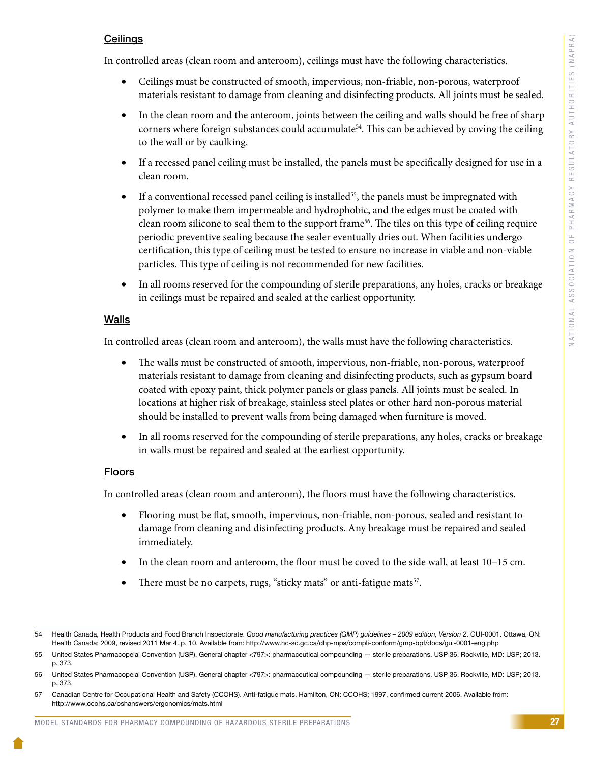# **Ceilings**

In controlled areas (clean room and anteroom), ceilings must have the following characteristics.

- • Ceilings must be constructed of smooth, impervious, non-friable, non-porous, waterproof materials resistant to damage from cleaning and disinfecting products. All joints must be sealed.
- In the clean room and the anteroom, joints between the ceiling and walls should be free of sharp corners where foreign substances could accumulate<sup>54</sup>. This can be achieved by coving the ceiling to the wall or by caulking.
- If a recessed panel ceiling must be installed, the panels must be specifically designed for use in a clean room.
- If a conventional recessed panel ceiling is installed<sup>55</sup>, the panels must be impregnated with polymer to make them impermeable and hydrophobic, and the edges must be coated with clean room silicone to seal them to the support frame56. The tiles on this type of ceiling require periodic preventive sealing because the sealer eventually dries out. When facilities undergo certification, this type of ceiling must be tested to ensure no increase in viable and non-viable particles. This type of ceiling is not recommended for new facilities.
- In all rooms reserved for the compounding of sterile preparations, any holes, cracks or breakage in ceilings must be repaired and sealed at the earliest opportunity.

# Walls

In controlled areas (clean room and anteroom), the walls must have the following characteristics.

- The walls must be constructed of smooth, impervious, non-friable, non-porous, waterproof materials resistant to damage from cleaning and disinfecting products, such as gypsum board coated with epoxy paint, thick polymer panels or glass panels. All joints must be sealed. In locations at higher risk of breakage, stainless steel plates or other hard non-porous material should be installed to prevent walls from being damaged when furniture is moved.
- In all rooms reserved for the compounding of sterile preparations, any holes, cracks or breakage in walls must be repaired and sealed at the earliest opportunity.

# Floors

In controlled areas (clean room and anteroom), the floors must have the following characteristics.

- Flooring must be flat, smooth, impervious, non-friable, non-porous, sealed and resistant to damage from cleaning and disinfecting products. Any breakage must be repaired and sealed immediately.
- In the clean room and anteroom, the floor must be coved to the side wall, at least  $10-15$  cm.
- There must be no carpets, rugs, "sticky mats" or anti-fatigue mats<sup>57</sup>.

<sup>54</sup> Health Canada, Health Products and Food Branch Inspectorate. *Good manufacturing practices (GMP) guidelines – 2009 edition, Version 2*. GUI-0001. Ottawa, ON: Health Canada; 2009, revised 2011 Mar 4. p. 10. Available from: http://www.hc-sc.gc.ca/dhp-mps/compli-conform/gmp-bpf/docs/gui-0001-eng.php

<sup>55</sup> United States Pharmacopeial Convention (USP). General chapter <797>: pharmaceutical compounding — sterile preparations. USP 36. Rockville, MD: USP; 2013. p. 373.

<sup>56</sup> United States Pharmacopeial Convention (USP). General chapter <797>: pharmaceutical compounding — sterile preparations. USP 36. Rockville, MD: USP; 2013. p. 373.

<sup>57</sup> Canadian Centre for Occupational Health and Safety (CCOHS). Anti-fatigue mats. Hamilton, ON: CCOHS; 1997, confirmed current 2006. Available from: http://www.ccohs.ca/oshanswers/ergonomics/mats.html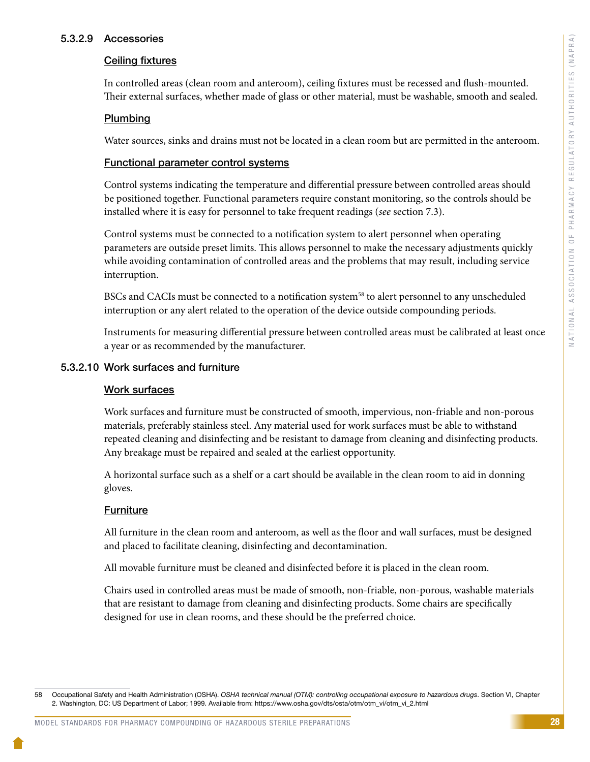#### 5.3.2.9 Accessories

#### Ceiling fixtures

In controlled areas (clean room and anteroom), ceiling fixtures must be recessed and flush-mounted. Their external surfaces, whether made of glass or other material, must be washable, smooth and sealed.

#### Plumbing

Water sources, sinks and drains must not be located in a clean room but are permitted in the anteroom.

#### Functional parameter control systems

Control systems indicating the temperature and differential pressure between controlled areas should be positioned together. Functional parameters require constant monitoring, so the controls should be installed where it is easy for personnel to take frequent readings (*see* section 7.3).

Control systems must be connected to a notification system to alert personnel when operating parameters are outside preset limits. This allows personnel to make the necessary adjustments quickly while avoiding contamination of controlled areas and the problems that may result, including service interruption.

BSCs and CACIs must be connected to a notification system<sup>58</sup> to alert personnel to any unscheduled interruption or any alert related to the operation of the device outside compounding periods.

Instruments for measuring differential pressure between controlled areas must be calibrated at least once a year or as recommended by the manufacturer.

#### 5.3.2.10 Work surfaces and furniture

#### Work surfaces

Work surfaces and furniture must be constructed of smooth, impervious, non-friable and non-porous materials, preferably stainless steel. Any material used for work surfaces must be able to withstand repeated cleaning and disinfecting and be resistant to damage from cleaning and disinfecting products. Any breakage must be repaired and sealed at the earliest opportunity.

A horizontal surface such as a shelf or a cart should be available in the clean room to aid in donning gloves.

# **Furniture**

All furniture in the clean room and anteroom, as well as the floor and wall surfaces, must be designed and placed to facilitate cleaning, disinfecting and decontamination.

All movable furniture must be cleaned and disinfected before it is placed in the clean room.

Chairs used in controlled areas must be made of smooth, non-friable, non-porous, washable materials that are resistant to damage from cleaning and disinfecting products. Some chairs are specifically designed for use in clean rooms, and these should be the preferred choice.

<sup>58</sup> Occupational Safety and Health Administration (OSHA). *OSHA technical manual (OTM): controlling occupational exposure to hazardous drugs*. Section VI, Chapter 2. Washington, DC: US Department of Labor; 1999. Available from: https://www.osha.gov/dts/osta/otm/otm\_vi/otm\_vi\_2.html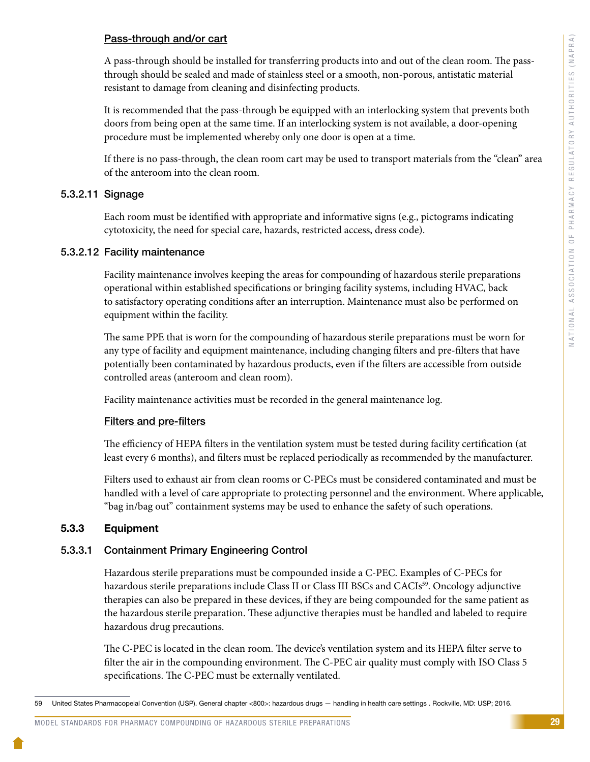#### Pass-through and/or cart

A pass-through should be installed for transferring products into and out of the clean room. The passthrough should be sealed and made of stainless steel or a smooth, non-porous, antistatic material resistant to damage from cleaning and disinfecting products.

It is recommended that the pass-through be equipped with an interlocking system that prevents both doors from being open at the same time. If an interlocking system is not available, a door-opening procedure must be implemented whereby only one door is open at a time.

If there is no pass-through, the clean room cart may be used to transport materials from the "clean" area of the anteroom into the clean room.

# 5.3.2.11 Signage

Each room must be identified with appropriate and informative signs (e.g., pictograms indicating cytotoxicity, the need for special care, hazards, restricted access, dress code).

#### 5.3.2.12 Facility maintenance

Facility maintenance involves keeping the areas for compounding of hazardous sterile preparations operational within established specifications or bringing facility systems, including HVAC, back to satisfactory operating conditions after an interruption. Maintenance must also be performed on equipment within the facility.

The same PPE that is worn for the compounding of hazardous sterile preparations must be worn for any type of facility and equipment maintenance, including changing filters and pre-filters that have potentially been contaminated by hazardous products, even if the filters are accessible from outside controlled areas (anteroom and clean room).

Facility maintenance activities must be recorded in the general maintenance log.

# Filters and pre-filters

The efficiency of HEPA filters in the ventilation system must be tested during facility certification (at least every 6 months), and filters must be replaced periodically as recommended by the manufacturer.

Filters used to exhaust air from clean rooms or C-PECs must be considered contaminated and must be handled with a level of care appropriate to protecting personnel and the environment. Where applicable, "bag in/bag out" containment systems may be used to enhance the safety of such operations.

# 5.3.3 Equipment

# 5.3.3.1 Containment Primary Engineering Control

Hazardous sterile preparations must be compounded inside a C-PEC. Examples of C-PECs for hazardous sterile preparations include Class II or Class III BSCs and CACIs<sup>59</sup>. Oncology adjunctive therapies can also be prepared in these devices, if they are being compounded for the same patient as the hazardous sterile preparation. These adjunctive therapies must be handled and labeled to require hazardous drug precautions.

The C-PEC is located in the clean room. The device's ventilation system and its HEPA filter serve to filter the air in the compounding environment. The C-PEC air quality must comply with ISO Class 5 specifications. The C-PEC must be externally ventilated.

<sup>59</sup> United States Pharmacopeial Convention (USP). General chapter <800>: hazardous drugs — handling in health care settings . Rockville, MD: USP; 2016.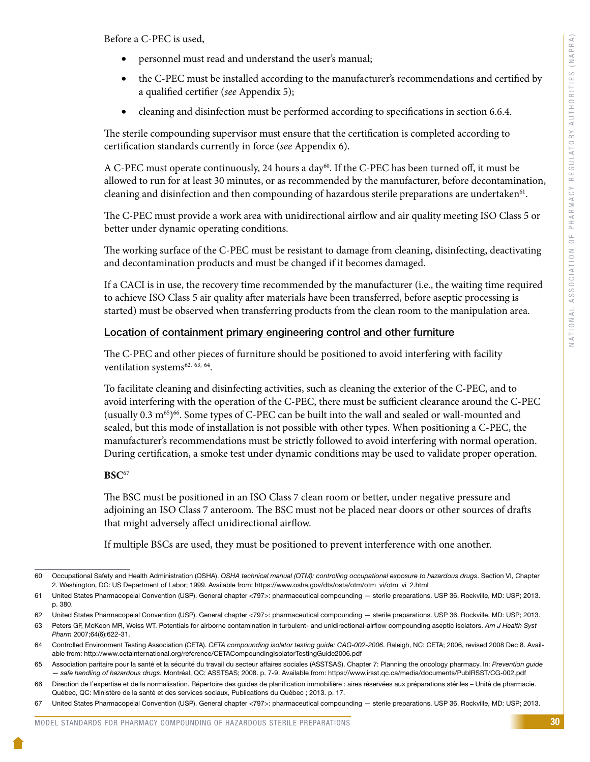Before a C-PEC is used,

- personnel must read and understand the user's manual;
- the C-PEC must be installed according to the manufacturer's recommendations and certified by a qualified certifier (*see* Appendix 5);
- cleaning and disinfection must be performed according to specifications in section 6.6.4.

The sterile compounding supervisor must ensure that the certification is completed according to certification standards currently in force (*see* Appendix 6).

A C-PEC must operate continuously, 24 hours a day<sup>60</sup>. If the C-PEC has been turned off, it must be allowed to run for at least 30 minutes, or as recommended by the manufacturer, before decontamination, cleaning and disinfection and then compounding of hazardous sterile preparations are undertaken $61$ .

The C-PEC must provide a work area with unidirectional airflow and air quality meeting ISO Class 5 or better under dynamic operating conditions.

The working surface of the C-PEC must be resistant to damage from cleaning, disinfecting, deactivating and decontamination products and must be changed if it becomes damaged.

If a CACI is in use, the recovery time recommended by the manufacturer (i.e., the waiting time required to achieve ISO Class 5 air quality after materials have been transferred, before aseptic processing is started) must be observed when transferring products from the clean room to the manipulation area.

#### Location of containment primary engineering control and other furniture

The C-PEC and other pieces of furniture should be positioned to avoid interfering with facility ventilation systems<sup>62, 63, 64</sup>.

To facilitate cleaning and disinfecting activities, such as cleaning the exterior of the C-PEC, and to avoid interfering with the operation of the C-PEC, there must be sufficient clearance around the C-PEC (usually  $0.3 \text{ m}^{65}$ )<sup>66</sup>. Some types of C-PEC can be built into the wall and sealed or wall-mounted and sealed, but this mode of installation is not possible with other types. When positioning a C-PEC, the manufacturer's recommendations must be strictly followed to avoid interfering with normal operation. During certification, a smoke test under dynamic conditions may be used to validate proper operation.

#### **BSC**<sup>67</sup>

The BSC must be positioned in an ISO Class 7 clean room or better, under negative pressure and adjoining an ISO Class 7 anteroom. The BSC must not be placed near doors or other sources of drafts that might adversely affect unidirectional airflow.

If multiple BSCs are used, they must be positioned to prevent interference with one another.

<sup>60</sup> Occupational Safety and Health Administration (OSHA). *OSHA technical manual (OTM): controlling occupational exposure to hazardous drugs*. Section VI, Chapter 2. Washington, DC: US Department of Labor; 1999. Available from: https://www.osha.gov/dts/osta/otm/otm\_vi/otm\_vi\_2.html

<sup>61</sup> United States Pharmacopeial Convention (USP). General chapter <797>: pharmaceutical compounding — sterile preparations. USP 36. Rockville, MD: USP; 2013. p. 380.

<sup>62</sup> United States Pharmacopeial Convention (USP). General chapter <797>: pharmaceutical compounding — sterile preparations. USP 36. Rockville, MD: USP; 2013.

<sup>63</sup> Peters GF, McKeon MR, Weiss WT. Potentials for airborne contamination in turbulent- and unidirectional-airflow compounding aseptic isolators. *Am J Health Syst Pharm* 2007;64(6):622-31.

<sup>64</sup> Controlled Environment Testing Association (CETA). *CETA compounding isolator testing guide: CAG-002-2006*. Raleigh, NC: CETA; 2006, revised 2008 Dec 8. Available from: http://www.cetainternational.org/reference/CETACompoundingIsolatorTestingGuide2006.pdf

<sup>65</sup> Association paritaire pour la santé et la sécurité du travail du secteur affaires sociales (ASSTSAS). Chapter 7: Planning the oncology pharmacy. In: *Prevention guide — safe handling of hazardous drugs.* Montréal, QC: ASSTSAS; 2008. p. 7-9. Available from: https://www.irsst.qc.ca/media/documents/PubIRSST/CG-002.pdf

<sup>66</sup> Direction de l'expertise et de la normalisation. Répertoire des guides de planification immobilière : aires réservées aux préparations stériles – Unité de pharmacie. Québec, QC: Ministère de la santé et des services sociaux, Publications du Québec ; 2013. p. 17.

United States Pharmacopeial Convention (USP). General chapter <797>: pharmaceutical compounding - sterile preparations. USP 36. Rockville, MD: USP; 2013.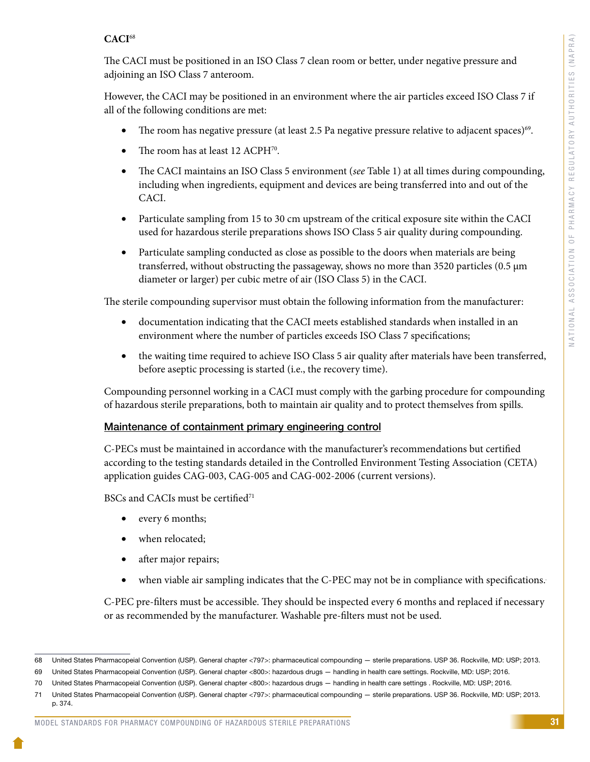# **CACI**<sup>68</sup>

The CACI must be positioned in an ISO Class 7 clean room or better, under negative pressure and adjoining an ISO Class 7 anteroom.

However, the CACI may be positioned in an environment where the air particles exceed ISO Class 7 if all of the following conditions are met:

- The room has negative pressure (at least 2.5 Pa negative pressure relative to adjacent spaces)<sup>69</sup>.
- The room has at least 12 ACPH<sup>70</sup>.
- • The CACI maintains an ISO Class 5 environment (*see* Table 1) at all times during compounding, including when ingredients, equipment and devices are being transferred into and out of the CACI.
- Particulate sampling from 15 to 30 cm upstream of the critical exposure site within the CACI used for hazardous sterile preparations shows ISO Class 5 air quality during compounding.
- Particulate sampling conducted as close as possible to the doors when materials are being transferred, without obstructing the passageway, shows no more than 3520 particles (0.5 µm diameter or larger) per cubic metre of air (ISO Class 5) in the CACI.

The sterile compounding supervisor must obtain the following information from the manufacturer:

- documentation indicating that the CACI meets established standards when installed in an environment where the number of particles exceeds ISO Class 7 specifications;
- the waiting time required to achieve ISO Class 5 air quality after materials have been transferred, before aseptic processing is started (i.e., the recovery time).

Compounding personnel working in a CACI must comply with the garbing procedure for compounding of hazardous sterile preparations, both to maintain air quality and to protect themselves from spills.

# Maintenance of containment primary engineering control

C-PECs must be maintained in accordance with the manufacturer's recommendations but certified according to the testing standards detailed in the Controlled Environment Testing Association (CETA) application guides CAG-003, CAG-005 and CAG-002-2006 (current versions).

BSCs and CACIs must be certified<sup>71</sup>

- every 6 months;
- when relocated;
- after major repairs;
- when viable air sampling indicates that the C-PEC may not be in compliance with specifications.

C-PEC pre-filters must be accessible. They should be inspected every 6 months and replaced if necessary or as recommended by the manufacturer. Washable pre-filters must not be used.

#### MODEL STANDARDS FOR PHARMACY COMPOUNDING OF HAZARDOUS STERILE PREPARATIONS

<sup>68</sup> United States Pharmacopeial Convention (USP). General chapter <797>: pharmaceutical compounding — sterile preparations. USP 36. Rockville, MD: USP; 2013.

<sup>69</sup> United States Pharmacopeial Convention (USP). General chapter <800>: hazardous drugs — handling in health care settings. Rockville, MD: USP; 2016.

<sup>70</sup> United States Pharmacopeial Convention (USP). General chapter <800>: hazardous drugs — handling in health care settings . Rockville, MD: USP; 2016.

<sup>71</sup> United States Pharmacopeial Convention (USP). General chapter <797>: pharmaceutical compounding — sterile preparations. USP 36. Rockville, MD: USP; 2013. p. 374.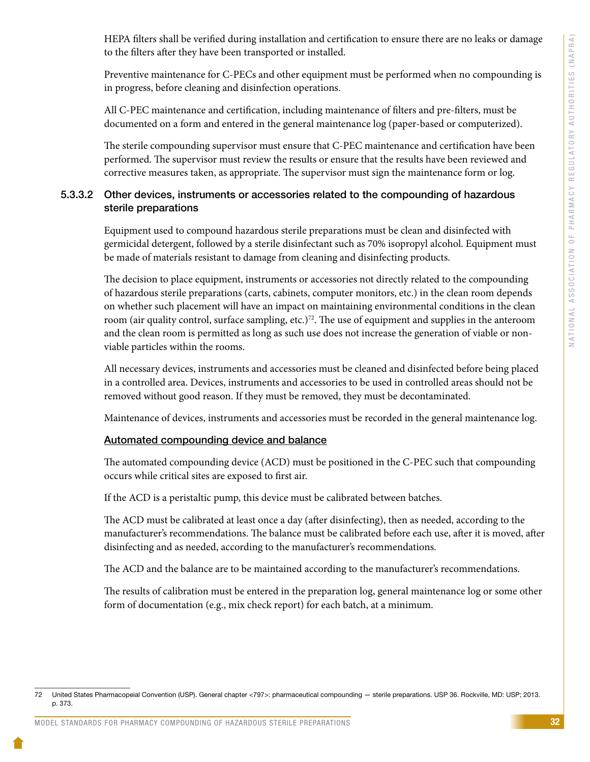HEPA filters shall be verified during installation and certification to ensure there are no leaks or damage to the filters after they have been transported or installed.

Preventive maintenance for C-PECs and other equipment must be performed when no compounding is in progress, before cleaning and disinfection operations.

All C-PEC maintenance and certification, including maintenance of filters and pre-filters, must be documented on a form and entered in the general maintenance log (paper-based or computerized).

The sterile compounding supervisor must ensure that C-PEC maintenance and certification have been performed. The supervisor must review the results or ensure that the results have been reviewed and corrective measures taken, as appropriate. The supervisor must sign the maintenance form or log.

# 5.3.3.2 Other devices, instruments or accessories related to the compounding of hazardous sterile preparations

Equipment used to compound hazardous sterile preparations must be clean and disinfected with germicidal detergent, followed by a sterile disinfectant such as 70% isopropyl alcohol. Equipment must be made of materials resistant to damage from cleaning and disinfecting products.

The decision to place equipment, instruments or accessories not directly related to the compounding of hazardous sterile preparations (carts, cabinets, computer monitors, etc.) in the clean room depends on whether such placement will have an impact on maintaining environmental conditions in the clean room (air quality control, surface sampling, etc.)<sup>72</sup>. The use of equipment and supplies in the anteroom and the clean room is permitted as long as such use does not increase the generation of viable or nonviable particles within the rooms.

All necessary devices, instruments and accessories must be cleaned and disinfected before being placed in a controlled area. Devices, instruments and accessories to be used in controlled areas should not be removed without good reason. If they must be removed, they must be decontaminated.

Maintenance of devices, instruments and accessories must be recorded in the general maintenance log.

# Automated compounding device and balance

The automated compounding device (ACD) must be positioned in the C-PEC such that compounding occurs while critical sites are exposed to first air.

If the ACD is a peristaltic pump, this device must be calibrated between batches.

The ACD must be calibrated at least once a day (after disinfecting), then as needed, according to the manufacturer's recommendations. The balance must be calibrated before each use, after it is moved, after disinfecting and as needed, according to the manufacturer's recommendations.

The ACD and the balance are to be maintained according to the manufacturer's recommendations.

The results of calibration must be entered in the preparation log, general maintenance log or some other form of documentation (e.g., mix check report) for each batch, at a minimum.

<sup>72</sup> United States Pharmacopeial Convention (USP). General chapter <797>: pharmaceutical compounding — sterile preparations. USP 36. Rockville, MD: USP; 2013. p. 373.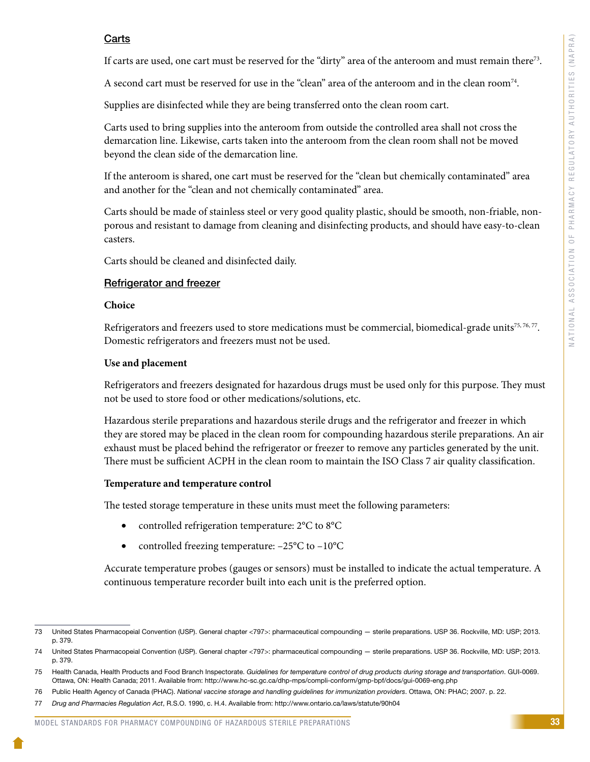# **Carts**

If carts are used, one cart must be reserved for the "dirty" area of the anteroom and must remain there73.

A second cart must be reserved for use in the "clean" area of the anteroom and in the clean room<sup>74</sup>.

Supplies are disinfected while they are being transferred onto the clean room cart.

Carts used to bring supplies into the anteroom from outside the controlled area shall not cross the demarcation line. Likewise, carts taken into the anteroom from the clean room shall not be moved beyond the clean side of the demarcation line.

If the anteroom is shared, one cart must be reserved for the "clean but chemically contaminated" area and another for the "clean and not chemically contaminated" area.

Carts should be made of stainless steel or very good quality plastic, should be smooth, non-friable, nonporous and resistant to damage from cleaning and disinfecting products, and should have easy-to-clean casters.

Carts should be cleaned and disinfected daily.

#### Refrigerator and freezer

#### **Choice**

Refrigerators and freezers used to store medications must be commercial, biomedical-grade units<sup>75, 76, 77</sup>. Domestic refrigerators and freezers must not be used.

#### **Use and placement**

Refrigerators and freezers designated for hazardous drugs must be used only for this purpose. They must not be used to store food or other medications/solutions, etc.

Hazardous sterile preparations and hazardous sterile drugs and the refrigerator and freezer in which they are stored may be placed in the clean room for compounding hazardous sterile preparations. An air exhaust must be placed behind the refrigerator or freezer to remove any particles generated by the unit. There must be sufficient ACPH in the clean room to maintain the ISO Class 7 air quality classification.

#### **Temperature and temperature control**

The tested storage temperature in these units must meet the following parameters:

- controlled refrigeration temperature:  $2^{\circ}$ C to  $8^{\circ}$ C
- controlled freezing temperature:  $-25^{\circ}$ C to  $-10^{\circ}$ C

Accurate temperature probes (gauges or sensors) must be installed to indicate the actual temperature. A continuous temperature recorder built into each unit is the preferred option.

<sup>73</sup> United States Pharmacopeial Convention (USP). General chapter <797>: pharmaceutical compounding — sterile preparations. USP 36. Rockville, MD: USP; 2013. p. 379.

<sup>74</sup> United States Pharmacopeial Convention (USP). General chapter <797>: pharmaceutical compounding — sterile preparations. USP 36. Rockville, MD: USP; 2013. p. 379.

<sup>75</sup> Health Canada, Health Products and Food Branch Inspectorate. *Guidelines for temperature control of drug products during storage and transportation*. GUI-0069. Ottawa, ON: Health Canada; 2011. Available from: http://www.hc-sc.gc.ca/dhp-mps/compli-conform/gmp-bpf/docs/gui-0069-eng.php

<sup>76</sup> Public Health Agency of Canada (PHAC). *National vaccine storage and handling guidelines for immunization providers*. Ottawa, ON: PHAC; 2007. p. 22.

<sup>77</sup> *Drug and Pharmacies Regulation Act*, R.S.O. 1990, c. H.4. Available from: http://www.ontario.ca/laws/statute/90h04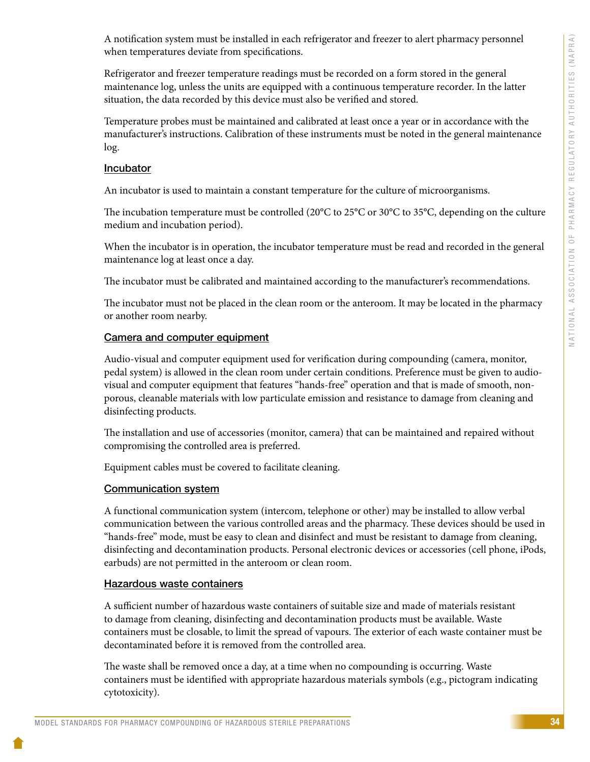A notification system must be installed in each refrigerator and freezer to alert pharmacy personnel when temperatures deviate from specifications.

Refrigerator and freezer temperature readings must be recorded on a form stored in the general maintenance log, unless the units are equipped with a continuous temperature recorder. In the latter situation, the data recorded by this device must also be verified and stored.

Temperature probes must be maintained and calibrated at least once a year or in accordance with the manufacturer's instructions. Calibration of these instruments must be noted in the general maintenance log.

#### Incubator

An incubator is used to maintain a constant temperature for the culture of microorganisms.

The incubation temperature must be controlled (20°C to 25°C or 30°C to 35°C, depending on the culture medium and incubation period).

When the incubator is in operation, the incubator temperature must be read and recorded in the general maintenance log at least once a day.

The incubator must be calibrated and maintained according to the manufacturer's recommendations.

The incubator must not be placed in the clean room or the anteroom. It may be located in the pharmacy or another room nearby.

#### Camera and computer equipment

Audio-visual and computer equipment used for verification during compounding (camera, monitor, pedal system) is allowed in the clean room under certain conditions. Preference must be given to audiovisual and computer equipment that features "hands-free" operation and that is made of smooth, nonporous, cleanable materials with low particulate emission and resistance to damage from cleaning and disinfecting products.

The installation and use of accessories (monitor, camera) that can be maintained and repaired without compromising the controlled area is preferred.

Equipment cables must be covered to facilitate cleaning.

#### Communication system

A functional communication system (intercom, telephone or other) may be installed to allow verbal communication between the various controlled areas and the pharmacy. These devices should be used in "hands-free" mode, must be easy to clean and disinfect and must be resistant to damage from cleaning, disinfecting and decontamination products. Personal electronic devices or accessories (cell phone, iPods, earbuds) are not permitted in the anteroom or clean room.

#### Hazardous waste containers

A sufficient number of hazardous waste containers of suitable size and made of materials resistant to damage from cleaning, disinfecting and decontamination products must be available. Waste containers must be closable, to limit the spread of vapours. The exterior of each waste container must be decontaminated before it is removed from the controlled area.

The waste shall be removed once a day, at a time when no compounding is occurring. Waste containers must be identified with appropriate hazardous materials symbols (e.g., pictogram indicating cytotoxicity).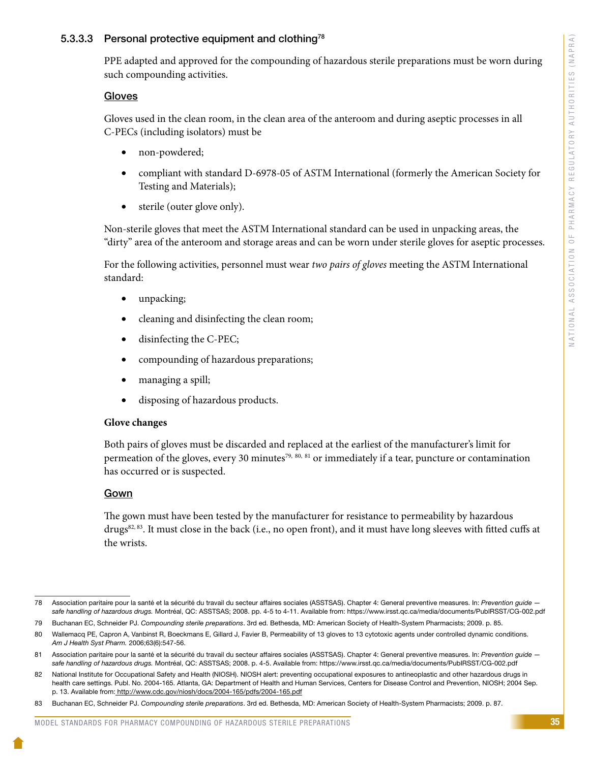#### 5.3.3.3 Personal protective equipment and clothing<sup>78</sup>

PPE adapted and approved for the compounding of hazardous sterile preparations must be worn during such compounding activities.

#### Gloves

Gloves used in the clean room, in the clean area of the anteroom and during aseptic processes in all C-PECs (including isolators) must be

- non-powdered;
- compliant with standard D-6978-05 of ASTM International (formerly the American Society for Testing and Materials);
- sterile (outer glove only).

Non-sterile gloves that meet the ASTM International standard can be used in unpacking areas, the "dirty" area of the anteroom and storage areas and can be worn under sterile gloves for aseptic processes.

For the following activities, personnel must wear *two pairs of gloves* meeting the ASTM International standard:

- unpacking;
- cleaning and disinfecting the clean room;
- disinfecting the C-PEC;
- • compounding of hazardous preparations;
- managing a spill;
- disposing of hazardous products.

#### **Glove changes**

Both pairs of gloves must be discarded and replaced at the earliest of the manufacturer's limit for permeation of the gloves, every 30 minutes<sup>79, 80, 81</sup> or immediately if a tear, puncture or contamination has occurred or is suspected.

#### Gown

The gown must have been tested by the manufacturer for resistance to permeability by hazardous drugs<sup>82, 83</sup>. It must close in the back (i.e., no open front), and it must have long sleeves with fitted cuffs at the wrists.

<sup>78</sup> Association paritaire pour la santé et la sécurité du travail du secteur affaires sociales (ASSTSAS). Chapter 4: General preventive measures. In: *Prevention guide safe handling of hazardous drugs.* Montréal, QC: ASSTSAS; 2008. pp. 4-5 to 4-11. Available from: https://www.irsst.qc.ca/media/documents/PubIRSST/CG-002.pdf

<sup>79</sup> Buchanan EC, Schneider PJ. *Compounding sterile preparations*. 3rd ed. Bethesda, MD: American Society of Health-System Pharmacists; 2009. p. 85.

<sup>80</sup> Wallemacq PE, Capron A, Vanbinst R, Boeckmans E, Gillard J, Favier B, Permeability of 13 gloves to 13 cytotoxic agents under controlled dynamic conditions. *Am J Health Syst Pharm.* 2006;63(6):547-56.

<sup>81</sup> Association paritaire pour la santé et la sécurité du travail du secteur affaires sociales (ASSTSAS). Chapter 4: General preventive measures. In: Prevention guide *safe handling of hazardous drugs.* Montréal, QC: ASSTSAS; 2008. p. 4-5. Available from: https://www.irsst.qc.ca/media/documents/PubIRSST/CG-002.pdf

<sup>82</sup> National Institute for Occupational Safety and Health (NIOSH). NIOSH alert: preventing occupational exposures to antineoplastic and other hazardous drugs in health care settings. Publ. No. 2004-165. Atlanta, GA: Department of Health and Human Services, Centers for Disease Control and Prevention, NIOSH; 2004 Sep. p. 13. Available from: <http://www.cdc.gov/niosh/docs/2004-165/pdfs/2004-165.pdf>

<sup>83</sup> Buchanan EC, Schneider PJ. *Compounding sterile preparations*. 3rd ed. Bethesda, MD: American Society of Health-System Pharmacists; 2009. p. 87.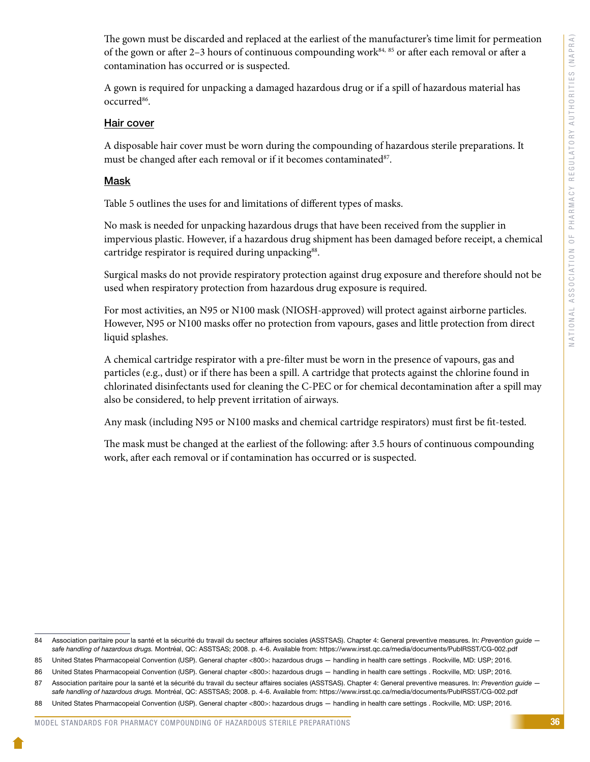The gown must be discarded and replaced at the earliest of the manufacturer's time limit for permeation of the gown or after 2–3 hours of continuous compounding work<sup>84, 85</sup> or after each removal or after a contamination has occurred or is suspected.

A gown is required for unpacking a damaged hazardous drug or if a spill of hazardous material has occurred<sup>86</sup>.

#### Hair cover

A disposable hair cover must be worn during the compounding of hazardous sterile preparations. It must be changed after each removal or if it becomes contaminated<sup>87</sup>.

#### Mask

Table 5 outlines the uses for and limitations of different types of masks.

No mask is needed for unpacking hazardous drugs that have been received from the supplier in impervious plastic. However, if a hazardous drug shipment has been damaged before receipt, a chemical cartridge respirator is required during unpacking<sup>88</sup>.

Surgical masks do not provide respiratory protection against drug exposure and therefore should not be used when respiratory protection from hazardous drug exposure is required.

For most activities, an N95 or N100 mask (NIOSH-approved) will protect against airborne particles. However, N95 or N100 masks offer no protection from vapours, gases and little protection from direct liquid splashes.

A chemical cartridge respirator with a pre-filter must be worn in the presence of vapours, gas and particles (e.g., dust) or if there has been a spill. A cartridge that protects against the chlorine found in chlorinated disinfectants used for cleaning the C-PEC or for chemical decontamination after a spill may also be considered, to help prevent irritation of airways.

Any mask (including N95 or N100 masks and chemical cartridge respirators) must first be fit-tested.

The mask must be changed at the earliest of the following: after 3.5 hours of continuous compounding work, after each removal or if contamination has occurred or is suspected.

<sup>84</sup> Association paritaire pour la santé et la sécurité du travail du secteur affaires sociales (ASSTSAS). Chapter 4: General preventive measures. In: Prevention guide *safe handling of hazardous drugs.* Montréal, QC: ASSTSAS; 2008. p. 4-6. Available from: https://www.irsst.qc.ca/media/documents/PubIRSST/CG-002.pdf

<sup>85</sup> United States Pharmacopeial Convention (USP). General chapter <800>: hazardous drugs — handling in health care settings . Rockville, MD: USP; 2016.

<sup>86</sup> United States Pharmacopeial Convention (USP). General chapter <800>: hazardous drugs — handling in health care settings . Rockville, MD: USP; 2016.

<sup>87</sup> Association paritaire pour la santé et la sécurité du travail du secteur affaires sociales (ASSTSAS). Chapter 4: General preventive measures. In: Prevention guide *safe handling of hazardous drugs.* Montréal, QC: ASSTSAS; 2008. p. 4-6. Available from: https://www.irsst.qc.ca/media/documents/PubIRSST/CG-002.pdf

<sup>88</sup> United States Pharmacopeial Convention (USP). General chapter <800>: hazardous drugs — handling in health care settings . Rockville, MD: USP; 2016.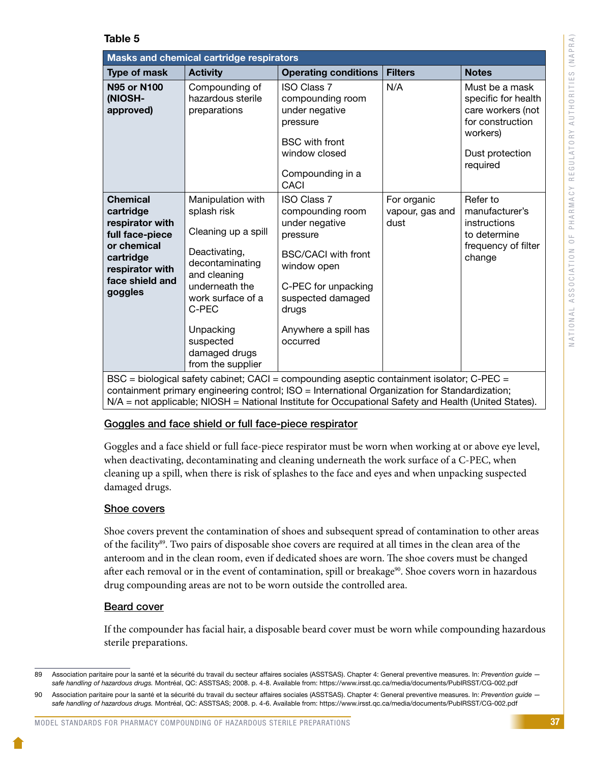#### Table 5

| Masks and chemical cartridge respirators                                                                                                        |                                                                                                                                                                                                                             |                                                                                                                                                                                                                                                                                                              |                                        |                                                                                                                           |  |  |  |  |  |
|-------------------------------------------------------------------------------------------------------------------------------------------------|-----------------------------------------------------------------------------------------------------------------------------------------------------------------------------------------------------------------------------|--------------------------------------------------------------------------------------------------------------------------------------------------------------------------------------------------------------------------------------------------------------------------------------------------------------|----------------------------------------|---------------------------------------------------------------------------------------------------------------------------|--|--|--|--|--|
| Type of mask                                                                                                                                    | <b>Activity</b>                                                                                                                                                                                                             | <b>Operating conditions</b>                                                                                                                                                                                                                                                                                  | <b>Filters</b>                         | <b>Notes</b>                                                                                                              |  |  |  |  |  |
| <b>N95 or N100</b><br>(NIOSH-<br>approved)                                                                                                      | Compounding of<br>hazardous sterile<br>preparations                                                                                                                                                                         | <b>ISO Class 7</b><br>compounding room<br>under negative<br>pressure<br><b>BSC</b> with front<br>window closed<br>Compounding in a<br><b>CACI</b>                                                                                                                                                            | N/A                                    | Must be a mask<br>specific for health<br>care workers (not<br>for construction<br>workers)<br>Dust protection<br>required |  |  |  |  |  |
| <b>Chemical</b><br>cartridge<br>respirator with<br>full face-piece<br>or chemical<br>cartridge<br>respirator with<br>face shield and<br>goggles | Manipulation with<br>splash risk<br>Cleaning up a spill<br>Deactivating,<br>decontaminating<br>and cleaning<br>underneath the<br>work surface of a<br>C-PEC<br>Unpacking<br>suspected<br>damaged drugs<br>from the supplier | <b>ISO Class 7</b><br>compounding room<br>under negative<br>pressure<br><b>BSC/CACI</b> with front<br>window open<br>C-PEC for unpacking<br>suspected damaged<br>drugs<br>Anywhere a spill has<br>occurred<br>$PSC =$ biological safety cabinet: $CAC =$ compounding assortio containment isolator: $C$ PEC. | For organic<br>vapour, gas and<br>dust | Refer to<br>manufacturer's<br>instructions<br>to determine<br>frequency of filter<br>change                               |  |  |  |  |  |

BSC = biological safety cabinet; CACI = compounding aseptic containment isolator; C-PEC = containment primary engineering control; ISO = International Organization for Standardization; N/A = not applicable; NIOSH = National Institute for Occupational Safety and Health (United States).

### Goggles and face shield or full face-piece respirator

Goggles and a face shield or full face-piece respirator must be worn when working at or above eye level, when deactivating, decontaminating and cleaning underneath the work surface of a C-PEC, when cleaning up a spill, when there is risk of splashes to the face and eyes and when unpacking suspected damaged drugs.

### Shoe covers

Shoe covers prevent the contamination of shoes and subsequent spread of contamination to other areas of the facility<sup>89</sup>. Two pairs of disposable shoe covers are required at all times in the clean area of the anteroom and in the clean room, even if dedicated shoes are worn. The shoe covers must be changed after each removal or in the event of contamination, spill or breakage<sup>90</sup>. Shoe covers worn in hazardous drug compounding areas are not to be worn outside the controlled area.

### Beard cover

If the compounder has facial hair, a disposable beard cover must be worn while compounding hazardous sterile preparations.

<sup>89</sup> Association paritaire pour la santé et la sécurité du travail du secteur affaires sociales (ASSTSAS). Chapter 4: General preventive measures. In: Prevention guide *safe handling of hazardous drugs.* Montréal, QC: ASSTSAS; 2008. p. 4-8. Available from: https://www.irsst.qc.ca/media/documents/PubIRSST/CG-002.pdf

<sup>90</sup> Association paritaire pour la santé et la sécurité du travail du secteur affaires sociales (ASSTSAS). Chapter 4: General preventive measures. In: *Prevention guide safe handling of hazardous drugs.* Montréal, QC: ASSTSAS; 2008. p. 4-6. Available from: https://www.irsst.qc.ca/media/documents/PubIRSST/CG-002.pdf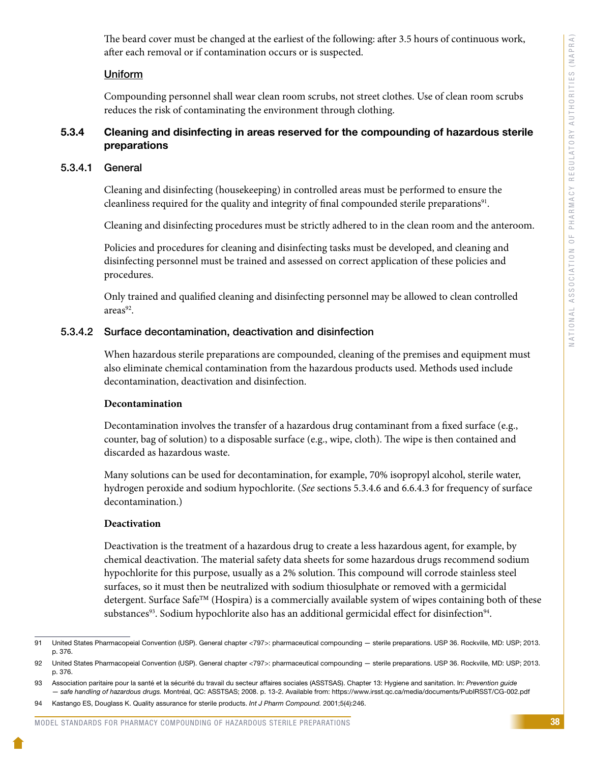The beard cover must be changed at the earliest of the following: after 3.5 hours of continuous work, after each removal or if contamination occurs or is suspected.

#### **Uniform**

Compounding personnel shall wear clean room scrubs, not street clothes. Use of clean room scrubs reduces the risk of contaminating the environment through clothing.

#### 5.3.4 Cleaning and disinfecting in areas reserved for the compounding of hazardous sterile preparations

#### 5.3.4.1 General

Cleaning and disinfecting (housekeeping) in controlled areas must be performed to ensure the cleanliness required for the quality and integrity of final compounded sterile preparations<sup>91</sup>.

Cleaning and disinfecting procedures must be strictly adhered to in the clean room and the anteroom.

Policies and procedures for cleaning and disinfecting tasks must be developed, and cleaning and disinfecting personnel must be trained and assessed on correct application of these policies and procedures.

Only trained and qualified cleaning and disinfecting personnel may be allowed to clean controlled areas<sup>92</sup>.

#### 5.3.4.2 Surface decontamination, deactivation and disinfection

When hazardous sterile preparations are compounded, cleaning of the premises and equipment must also eliminate chemical contamination from the hazardous products used. Methods used include decontamination, deactivation and disinfection.

#### **Decontamination**

Decontamination involves the transfer of a hazardous drug contaminant from a fixed surface (e.g., counter, bag of solution) to a disposable surface (e.g., wipe, cloth). The wipe is then contained and discarded as hazardous waste.

Many solutions can be used for decontamination, for example, 70% isopropyl alcohol, sterile water, hydrogen peroxide and sodium hypochlorite. (*See* sections 5.3.4.6 and 6.6.4.3 for frequency of surface decontamination.)

#### **Deactivation**

Deactivation is the treatment of a hazardous drug to create a less hazardous agent, for example, by chemical deactivation. The material safety data sheets for some hazardous drugs recommend sodium hypochlorite for this purpose, usually as a 2% solution. This compound will corrode stainless steel surfaces, so it must then be neutralized with sodium thiosulphate or removed with a germicidal detergent. Surface Safe<sup>TM</sup> (Hospira) is a commercially available system of wipes containing both of these substances<sup>93</sup>. Sodium hypochlorite also has an additional germicidal effect for disinfection<sup>94</sup>.

<sup>91</sup> United States Pharmacopeial Convention (USP). General chapter <797>: pharmaceutical compounding — sterile preparations. USP 36. Rockville, MD: USP; 2013. p. 376.

<sup>92</sup> United States Pharmacopeial Convention (USP). General chapter <797>: pharmaceutical compounding — sterile preparations. USP 36. Rockville, MD: USP; 2013. p. 376.

<sup>93</sup> Association paritaire pour la santé et la sécurité du travail du secteur affaires sociales (ASSTSAS). Chapter 13: Hygiene and sanitation. In: *Prevention guide — safe handling of hazardous drugs.* Montréal, QC: ASSTSAS; 2008. p. 13-2. Available from: https://www.irsst.qc.ca/media/documents/PubIRSST/CG-002.pdf

<sup>94</sup> Kastango ES, Douglass K. Quality assurance for sterile products. *Int J Pharm Compound.* 2001;5(4):246.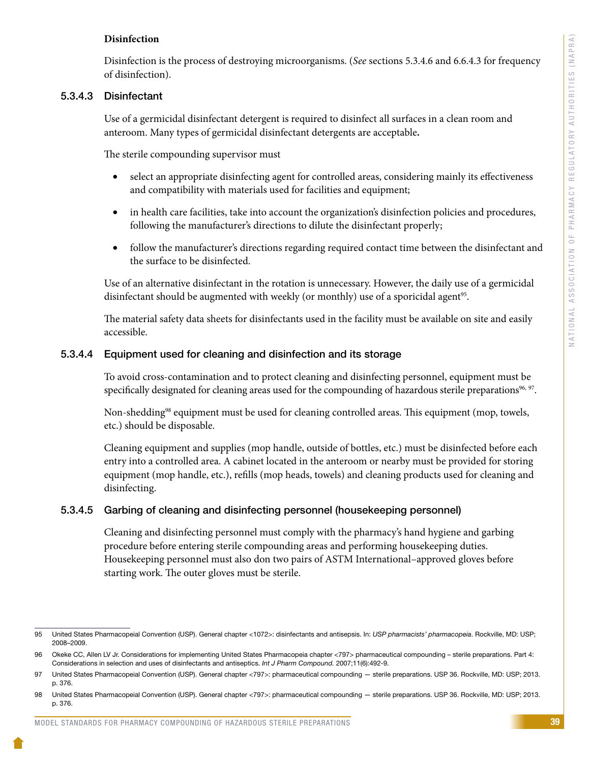#### **Disinfection**

Disinfection is the process of destroying microorganisms. (*See* sections 5.3.4.6 and 6.6.4.3 for frequency of disinfection).

#### 5.3.4.3 Disinfectant

Use of a germicidal disinfectant detergent is required to disinfect all surfaces in a clean room and anteroom. Many types of germicidal disinfectant detergents are acceptable**.** 

The sterile compounding supervisor must

- select an appropriate disinfecting agent for controlled areas, considering mainly its effectiveness and compatibility with materials used for facilities and equipment;
- in health care facilities, take into account the organization's disinfection policies and procedures, following the manufacturer's directions to dilute the disinfectant properly;
- follow the manufacturer's directions regarding required contact time between the disinfectant and the surface to be disinfected.

Use of an alternative disinfectant in the rotation is unnecessary. However, the daily use of a germicidal disinfectant should be augmented with weekly (or monthly) use of a sporicidal agent<sup>95</sup>.

The material safety data sheets for disinfectants used in the facility must be available on site and easily accessible.

#### 5.3.4.4 Equipment used for cleaning and disinfection and its storage

To avoid cross-contamination and to protect cleaning and disinfecting personnel, equipment must be specifically designated for cleaning areas used for the compounding of hazardous sterile preparations<sup>96, 97</sup>.

Non-shedding<sup>98</sup> equipment must be used for cleaning controlled areas. This equipment (mop, towels, etc.) should be disposable.

Cleaning equipment and supplies (mop handle, outside of bottles, etc.) must be disinfected before each entry into a controlled area. A cabinet located in the anteroom or nearby must be provided for storing equipment (mop handle, etc.), refills (mop heads, towels) and cleaning products used for cleaning and disinfecting.

#### 5.3.4.5 Garbing of cleaning and disinfecting personnel (housekeeping personnel)

Cleaning and disinfecting personnel must comply with the pharmacy's hand hygiene and garbing procedure before entering sterile compounding areas and performing housekeeping duties. Housekeeping personnel must also don two pairs of ASTM International–approved gloves before starting work. The outer gloves must be sterile.

<sup>95</sup> United States Pharmacopeial Convention (USP). General chapter <1072>: disinfectants and antisepsis. In: *USP pharmacists' pharmacopeia*. Rockville, MD: USP; 2008–2009.

<sup>96</sup> Okeke CC, Allen LV Jr. Considerations for implementing United States Pharmacopeia chapter <797> pharmaceutical compounding - sterile preparations. Part 4: Considerations in selection and uses of disinfectants and antiseptics. *Int J Pharm Compound.* 2007;11(6):492-9.

<sup>97</sup> United States Pharmacopeial Convention (USP). General chapter <797>: pharmaceutical compounding — sterile preparations. USP 36. Rockville, MD: USP; 2013. p. 376.

<sup>98</sup> United States Pharmacopeial Convention (USP). General chapter <797>: pharmaceutical compounding — sterile preparations. USP 36. Rockville, MD: USP; 2013. p. 376.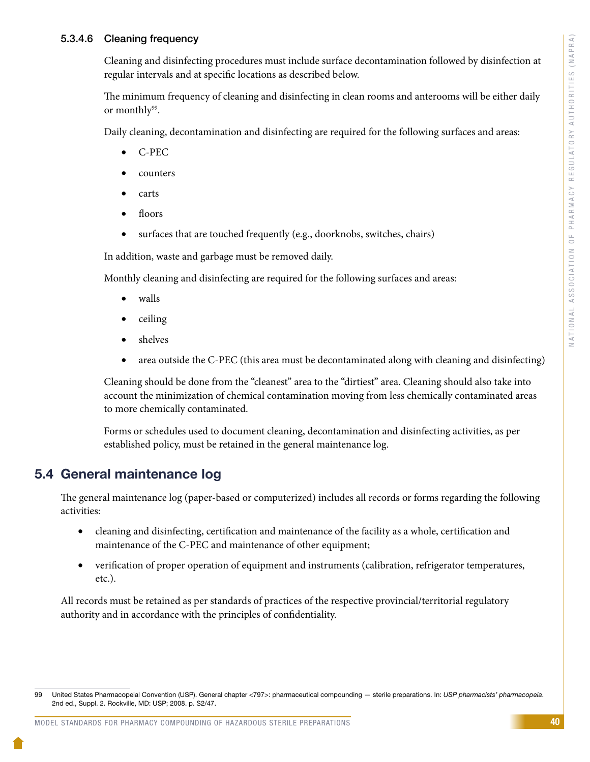#### 5.3.4.6 Cleaning frequency

Cleaning and disinfecting procedures must include surface decontamination followed by disinfection at regular intervals and at specific locations as described below.

The minimum frequency of cleaning and disinfecting in clean rooms and anterooms will be either daily or monthly<sup>99</sup>.

Daily cleaning, decontamination and disinfecting are required for the following surfaces and areas:

- C-PEC
- **counters**
- • carts
- floors
- surfaces that are touched frequently (e.g., doorknobs, switches, chairs)

In addition, waste and garbage must be removed daily.

Monthly cleaning and disinfecting are required for the following surfaces and areas:

- walls
- ceiling
- • shelves
- area outside the C-PEC (this area must be decontaminated along with cleaning and disinfecting)

Cleaning should be done from the "cleanest" area to the "dirtiest" area. Cleaning should also take into account the minimization of chemical contamination moving from less chemically contaminated areas to more chemically contaminated.

Forms or schedules used to document cleaning, decontamination and disinfecting activities, as per established policy, must be retained in the general maintenance log.

## 5.4 General maintenance log

The general maintenance log (paper-based or computerized) includes all records or forms regarding the following activities:

- cleaning and disinfecting, certification and maintenance of the facility as a whole, certification and maintenance of the C-PEC and maintenance of other equipment;
- verification of proper operation of equipment and instruments (calibration, refrigerator temperatures, etc.).

All records must be retained as per standards of practices of the respective provincial/territorial regulatory authority and in accordance with the principles of confidentiality.

<sup>99</sup> United States Pharmacopeial Convention (USP). General chapter <797>: pharmaceutical compounding — sterile preparations. In: *USP pharmacists' pharmacopeia*. 2nd ed., Suppl. 2. Rockville, MD: USP; 2008. p. S2/47.

MODEL STANDARDS FOR PHARMACY COMPOUNDING OF HAZARDOUS STERILE PREPARATIONS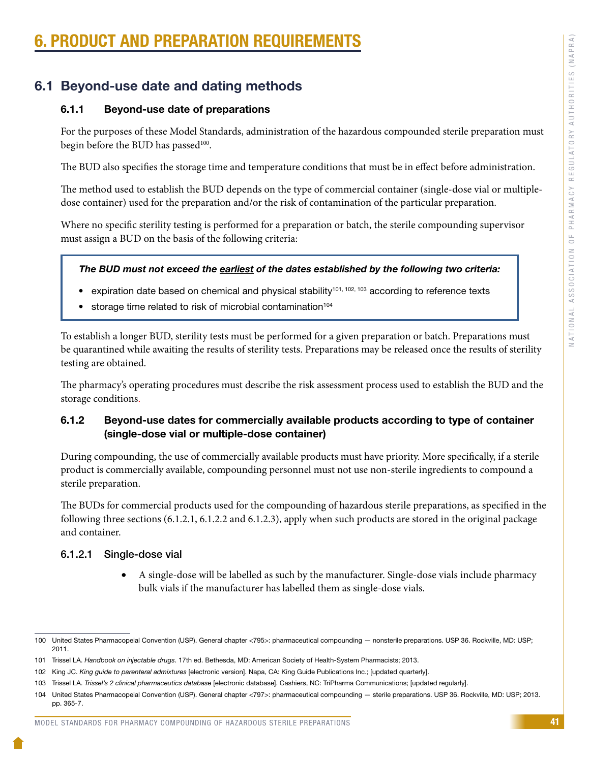# PRODUCT AND PREPARATION REQUIREMENT

## 6.1 Beyond-use date and dating methods

### 6.1.1 Beyond-use date of preparations

For the purposes of these Model Standards, administration of the hazardous compounded sterile preparation must begin before the BUD has passed<sup>100</sup>.

The BUD also specifies the storage time and temperature conditions that must be in effect before administration.

The method used to establish the BUD depends on the type of commercial container (single-dose vial or multipledose container) used for the preparation and/or the risk of contamination of the particular preparation.

Where no specific sterility testing is performed for a preparation or batch, the sterile compounding supervisor must assign a BUD on the basis of the following criteria:

#### *The BUD must not exceed the earliest of the dates established by the following two criteria:*

- expiration date based on chemical and physical stability<sup>101, 102, 103</sup> according to reference texts
- storage time related to risk of microbial contamination<sup>104</sup>

To establish a longer BUD, sterility tests must be performed for a given preparation or batch. Preparations must be quarantined while awaiting the results of sterility tests. Preparations may be released once the results of sterility testing are obtained.

The pharmacy's operating procedures must describe the risk assessment process used to establish the BUD and the storage conditions.

### 6.1.2 Beyond-use dates for commercially available products according to type of container (single-dose vial or multiple-dose container)

During compounding, the use of commercially available products must have priority. More specifically, if a sterile product is commercially available, compounding personnel must not use non-sterile ingredients to compound a sterile preparation.

The BUDs for commercial products used for the compounding of hazardous sterile preparations, as specified in the following three sections (6.1.2.1, 6.1.2.2 and 6.1.2.3), apply when such products are stored in the original package and container.

### 6.1.2.1 Single-dose vial

• A single-dose will be labelled as such by the manufacturer. Single-dose vials include pharmacy bulk vials if the manufacturer has labelled them as single-dose vials.

#### MODEL STANDARDS FOR PHARMACY COMPOUNDING OF HAZARDOUS STERILE PREPARATIONS

<sup>100</sup> United States Pharmacopeial Convention (USP). General chapter <795>: pharmaceutical compounding — nonsterile preparations. USP 36. Rockville, MD: USP; 2011.

<sup>101</sup> Trissel LA. *Handbook on injectable drugs*. 17th ed. Bethesda, MD: American Society of Health-System Pharmacists; 2013.

<sup>102</sup> King JC. *King guide to parenteral admixtures* [electronic version]. Napa, CA: King Guide Publications Inc.; [updated quarterly].

<sup>103</sup> Trissel LA. *Trissel's 2 clinical pharmaceutics database* [electronic database]. Cashiers, NC: TriPharma Communications; [updated regularly].

<sup>104</sup> United States Pharmacopeial Convention (USP). General chapter <797>: pharmaceutical compounding — sterile preparations. USP 36. Rockville, MD: USP; 2013. pp. 365-7.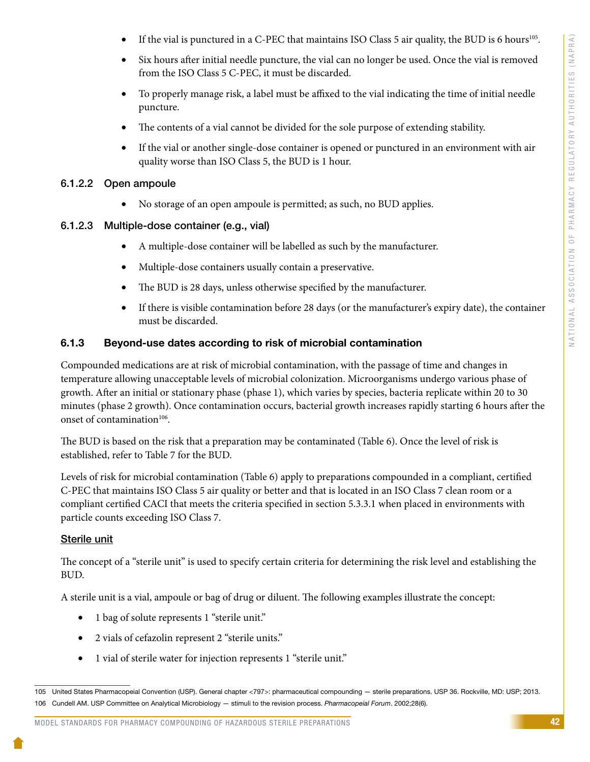- If the vial is punctured in a C-PEC that maintains ISO Class 5 air quality, the BUD is 6 hours<sup>105</sup>.
- Six hours after initial needle puncture, the vial can no longer be used. Once the vial is removed from the ISO Class 5 C-PEC, it must be discarded.
- To properly manage risk, a label must be affixed to the vial indicating the time of initial needle puncture.
- The contents of a vial cannot be divided for the sole purpose of extending stability.
- If the vial or another single-dose container is opened or punctured in an environment with air quality worse than ISO Class 5, the BUD is 1 hour.

#### 6.1.2.2 Open ampoule

• No storage of an open ampoule is permitted; as such, no BUD applies.

#### 6.1.2.3 Multiple-dose container (e.g., vial)

- • A multiple-dose container will be labelled as such by the manufacturer.
- Multiple-dose containers usually contain a preservative.
- The BUD is 28 days, unless otherwise specified by the manufacturer.
- If there is visible contamination before 28 days (or the manufacturer's expiry date), the container must be discarded.

#### 6.1.3 Beyond-use dates according to risk of microbial contamination

Compounded medications are at risk of microbial contamination, with the passage of time and changes in temperature allowing unacceptable levels of microbial colonization. Microorganisms undergo various phase of growth. After an initial or stationary phase (phase 1), which varies by species, bacteria replicate within 20 to 30 minutes (phase 2 growth). Once contamination occurs, bacterial growth increases rapidly starting 6 hours after the onset of contamination<sup>106</sup>.

The BUD is based on the risk that a preparation may be contaminated (Table 6). Once the level of risk is established, refer to Table 7 for the BUD.

Levels of risk for microbial contamination (Table 6) apply to preparations compounded in a compliant, certified C-PEC that maintains ISO Class 5 air quality or better and that is located in an ISO Class 7 clean room or a compliant certified CACI that meets the criteria specified in section 5.3.3.1 when placed in environments with particle counts exceeding ISO Class 7.

#### Sterile unit

The concept of a "sterile unit" is used to specify certain criteria for determining the risk level and establishing the BUD.

A sterile unit is a vial, ampoule or bag of drug or diluent. The following examples illustrate the concept:

- 1 bag of solute represents 1 "sterile unit."
- • 2 vials of cefazolin represent 2 "sterile units."
- 1 vial of sterile water for injection represents 1 "sterile unit."

<sup>105</sup> United States Pharmacopeial Convention (USP). General chapter <797>: pharmaceutical compounding — sterile preparations. USP 36. Rockville, MD: USP; 2013. 106 Cundell AM. USP Committee on Analytical Microbiology — stimuli to the revision process. *Pharmacopeial Forum*. 2002;28(6).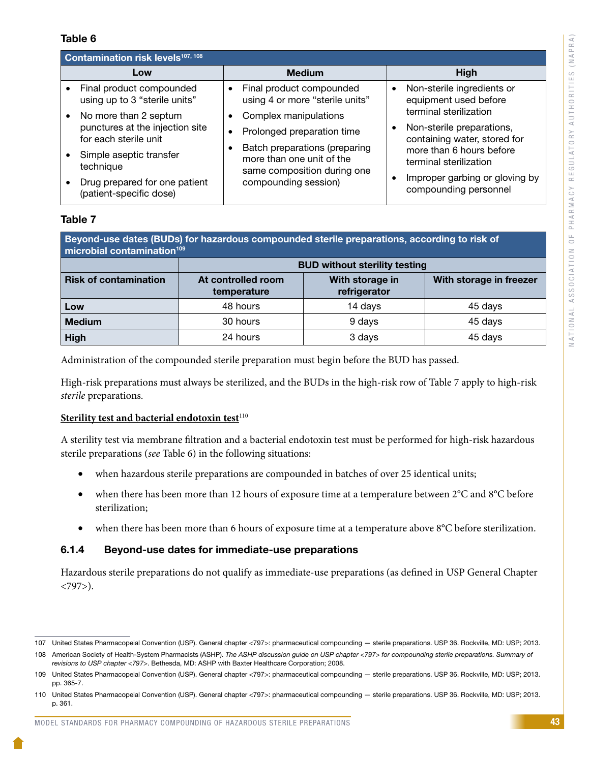#### Table 6

| Contamination risk levels <sup>107, 108</sup> |                                                                                                                           |                                                                                                                                                       |                                                                                                                                           |  |  |  |  |  |
|-----------------------------------------------|---------------------------------------------------------------------------------------------------------------------------|-------------------------------------------------------------------------------------------------------------------------------------------------------|-------------------------------------------------------------------------------------------------------------------------------------------|--|--|--|--|--|
|                                               | Low                                                                                                                       | <b>Medium</b>                                                                                                                                         | High                                                                                                                                      |  |  |  |  |  |
|                                               | Final product compounded<br>using up to 3 "sterile units"                                                                 | Final product compounded<br>$\bullet$<br>using 4 or more "sterile units"                                                                              | Non-sterile ingredients or<br>$\bullet$<br>equipment used before                                                                          |  |  |  |  |  |
|                                               | No more than 2 septum<br>punctures at the injection site<br>for each sterile unit<br>Simple aseptic transfer<br>technique | Complex manipulations<br>٠<br>Prolonged preparation time<br>Batch preparations (preparing<br>more than one unit of the<br>same composition during one | terminal sterilization<br>Non-sterile preparations,<br>containing water, stored for<br>more than 6 hours before<br>terminal sterilization |  |  |  |  |  |
|                                               | Drug prepared for one patient<br>(patient-specific dose)                                                                  | compounding session)                                                                                                                                  | Improper garbing or gloving by<br>compounding personnel                                                                                   |  |  |  |  |  |

#### Table 7

| Beyond-use dates (BUDs) for hazardous compounded sterile preparations, according to risk of<br>microbial contamination <sup>109</sup> |                                      |                                 |                         |  |  |  |  |
|---------------------------------------------------------------------------------------------------------------------------------------|--------------------------------------|---------------------------------|-------------------------|--|--|--|--|
|                                                                                                                                       | <b>BUD without sterility testing</b> |                                 |                         |  |  |  |  |
| <b>Risk of contamination</b>                                                                                                          | At controlled room<br>temperature    | With storage in<br>refrigerator | With storage in freezer |  |  |  |  |
| Low                                                                                                                                   | 48 hours                             | 14 days                         | 45 days                 |  |  |  |  |
| <b>Medium</b>                                                                                                                         | 30 hours                             | 9 days                          | 45 days                 |  |  |  |  |
| <b>High</b>                                                                                                                           | 24 hours                             | 3 days                          | 45 days                 |  |  |  |  |

Administration of the compounded sterile preparation must begin before the BUD has passed.

High-risk preparations must always be sterilized, and the BUDs in the high-risk row of Table 7 apply to high-risk *sterile* preparations.

#### **Sterility test and bacterial endotoxin test**<sup>110</sup>

A sterility test via membrane filtration and a bacterial endotoxin test must be performed for high-risk hazardous sterile preparations (*see* Table 6) in the following situations:

- when hazardous sterile preparations are compounded in batches of over 25 identical units;
- when there has been more than 12 hours of exposure time at a temperature between  $2^{\circ}C$  and  $8^{\circ}C$  before sterilization;
- when there has been more than 6 hours of exposure time at a temperature above 8°C before sterilization.

#### 6.1.4 Beyond-use dates for immediate-use preparations

Hazardous sterile preparations do not qualify as immediate-use preparations (as defined in USP General Chapter <797>).

#### MODEL STANDARDS FOR PHARMACY COMPOUNDING OF HAZARDOUS STERILE PREPARATIONS

<sup>107</sup> United States Pharmacopeial Convention (USP). General chapter <797>: pharmaceutical compounding — sterile preparations. USP 36. Rockville, MD: USP; 2013.

<sup>108</sup> American Society of Health-System Pharmacists (ASHP). *The ASHP discussion guide on USP chapter <797> for compounding sterile preparations. Summary of revisions to USP chapter <797>*. Bethesda, MD: ASHP with Baxter Healthcare Corporation; 2008.

<sup>109</sup> United States Pharmacopeial Convention (USP). General chapter <797>: pharmaceutical compounding — sterile preparations. USP 36. Rockville, MD: USP; 2013. pp. 365-7.

<sup>110</sup> United States Pharmacopeial Convention (USP). General chapter <797>: pharmaceutical compounding — sterile preparations. USP 36. Rockville, MD: USP; 2013. p. 361.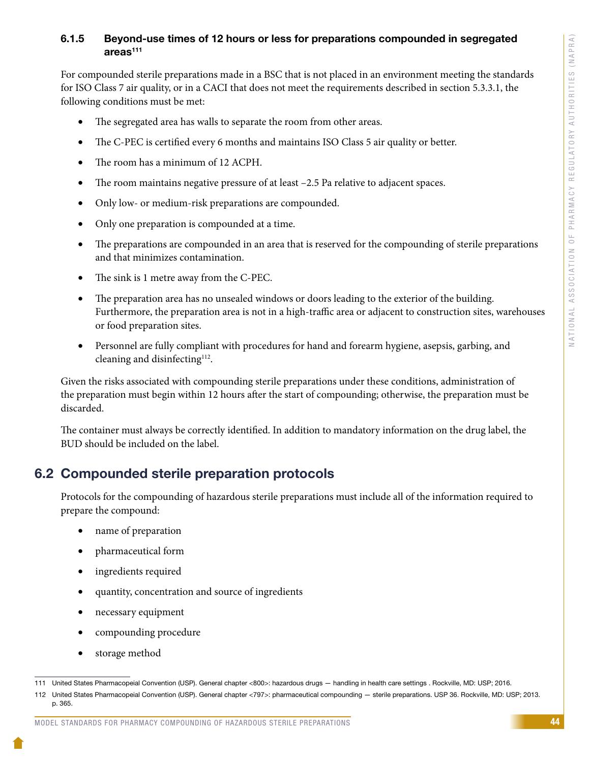#### 6.1.5 Beyond-use times of 12 hours or less for preparations compounded in segregated  $area<sup>111</sup>$

For compounded sterile preparations made in a BSC that is not placed in an environment meeting the standards for ISO Class 7 air quality, or in a CACI that does not meet the requirements described in section 5.3.3.1, the following conditions must be met:

- The segregated area has walls to separate the room from other areas.
- The C-PEC is certified every 6 months and maintains ISO Class 5 air quality or better.
- The room has a minimum of 12 ACPH.
- The room maintains negative pressure of at least –2.5 Pa relative to adjacent spaces.
- Only low- or medium-risk preparations are compounded.
- Only one preparation is compounded at a time.
- The preparations are compounded in an area that is reserved for the compounding of sterile preparations and that minimizes contamination.
- The sink is 1 metre away from the C-PEC.
- The preparation area has no unsealed windows or doors leading to the exterior of the building. Furthermore, the preparation area is not in a high-traffic area or adjacent to construction sites, warehouses or food preparation sites.
- Personnel are fully compliant with procedures for hand and forearm hygiene, asepsis, garbing, and cleaning and disinfecting<sup>112</sup>.

Given the risks associated with compounding sterile preparations under these conditions, administration of the preparation must begin within 12 hours after the start of compounding; otherwise, the preparation must be discarded.

The container must always be correctly identified. In addition to mandatory information on the drug label, the BUD should be included on the label.

## 6.2 Compounded sterile preparation protocols

Protocols for the compounding of hazardous sterile preparations must include all of the information required to prepare the compound:

- name of preparation
- pharmaceutical form
- ingredients required
- quantity, concentration and source of ingredients
- necessary equipment
- compounding procedure
- storage method

#### MODEL STANDARDS FOR PHARMACY COMPOUNDING OF HAZARDOUS STERILE PREPARATIONS

<sup>111</sup> United States Pharmacopeial Convention (USP). General chapter <800>: hazardous drugs — handling in health care settings . Rockville, MD: USP; 2016.

<sup>112</sup> United States Pharmacopeial Convention (USP). General chapter <797>: pharmaceutical compounding — sterile preparations. USP 36. Rockville, MD: USP; 2013. p. 365.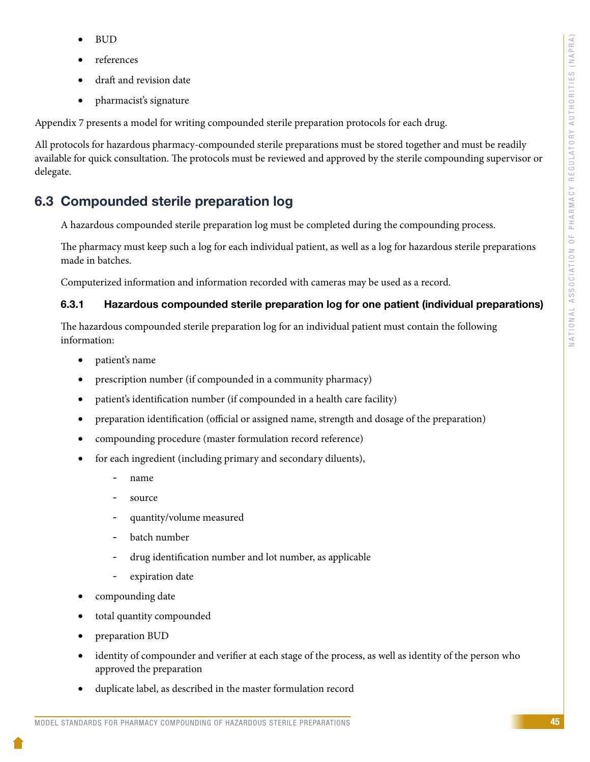- **BUD**
- references
- draft and revision date
- pharmacist's signature

Appendix 7 presents a model for writing compounded sterile preparation protocols for each drug.

All protocols for hazardous pharmacy-compounded sterile preparations must be stored together and must be readily available for quick consultation. The protocols must be reviewed and approved by the sterile compounding supervisor or delegate.

## 6.3 Compounded sterile preparation log

A hazardous compounded sterile preparation log must be completed during the compounding process.

The pharmacy must keep such a log for each individual patient, as well as a log for hazardous sterile preparations made in batches.

Computerized information and information recorded with cameras may be used as a record.

### 6.3.1 Hazardous compounded sterile preparation log for one patient (individual preparations)

The hazardous compounded sterile preparation log for an individual patient must contain the following information:

- patient's name
- prescription number (if compounded in a community pharmacy)
- patient's identification number (if compounded in a health care facility)
- preparation identification (official or assigned name, strength and dosage of the preparation)
- compounding procedure (master formulation record reference)
- for each ingredient (including primary and secondary diluents),
	- name
	- source
	- quantity/volume measured
	- batch number
	- drug identification number and lot number, as applicable
	- expiration date
- compounding date
- total quantity compounded
- preparation BUD
- identity of compounder and verifier at each stage of the process, as well as identity of the person who approved the preparation
- duplicate label, as described in the master formulation record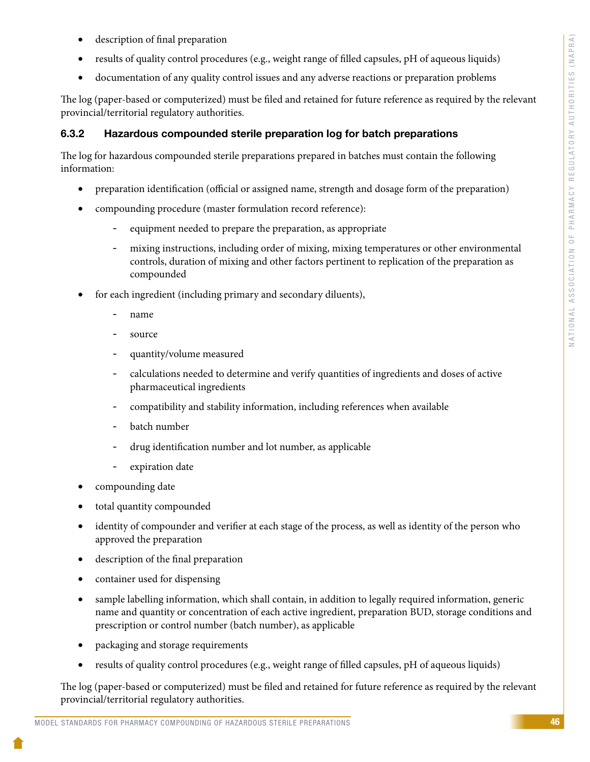- description of final preparation
- results of quality control procedures (e.g., weight range of filled capsules, pH of aqueous liquids)
- documentation of any quality control issues and any adverse reactions or preparation problems

The log (paper-based or computerized) must be filed and retained for future reference as required by the relevant provincial/territorial regulatory authorities.

#### 6.3.2 Hazardous compounded sterile preparation log for batch preparations

The log for hazardous compounded sterile preparations prepared in batches must contain the following information:

- preparation identification (official or assigned name, strength and dosage form of the preparation)
- compounding procedure (master formulation record reference):
	- equipment needed to prepare the preparation, as appropriate
	- mixing instructions, including order of mixing, mixing temperatures or other environmental controls, duration of mixing and other factors pertinent to replication of the preparation as compounded
- for each ingredient (including primary and secondary diluents),
	- name
	- source
	- quantity/volume measured
	- calculations needed to determine and verify quantities of ingredients and doses of active pharmaceutical ingredients
	- compatibility and stability information, including references when available
	- batch number
	- drug identification number and lot number, as applicable
	- expiration date
- compounding date
- total quantity compounded
- identity of compounder and verifier at each stage of the process, as well as identity of the person who approved the preparation
- description of the final preparation
- container used for dispensing
- sample labelling information, which shall contain, in addition to legally required information, generic name and quantity or concentration of each active ingredient, preparation BUD, storage conditions and prescription or control number (batch number), as applicable
- packaging and storage requirements
- results of quality control procedures (e.g., weight range of filled capsules, pH of aqueous liquids)

The log (paper-based or computerized) must be filed and retained for future reference as required by the relevant provincial/territorial regulatory authorities.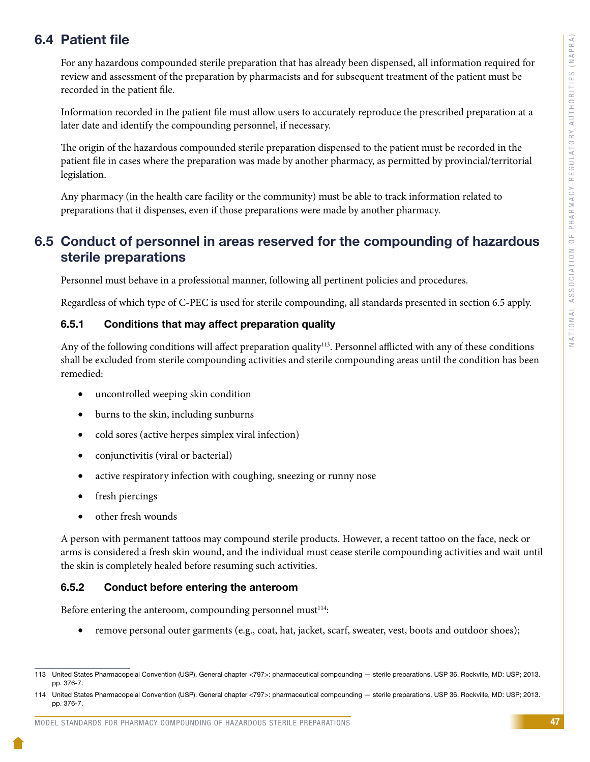## 6.4 Patient file

For any hazardous compounded sterile preparation that has already been dispensed, all information required for review and assessment of the preparation by pharmacists and for subsequent treatment of the patient must be recorded in the patient file.

Information recorded in the patient file must allow users to accurately reproduce the prescribed preparation at a later date and identify the compounding personnel, if necessary.

The origin of the hazardous compounded sterile preparation dispensed to the patient must be recorded in the patient file in cases where the preparation was made by another pharmacy, as permitted by provincial/territorial legislation.

Any pharmacy (in the health care facility or the community) must be able to track information related to preparations that it dispenses, even if those preparations were made by another pharmacy.

## 6.5 Conduct of personnel in areas reserved for the compounding of hazardous sterile preparations

Personnel must behave in a professional manner, following all pertinent policies and procedures.

Regardless of which type of C-PEC is used for sterile compounding, all standards presented in section 6.5 apply.

#### 6.5.1 Conditions that may affect preparation quality

Any of the following conditions will affect preparation quality<sup>113</sup>. Personnel afflicted with any of these conditions shall be excluded from sterile compounding activities and sterile compounding areas until the condition has been remedied:

- uncontrolled weeping skin condition
- • burns to the skin, including sunburns
- cold sores (active herpes simplex viral infection)
- • conjunctivitis (viral or bacterial)
- active respiratory infection with coughing, sneezing or runny nose
- fresh piercings
- • other fresh wounds

A person with permanent tattoos may compound sterile products. However, a recent tattoo on the face, neck or arms is considered a fresh skin wound, and the individual must cease sterile compounding activities and wait until the skin is completely healed before resuming such activities.

#### 6.5.2 Conduct before entering the anteroom

Before entering the anteroom, compounding personnel must $114$ :

• remove personal outer garments (e.g., coat, hat, jacket, scarf, sweater, vest, boots and outdoor shoes);

<sup>113</sup> United States Pharmacopeial Convention (USP). General chapter <797>: pharmaceutical compounding — sterile preparations. USP 36. Rockville, MD: USP; 2013. pp. 376-7.

<sup>114</sup> United States Pharmacopeial Convention (USP). General chapter <797>: pharmaceutical compounding — sterile preparations. USP 36. Rockville, MD: USP; 2013. pp. 376-7.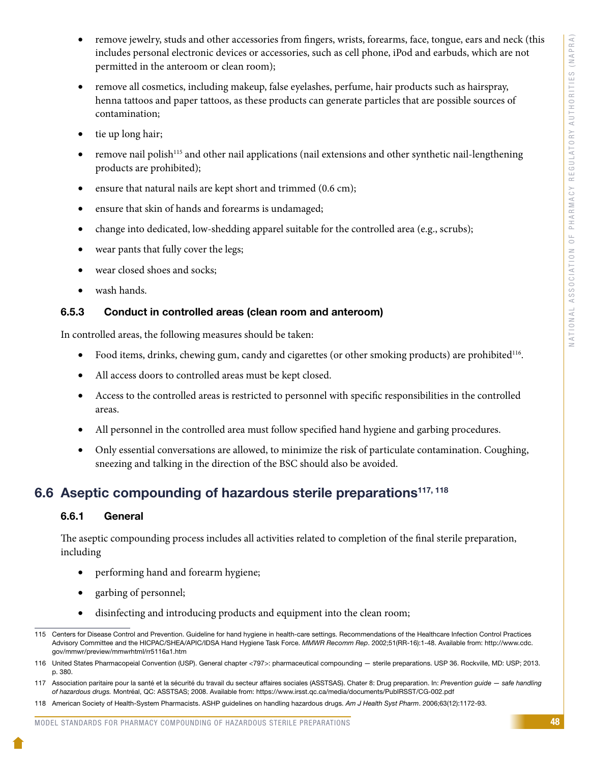- remove jewelry, studs and other accessories from fingers, wrists, forearms, face, tongue, ears and neck (this includes personal electronic devices or accessories, such as cell phone, iPod and earbuds, which are not permitted in the anteroom or clean room);
- remove all cosmetics, including makeup, false eyelashes, perfume, hair products such as hairspray, henna tattoos and paper tattoos, as these products can generate particles that are possible sources of contamination;
- tie up long hair;
- remove nail polish<sup>115</sup> and other nail applications (nail extensions and other synthetic nail-lengthening products are prohibited);
- ensure that natural nails are kept short and trimmed (0.6 cm);
- ensure that skin of hands and forearms is undamaged;
- change into dedicated, low-shedding apparel suitable for the controlled area (e.g., scrubs);
- wear pants that fully cover the legs;
- wear closed shoes and socks;
- wash hands.

### 6.5.3 Conduct in controlled areas (clean room and anteroom)

In controlled areas, the following measures should be taken:

- Food items, drinks, chewing gum, candy and cigarettes (or other smoking products) are prohibited<sup>116</sup>.
- All access doors to controlled areas must be kept closed.
- Access to the controlled areas is restricted to personnel with specific responsibilities in the controlled areas.
- All personnel in the controlled area must follow specified hand hygiene and garbing procedures.
- Only essential conversations are allowed, to minimize the risk of particulate contamination. Coughing, sneezing and talking in the direction of the BSC should also be avoided.

## 6.6 Aseptic compounding of hazardous sterile preparations<sup>117, 118</sup>

#### 6.6.1 General

The aseptic compounding process includes all activities related to completion of the final sterile preparation, including

- performing hand and forearm hygiene;
- garbing of personnel;
- disinfecting and introducing products and equipment into the clean room;

#### MODEL STANDARDS FOR PHARMACY COMPOUNDING OF HAZARDOUS STERILE PREPARATIONS

<sup>115</sup> Centers for Disease Control and Prevention. Guideline for hand hygiene in health-care settings. Recommendations of the Healthcare Infection Control Practices Advisory Committee and the HICPAC/SHEA/APIC/IDSA Hand Hygiene Task Force. *MMWR Recomm Rep*. 2002;51(RR-16):1-48. Available from: http://www.cdc. gov/mmwr/preview/mmwrhtml/rr5116a1.htm

<sup>116</sup> United States Pharmacopeial Convention (USP). General chapter <797>: pharmaceutical compounding — sterile preparations. USP 36. Rockville, MD: USP; 2013. p. 380.

<sup>117</sup> Association paritaire pour la santé et la sécurité du travail du secteur affaires sociales (ASSTSAS). Chater 8: Drug preparation. In: *Prevention guide — safe handling of hazardous drugs.* Montréal, QC: ASSTSAS; 2008. Available from: https://www.irsst.qc.ca/media/documents/PubIRSST/CG-002.pdf

<sup>118</sup> American Society of Health-System Pharmacists. ASHP guidelines on handling hazardous drugs. *Am J Health Syst Pharm*. 2006;63(12):1172-93.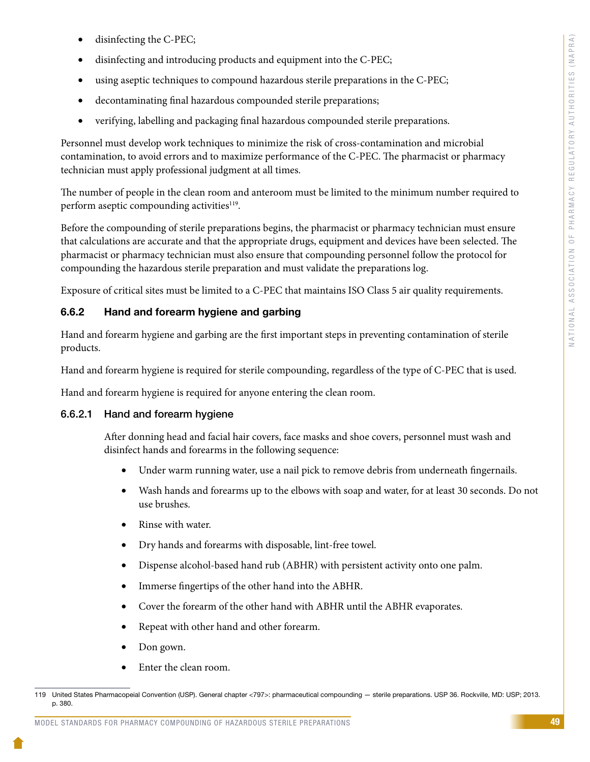- disinfecting the C-PEC;
- disinfecting and introducing products and equipment into the C-PEC;
- using aseptic techniques to compound hazardous sterile preparations in the C-PEC;
- decontaminating final hazardous compounded sterile preparations;
- verifying, labelling and packaging final hazardous compounded sterile preparations.

Personnel must develop work techniques to minimize the risk of cross-contamination and microbial contamination, to avoid errors and to maximize performance of the C-PEC. The pharmacist or pharmacy technician must apply professional judgment at all times.

The number of people in the clean room and anteroom must be limited to the minimum number required to perform aseptic compounding activities<sup>119</sup>.

Before the compounding of sterile preparations begins, the pharmacist or pharmacy technician must ensure that calculations are accurate and that the appropriate drugs, equipment and devices have been selected. The pharmacist or pharmacy technician must also ensure that compounding personnel follow the protocol for compounding the hazardous sterile preparation and must validate the preparations log.

Exposure of critical sites must be limited to a C-PEC that maintains ISO Class 5 air quality requirements.

#### 6.6.2 Hand and forearm hygiene and garbing

Hand and forearm hygiene and garbing are the first important steps in preventing contamination of sterile products.

Hand and forearm hygiene is required for sterile compounding, regardless of the type of C-PEC that is used.

Hand and forearm hygiene is required for anyone entering the clean room.

#### 6.6.2.1 Hand and forearm hygiene

After donning head and facial hair covers, face masks and shoe covers, personnel must wash and disinfect hands and forearms in the following sequence:

- Under warm running water, use a nail pick to remove debris from underneath fingernails.
- • Wash hands and forearms up to the elbows with soap and water, for at least 30 seconds. Do not use brushes.
- • Rinse with water.
- • Dry hands and forearms with disposable, lint-free towel.
- • Dispense alcohol-based hand rub (ABHR) with persistent activity onto one palm.
- • Immerse fingertips of the other hand into the ABHR.
- • Cover the forearm of the other hand with ABHR until the ABHR evaporates.
- Repeat with other hand and other forearm.
- Don gown.
- Enter the clean room.

<sup>119</sup> United States Pharmacopeial Convention (USP). General chapter <797>: pharmaceutical compounding — sterile preparations. USP 36. Rockville, MD: USP; 2013. p. 380.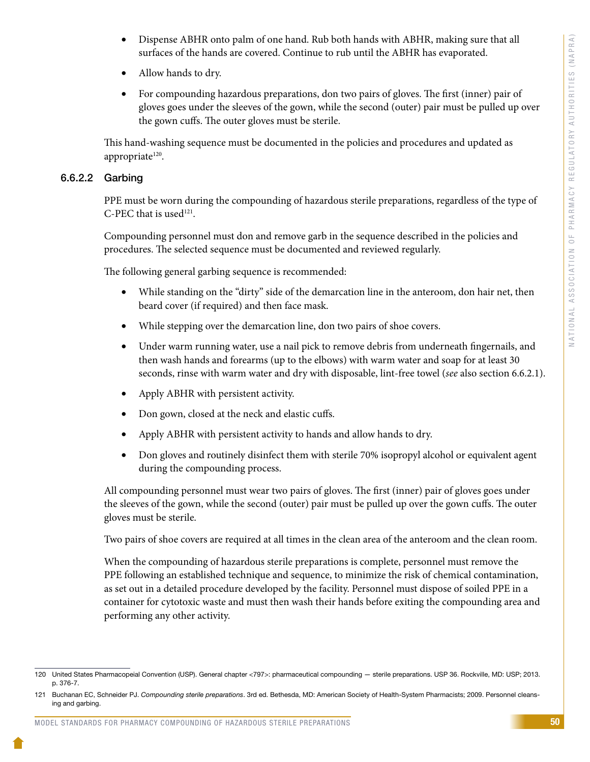- Dispense ABHR onto palm of one hand. Rub both hands with ABHR, making sure that all surfaces of the hands are covered. Continue to rub until the ABHR has evaporated.
- • Allow hands to dry.
- For compounding hazardous preparations, don two pairs of gloves. The first (inner) pair of gloves goes under the sleeves of the gown, while the second (outer) pair must be pulled up over the gown cuffs. The outer gloves must be sterile.

This hand-washing sequence must be documented in the policies and procedures and updated as appropriate<sup>120</sup>.

#### 6.6.2.2 Garbing

PPE must be worn during the compounding of hazardous sterile preparations, regardless of the type of C-PEC that is used $121$ .

Compounding personnel must don and remove garb in the sequence described in the policies and procedures. The selected sequence must be documented and reviewed regularly.

The following general garbing sequence is recommended:

- While standing on the "dirty" side of the demarcation line in the anteroom, don hair net, then beard cover (if required) and then face mask.
- While stepping over the demarcation line, don two pairs of shoe covers.
- Under warm running water, use a nail pick to remove debris from underneath fingernails, and then wash hands and forearms (up to the elbows) with warm water and soap for at least 30 seconds, rinse with warm water and dry with disposable, lint-free towel (*see* also section 6.6.2.1).
- Apply ABHR with persistent activity.
- Don gown, closed at the neck and elastic cuffs.
- Apply ABHR with persistent activity to hands and allow hands to dry.
- Don gloves and routinely disinfect them with sterile 70% isopropyl alcohol or equivalent agent during the compounding process.

All compounding personnel must wear two pairs of gloves. The first (inner) pair of gloves goes under the sleeves of the gown, while the second (outer) pair must be pulled up over the gown cuffs. The outer gloves must be sterile.

Two pairs of shoe covers are required at all times in the clean area of the anteroom and the clean room.

When the compounding of hazardous sterile preparations is complete, personnel must remove the PPE following an established technique and sequence, to minimize the risk of chemical contamination, as set out in a detailed procedure developed by the facility. Personnel must dispose of soiled PPE in a container for cytotoxic waste and must then wash their hands before exiting the compounding area and performing any other activity.

<sup>120</sup> United States Pharmacopeial Convention (USP). General chapter <797>: pharmaceutical compounding — sterile preparations. USP 36. Rockville, MD: USP; 2013. p. 376-7.

<sup>121</sup> Buchanan EC, Schneider PJ. *Compounding sterile preparations*. 3rd ed. Bethesda, MD: American Society of Health-System Pharmacists; 2009. Personnel cleansing and garbing.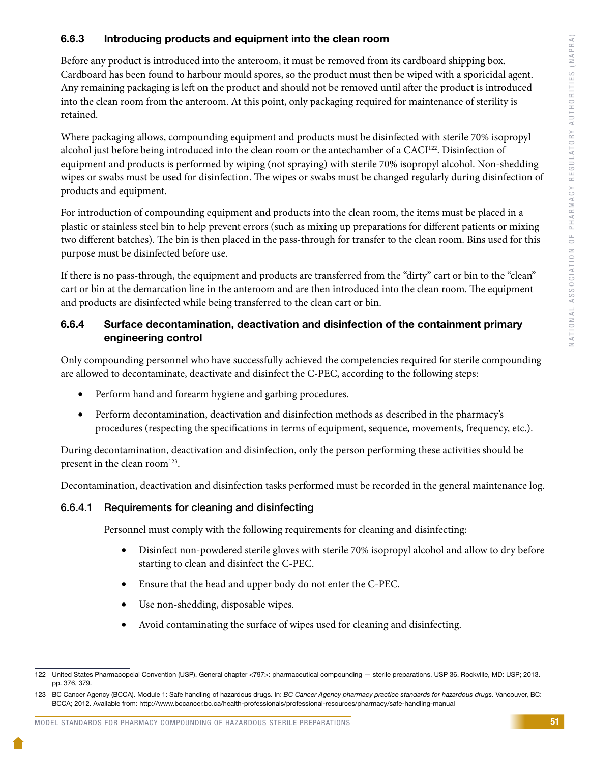#### 6.6.3 Introducing products and equipment into the clean room

Before any product is introduced into the anteroom, it must be removed from its cardboard shipping box. Cardboard has been found to harbour mould spores, so the product must then be wiped with a sporicidal agent. Any remaining packaging is left on the product and should not be removed until after the product is introduced into the clean room from the anteroom. At this point, only packaging required for maintenance of sterility is retained.

Where packaging allows, compounding equipment and products must be disinfected with sterile 70% isopropyl alcohol just before being introduced into the clean room or the antechamber of a CACI<sup>122</sup>. Disinfection of equipment and products is performed by wiping (not spraying) with sterile 70% isopropyl alcohol. Non-shedding wipes or swabs must be used for disinfection. The wipes or swabs must be changed regularly during disinfection of products and equipment.

For introduction of compounding equipment and products into the clean room, the items must be placed in a plastic or stainless steel bin to help prevent errors (such as mixing up preparations for different patients or mixing two different batches). The bin is then placed in the pass-through for transfer to the clean room. Bins used for this purpose must be disinfected before use.

If there is no pass-through, the equipment and products are transferred from the "dirty" cart or bin to the "clean" cart or bin at the demarcation line in the anteroom and are then introduced into the clean room. The equipment and products are disinfected while being transferred to the clean cart or bin.

#### 6.6.4 Surface decontamination, deactivation and disinfection of the containment primary engineering control

Only compounding personnel who have successfully achieved the competencies required for sterile compounding are allowed to decontaminate, deactivate and disinfect the C-PEC, according to the following steps:

- Perform hand and forearm hygiene and garbing procedures.
- Perform decontamination, deactivation and disinfection methods as described in the pharmacy's procedures (respecting the specifications in terms of equipment, sequence, movements, frequency, etc.).

During decontamination, deactivation and disinfection, only the person performing these activities should be present in the clean room<sup>123</sup>.

Decontamination, deactivation and disinfection tasks performed must be recorded in the general maintenance log.

#### 6.6.4.1 Requirements for cleaning and disinfecting

Personnel must comply with the following requirements for cleaning and disinfecting:

- Disinfect non-powdered sterile gloves with sterile 70% isopropyl alcohol and allow to dry before starting to clean and disinfect the C-PEC.
- Ensure that the head and upper body do not enter the C-PEC.
- • Use non-shedding, disposable wipes.
- Avoid contaminating the surface of wipes used for cleaning and disinfecting.

<sup>122</sup> United States Pharmacopeial Convention (USP). General chapter <797>: pharmaceutical compounding — sterile preparations. USP 36. Rockville, MD: USP; 2013. pp. 376, 379.

<sup>123</sup> BC Cancer Agency (BCCA). Module 1: Safe handling of hazardous drugs. In: *BC Cancer Agency pharmacy practice standards for hazardous drugs*. Vancouver, BC: BCCA; 2012. Available from: http://www.bccancer.bc.ca/health-professionals/professional-resources/pharmacy/safe-handling-manual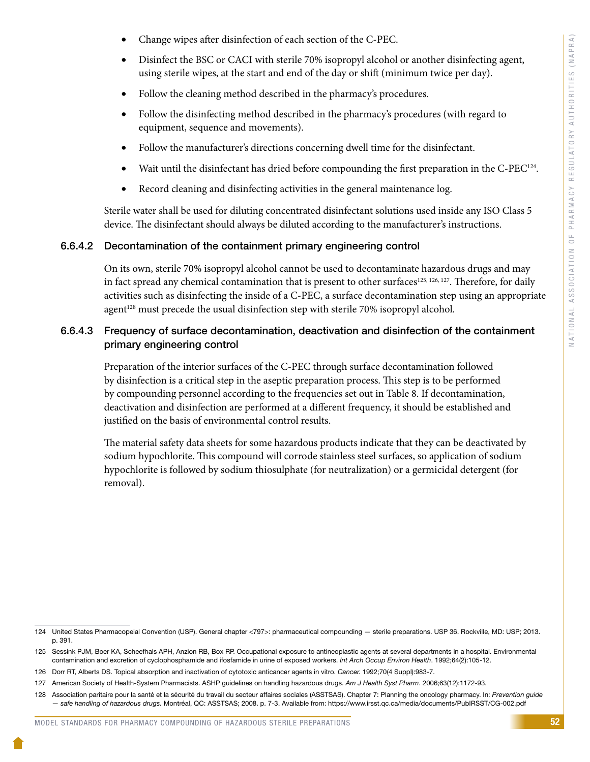- Change wipes after disinfection of each section of the C-PEC.
- Disinfect the BSC or CACI with sterile 70% isopropyl alcohol or another disinfecting agent, using sterile wipes, at the start and end of the day or shift (minimum twice per day).
- Follow the cleaning method described in the pharmacy's procedures.
- Follow the disinfecting method described in the pharmacy's procedures (with regard to equipment, sequence and movements).
- • Follow the manufacturer's directions concerning dwell time for the disinfectant.
- Wait until the disinfectant has dried before compounding the first preparation in the C-PEC<sup>124</sup>.
- Record cleaning and disinfecting activities in the general maintenance log.

Sterile water shall be used for diluting concentrated disinfectant solutions used inside any ISO Class 5 device. The disinfectant should always be diluted according to the manufacturer's instructions.

#### 6.6.4.2 Decontamination of the containment primary engineering control

On its own, sterile 70% isopropyl alcohol cannot be used to decontaminate hazardous drugs and may in fact spread any chemical contamination that is present to other surfaces<sup>125, 126, 127</sup>. Therefore, for daily activities such as disinfecting the inside of a C-PEC, a surface decontamination step using an appropriate agent<sup>128</sup> must precede the usual disinfection step with sterile 70% isopropyl alcohol.

#### 6.6.4.3 Frequency of surface decontamination, deactivation and disinfection of the containment primary engineering control

Preparation of the interior surfaces of the C-PEC through surface decontamination followed by disinfection is a critical step in the aseptic preparation process. This step is to be performed by compounding personnel according to the frequencies set out in Table 8. If decontamination, deactivation and disinfection are performed at a different frequency, it should be established and justified on the basis of environmental control results.

The material safety data sheets for some hazardous products indicate that they can be deactivated by sodium hypochlorite. This compound will corrode stainless steel surfaces, so application of sodium hypochlorite is followed by sodium thiosulphate (for neutralization) or a germicidal detergent (for removal).

<sup>124</sup> United States Pharmacopeial Convention (USP). General chapter <797>: pharmaceutical compounding — sterile preparations. USP 36. Rockville, MD: USP; 2013. p. 391.

<sup>125</sup> Sessink PJM, Boer KA, Scheefhals APH, Anzion RB, Box RP. Occupational exposure to antineoplastic agents at several departments in a hospital. Environmental contamination and excretion of cyclophosphamide and ifosfamide in urine of exposed workers. *Int Arch Occup Environ Health*. 1992;64(2):105-12.

<sup>126</sup> Dorr RT, Alberts DS. Topical absorption and inactivation of cytotoxic anticancer agents in vitro. *Cancer.* 1992;70(4 Suppl):983-7.

<sup>127</sup> American Society of Health-System Pharmacists. ASHP guidelines on handling hazardous drugs. *Am J Health Syst Pharm*. 2006;63(12):1172-93.

<sup>128</sup> Association paritaire pour la santé et la sécurité du travail du secteur affaires sociales (ASSTSAS). Chapter 7: Planning the oncology pharmacy. In: *Prevention guide — safe handling of hazardous drugs.* Montréal, QC: ASSTSAS; 2008. p. 7-3. Available from: https://www.irsst.qc.ca/media/documents/PubIRSST/CG-002.pdf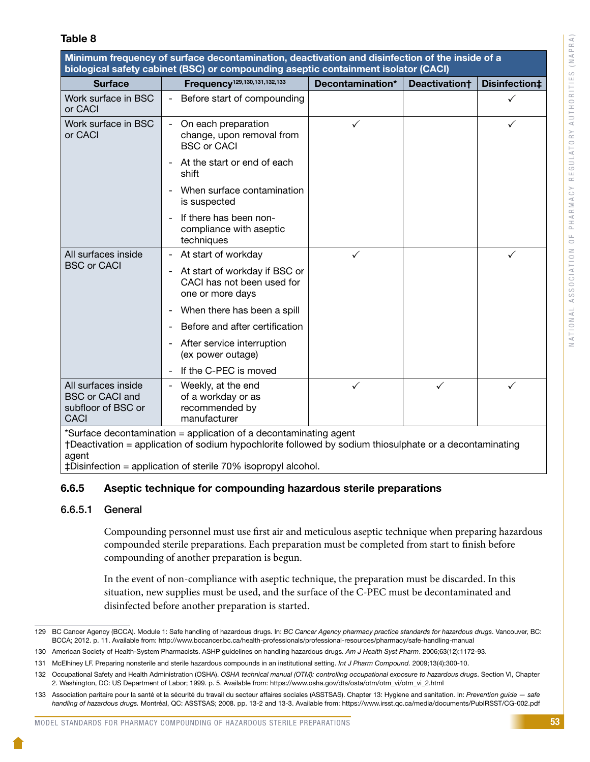#### Table 8

Minimum frequency of surface decontamination, deactivation and disinfection of the inside of a biological safety cabinet (BSC) or compounding aseptic containment isolator (CACI) Surface Frequency<sup>129,130,131,132,133</sup> Decontamination\* Deactivation† Disinfection‡ Work surface in BSC or CACI - Before start of compounding Work surface in BSC or CACI - On each preparation change, upon removal from BSC or CACI At the start or end of each shift When surface contamination is suspected - If there has been noncompliance with aseptic techniques  $\checkmark$  and  $\checkmark$ All surfaces inside BSC or CACI At start of workday At start of workday if BSC or CACI has not been used for one or more days When there has been a spill Before and after certification After service interruption (ex power outage) - If the C-PEC is moved  $\checkmark$  and  $\checkmark$ All surfaces inside BSC or CACI and subfloor of BSC or **CACI** Weekly, at the end of a workday or as recommended by manufacturer  $\checkmark$  and  $\checkmark$  and  $\checkmark$ 

\*Surface decontamination = application of a decontaminating agent

†Deactivation = application of sodium hypochlorite followed by sodium thiosulphate or a decontaminating agent

‡Disinfection = application of sterile 70% isopropyl alcohol.

#### 6.6.5 Aseptic technique for compounding hazardous sterile preparations

#### 6.6.5.1 General

Compounding personnel must use first air and meticulous aseptic technique when preparing hazardous compounded sterile preparations. Each preparation must be completed from start to finish before compounding of another preparation is begun.

In the event of non-compliance with aseptic technique, the preparation must be discarded. In this situation, new supplies must be used, and the surface of the C-PEC must be decontaminated and disinfected before another preparation is started.

<sup>129</sup> BC Cancer Agency (BCCA). Module 1: Safe handling of hazardous drugs. In: *BC Cancer Agency pharmacy practice standards for hazardous drugs*. Vancouver, BC: BCCA; 2012. p. 11. Available from: http://www.bccancer.bc.ca/health-professionals/professional-resources/pharmacy/safe-handling-manual

<sup>130</sup> American Society of Health-System Pharmacists. ASHP guidelines on handling hazardous drugs. *Am J Health Syst Pharm*. 2006;63(12):1172-93.

<sup>131</sup> McElhiney LF. Preparing nonsterile and sterile hazardous compounds in an institutional setting. *Int J Pharm Compound.* 2009;13(4):300-10.

<sup>132</sup> Occupational Safety and Health Administration (OSHA). *OSHA technical manual (OTM): controlling occupational exposure to hazardous drugs*. Section VI, Chapter 2. Washington, DC: US Department of Labor; 1999. p. 5. Available from: https://www.osha.gov/dts/osta/otm/otm\_vi/otm\_vi\_2.html

<sup>133</sup> Association paritaire pour la santé et la sécurité du travail du secteur affaires sociales (ASSTSAS). Chapter 13: Hygiene and sanitation. In: *Prevention guide — safe handling of hazardous drugs.* Montréal, QC: ASSTSAS; 2008. pp. 13-2 and 13-3. Available from: https://www.irsst.qc.ca/media/documents/PubIRSST/CG-002.pdf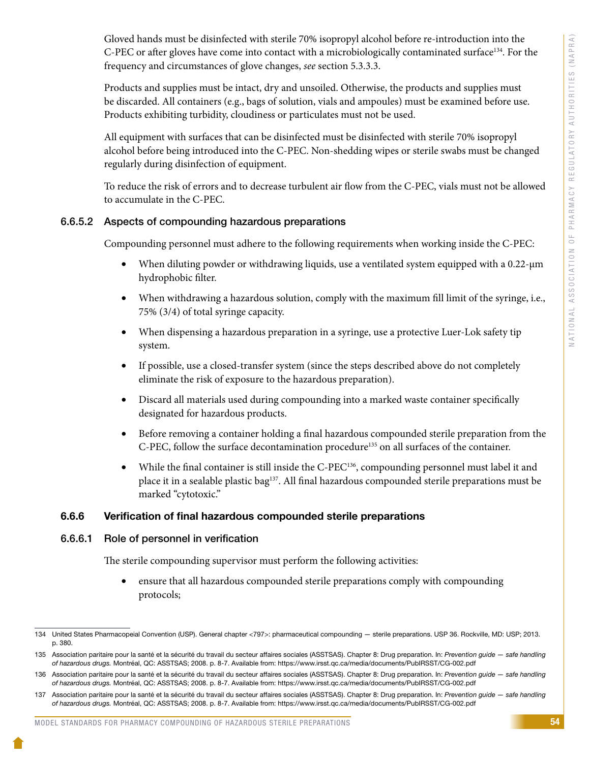Gloved hands must be disinfected with sterile 70% isopropyl alcohol before re-introduction into the C-PEC or after gloves have come into contact with a microbiologically contaminated surface<sup>134</sup>. For the frequency and circumstances of glove changes, *see* section 5.3.3.3.

Products and supplies must be intact, dry and unsoiled. Otherwise, the products and supplies must be discarded. All containers (e.g., bags of solution, vials and ampoules) must be examined before use. Products exhibiting turbidity, cloudiness or particulates must not be used.

All equipment with surfaces that can be disinfected must be disinfected with sterile 70% isopropyl alcohol before being introduced into the C-PEC. Non-shedding wipes or sterile swabs must be changed regularly during disinfection of equipment.

To reduce the risk of errors and to decrease turbulent air flow from the C-PEC, vials must not be allowed to accumulate in the C-PEC.

#### 6.6.5.2 Aspects of compounding hazardous preparations

Compounding personnel must adhere to the following requirements when working inside the C-PEC:

- When diluting powder or withdrawing liquids, use a ventilated system equipped with a 0.22-um hydrophobic filter.
- • When withdrawing a hazardous solution, comply with the maximum fill limit of the syringe, i.e., 75% (3/4) of total syringe capacity.
- When dispensing a hazardous preparation in a syringe, use a protective Luer-Lok safety tip system.
- If possible, use a closed-transfer system (since the steps described above do not completely eliminate the risk of exposure to the hazardous preparation).
- • Discard all materials used during compounding into a marked waste container specifically designated for hazardous products.
- • Before removing a container holding a final hazardous compounded sterile preparation from the C-PEC, follow the surface decontamination procedure135 on all surfaces of the container.
- While the final container is still inside the C-PEC<sup>136</sup>, compounding personnel must label it and place it in a sealable plastic bag<sup>137</sup>. All final hazardous compounded sterile preparations must be marked "cytotoxic."

#### 6.6.6 Verification of final hazardous compounded sterile preparations

#### 6.6.6.1 Role of personnel in verification

The sterile compounding supervisor must perform the following activities:

ensure that all hazardous compounded sterile preparations comply with compounding protocols;

<sup>134</sup> United States Pharmacopeial Convention (USP). General chapter <797>: pharmaceutical compounding — sterile preparations. USP 36. Rockville, MD: USP; 2013. p. 380.

<sup>135</sup> Association paritaire pour la santé et la sécurité du travail du secteur affaires sociales (ASSTSAS). Chapter 8: Drug preparation. In: *Prevention guide — safe handling of hazardous drugs.* Montréal, QC: ASSTSAS; 2008. p. 8-7. Available from: https://www.irsst.qc.ca/media/documents/PubIRSST/CG-002.pdf

<sup>136</sup> Association paritaire pour la santé et la sécurité du travail du secteur affaires sociales (ASSTSAS). Chapter 8: Drug preparation. In: *Prevention guide — safe handling of hazardous drugs.* Montréal, QC: ASSTSAS; 2008. p. 8-7. Available from: https://www.irsst.qc.ca/media/documents/PubIRSST/CG-002.pdf

<sup>137</sup> Association paritaire pour la santé et la sécurité du travail du secteur affaires sociales (ASSTSAS). Chapter 8: Drug preparation. In: *Prevention guide — safe handling of hazardous drugs.* Montréal, QC: ASSTSAS; 2008. p. 8-7. Available from: https://www.irsst.qc.ca/media/documents/PubIRSST/CG-002.pdf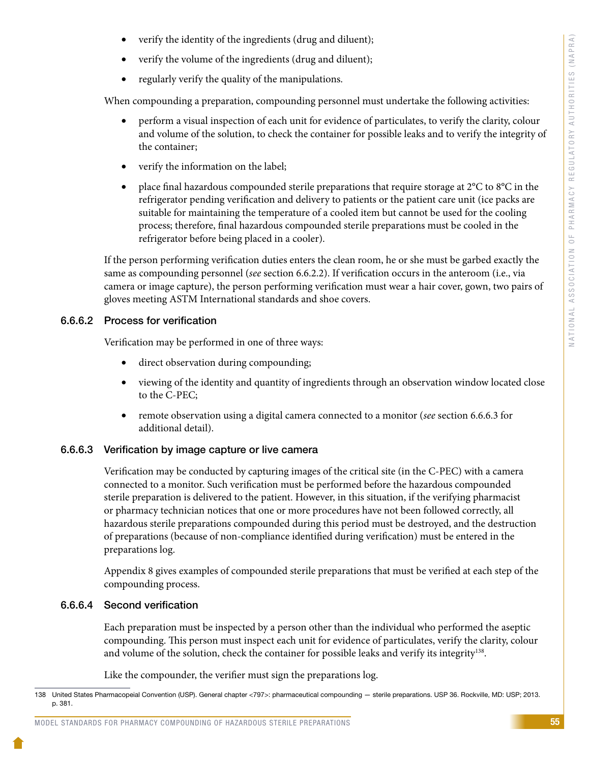- verify the identity of the ingredients (drug and diluent);
- verify the volume of the ingredients (drug and diluent);
- • regularly verify the quality of the manipulations.

When compounding a preparation, compounding personnel must undertake the following activities:

- perform a visual inspection of each unit for evidence of particulates, to verify the clarity, colour and volume of the solution, to check the container for possible leaks and to verify the integrity of the container;
- verify the information on the label;
- place final hazardous compounded sterile preparations that require storage at  $2^{\circ}C$  to  $8^{\circ}C$  in the refrigerator pending verification and delivery to patients or the patient care unit (ice packs are suitable for maintaining the temperature of a cooled item but cannot be used for the cooling process; therefore, final hazardous compounded sterile preparations must be cooled in the refrigerator before being placed in a cooler).

If the person performing verification duties enters the clean room, he or she must be garbed exactly the same as compounding personnel (*see* section 6.6.2.2). If verification occurs in the anteroom (i.e., via camera or image capture), the person performing verification must wear a hair cover, gown, two pairs of gloves meeting ASTM International standards and shoe covers.

#### 6.6.6.2 Process for verification

Verification may be performed in one of three ways:

- direct observation during compounding;
- viewing of the identity and quantity of ingredients through an observation window located close to the C-PEC;
- • remote observation using a digital camera connected to a monitor (*see* section 6.6.6.3 for additional detail).

#### 6.6.6.3 Verification by image capture or live camera

Verification may be conducted by capturing images of the critical site (in the C-PEC) with a camera connected to a monitor. Such verification must be performed before the hazardous compounded sterile preparation is delivered to the patient. However, in this situation, if the verifying pharmacist or pharmacy technician notices that one or more procedures have not been followed correctly, all hazardous sterile preparations compounded during this period must be destroyed, and the destruction of preparations (because of non-compliance identified during verification) must be entered in the preparations log.

Appendix 8 gives examples of compounded sterile preparations that must be verified at each step of the compounding process.

#### 6.6.6.4 Second verification

Each preparation must be inspected by a person other than the individual who performed the aseptic compounding. This person must inspect each unit for evidence of particulates, verify the clarity, colour and volume of the solution, check the container for possible leaks and verify its integrity<sup>138</sup>.

Like the compounder, the verifier must sign the preparations log.

#### MODEL STANDARDS FOR PHARMACY COMPOUNDING OF HAZARDOUS STERILE PREPARATIONS

<sup>138</sup> United States Pharmacopeial Convention (USP). General chapter <797>: pharmaceutical compounding — sterile preparations. USP 36. Rockville, MD: USP; 2013. p. 381.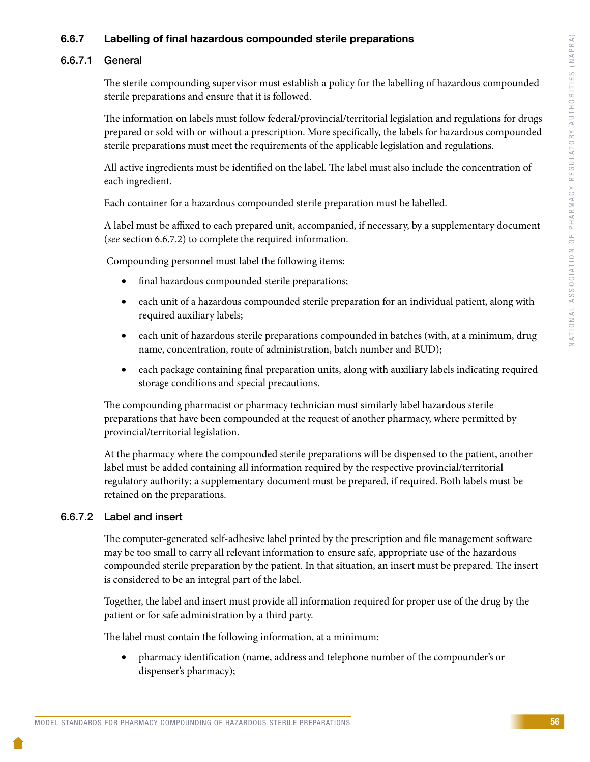#### 6.6.7 Labelling of final hazardous compounded sterile preparations

#### 6.6.7.1 General

The sterile compounding supervisor must establish a policy for the labelling of hazardous compounded sterile preparations and ensure that it is followed.

The information on labels must follow federal/provincial/territorial legislation and regulations for drugs prepared or sold with or without a prescription. More specifically, the labels for hazardous compounded sterile preparations must meet the requirements of the applicable legislation and regulations.

All active ingredients must be identified on the label. The label must also include the concentration of each ingredient.

Each container for a hazardous compounded sterile preparation must be labelled.

A label must be affixed to each prepared unit, accompanied, if necessary, by a supplementary document (*see* section 6.6.7.2) to complete the required information.

Compounding personnel must label the following items:

- final hazardous compounded sterile preparations;
- each unit of a hazardous compounded sterile preparation for an individual patient, along with required auxiliary labels;
- each unit of hazardous sterile preparations compounded in batches (with, at a minimum, drug name, concentration, route of administration, batch number and BUD);
- each package containing final preparation units, along with auxiliary labels indicating required storage conditions and special precautions.

The compounding pharmacist or pharmacy technician must similarly label hazardous sterile preparations that have been compounded at the request of another pharmacy, where permitted by provincial/territorial legislation.

At the pharmacy where the compounded sterile preparations will be dispensed to the patient, another label must be added containing all information required by the respective provincial/territorial regulatory authority; a supplementary document must be prepared, if required. Both labels must be retained on the preparations.

#### 6.6.7.2 Label and insert

The computer-generated self-adhesive label printed by the prescription and file management software may be too small to carry all relevant information to ensure safe, appropriate use of the hazardous compounded sterile preparation by the patient. In that situation, an insert must be prepared. The insert is considered to be an integral part of the label.

Together, the label and insert must provide all information required for proper use of the drug by the patient or for safe administration by a third party.

The label must contain the following information, at a minimum:

pharmacy identification (name, address and telephone number of the compounder's or dispenser's pharmacy);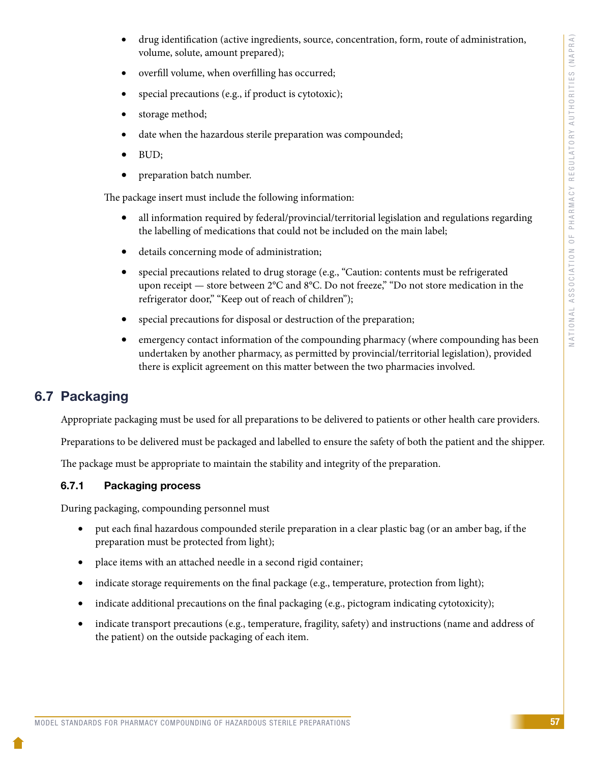- drug identification (active ingredients, source, concentration, form, route of administration, volume, solute, amount prepared);
- overfill volume, when overfilling has occurred;
- special precautions (e.g., if product is cytotoxic);
- storage method;
- date when the hazardous sterile preparation was compounded;
- BUD;
- preparation batch number.

The package insert must include the following information:

- all information required by federal/provincial/territorial legislation and regulations regarding the labelling of medications that could not be included on the main label;
- • details concerning mode of administration;
- special precautions related to drug storage (e.g., "Caution: contents must be refrigerated upon receipt — store between 2°C and 8°C. Do not freeze," "Do not store medication in the refrigerator door," "Keep out of reach of children");
- special precautions for disposal or destruction of the preparation;
- emergency contact information of the compounding pharmacy (where compounding has been undertaken by another pharmacy, as permitted by provincial/territorial legislation), provided there is explicit agreement on this matter between the two pharmacies involved.

## 6.7 Packaging

Appropriate packaging must be used for all preparations to be delivered to patients or other health care providers.

Preparations to be delivered must be packaged and labelled to ensure the safety of both the patient and the shipper.

The package must be appropriate to maintain the stability and integrity of the preparation.

### 6.7.1 Packaging process

During packaging, compounding personnel must

- put each final hazardous compounded sterile preparation in a clear plastic bag (or an amber bag, if the preparation must be protected from light);
- place items with an attached needle in a second rigid container;
- indicate storage requirements on the final package (e.g., temperature, protection from light);
- indicate additional precautions on the final packaging (e.g., pictogram indicating cytotoxicity);
- indicate transport precautions (e.g., temperature, fragility, safety) and instructions (name and address of the patient) on the outside packaging of each item.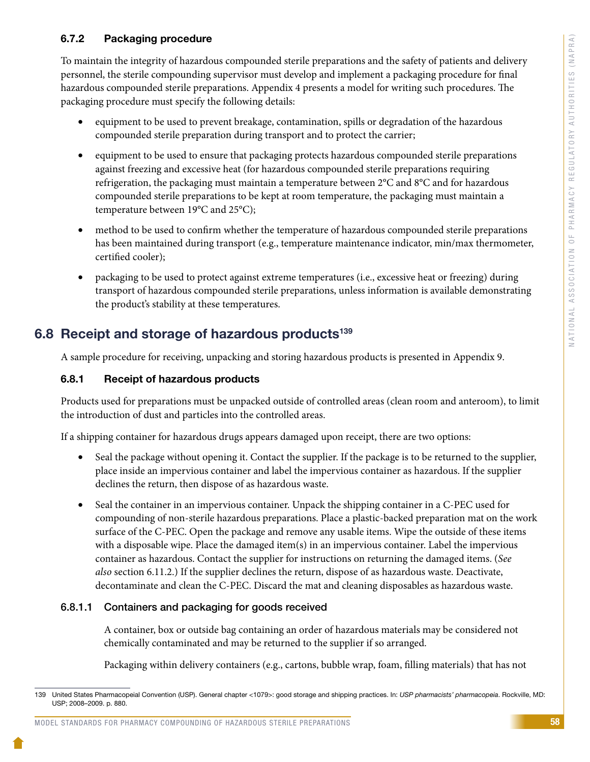#### 6.7.2 Packaging procedure

To maintain the integrity of hazardous compounded sterile preparations and the safety of patients and delivery personnel, the sterile compounding supervisor must develop and implement a packaging procedure for final hazardous compounded sterile preparations. Appendix 4 presents a model for writing such procedures. The packaging procedure must specify the following details:

- equipment to be used to prevent breakage, contamination, spills or degradation of the hazardous compounded sterile preparation during transport and to protect the carrier;
- equipment to be used to ensure that packaging protects hazardous compounded sterile preparations against freezing and excessive heat (for hazardous compounded sterile preparations requiring refrigeration, the packaging must maintain a temperature between 2°C and 8°C and for hazardous compounded sterile preparations to be kept at room temperature, the packaging must maintain a temperature between 19°C and 25°C);
- method to be used to confirm whether the temperature of hazardous compounded sterile preparations has been maintained during transport (e.g., temperature maintenance indicator, min/max thermometer, certified cooler);
- packaging to be used to protect against extreme temperatures (i.e., excessive heat or freezing) during transport of hazardous compounded sterile preparations, unless information is available demonstrating the product's stability at these temperatures.

### 6.8 Receipt and storage of hazardous products<sup>139</sup>

A sample procedure for receiving, unpacking and storing hazardous products is presented in Appendix 9.

#### 6.8.1 Receipt of hazardous products

Products used for preparations must be unpacked outside of controlled areas (clean room and anteroom), to limit the introduction of dust and particles into the controlled areas.

If a shipping container for hazardous drugs appears damaged upon receipt, there are two options:

- Seal the package without opening it. Contact the supplier. If the package is to be returned to the supplier, place inside an impervious container and label the impervious container as hazardous. If the supplier declines the return, then dispose of as hazardous waste.
- Seal the container in an impervious container. Unpack the shipping container in a C-PEC used for compounding of non-sterile hazardous preparations. Place a plastic-backed preparation mat on the work surface of the C-PEC. Open the package and remove any usable items. Wipe the outside of these items with a disposable wipe. Place the damaged item(s) in an impervious container. Label the impervious container as hazardous. Contact the supplier for instructions on returning the damaged items. (*See also* section 6.11.2.) If the supplier declines the return, dispose of as hazardous waste. Deactivate, decontaminate and clean the C-PEC. Discard the mat and cleaning disposables as hazardous waste.

#### 6.8.1.1 Containers and packaging for goods received

A container, box or outside bag containing an order of hazardous materials may be considered not chemically contaminated and may be returned to the supplier if so arranged.

Packaging within delivery containers (e.g., cartons, bubble wrap, foam, filling materials) that has not

#### MODEL STANDARDS FOR PHARMACY COMPOUNDING OF HAZARDOUS STERILE PREPARATIONS

<sup>139</sup> United States Pharmacopeial Convention (USP). General chapter <1079>: good storage and shipping practices. In: *USP pharmacists' pharmacopeia*. Rockville, MD: USP; 2008–2009. p. 880.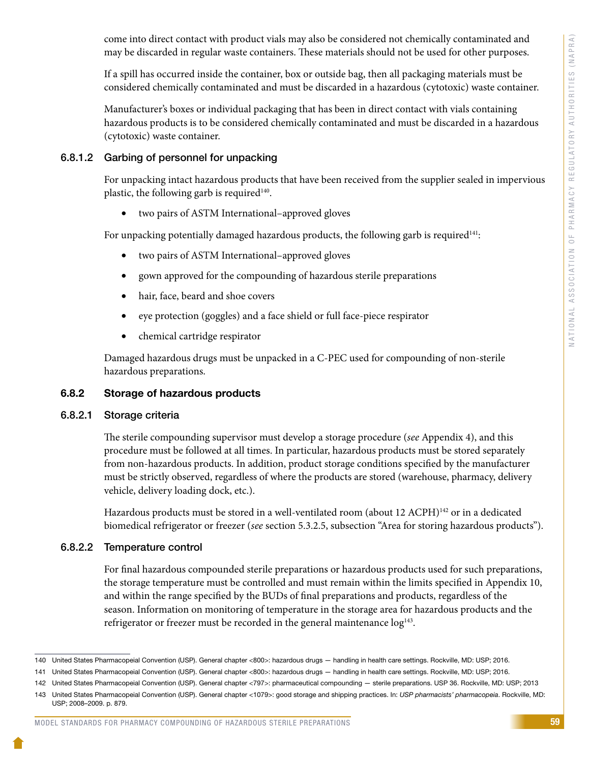come into direct contact with product vials may also be considered not chemically contaminated and may be discarded in regular waste containers. These materials should not be used for other purposes.

If a spill has occurred inside the container, box or outside bag, then all packaging materials must be considered chemically contaminated and must be discarded in a hazardous (cytotoxic) waste container.

Manufacturer's boxes or individual packaging that has been in direct contact with vials containing hazardous products is to be considered chemically contaminated and must be discarded in a hazardous (cytotoxic) waste container.

#### 6.8.1.2 Garbing of personnel for unpacking

For unpacking intact hazardous products that have been received from the supplier sealed in impervious plastic, the following garb is required<sup>140</sup>.

• two pairs of ASTM International–approved gloves

For unpacking potentially damaged hazardous products, the following garb is required $141$ :

- two pairs of ASTM International–approved gloves
- gown approved for the compounding of hazardous sterile preparations
- • hair, face, beard and shoe covers
- eye protection (goggles) and a face shield or full face-piece respirator
- • chemical cartridge respirator

Damaged hazardous drugs must be unpacked in a C-PEC used for compounding of non-sterile hazardous preparations.

#### 6.8.2 Storage of hazardous products

#### 6.8.2.1 Storage criteria

The sterile compounding supervisor must develop a storage procedure (*see* Appendix 4), and this procedure must be followed at all times. In particular, hazardous products must be stored separately from non-hazardous products. In addition, product storage conditions specified by the manufacturer must be strictly observed, regardless of where the products are stored (warehouse, pharmacy, delivery vehicle, delivery loading dock, etc.).

Hazardous products must be stored in a well-ventilated room (about 12 ACPH)<sup>142</sup> or in a dedicated biomedical refrigerator or freezer (*see* section 5.3.2.5, subsection "Area for storing hazardous products").

#### 6.8.2.2 Temperature control

For final hazardous compounded sterile preparations or hazardous products used for such preparations, the storage temperature must be controlled and must remain within the limits specified in Appendix 10, and within the range specified by the BUDs of final preparations and products, regardless of the season. Information on monitoring of temperature in the storage area for hazardous products and the refrigerator or freezer must be recorded in the general maintenance  $log<sup>143</sup>$ .

#### MODEL STANDARDS FOR PHARMACY COMPOUNDING OF HAZARDOUS STERILE PREPARATIONS

<sup>140</sup> United States Pharmacopeial Convention (USP). General chapter <800>: hazardous drugs — handling in health care settings. Rockville, MD: USP; 2016.

<sup>141</sup> United States Pharmacopeial Convention (USP). General chapter <800>: hazardous drugs — handling in health care settings. Rockville, MD: USP; 2016.

<sup>142</sup> United States Pharmacopeial Convention (USP). General chapter <797>: pharmaceutical compounding — sterile preparations. USP 36. Rockville, MD: USP; 2013

<sup>143</sup> United States Pharmacopeial Convention (USP). General chapter <1079>: good storage and shipping practices. In: *USP pharmacists' pharmacopeia*. Rockville, MD: USP; 2008–2009. p. 879.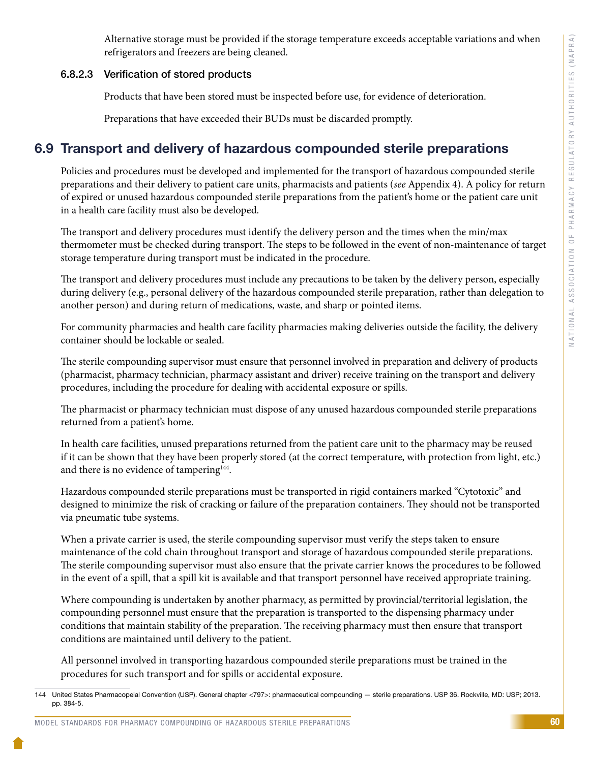Alternative storage must be provided if the storage temperature exceeds acceptable variations and when refrigerators and freezers are being cleaned.

#### 6.8.2.3 Verification of stored products

Products that have been stored must be inspected before use, for evidence of deterioration.

Preparations that have exceeded their BUDs must be discarded promptly.

### 6.9 Transport and delivery of hazardous compounded sterile preparations

Policies and procedures must be developed and implemented for the transport of hazardous compounded sterile preparations and their delivery to patient care units, pharmacists and patients (*see* Appendix 4). A policy for return of expired or unused hazardous compounded sterile preparations from the patient's home or the patient care unit in a health care facility must also be developed.

The transport and delivery procedures must identify the delivery person and the times when the min/max thermometer must be checked during transport. The steps to be followed in the event of non-maintenance of target storage temperature during transport must be indicated in the procedure.

The transport and delivery procedures must include any precautions to be taken by the delivery person, especially during delivery (e.g., personal delivery of the hazardous compounded sterile preparation, rather than delegation to another person) and during return of medications, waste, and sharp or pointed items.

For community pharmacies and health care facility pharmacies making deliveries outside the facility, the delivery container should be lockable or sealed.

The sterile compounding supervisor must ensure that personnel involved in preparation and delivery of products (pharmacist, pharmacy technician, pharmacy assistant and driver) receive training on the transport and delivery procedures, including the procedure for dealing with accidental exposure or spills.

The pharmacist or pharmacy technician must dispose of any unused hazardous compounded sterile preparations returned from a patient's home.

In health care facilities, unused preparations returned from the patient care unit to the pharmacy may be reused if it can be shown that they have been properly stored (at the correct temperature, with protection from light, etc.) and there is no evidence of tampering<sup>144</sup>.

Hazardous compounded sterile preparations must be transported in rigid containers marked "Cytotoxic" and designed to minimize the risk of cracking or failure of the preparation containers. They should not be transported via pneumatic tube systems.

When a private carrier is used, the sterile compounding supervisor must verify the steps taken to ensure maintenance of the cold chain throughout transport and storage of hazardous compounded sterile preparations. The sterile compounding supervisor must also ensure that the private carrier knows the procedures to be followed in the event of a spill, that a spill kit is available and that transport personnel have received appropriate training.

Where compounding is undertaken by another pharmacy, as permitted by provincial/territorial legislation, the compounding personnel must ensure that the preparation is transported to the dispensing pharmacy under conditions that maintain stability of the preparation. The receiving pharmacy must then ensure that transport conditions are maintained until delivery to the patient.

All personnel involved in transporting hazardous compounded sterile preparations must be trained in the procedures for such transport and for spills or accidental exposure.

<sup>144</sup> United States Pharmacopeial Convention (USP). General chapter <797>: pharmaceutical compounding — sterile preparations. USP 36. Rockville, MD: USP; 2013. pp. 384-5.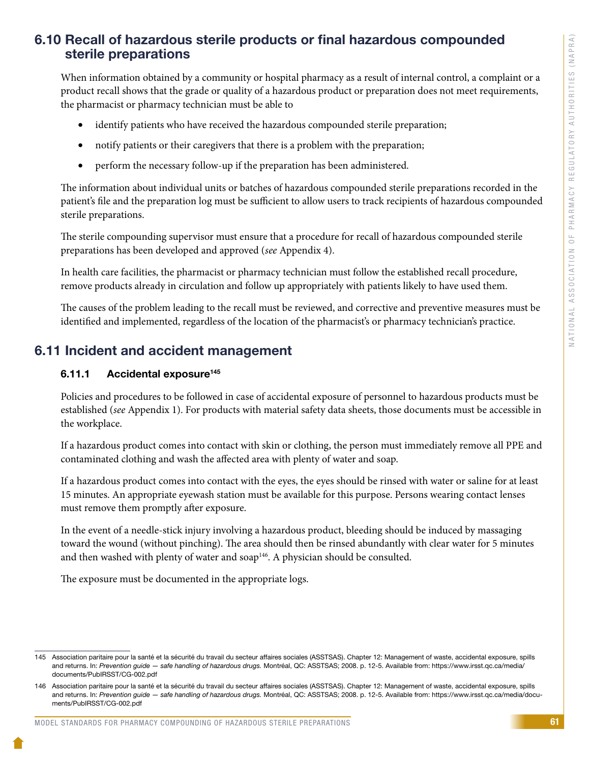## 6.10 Recall of hazardous sterile products or final hazardous compounded sterile preparations

When information obtained by a community or hospital pharmacy as a result of internal control, a complaint or a product recall shows that the grade or quality of a hazardous product or preparation does not meet requirements, the pharmacist or pharmacy technician must be able to

- identify patients who have received the hazardous compounded sterile preparation;
- notify patients or their caregivers that there is a problem with the preparation;
- perform the necessary follow-up if the preparation has been administered.

The information about individual units or batches of hazardous compounded sterile preparations recorded in the patient's file and the preparation log must be sufficient to allow users to track recipients of hazardous compounded sterile preparations.

The sterile compounding supervisor must ensure that a procedure for recall of hazardous compounded sterile preparations has been developed and approved (*see* Appendix 4).

In health care facilities, the pharmacist or pharmacy technician must follow the established recall procedure, remove products already in circulation and follow up appropriately with patients likely to have used them.

The causes of the problem leading to the recall must be reviewed, and corrective and preventive measures must be identified and implemented, regardless of the location of the pharmacist's or pharmacy technician's practice.

## 6.11 Incident and accident management

#### 6.11.1 Accidental exposure<sup>145</sup>

Policies and procedures to be followed in case of accidental exposure of personnel to hazardous products must be established (*see* Appendix 1). For products with material safety data sheets, those documents must be accessible in the workplace.

If a hazardous product comes into contact with skin or clothing, the person must immediately remove all PPE and contaminated clothing and wash the affected area with plenty of water and soap.

If a hazardous product comes into contact with the eyes, the eyes should be rinsed with water or saline for at least 15 minutes. An appropriate eyewash station must be available for this purpose. Persons wearing contact lenses must remove them promptly after exposure.

In the event of a needle-stick injury involving a hazardous product, bleeding should be induced by massaging toward the wound (without pinching). The area should then be rinsed abundantly with clear water for 5 minutes and then washed with plenty of water and soap<sup>146</sup>. A physician should be consulted.

The exposure must be documented in the appropriate logs.

<sup>145</sup> Association paritaire pour la santé et la sécurité du travail du secteur affaires sociales (ASSTSAS). Chapter 12: Management of waste, accidental exposure, spills and returns. In: *Prevention guide — safe handling of hazardous drugs.* Montréal, QC: ASSTSAS; 2008. p. 12-5. Available from: https://www.irsst.qc.ca/media/ documents/PubIRSST/CG-002.pdf

<sup>146</sup> Association paritaire pour la santé et la sécurité du travail du secteur affaires sociales (ASSTSAS). Chapter 12: Management of waste, accidental exposure, spills and returns. In: *Prevention guide — safe handling of hazardous drugs.* Montréal, QC: ASSTSAS; 2008. p. 12-5. Available from: https://www.irsst.qc.ca/media/documents/PubIRSST/CG-002.pdf

MODEL STANDARDS FOR PHARMACY COMPOUNDING OF HAZARDOUS STERILE PREPARATIONS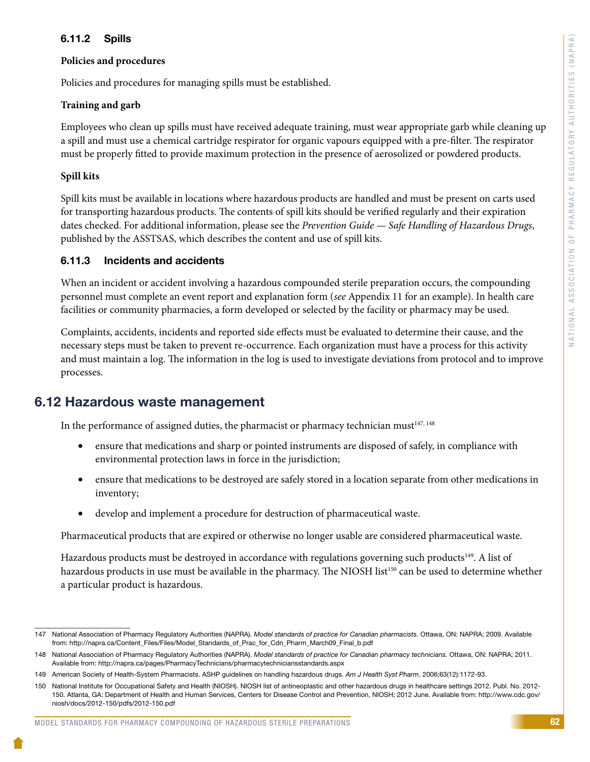#### 6.11.2 Spills

#### **Policies and procedures**

Policies and procedures for managing spills must be established.

#### **Training and garb**

Employees who clean up spills must have received adequate training, must wear appropriate garb while cleaning up a spill and must use a chemical cartridge respirator for organic vapours equipped with a pre-filter. The respirator must be properly fitted to provide maximum protection in the presence of aerosolized or powdered products.

#### **Spill kits**

Spill kits must be available in locations where hazardous products are handled and must be present on carts used for transporting hazardous products. The contents of spill kits should be verified regularly and their expiration dates checked. For additional information, please see the *Prevention Guide — Safe Handling of Hazardous Drugs*, published by the ASSTSAS, which describes the content and use of spill kits.

#### 6.11.3 Incidents and accidents

When an incident or accident involving a hazardous compounded sterile preparation occurs, the compounding personnel must complete an event report and explanation form (*see* Appendix 11 for an example). In health care facilities or community pharmacies, a form developed or selected by the facility or pharmacy may be used.

Complaints, accidents, incidents and reported side effects must be evaluated to determine their cause, and the necessary steps must be taken to prevent re-occurrence. Each organization must have a process for this activity and must maintain a log. The information in the log is used to investigate deviations from protocol and to improve processes.

### 6.12 Hazardous waste management

In the performance of assigned duties, the pharmacist or pharmacy technician must $147, 148$ 

- ensure that medications and sharp or pointed instruments are disposed of safely, in compliance with environmental protection laws in force in the jurisdiction;
- ensure that medications to be destroyed are safely stored in a location separate from other medications in inventory;
- develop and implement a procedure for destruction of pharmaceutical waste.

Pharmaceutical products that are expired or otherwise no longer usable are considered pharmaceutical waste.

Hazardous products must be destroyed in accordance with regulations governing such products<sup>149</sup>. A list of hazardous products in use must be available in the pharmacy. The NIOSH list<sup>150</sup> can be used to determine whether a particular product is hazardous.

<sup>147</sup> National Association of Pharmacy Regulatory Authorities (NAPRA). *Model standards of practice for Canadian pharmacists.* Ottawa, ON: NAPRA; 2009. Available from: http://napra.ca/Content\_Files/Files/Model\_Standards\_of\_Prac\_for\_Cdn\_Pharm\_March09\_Final\_b.pdf

<sup>148</sup> National Association of Pharmacy Regulatory Authorities (NAPRA). *Model standards of practice for Canadian pharmacy technicians.* Ottawa, ON: NAPRA; 2011. Available from: http://napra.ca/pages/PharmacyTechnicians/pharmacytechniciansstandards.aspx

<sup>149</sup> American Society of Health-System Pharmacists. ASHP guidelines on handling hazardous drugs. *Am J Health Syst Pharm*. 2006;63(12):1172-93.

<sup>150</sup> National Institute for Occupational Safety and Health (NIOSH). NIOSH list of antineoplastic and other hazardous drugs in healthcare settings 2012. Publ. No. 2012- 150. Atlanta, GA: Department of Health and Human Services, Centers for Disease Control and Prevention, NIOSH; 2012 June. Available from: http://www.cdc.gov/ niosh/docs/2012-150/pdfs/2012-150.pdf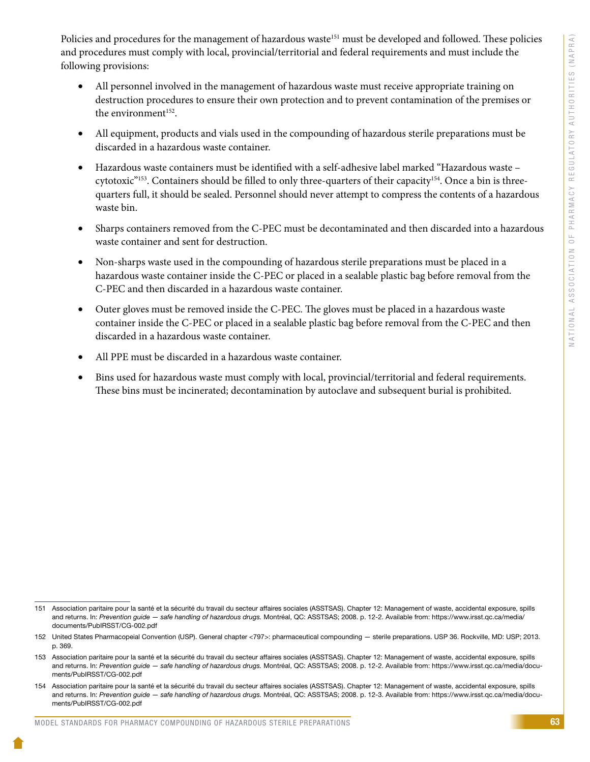Policies and procedures for the management of hazardous waste<sup>151</sup> must be developed and followed. These policies and procedures must comply with local, provincial/territorial and federal requirements and must include the following provisions:

- All personnel involved in the management of hazardous waste must receive appropriate training on destruction procedures to ensure their own protection and to prevent contamination of the premises or the environment<sup>152</sup>.
- All equipment, products and vials used in the compounding of hazardous sterile preparations must be discarded in a hazardous waste container.
- Hazardous waste containers must be identified with a self-adhesive label marked "Hazardous waste cytotoxic"<sup>153</sup>. Containers should be filled to only three-quarters of their capacity<sup>154</sup>. Once a bin is threequarters full, it should be sealed. Personnel should never attempt to compress the contents of a hazardous waste bin.
- Sharps containers removed from the C-PEC must be decontaminated and then discarded into a hazardous waste container and sent for destruction.
- Non-sharps waste used in the compounding of hazardous sterile preparations must be placed in a hazardous waste container inside the C-PEC or placed in a sealable plastic bag before removal from the C-PEC and then discarded in a hazardous waste container.
- Outer gloves must be removed inside the C-PEC. The gloves must be placed in a hazardous waste container inside the C-PEC or placed in a sealable plastic bag before removal from the C-PEC and then discarded in a hazardous waste container.
- All PPE must be discarded in a hazardous waste container.
- Bins used for hazardous waste must comply with local, provincial/territorial and federal requirements. These bins must be incinerated; decontamination by autoclave and subsequent burial is prohibited.

<sup>151</sup> Association paritaire pour la santé et la sécurité du travail du secteur affaires sociales (ASSTSAS). Chapter 12: Management of waste, accidental exposure, spills and returns. In: *Prevention guide — safe handling of hazardous drugs.* Montréal, QC: ASSTSAS; 2008. p. 12-2. Available from: https://www.irsst.qc.ca/media/ documents/PubIRSST/CG-002.pdf

<sup>152</sup> United States Pharmacopeial Convention (USP). General chapter <797>: pharmaceutical compounding — sterile preparations. USP 36. Rockville, MD: USP; 2013. p. 369.

<sup>153</sup> Association paritaire pour la santé et la sécurité du travail du secteur affaires sociales (ASSTSAS). Chapter 12: Management of waste, accidental exposure, spills and returns. In: *Prevention guide — safe handling of hazardous drugs.* Montréal, QC: ASSTSAS; 2008. p. 12-2. Available from: https://www.irsst.qc.ca/media/documents/PubIRSST/CG-002.pdf

<sup>154</sup> Association paritaire pour la santé et la sécurité du travail du secteur affaires sociales (ASSTSAS). Chapter 12: Management of waste, accidental exposure, spills and returns. In: *Prevention guide — safe handling of hazardous drugs.* Montréal, QC: ASSTSAS; 2008. p. 12-3. Available from: https://www.irsst.qc.ca/media/documents/PubIRSST/CG-002.pdf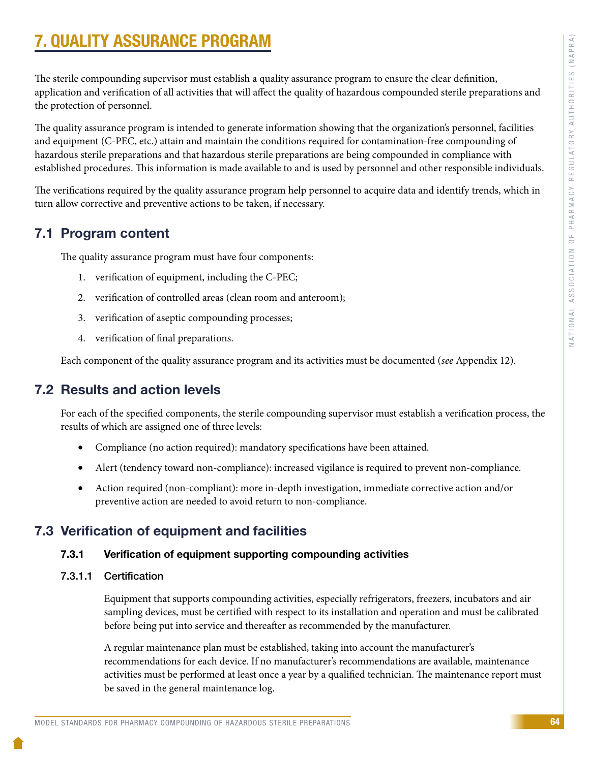# 7. QUALITY ASSURANCE PROGRAM

The sterile compounding supervisor must establish a quality assurance program to ensure the clear definition, application and verification of all activities that will affect the quality of hazardous compounded sterile preparations and the protection of personnel.

The quality assurance program is intended to generate information showing that the organization's personnel, facilities and equipment (C-PEC, etc.) attain and maintain the conditions required for contamination-free compounding of hazardous sterile preparations and that hazardous sterile preparations are being compounded in compliance with established procedures. This information is made available to and is used by personnel and other responsible individuals.

The verifications required by the quality assurance program help personnel to acquire data and identify trends, which in turn allow corrective and preventive actions to be taken, if necessary.

## 7.1 Program content

The quality assurance program must have four components:

- 1. verification of equipment, including the C-PEC;
- 2. verification of controlled areas (clean room and anteroom);
- 3. verification of aseptic compounding processes;
- 4. verification of final preparations.

Each component of the quality assurance program and its activities must be documented (*see* Appendix 12).

## 7.2 Results and action levels

For each of the specified components, the sterile compounding supervisor must establish a verification process, the results of which are assigned one of three levels:

- Compliance (no action required): mandatory specifications have been attained.
- Alert (tendency toward non-compliance): increased vigilance is required to prevent non-compliance.
- Action required (non-compliant): more in-depth investigation, immediate corrective action and/or preventive action are needed to avoid return to non-compliance.

## 7.3 Verification of equipment and facilities

#### 7.3.1 Verification of equipment supporting compounding activities

7.3.1.1 Certification

Equipment that supports compounding activities, especially refrigerators, freezers, incubators and air sampling devices, must be certified with respect to its installation and operation and must be calibrated before being put into service and thereafter as recommended by the manufacturer.

A regular maintenance plan must be established, taking into account the manufacturer's recommendations for each device. If no manufacturer's recommendations are available, maintenance activities must be performed at least once a year by a qualified technician. The maintenance report must be saved in the general maintenance log.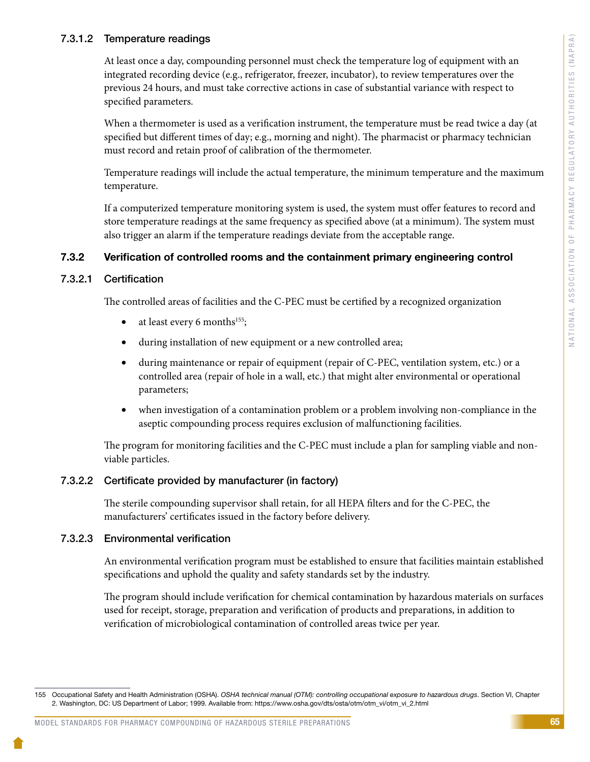#### 7.3.1.2 Temperature readings

At least once a day, compounding personnel must check the temperature log of equipment with an integrated recording device (e.g., refrigerator, freezer, incubator), to review temperatures over the previous 24 hours, and must take corrective actions in case of substantial variance with respect to specified parameters.

When a thermometer is used as a verification instrument, the temperature must be read twice a day (at specified but different times of day; e.g., morning and night). The pharmacist or pharmacy technician must record and retain proof of calibration of the thermometer.

Temperature readings will include the actual temperature, the minimum temperature and the maximum temperature.

If a computerized temperature monitoring system is used, the system must offer features to record and store temperature readings at the same frequency as specified above (at a minimum). The system must also trigger an alarm if the temperature readings deviate from the acceptable range.

#### 7.3.2 Verification of controlled rooms and the containment primary engineering control

#### 7.3.2.1 Certification

The controlled areas of facilities and the C-PEC must be certified by a recognized organization

- at least every 6 months<sup>155</sup>;
- • during installation of new equipment or a new controlled area;
- during maintenance or repair of equipment (repair of C-PEC, ventilation system, etc.) or a controlled area (repair of hole in a wall, etc.) that might alter environmental or operational parameters;
- when investigation of a contamination problem or a problem involving non-compliance in the aseptic compounding process requires exclusion of malfunctioning facilities.

The program for monitoring facilities and the C-PEC must include a plan for sampling viable and nonviable particles.

#### 7.3.2.2 Certificate provided by manufacturer (in factory)

The sterile compounding supervisor shall retain, for all HEPA filters and for the C-PEC, the manufacturers' certificates issued in the factory before delivery.

#### 7.3.2.3 Environmental verification

An environmental verification program must be established to ensure that facilities maintain established specifications and uphold the quality and safety standards set by the industry.

The program should include verification for chemical contamination by hazardous materials on surfaces used for receipt, storage, preparation and verification of products and preparations, in addition to verification of microbiological contamination of controlled areas twice per year.

<sup>155</sup> Occupational Safety and Health Administration (OSHA). *OSHA technical manual (OTM): controlling occupational exposure to hazardous drugs*. Section VI, Chapter 2. Washington, DC: US Department of Labor; 1999. Available from: https://www.osha.gov/dts/osta/otm/otm\_vi/otm\_vi\_2.html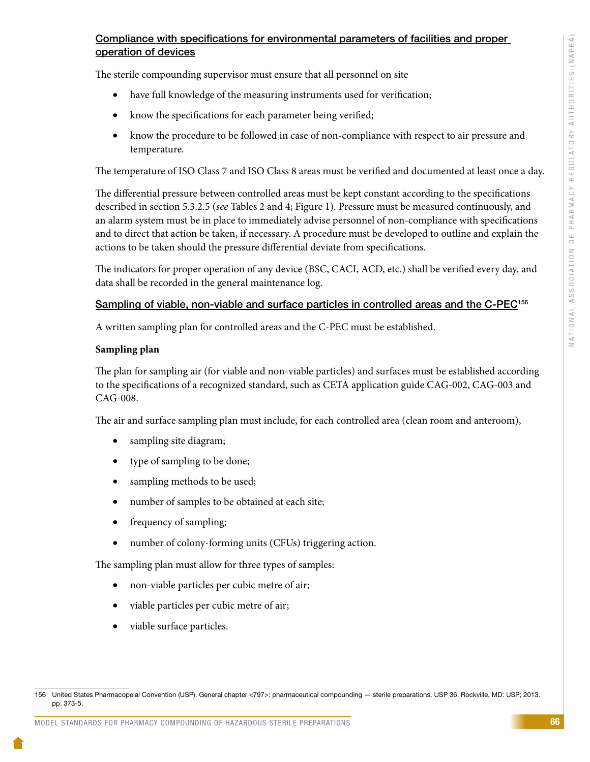### Compliance with specifications for environmental parameters of facilities and proper operation of devices

The sterile compounding supervisor must ensure that all personnel on site

- have full knowledge of the measuring instruments used for verification;
- know the specifications for each parameter being verified;
- know the procedure to be followed in case of non-compliance with respect to air pressure and temperature.

The temperature of ISO Class 7 and ISO Class 8 areas must be verified and documented at least once a day.

The differential pressure between controlled areas must be kept constant according to the specifications described in section 5.3.2.5 (*see* Tables 2 and 4; Figure 1). Pressure must be measured continuously, and an alarm system must be in place to immediately advise personnel of non-compliance with specifications and to direct that action be taken, if necessary. A procedure must be developed to outline and explain the actions to be taken should the pressure differential deviate from specifications.

The indicators for proper operation of any device (BSC, CACI, ACD, etc.) shall be verified every day, and data shall be recorded in the general maintenance log.

#### Sampling of viable, non-viable and surface particles in controlled areas and the C-PEC<sup>156</sup>

A written sampling plan for controlled areas and the C-PEC must be established.

#### **Sampling plan**

The plan for sampling air (for viable and non-viable particles) and surfaces must be established according to the specifications of a recognized standard, such as CETA application guide CAG-002, CAG-003 and CAG-008.

The air and surface sampling plan must include, for each controlled area (clean room and anteroom),

- sampling site diagram;
- type of sampling to be done;
- sampling methods to be used;
- number of samples to be obtained at each site;
- frequency of sampling;
- number of colony-forming units (CFUs) triggering action.

The sampling plan must allow for three types of samples:

- non-viable particles per cubic metre of air;
- viable particles per cubic metre of air;
- viable surface particles.

<sup>156</sup> United States Pharmacopeial Convention (USP). General chapter <797>: pharmaceutical compounding — sterile preparations. USP 36. Rockville, MD: USP; 2013. pp. 373-5.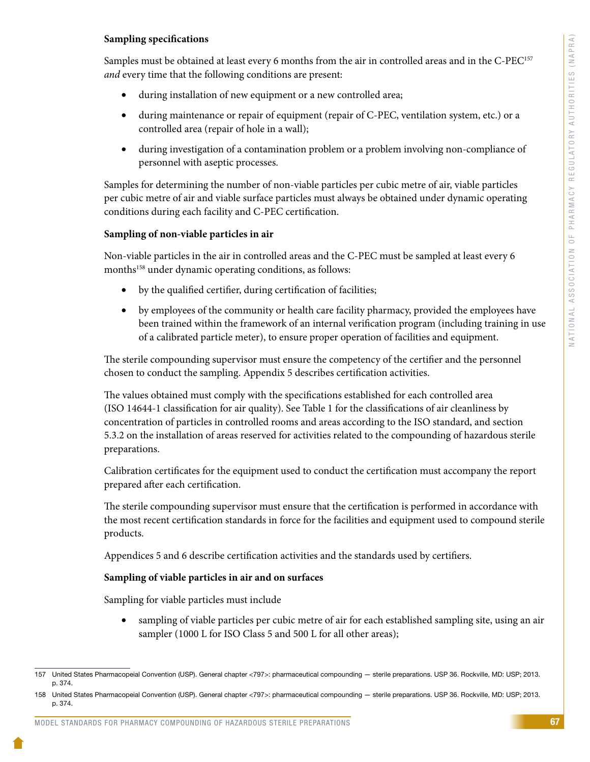#### **Sampling specifications**

Samples must be obtained at least every 6 months from the air in controlled areas and in the C-PEC<sup>157</sup> *and* every time that the following conditions are present:

- during installation of new equipment or a new controlled area;
- • during maintenance or repair of equipment (repair of C-PEC, ventilation system, etc.) or a controlled area (repair of hole in a wall);
- during investigation of a contamination problem or a problem involving non-compliance of personnel with aseptic processes.

Samples for determining the number of non-viable particles per cubic metre of air, viable particles per cubic metre of air and viable surface particles must always be obtained under dynamic operating conditions during each facility and C-PEC certification.

#### **Sampling of non-viable particles in air**

Non-viable particles in the air in controlled areas and the C-PEC must be sampled at least every 6 months<sup>158</sup> under dynamic operating conditions, as follows:

- by the qualified certifier, during certification of facilities;
- by employees of the community or health care facility pharmacy, provided the employees have been trained within the framework of an internal verification program (including training in use of a calibrated particle meter), to ensure proper operation of facilities and equipment.

The sterile compounding supervisor must ensure the competency of the certifier and the personnel chosen to conduct the sampling. Appendix 5 describes certification activities.

The values obtained must comply with the specifications established for each controlled area (ISO 14644-1 classification for air quality). See Table 1 for the classifications of air cleanliness by concentration of particles in controlled rooms and areas according to the ISO standard, and section 5.3.2 on the installation of areas reserved for activities related to the compounding of hazardous sterile preparations.

Calibration certificates for the equipment used to conduct the certification must accompany the report prepared after each certification.

The sterile compounding supervisor must ensure that the certification is performed in accordance with the most recent certification standards in force for the facilities and equipment used to compound sterile products.

Appendices 5 and 6 describe certification activities and the standards used by certifiers.

#### **Sampling of viable particles in air and on surfaces**

Sampling for viable particles must include

• sampling of viable particles per cubic metre of air for each established sampling site, using an air sampler (1000 L for ISO Class 5 and 500 L for all other areas);

<sup>157</sup> United States Pharmacopeial Convention (USP). General chapter <797>: pharmaceutical compounding — sterile preparations. USP 36. Rockville, MD: USP; 2013. p. 374.

<sup>158</sup> United States Pharmacopeial Convention (USP). General chapter <797>: pharmaceutical compounding — sterile preparations. USP 36. Rockville, MD: USP; 2013. p. 374.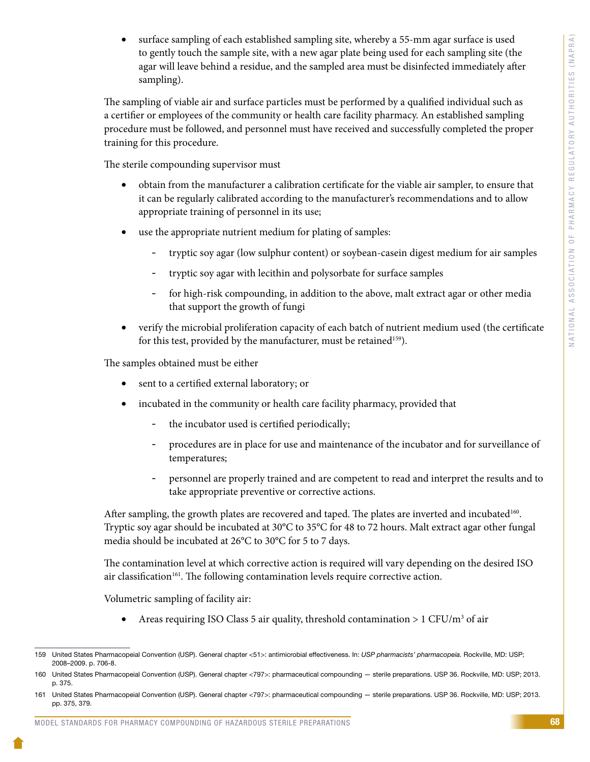surface sampling of each established sampling site, whereby a 55-mm agar surface is used to gently touch the sample site, with a new agar plate being used for each sampling site (the agar will leave behind a residue, and the sampled area must be disinfected immediately after sampling).

The sampling of viable air and surface particles must be performed by a qualified individual such as a certifier or employees of the community or health care facility pharmacy. An established sampling procedure must be followed, and personnel must have received and successfully completed the proper training for this procedure.

The sterile compounding supervisor must

- obtain from the manufacturer a calibration certificate for the viable air sampler, to ensure that it can be regularly calibrated according to the manufacturer's recommendations and to allow appropriate training of personnel in its use;
- use the appropriate nutrient medium for plating of samples:
	- tryptic soy agar (low sulphur content) or soybean-casein digest medium for air samples
	- tryptic soy agar with lecithin and polysorbate for surface samples
	- for high-risk compounding, in addition to the above, malt extract agar or other media that support the growth of fungi
- verify the microbial proliferation capacity of each batch of nutrient medium used (the certificate for this test, provided by the manufacturer, must be retained<sup>159</sup>).

The samples obtained must be either

- sent to a certified external laboratory; or
- incubated in the community or health care facility pharmacy, provided that
	- the incubator used is certified periodically;
	- procedures are in place for use and maintenance of the incubator and for surveillance of temperatures;
	- personnel are properly trained and are competent to read and interpret the results and to take appropriate preventive or corrective actions.

After sampling, the growth plates are recovered and taped. The plates are inverted and incubated<sup>160</sup>. Tryptic soy agar should be incubated at 30°C to 35°C for 48 to 72 hours. Malt extract agar other fungal media should be incubated at 26°C to 30°C for 5 to 7 days.

The contamination level at which corrective action is required will vary depending on the desired ISO air classification<sup>161</sup>. The following contamination levels require corrective action.

Volumetric sampling of facility air:

• Areas requiring ISO Class 5 air quality, threshold contamination > 1 CFU/m<sup>3</sup> of air

<sup>159</sup> United States Pharmacopeial Convention (USP). General chapter <51>: antimicrobial effectiveness. In: *USP pharmacists' pharmacopeia.* Rockville, MD: USP; 2008–2009. p. 706-8.

<sup>160</sup> United States Pharmacopeial Convention (USP). General chapter <797>: pharmaceutical compounding — sterile preparations. USP 36. Rockville, MD: USP; 2013. p. 375.

<sup>161</sup> United States Pharmacopeial Convention (USP). General chapter <797>: pharmaceutical compounding — sterile preparations. USP 36. Rockville, MD: USP; 2013. pp. 375, 379.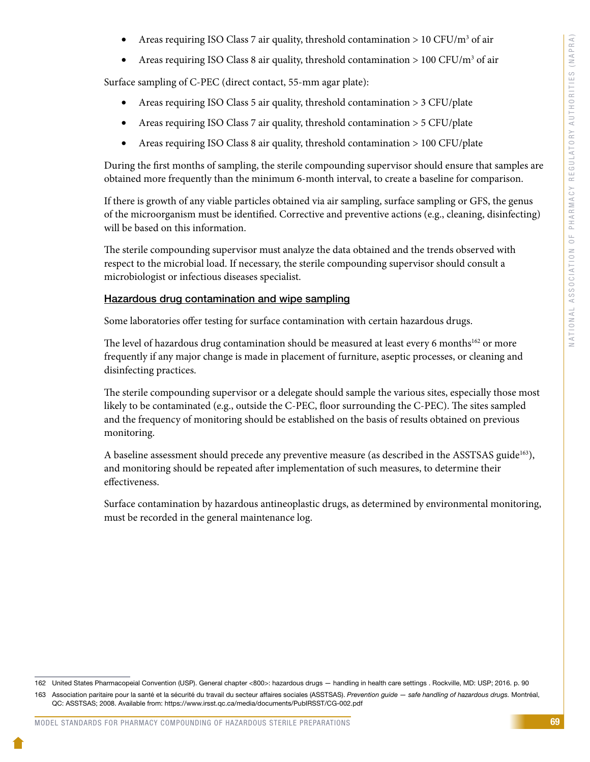- Areas requiring ISO Class 7 air quality, threshold contamination  $> 10$  CFU/m<sup>3</sup> of air
- Areas requiring ISO Class 8 air quality, threshold contamination > 100 CFU/m<sup>3</sup> of air

Surface sampling of C-PEC (direct contact, 55-mm agar plate):

- Areas requiring ISO Class 5 air quality, threshold contamination > 3 CFU/plate
- Areas requiring ISO Class 7 air quality, threshold contamination > 5 CFU/plate
- Areas requiring ISO Class 8 air quality, threshold contamination > 100 CFU/plate

During the first months of sampling, the sterile compounding supervisor should ensure that samples are obtained more frequently than the minimum 6-month interval, to create a baseline for comparison.

If there is growth of any viable particles obtained via air sampling, surface sampling or GFS, the genus of the microorganism must be identified. Corrective and preventive actions (e.g., cleaning, disinfecting) will be based on this information.

The sterile compounding supervisor must analyze the data obtained and the trends observed with respect to the microbial load. If necessary, the sterile compounding supervisor should consult a microbiologist or infectious diseases specialist.

#### Hazardous drug contamination and wipe sampling

Some laboratories offer testing for surface contamination with certain hazardous drugs.

The level of hazardous drug contamination should be measured at least every 6 months<sup>162</sup> or more frequently if any major change is made in placement of furniture, aseptic processes, or cleaning and disinfecting practices.

The sterile compounding supervisor or a delegate should sample the various sites, especially those most likely to be contaminated (e.g., outside the C-PEC, floor surrounding the C-PEC). The sites sampled and the frequency of monitoring should be established on the basis of results obtained on previous monitoring.

A baseline assessment should precede any preventive measure (as described in the ASSTSAS guide<sup>163</sup>), and monitoring should be repeated after implementation of such measures, to determine their effectiveness.

Surface contamination by hazardous antineoplastic drugs, as determined by environmental monitoring, must be recorded in the general maintenance log.

<sup>162</sup> United States Pharmacopeial Convention (USP). General chapter <800>: hazardous drugs — handling in health care settings . Rockville, MD: USP; 2016. p. 90

<sup>163</sup> Association paritaire pour la santé et la sécurité du travail du secteur affaires sociales (ASSTSAS). *Prevention guide — safe handling of hazardous drugs.* Montréal, QC: ASSTSAS; 2008. Available from: https://www.irsst.qc.ca/media/documents/PubIRSST/CG-002.pdf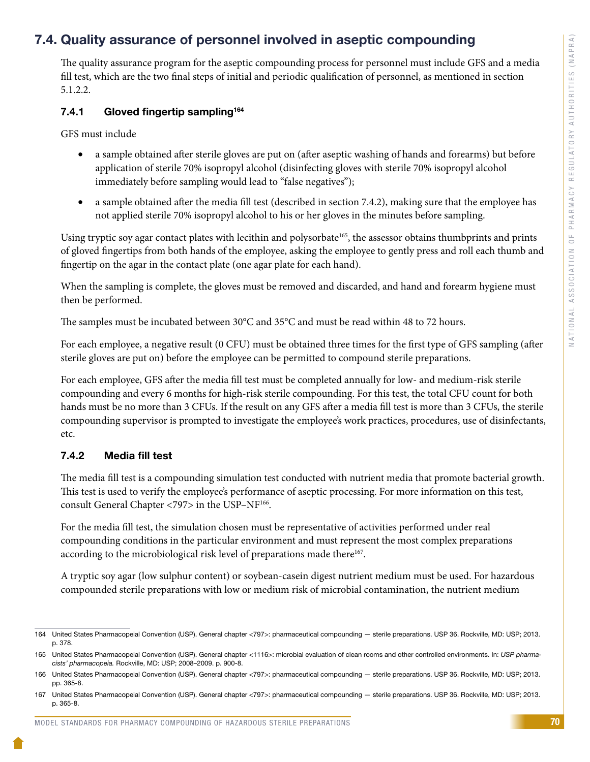# 7.4. Quality assurance of personnel involved in aseptic compounding

The quality assurance program for the aseptic compounding process for personnel must include GFS and a media fill test, which are the two final steps of initial and periodic qualification of personnel, as mentioned in section 5.1.2.2.

## 7.4.1 Gloved fingertip sampling<sup>164</sup>

GFS must include

- a sample obtained after sterile gloves are put on (after aseptic washing of hands and forearms) but before application of sterile 70% isopropyl alcohol (disinfecting gloves with sterile 70% isopropyl alcohol immediately before sampling would lead to "false negatives");
- a sample obtained after the media fill test (described in section 7.4.2), making sure that the employee has not applied sterile 70% isopropyl alcohol to his or her gloves in the minutes before sampling.

Using tryptic soy agar contact plates with lecithin and polysorbate<sup>165</sup>, the assessor obtains thumbprints and prints of gloved fingertips from both hands of the employee, asking the employee to gently press and roll each thumb and fingertip on the agar in the contact plate (one agar plate for each hand).

When the sampling is complete, the gloves must be removed and discarded, and hand and forearm hygiene must then be performed.

The samples must be incubated between 30°C and 35°C and must be read within 48 to 72 hours.

For each employee, a negative result (0 CFU) must be obtained three times for the first type of GFS sampling (after sterile gloves are put on) before the employee can be permitted to compound sterile preparations.

For each employee, GFS after the media fill test must be completed annually for low- and medium-risk sterile compounding and every 6 months for high-risk sterile compounding. For this test, the total CFU count for both hands must be no more than 3 CFUs. If the result on any GFS after a media fill test is more than 3 CFUs, the sterile compounding supervisor is prompted to investigate the employee's work practices, procedures, use of disinfectants, etc.

## 7.4.2 Media fill test

The media fill test is a compounding simulation test conducted with nutrient media that promote bacterial growth. This test is used to verify the employee's performance of aseptic processing. For more information on this test, consult General Chapter <797> in the USP–NF166.

For the media fill test, the simulation chosen must be representative of activities performed under real compounding conditions in the particular environment and must represent the most complex preparations according to the microbiological risk level of preparations made there<sup>167</sup>.

A tryptic soy agar (low sulphur content) or soybean-casein digest nutrient medium must be used. For hazardous compounded sterile preparations with low or medium risk of microbial contamination, the nutrient medium

<sup>164</sup> United States Pharmacopeial Convention (USP). General chapter <797>: pharmaceutical compounding — sterile preparations. USP 36. Rockville, MD: USP; 2013. p. 378.

<sup>165</sup> United States Pharmacopeial Convention (USP). General chapter <1116>: microbial evaluation of clean rooms and other controlled environments. In: *USP pharmacists' pharmacopeia.* Rockville, MD: USP; 2008–2009. p. 900-8.

<sup>166</sup> United States Pharmacopeial Convention (USP). General chapter <797>: pharmaceutical compounding — sterile preparations. USP 36. Rockville, MD: USP; 2013. pp. 365-8.

<sup>167</sup> United States Pharmacopeial Convention (USP). General chapter <797>: pharmaceutical compounding — sterile preparations. USP 36. Rockville, MD: USP; 2013. p. 365-8.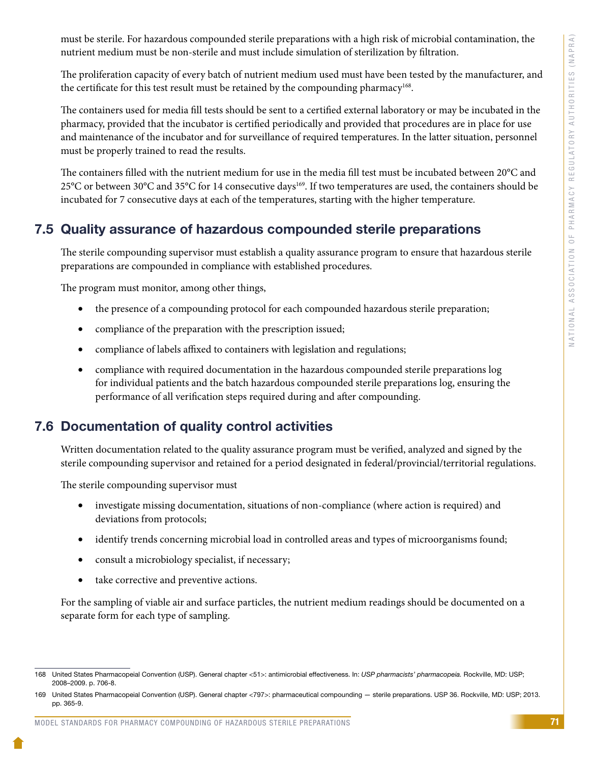must be sterile. For hazardous compounded sterile preparations with a high risk of microbial contamination, the nutrient medium must be non-sterile and must include simulation of sterilization by filtration.

The proliferation capacity of every batch of nutrient medium used must have been tested by the manufacturer, and the certificate for this test result must be retained by the compounding pharmacy<sup>168</sup>.

The containers used for media fill tests should be sent to a certified external laboratory or may be incubated in the pharmacy, provided that the incubator is certified periodically and provided that procedures are in place for use and maintenance of the incubator and for surveillance of required temperatures. In the latter situation, personnel must be properly trained to read the results.

The containers filled with the nutrient medium for use in the media fill test must be incubated between 20°C and 25°C or between 30°C and 35°C for 14 consecutive days<sup>169</sup>. If two temperatures are used, the containers should be incubated for 7 consecutive days at each of the temperatures, starting with the higher temperature.

# 7.5 Quality assurance of hazardous compounded sterile preparations

The sterile compounding supervisor must establish a quality assurance program to ensure that hazardous sterile preparations are compounded in compliance with established procedures.

The program must monitor, among other things,

- the presence of a compounding protocol for each compounded hazardous sterile preparation;
- compliance of the preparation with the prescription issued;
- compliance of labels affixed to containers with legislation and regulations;
- compliance with required documentation in the hazardous compounded sterile preparations log for individual patients and the batch hazardous compounded sterile preparations log, ensuring the performance of all verification steps required during and after compounding.

# 7.6 Documentation of quality control activities

Written documentation related to the quality assurance program must be verified, analyzed and signed by the sterile compounding supervisor and retained for a period designated in federal/provincial/territorial regulations.

The sterile compounding supervisor must

- investigate missing documentation, situations of non-compliance (where action is required) and deviations from protocols;
- identify trends concerning microbial load in controlled areas and types of microorganisms found;
- consult a microbiology specialist, if necessary;
- take corrective and preventive actions.

For the sampling of viable air and surface particles, the nutrient medium readings should be documented on a separate form for each type of sampling.

<sup>168</sup> United States Pharmacopeial Convention (USP). General chapter <51>: antimicrobial effectiveness. In: *USP pharmacists' pharmacopeia.* Rockville, MD: USP; 2008–2009. p. 706-8.

<sup>169</sup> United States Pharmacopeial Convention (USP). General chapter <797>: pharmaceutical compounding — sterile preparations. USP 36. Rockville, MD: USP; 2013. pp. 365-9.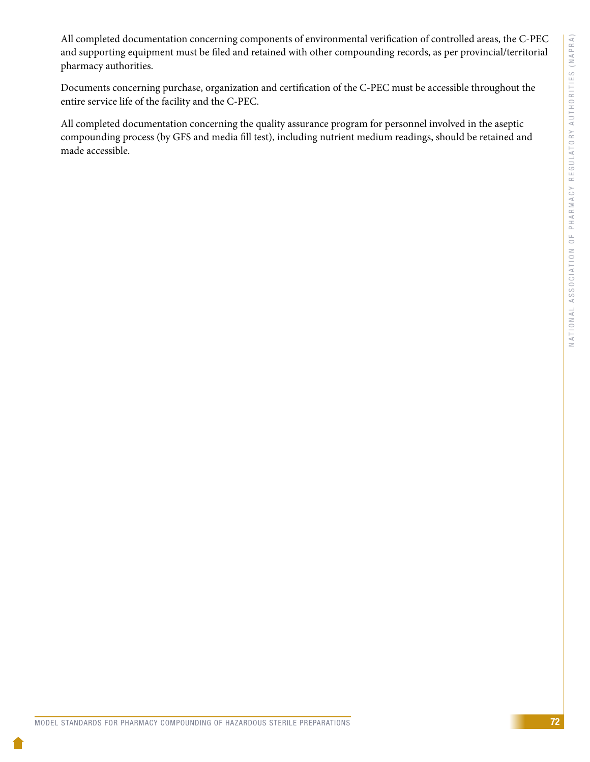All completed documentation concerning components of environmental verification of controlled areas, the C-PEC and supporting equipment must be filed and retained with other compounding records, as per provincial/territorial pharmacy authorities.

Documents concerning purchase, organization and certification of the C-PEC must be accessible throughout the entire service life of the facility and the C-PEC.

All completed documentation concerning the quality assurance program for personnel involved in the aseptic compounding process (by GFS and media fill test), including nutrient medium readings, should be retained and made accessible.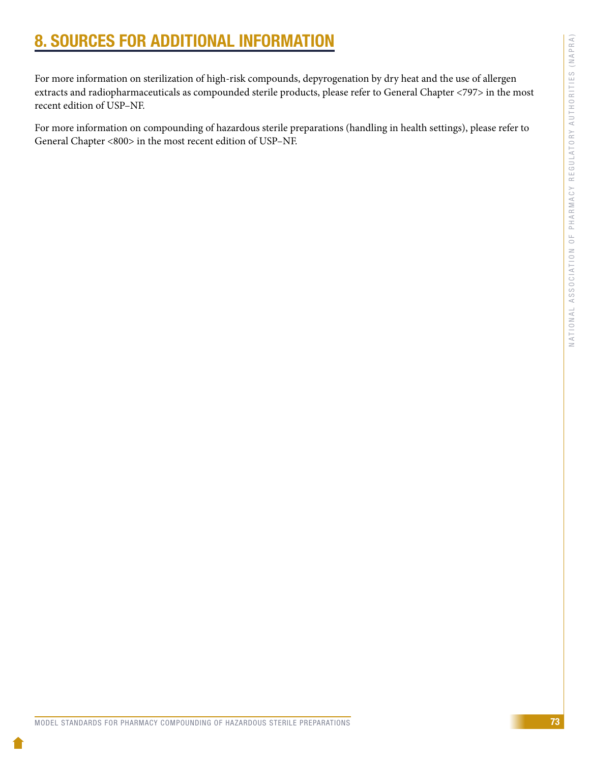# 8. SOURCES FOR ADDITIONAL INFORMATION

For more information on sterilization of high-risk compounds, depyrogenation by dry heat and the use of allergen extracts and radiopharmaceuticals as compounded sterile products, please refer to General Chapter <797> in the most recent edition of USP–NF.

For more information on compounding of hazardous sterile preparations (handling in health settings), please refer to General Chapter <800> in the most recent edition of USP–NF.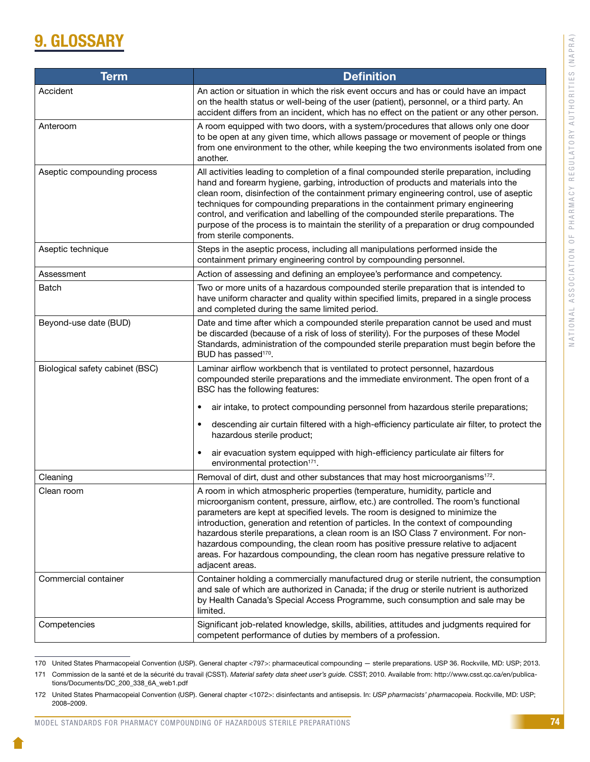# **GLOSSARY**

| <b>Term</b>                     | <b>Definition</b>                                                                                                                                                                                                                                                                                                                                                                                                                                                                                                                                                                                                                |
|---------------------------------|----------------------------------------------------------------------------------------------------------------------------------------------------------------------------------------------------------------------------------------------------------------------------------------------------------------------------------------------------------------------------------------------------------------------------------------------------------------------------------------------------------------------------------------------------------------------------------------------------------------------------------|
| Accident                        | An action or situation in which the risk event occurs and has or could have an impact<br>on the health status or well-being of the user (patient), personnel, or a third party. An<br>accident differs from an incident, which has no effect on the patient or any other person.                                                                                                                                                                                                                                                                                                                                                 |
| Anteroom                        | A room equipped with two doors, with a system/procedures that allows only one door<br>to be open at any given time, which allows passage or movement of people or things<br>from one environment to the other, while keeping the two environments isolated from one<br>another.                                                                                                                                                                                                                                                                                                                                                  |
| Aseptic compounding process     | All activities leading to completion of a final compounded sterile preparation, including<br>hand and forearm hygiene, garbing, introduction of products and materials into the<br>clean room, disinfection of the containment primary engineering control, use of aseptic<br>techniques for compounding preparations in the containment primary engineering<br>control, and verification and labelling of the compounded sterile preparations. The<br>purpose of the process is to maintain the sterility of a preparation or drug compounded<br>from sterile components.                                                       |
| Aseptic technique               | Steps in the aseptic process, including all manipulations performed inside the<br>containment primary engineering control by compounding personnel.                                                                                                                                                                                                                                                                                                                                                                                                                                                                              |
| Assessment                      | Action of assessing and defining an employee's performance and competency.                                                                                                                                                                                                                                                                                                                                                                                                                                                                                                                                                       |
| Batch                           | Two or more units of a hazardous compounded sterile preparation that is intended to<br>have uniform character and quality within specified limits, prepared in a single process<br>and completed during the same limited period.                                                                                                                                                                                                                                                                                                                                                                                                 |
| Beyond-use date (BUD)           | Date and time after which a compounded sterile preparation cannot be used and must<br>be discarded (because of a risk of loss of sterility). For the purposes of these Model<br>Standards, administration of the compounded sterile preparation must begin before the<br>BUD has passed <sup>170</sup> .                                                                                                                                                                                                                                                                                                                         |
| Biological safety cabinet (BSC) | Laminar airflow workbench that is ventilated to protect personnel, hazardous<br>compounded sterile preparations and the immediate environment. The open front of a<br>BSC has the following features:                                                                                                                                                                                                                                                                                                                                                                                                                            |
|                                 | air intake, to protect compounding personnel from hazardous sterile preparations;<br>٠                                                                                                                                                                                                                                                                                                                                                                                                                                                                                                                                           |
|                                 | descending air curtain filtered with a high-efficiency particulate air filter, to protect the<br>٠<br>hazardous sterile product;                                                                                                                                                                                                                                                                                                                                                                                                                                                                                                 |
|                                 | air evacuation system equipped with high-efficiency particulate air filters for<br>٠<br>environmental protection <sup>171</sup> .                                                                                                                                                                                                                                                                                                                                                                                                                                                                                                |
| Cleaning                        | Removal of dirt, dust and other substances that may host microorganisms <sup>172</sup> .                                                                                                                                                                                                                                                                                                                                                                                                                                                                                                                                         |
| Clean room                      | A room in which atmospheric properties (temperature, humidity, particle and<br>microorganism content, pressure, airflow, etc.) are controlled. The room's functional<br>parameters are kept at specified levels. The room is designed to minimize the<br>introduction, generation and retention of particles. In the context of compounding<br>hazardous sterile preparations, a clean room is an ISO Class 7 environment. For non-<br>hazardous compounding, the clean room has positive pressure relative to adjacent<br>areas. For hazardous compounding, the clean room has negative pressure relative to<br>adjacent areas. |
| Commercial container            | Container holding a commercially manufactured drug or sterile nutrient, the consumption<br>and sale of which are authorized in Canada; if the drug or sterile nutrient is authorized<br>by Health Canada's Special Access Programme, such consumption and sale may be<br>limited.                                                                                                                                                                                                                                                                                                                                                |
| Competencies                    | Significant job-related knowledge, skills, abilities, attitudes and judgments required for<br>competent performance of duties by members of a profession.                                                                                                                                                                                                                                                                                                                                                                                                                                                                        |

<sup>170</sup> United States Pharmacopeial Convention (USP). General chapter <797>: pharmaceutical compounding — sterile preparations. USP 36. Rockville, MD: USP; 2013.

<sup>171</sup> Commission de la santé et de la sécurité du travail (CSST). *Material safety data sheet user's guide.* CSST; 2010. Available from: http://www.csst.qc.ca/en/publications/Documents/DC\_200\_338\_6A\_web1.pdf

<sup>172</sup> United States Pharmacopeial Convention (USP). General chapter <1072>: disinfectants and antisepsis. In: *USP pharmacists' pharmacopeia*. Rockville, MD: USP; 2008–2009.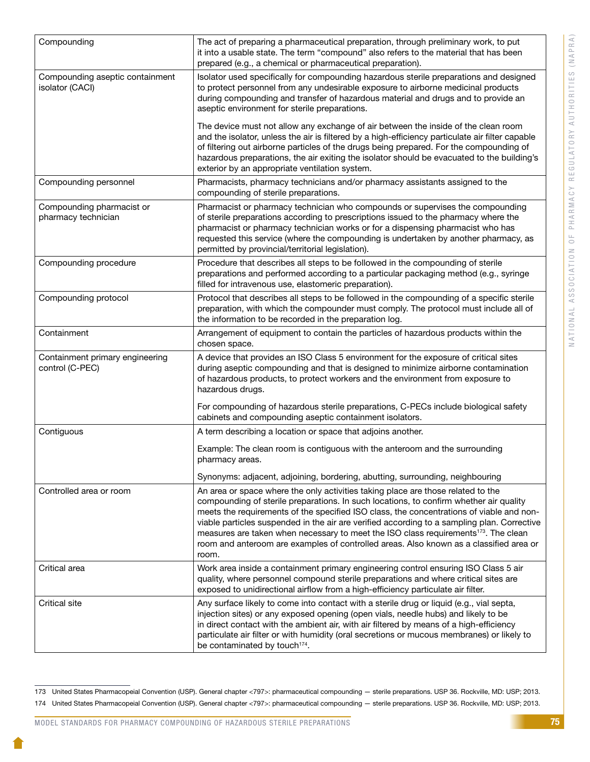| Compounding                                        | The act of preparing a pharmaceutical preparation, through preliminary work, to put<br>it into a usable state. The term "compound" also refers to the material that has been<br>prepared (e.g., a chemical or pharmaceutical preparation).                                                                                                                                                                                                                                                                                                                                  |
|----------------------------------------------------|-----------------------------------------------------------------------------------------------------------------------------------------------------------------------------------------------------------------------------------------------------------------------------------------------------------------------------------------------------------------------------------------------------------------------------------------------------------------------------------------------------------------------------------------------------------------------------|
| Compounding aseptic containment<br>isolator (CACI) | Isolator used specifically for compounding hazardous sterile preparations and designed<br>to protect personnel from any undesirable exposure to airborne medicinal products<br>during compounding and transfer of hazardous material and drugs and to provide an<br>aseptic environment for sterile preparations.                                                                                                                                                                                                                                                           |
|                                                    | The device must not allow any exchange of air between the inside of the clean room<br>and the isolator, unless the air is filtered by a high-efficiency particulate air filter capable<br>of filtering out airborne particles of the drugs being prepared. For the compounding of<br>hazardous preparations, the air exiting the isolator should be evacuated to the building's<br>exterior by an appropriate ventilation system.                                                                                                                                           |
| Compounding personnel                              | Pharmacists, pharmacy technicians and/or pharmacy assistants assigned to the<br>compounding of sterile preparations.                                                                                                                                                                                                                                                                                                                                                                                                                                                        |
| Compounding pharmacist or<br>pharmacy technician   | Pharmacist or pharmacy technician who compounds or supervises the compounding<br>of sterile preparations according to prescriptions issued to the pharmacy where the<br>pharmacist or pharmacy technician works or for a dispensing pharmacist who has<br>requested this service (where the compounding is undertaken by another pharmacy, as<br>permitted by provincial/territorial legislation).                                                                                                                                                                          |
| Compounding procedure                              | Procedure that describes all steps to be followed in the compounding of sterile<br>preparations and performed according to a particular packaging method (e.g., syringe<br>filled for intravenous use, elastomeric preparation).                                                                                                                                                                                                                                                                                                                                            |
| Compounding protocol                               | Protocol that describes all steps to be followed in the compounding of a specific sterile<br>preparation, with which the compounder must comply. The protocol must include all of<br>the information to be recorded in the preparation log.                                                                                                                                                                                                                                                                                                                                 |
| Containment                                        | Arrangement of equipment to contain the particles of hazardous products within the<br>chosen space.                                                                                                                                                                                                                                                                                                                                                                                                                                                                         |
| Containment primary engineering<br>control (C-PEC) | A device that provides an ISO Class 5 environment for the exposure of critical sites<br>during aseptic compounding and that is designed to minimize airborne contamination<br>of hazardous products, to protect workers and the environment from exposure to<br>hazardous drugs.                                                                                                                                                                                                                                                                                            |
|                                                    | For compounding of hazardous sterile preparations, C-PECs include biological safety<br>cabinets and compounding aseptic containment isolators.                                                                                                                                                                                                                                                                                                                                                                                                                              |
| Contiguous                                         | A term describing a location or space that adjoins another.                                                                                                                                                                                                                                                                                                                                                                                                                                                                                                                 |
|                                                    | Example: The clean room is contiguous with the anteroom and the surrounding<br>pharmacy areas.                                                                                                                                                                                                                                                                                                                                                                                                                                                                              |
|                                                    | Synonyms: adjacent, adjoining, bordering, abutting, surrounding, neighbouring                                                                                                                                                                                                                                                                                                                                                                                                                                                                                               |
| Controlled area or room                            | An area or space where the only activities taking place are those related to the<br>compounding of sterile preparations. In such locations, to confirm whether air quality<br>meets the requirements of the specified ISO class, the concentrations of viable and non-<br>viable particles suspended in the air are verified according to a sampling plan. Corrective<br>measures are taken when necessary to meet the ISO class requirements <sup>173</sup> . The clean<br>room and anteroom are examples of controlled areas. Also known as a classified area or<br>room. |
| Critical area                                      | Work area inside a containment primary engineering control ensuring ISO Class 5 air<br>quality, where personnel compound sterile preparations and where critical sites are<br>exposed to unidirectional airflow from a high-efficiency particulate air filter.                                                                                                                                                                                                                                                                                                              |
| <b>Critical site</b>                               | Any surface likely to come into contact with a sterile drug or liquid (e.g., vial septa,<br>injection sites) or any exposed opening (open vials, needle hubs) and likely to be<br>in direct contact with the ambient air, with air filtered by means of a high-efficiency<br>particulate air filter or with humidity (oral secretions or mucous membranes) or likely to<br>be contaminated by touch <sup>174</sup> .                                                                                                                                                        |

<sup>173</sup> United States Pharmacopeial Convention (USP). General chapter <797>: pharmaceutical compounding — sterile preparations. USP 36. Rockville, MD: USP; 2013. 174 United States Pharmacopeial Convention (USP). General chapter <797>: pharmaceutical compounding — sterile preparations. USP 36. Rockville, MD: USP; 2013.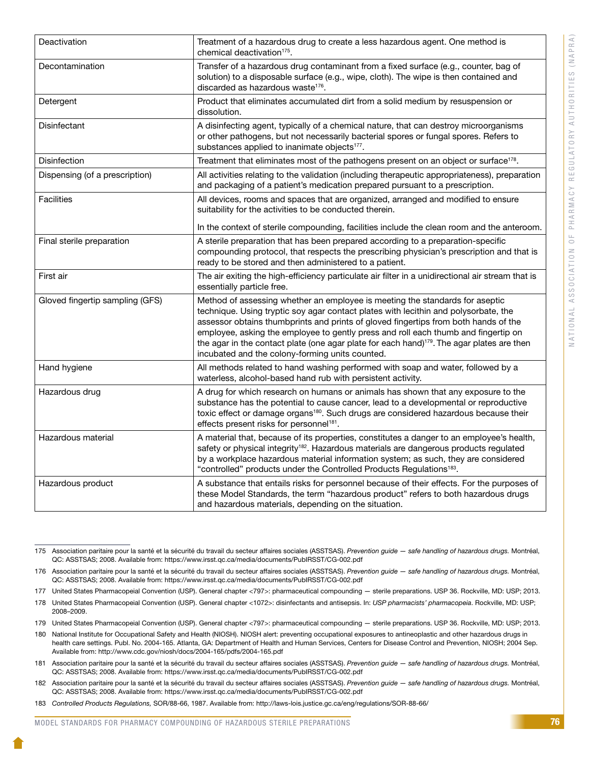| Deactivation                    | Treatment of a hazardous drug to create a less hazardous agent. One method is<br>chemical deactivation <sup>175</sup> .                                                                                                                                                                                                                                                                                                                                                                                       |
|---------------------------------|---------------------------------------------------------------------------------------------------------------------------------------------------------------------------------------------------------------------------------------------------------------------------------------------------------------------------------------------------------------------------------------------------------------------------------------------------------------------------------------------------------------|
| Decontamination                 | Transfer of a hazardous drug contaminant from a fixed surface (e.g., counter, bag of<br>solution) to a disposable surface (e.g., wipe, cloth). The wipe is then contained and<br>discarded as hazardous waste <sup>176</sup> .                                                                                                                                                                                                                                                                                |
| Detergent                       | Product that eliminates accumulated dirt from a solid medium by resuspension or<br>dissolution.                                                                                                                                                                                                                                                                                                                                                                                                               |
| Disinfectant                    | A disinfecting agent, typically of a chemical nature, that can destroy microorganisms<br>or other pathogens, but not necessarily bacterial spores or fungal spores. Refers to<br>substances applied to inanimate objects <sup>177</sup> .                                                                                                                                                                                                                                                                     |
| <b>Disinfection</b>             | Treatment that eliminates most of the pathogens present on an object or surface <sup>178</sup> .                                                                                                                                                                                                                                                                                                                                                                                                              |
| Dispensing (of a prescription)  | All activities relating to the validation (including therapeutic appropriateness), preparation<br>and packaging of a patient's medication prepared pursuant to a prescription.                                                                                                                                                                                                                                                                                                                                |
| <b>Facilities</b>               | All devices, rooms and spaces that are organized, arranged and modified to ensure<br>suitability for the activities to be conducted therein.                                                                                                                                                                                                                                                                                                                                                                  |
|                                 | In the context of sterile compounding, facilities include the clean room and the anteroom.                                                                                                                                                                                                                                                                                                                                                                                                                    |
| Final sterile preparation       | A sterile preparation that has been prepared according to a preparation-specific<br>compounding protocol, that respects the prescribing physician's prescription and that is<br>ready to be stored and then administered to a patient.                                                                                                                                                                                                                                                                        |
| First air                       | The air exiting the high-efficiency particulate air filter in a unidirectional air stream that is<br>essentially particle free.                                                                                                                                                                                                                                                                                                                                                                               |
| Gloved fingertip sampling (GFS) | Method of assessing whether an employee is meeting the standards for aseptic<br>technique. Using tryptic soy agar contact plates with lecithin and polysorbate, the<br>assessor obtains thumbprints and prints of gloved fingertips from both hands of the<br>employee, asking the employee to gently press and roll each thumb and fingertip on<br>the agar in the contact plate (one agar plate for each hand) <sup>179</sup> . The agar plates are then<br>incubated and the colony-forming units counted. |
| Hand hygiene                    | All methods related to hand washing performed with soap and water, followed by a<br>waterless, alcohol-based hand rub with persistent activity.                                                                                                                                                                                                                                                                                                                                                               |
| Hazardous drug                  | A drug for which research on humans or animals has shown that any exposure to the<br>substance has the potential to cause cancer, lead to a developmental or reproductive<br>toxic effect or damage organs <sup>180</sup> . Such drugs are considered hazardous because their<br>effects present risks for personnel <sup>181</sup> .                                                                                                                                                                         |
| Hazardous material              | A material that, because of its properties, constitutes a danger to an employee's health,<br>safety or physical integrity <sup>182</sup> . Hazardous materials are dangerous products regulated<br>by a workplace hazardous material information system; as such, they are considered<br>"controlled" products under the Controlled Products Regulations <sup>183</sup> .                                                                                                                                     |
| Hazardous product               | A substance that entails risks for personnel because of their effects. For the purposes of<br>these Model Standards, the term "hazardous product" refers to both hazardous drugs<br>and hazardous materials, depending on the situation.                                                                                                                                                                                                                                                                      |

<sup>175</sup> Association paritaire pour la santé et la sécurité du travail du secteur affaires sociales (ASSTSAS). *Prevention guide — safe handling of hazardous drugs.* Montréal, QC: ASSTSAS; 2008. Available from: https://www.irsst.qc.ca/media/documents/PubIRSST/CG-002.pdf

<sup>176</sup> Association paritaire pour la santé et la sécurité du travail du secteur affaires sociales (ASSTSAS). *Prevention guide — safe handling of hazardous drugs.* Montréal, QC: ASSTSAS; 2008. Available from: https://www.irsst.qc.ca/media/documents/PubIRSST/CG-002.pdf

<sup>177</sup> United States Pharmacopeial Convention (USP). General chapter <797>: pharmaceutical compounding — sterile preparations. USP 36. Rockville, MD: USP; 2013.

<sup>178</sup> United States Pharmacopeial Convention (USP). General chapter <1072>: disinfectants and antisepsis. In: *USP pharmacists' pharmacopeia*. Rockville, MD: USP; 2008–2009.

<sup>179</sup> United States Pharmacopeial Convention (USP). General chapter <797>: pharmaceutical compounding — sterile preparations. USP 36. Rockville, MD: USP; 2013.

<sup>180</sup> National Institute for Occupational Safety and Health (NIOSH). NIOSH alert: preventing occupational exposures to antineoplastic and other hazardous drugs in health care settings. Publ. No. 2004-165. Atlanta, GA: Department of Health and Human Services, Centers for Disease Control and Prevention, NIOSH; 2004 Sep. Available from: http://www.cdc.gov/niosh/docs/2004-165/pdfs/2004-165.pdf

<sup>181</sup> Association paritaire pour la santé et la sécurité du travail du secteur affaires sociales (ASSTSAS). *Prevention guide — safe handling of hazardous drugs.* Montréal, QC: ASSTSAS; 2008. Available from: https://www.irsst.qc.ca/media/documents/PubIRSST/CG-002.pdf

<sup>182</sup> Association paritaire pour la santé et la sécurité du travail du secteur affaires sociales (ASSTSAS). *Prevention guide — safe handling of hazardous drugs.* Montréal, QC: ASSTSAS; 2008. Available from: https://www.irsst.qc.ca/media/documents/PubIRSST/CG-002.pdf

<sup>183</sup> *Controlled Products Regulations,* SOR/88-66, 1987. Available from: http://laws-lois.justice.gc.ca/eng/regulations/SOR-88-66/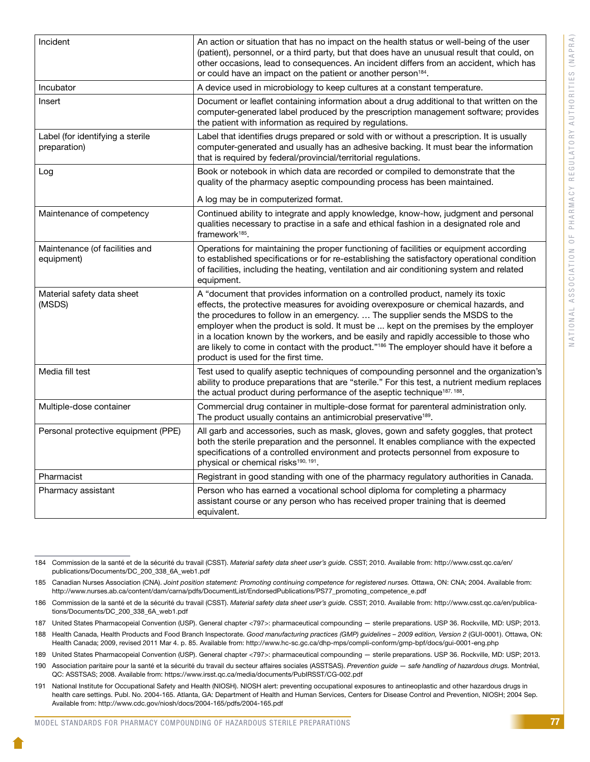| Incident                                         | An action or situation that has no impact on the health status or well-being of the user<br>(patient), personnel, or a third party, but that does have an unusual result that could, on<br>other occasions, lead to consequences. An incident differs from an accident, which has                                                                                                                                                                                                                                                                                                      |
|--------------------------------------------------|----------------------------------------------------------------------------------------------------------------------------------------------------------------------------------------------------------------------------------------------------------------------------------------------------------------------------------------------------------------------------------------------------------------------------------------------------------------------------------------------------------------------------------------------------------------------------------------|
|                                                  | or could have an impact on the patient or another person <sup>184</sup> .                                                                                                                                                                                                                                                                                                                                                                                                                                                                                                              |
| Incubator                                        | A device used in microbiology to keep cultures at a constant temperature.                                                                                                                                                                                                                                                                                                                                                                                                                                                                                                              |
| Insert                                           | Document or leaflet containing information about a drug additional to that written on the<br>computer-generated label produced by the prescription management software; provides<br>the patient with information as required by regulations.                                                                                                                                                                                                                                                                                                                                           |
| Label (for identifying a sterile<br>preparation) | Label that identifies drugs prepared or sold with or without a prescription. It is usually<br>computer-generated and usually has an adhesive backing. It must bear the information<br>that is required by federal/provincial/territorial regulations.                                                                                                                                                                                                                                                                                                                                  |
| Log                                              | Book or notebook in which data are recorded or compiled to demonstrate that the<br>quality of the pharmacy aseptic compounding process has been maintained.<br>A log may be in computerized format.                                                                                                                                                                                                                                                                                                                                                                                    |
| Maintenance of competency                        | Continued ability to integrate and apply knowledge, know-how, judgment and personal<br>qualities necessary to practise in a safe and ethical fashion in a designated role and<br>framework $185$ .                                                                                                                                                                                                                                                                                                                                                                                     |
| Maintenance (of facilities and<br>equipment)     | Operations for maintaining the proper functioning of facilities or equipment according<br>to established specifications or for re-establishing the satisfactory operational condition<br>of facilities, including the heating, ventilation and air conditioning system and related<br>equipment.                                                                                                                                                                                                                                                                                       |
| Material safety data sheet<br>(MSDS)             | A "document that provides information on a controlled product, namely its toxic<br>effects, the protective measures for avoiding overexposure or chemical hazards, and<br>the procedures to follow in an emergency.  The supplier sends the MSDS to the<br>employer when the product is sold. It must be  kept on the premises by the employer<br>in a location known by the workers, and be easily and rapidly accessible to those who<br>are likely to come in contact with the product." <sup>186</sup> The employer should have it before a<br>product is used for the first time. |
| Media fill test                                  | Test used to qualify aseptic techniques of compounding personnel and the organization's<br>ability to produce preparations that are "sterile." For this test, a nutrient medium replaces<br>the actual product during performance of the aseptic technique <sup>187, 188</sup> .                                                                                                                                                                                                                                                                                                       |
| Multiple-dose container                          | Commercial drug container in multiple-dose format for parenteral administration only.<br>The product usually contains an antimicrobial preservative <sup>189</sup> .                                                                                                                                                                                                                                                                                                                                                                                                                   |
| Personal protective equipment (PPE)              | All garb and accessories, such as mask, gloves, gown and safety goggles, that protect<br>both the sterile preparation and the personnel. It enables compliance with the expected<br>specifications of a controlled environment and protects personnel from exposure to<br>physical or chemical risks <sup>190, 191</sup> .                                                                                                                                                                                                                                                             |
| Pharmacist                                       | Registrant in good standing with one of the pharmacy regulatory authorities in Canada.                                                                                                                                                                                                                                                                                                                                                                                                                                                                                                 |
| Pharmacy assistant                               | Person who has earned a vocational school diploma for completing a pharmacy<br>assistant course or any person who has received proper training that is deemed<br>equivalent.                                                                                                                                                                                                                                                                                                                                                                                                           |

184 Commission de la santé et de la sécurité du travail (CSST). *Material safety data sheet user's guide.* CSST; 2010. Available from: http://www.csst.qc.ca/en/ publications/Documents/DC\_200\_338\_6A\_web1.pdf

185 Canadian Nurses Association (CNA). *Joint position statement: Promoting continuing competence for registered nurses.* Ottawa, ON: CNA; 2004. Available from: http://www.nurses.ab.ca/content/dam/carna/pdfs/DocumentList/EndorsedPublications/PS77\_promoting\_competence\_e.pdf

186 Commission de la santé et de la sécurité du travail (CSST). *Material safety data sheet user's guide.* CSST; 2010. Available from: http://www.csst.qc.ca/en/publications/Documents/DC\_200\_338\_6A\_web1.pdf

187 United States Pharmacopeial Convention (USP). General chapter <797>: pharmaceutical compounding — sterile preparations. USP 36. Rockville, MD: USP; 2013.

188 Health Canada, Health Products and Food Branch Inspectorate. *Good manufacturing practices (GMP) guidelines – 2009 edition, Version 2* (GUI-0001). Ottawa, ON: Health Canada; 2009, revised 2011 Mar 4. p. 85. Available from: http://www.hc-sc.gc.ca/dhp-mps/compli-conform/gmp-bpf/docs/gui-0001-eng.php

189 United States Pharmacopeial Convention (USP). General chapter <797>: pharmaceutical compounding — sterile preparations. USP 36. Rockville, MD: USP; 2013.

190 Association paritaire pour la santé et la sécurité du travail du secteur affaires sociales (ASSTSAS). *Prevention guide — safe handling of hazardous drugs.* Montréal, QC: ASSTSAS; 2008. Available from: https://www.irsst.qc.ca/media/documents/PubIRSST/CG-002.pdf

191 National Institute for Occupational Safety and Health (NIOSH). NIOSH alert: preventing occupational exposures to antineoplastic and other hazardous drugs in health care settings. Publ. No. 2004-165. Atlanta, GA: Department of Health and Human Services, Centers for Disease Control and Prevention, NIOSH; 2004 Sep. Available from: http://www.cdc.gov/niosh/docs/2004-165/pdfs/2004-165.pdf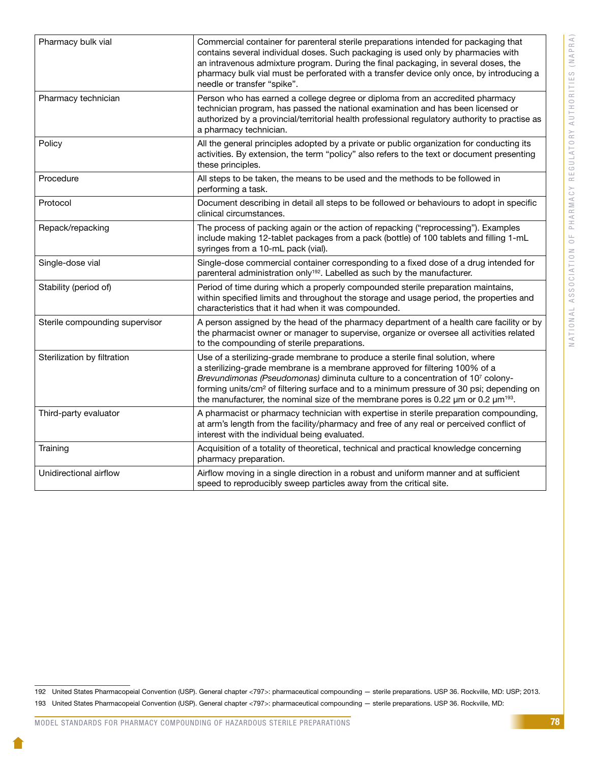| Pharmacy bulk vial             | Commercial container for parenteral sterile preparations intended for packaging that<br>contains several individual doses. Such packaging is used only by pharmacies with<br>an intravenous admixture program. During the final packaging, in several doses, the<br>pharmacy bulk vial must be perforated with a transfer device only once, by introducing a<br>needle or transfer "spike".                                                                         |
|--------------------------------|---------------------------------------------------------------------------------------------------------------------------------------------------------------------------------------------------------------------------------------------------------------------------------------------------------------------------------------------------------------------------------------------------------------------------------------------------------------------|
| Pharmacy technician            | Person who has earned a college degree or diploma from an accredited pharmacy<br>technician program, has passed the national examination and has been licensed or<br>authorized by a provincial/territorial health professional regulatory authority to practise as<br>a pharmacy technician.                                                                                                                                                                       |
| Policy                         | All the general principles adopted by a private or public organization for conducting its<br>activities. By extension, the term "policy" also refers to the text or document presenting<br>these principles.                                                                                                                                                                                                                                                        |
| Procedure                      | All steps to be taken, the means to be used and the methods to be followed in<br>performing a task.                                                                                                                                                                                                                                                                                                                                                                 |
| Protocol                       | Document describing in detail all steps to be followed or behaviours to adopt in specific<br>clinical circumstances.                                                                                                                                                                                                                                                                                                                                                |
| Repack/repacking               | The process of packing again or the action of repacking ("reprocessing"). Examples<br>include making 12-tablet packages from a pack (bottle) of 100 tablets and filling 1-mL<br>syringes from a 10-mL pack (vial).                                                                                                                                                                                                                                                  |
| Single-dose vial               | Single-dose commercial container corresponding to a fixed dose of a drug intended for<br>parenteral administration only <sup>192</sup> . Labelled as such by the manufacturer.                                                                                                                                                                                                                                                                                      |
| Stability (period of)          | Period of time during which a properly compounded sterile preparation maintains,<br>within specified limits and throughout the storage and usage period, the properties and<br>characteristics that it had when it was compounded.                                                                                                                                                                                                                                  |
| Sterile compounding supervisor | A person assigned by the head of the pharmacy department of a health care facility or by<br>the pharmacist owner or manager to supervise, organize or oversee all activities related<br>to the compounding of sterile preparations.                                                                                                                                                                                                                                 |
| Sterilization by filtration    | Use of a sterilizing-grade membrane to produce a sterile final solution, where<br>a sterilizing-grade membrane is a membrane approved for filtering 100% of a<br>Brevundimonas (Pseudomonas) diminuta culture to a concentration of 107 colony-<br>forming units/cm <sup>2</sup> of filtering surface and to a minimum pressure of 30 psi; depending on<br>the manufacturer, the nominal size of the membrane pores is 0.22 $\mu$ m or 0.2 $\mu$ m <sup>193</sup> . |
| Third-party evaluator          | A pharmacist or pharmacy technician with expertise in sterile preparation compounding,<br>at arm's length from the facility/pharmacy and free of any real or perceived conflict of<br>interest with the individual being evaluated.                                                                                                                                                                                                                                 |
| Training                       | Acquisition of a totality of theoretical, technical and practical knowledge concerning<br>pharmacy preparation.                                                                                                                                                                                                                                                                                                                                                     |
| Unidirectional airflow         | Airflow moving in a single direction in a robust and uniform manner and at sufficient<br>speed to reproducibly sweep particles away from the critical site.                                                                                                                                                                                                                                                                                                         |

<sup>192</sup> United States Pharmacopeial Convention (USP). General chapter <797>: pharmaceutical compounding — sterile preparations. USP 36. Rockville, MD: USP; 2013. 193 United States Pharmacopeial Convention (USP). General chapter <797>: pharmaceutical compounding — sterile preparations. USP 36. Rockville, MD: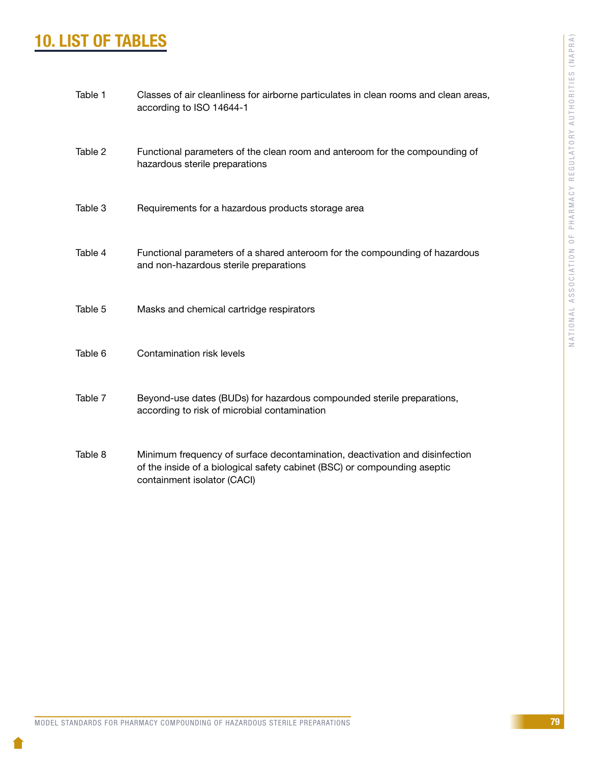# 10. LIST OF TABLES

| Table 1 | Classes of air cleanliness for airborne particulates in clean rooms and clean areas,<br>according to ISO 14644-1                                                                        |
|---------|-----------------------------------------------------------------------------------------------------------------------------------------------------------------------------------------|
| Table 2 | Functional parameters of the clean room and anteroom for the compounding of<br>hazardous sterile preparations                                                                           |
| Table 3 | Requirements for a hazardous products storage area                                                                                                                                      |
| Table 4 | Functional parameters of a shared anteroom for the compounding of hazardous<br>and non-hazardous sterile preparations                                                                   |
| Table 5 | Masks and chemical cartridge respirators                                                                                                                                                |
| Table 6 | Contamination risk levels                                                                                                                                                               |
| Table 7 | Beyond-use dates (BUDs) for hazardous compounded sterile preparations,<br>according to risk of microbial contamination                                                                  |
| Table 8 | Minimum frequency of surface decontamination, deactivation and disinfection<br>of the inside of a biological safety cabinet (BSC) or compounding aseptic<br>containment isolator (CACI) |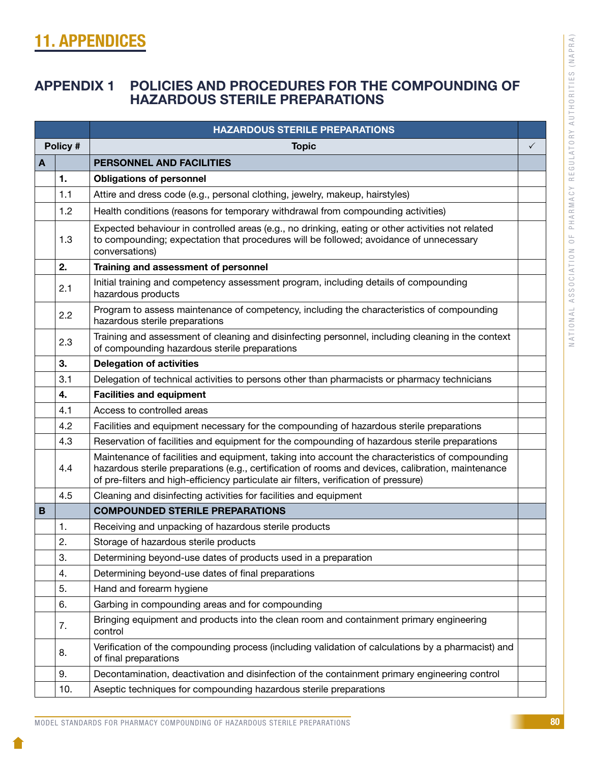# 11. APPENDICES

# APPENDIX 1 POLICIES AND PROCEDURES FOR THE COMPOUNDING OF HAZARDOUS STERILE PREPARATIONS

|   |          | <b>HAZARDOUS STERILE PREPARATIONS</b>                                                                                                                                                                                                                                                          |              |
|---|----------|------------------------------------------------------------------------------------------------------------------------------------------------------------------------------------------------------------------------------------------------------------------------------------------------|--------------|
|   | Policy # | <b>Topic</b>                                                                                                                                                                                                                                                                                   | $\checkmark$ |
| A |          | PERSONNEL AND FACILITIES                                                                                                                                                                                                                                                                       |              |
|   | 1.       | <b>Obligations of personnel</b>                                                                                                                                                                                                                                                                |              |
|   | 1.1      | Attire and dress code (e.g., personal clothing, jewelry, makeup, hairstyles)                                                                                                                                                                                                                   |              |
|   | 1.2      | Health conditions (reasons for temporary withdrawal from compounding activities)                                                                                                                                                                                                               |              |
|   | 1.3      | Expected behaviour in controlled areas (e.g., no drinking, eating or other activities not related<br>to compounding; expectation that procedures will be followed; avoidance of unnecessary<br>conversations)                                                                                  |              |
|   | 2.       | Training and assessment of personnel                                                                                                                                                                                                                                                           |              |
|   | 2.1      | Initial training and competency assessment program, including details of compounding<br>hazardous products                                                                                                                                                                                     |              |
|   | 2.2      | Program to assess maintenance of competency, including the characteristics of compounding<br>hazardous sterile preparations                                                                                                                                                                    |              |
|   | 2.3      | Training and assessment of cleaning and disinfecting personnel, including cleaning in the context<br>of compounding hazardous sterile preparations                                                                                                                                             |              |
|   | 3.       | <b>Delegation of activities</b>                                                                                                                                                                                                                                                                |              |
|   | 3.1      | Delegation of technical activities to persons other than pharmacists or pharmacy technicians                                                                                                                                                                                                   |              |
|   | 4.       | <b>Facilities and equipment</b>                                                                                                                                                                                                                                                                |              |
|   | 4.1      | Access to controlled areas                                                                                                                                                                                                                                                                     |              |
|   | 4.2      | Facilities and equipment necessary for the compounding of hazardous sterile preparations                                                                                                                                                                                                       |              |
|   | 4.3      | Reservation of facilities and equipment for the compounding of hazardous sterile preparations                                                                                                                                                                                                  |              |
|   | 4.4      | Maintenance of facilities and equipment, taking into account the characteristics of compounding<br>hazardous sterile preparations (e.g., certification of rooms and devices, calibration, maintenance<br>of pre-filters and high-efficiency particulate air filters, verification of pressure) |              |
|   | 4.5      | Cleaning and disinfecting activities for facilities and equipment                                                                                                                                                                                                                              |              |
| B |          | <b>COMPOUNDED STERILE PREPARATIONS</b>                                                                                                                                                                                                                                                         |              |
|   | 1.       | Receiving and unpacking of hazardous sterile products                                                                                                                                                                                                                                          |              |
|   | 2.       | Storage of hazardous sterile products                                                                                                                                                                                                                                                          |              |
|   | 3.       | Determining beyond-use dates of products used in a preparation                                                                                                                                                                                                                                 |              |
|   | 4.       | Determining beyond-use dates of final preparations                                                                                                                                                                                                                                             |              |
|   | 5.       | Hand and forearm hygiene                                                                                                                                                                                                                                                                       |              |
|   | 6.       | Garbing in compounding areas and for compounding                                                                                                                                                                                                                                               |              |
|   | 7.       | Bringing equipment and products into the clean room and containment primary engineering<br>control                                                                                                                                                                                             |              |
|   | 8.       | Verification of the compounding process (including validation of calculations by a pharmacist) and<br>of final preparations                                                                                                                                                                    |              |
|   | 9.       | Decontamination, deactivation and disinfection of the containment primary engineering control                                                                                                                                                                                                  |              |
|   | 10.      | Aseptic techniques for compounding hazardous sterile preparations                                                                                                                                                                                                                              |              |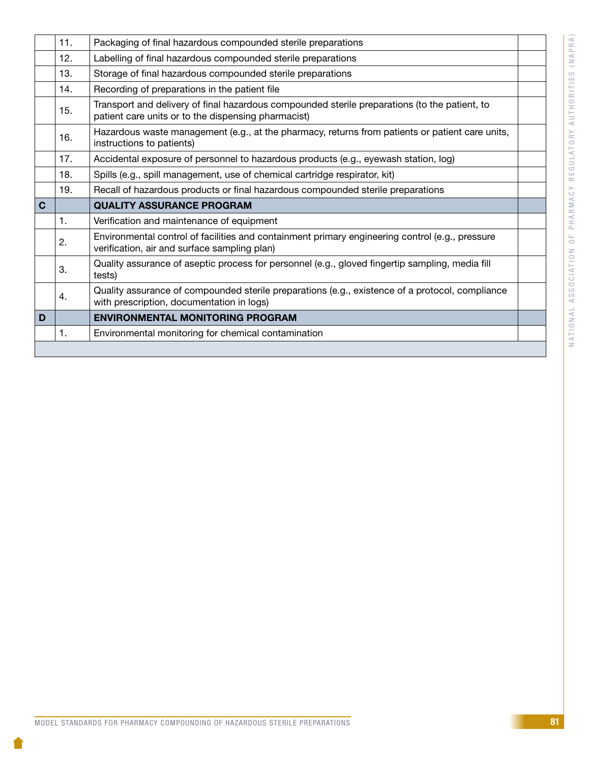|              | 11. | Packaging of final hazardous compounded sterile preparations                                                                                         |  |
|--------------|-----|------------------------------------------------------------------------------------------------------------------------------------------------------|--|
|              | 12. | Labelling of final hazardous compounded sterile preparations                                                                                         |  |
|              | 13. | Storage of final hazardous compounded sterile preparations                                                                                           |  |
|              | 14. | Recording of preparations in the patient file                                                                                                        |  |
|              | 15. | Transport and delivery of final hazardous compounded sterile preparations (to the patient, to<br>patient care units or to the dispensing pharmacist) |  |
|              | 16. | Hazardous waste management (e.g., at the pharmacy, returns from patients or patient care units,<br>instructions to patients)                         |  |
|              | 17. | Accidental exposure of personnel to hazardous products (e.g., eyewash station, log)                                                                  |  |
|              | 18. | Spills (e.g., spill management, use of chemical cartridge respirator, kit)                                                                           |  |
|              | 19. | Recall of hazardous products or final hazardous compounded sterile preparations                                                                      |  |
| $\mathbf{C}$ |     | <b>QUALITY ASSURANCE PROGRAM</b>                                                                                                                     |  |
|              | 1.  | Verification and maintenance of equipment                                                                                                            |  |
|              | 2.  | Environmental control of facilities and containment primary engineering control (e.g., pressure<br>verification, air and surface sampling plan)      |  |
|              | 3.  | Quality assurance of aseptic process for personnel (e.g., gloved fingertip sampling, media fill<br>tests)                                            |  |
|              | 4.  | Quality assurance of compounded sterile preparations (e.g., existence of a protocol, compliance<br>with prescription, documentation in logs)         |  |
|              |     |                                                                                                                                                      |  |
| D            |     | <b>ENVIRONMENTAL MONITORING PROGRAM</b>                                                                                                              |  |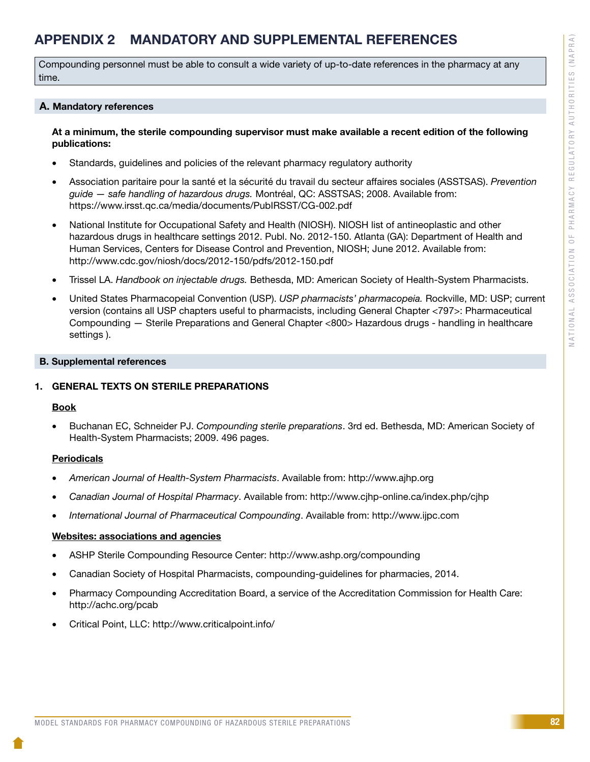# APPENDIX 2 MANDATORY AND SUPPLEMENTAL REFERENCES

Compounding personnel must be able to consult a wide variety of up-to-date references in the pharmacy at any time.

#### A. Mandatory references

#### At a minimum, the sterile compounding supervisor must make available a recent edition of the following publications:

- Standards, quidelines and policies of the relevant pharmacy regulatory authority
- • Association paritaire pour la santé et la sécurité du travail du secteur affaires sociales (ASSTSAS). *Prevention guide — safe handling of hazardous drugs.* Montréal, QC: ASSTSAS; 2008. Available from: https://www.irsst.qc.ca/media/documents/PubIRSST/CG-002.pdf
- National Institute for Occupational Safety and Health (NIOSH). NIOSH list of antineoplastic and other hazardous drugs in healthcare settings 2012. Publ. No. 2012-150. Atlanta (GA): Department of Health and Human Services, Centers for Disease Control and Prevention, NIOSH; June 2012. Available from: http://www.cdc.gov/niosh/docs/2012-150/pdfs/2012-150.pdf
- Trissel LA. *Handbook on injectable drugs.* Bethesda, MD: American Society of Health-System Pharmacists.
- United States Pharmacopeial Convention (USP). *USP pharmacists' pharmacopeia*. Rockville, MD: USP; current version (contains all USP chapters useful to pharmacists, including General Chapter <797>: Pharmaceutical Compounding — Sterile Preparations and General Chapter <800> Hazardous drugs - handling in healthcare settings ).

#### B. Supplemental references

#### 1. GENERAL TEXTS ON STERILE PREPARATIONS

#### Book

Buchanan EC, Schneider PJ. *Compounding sterile preparations*. 3rd ed. Bethesda, MD: American Society of Health-System Pharmacists; 2009. 496 pages.

#### **Periodicals**

- • *American Journal of Health-System Pharmacists*. Available from: http://www.ajhp.org
- • *Canadian Journal of Hospital Pharmacy*. Available from: http://www.cjhp-online.ca/index.php/cjhp
- • *International Journal of Pharmaceutical Compounding*. Available from: http://www.ijpc.com

#### Websites: associations and agencies

- ASHP Sterile Compounding Resource Center: http://www.ashp.org/compounding
- Canadian Society of Hospital Pharmacists, compounding-quidelines for pharmacies, 2014.
- Pharmacy Compounding Accreditation Board, a service of the Accreditation Commission for Health Care: http://achc.org/pcab
- Critical Point, LLC: http://www.criticalpoint.info/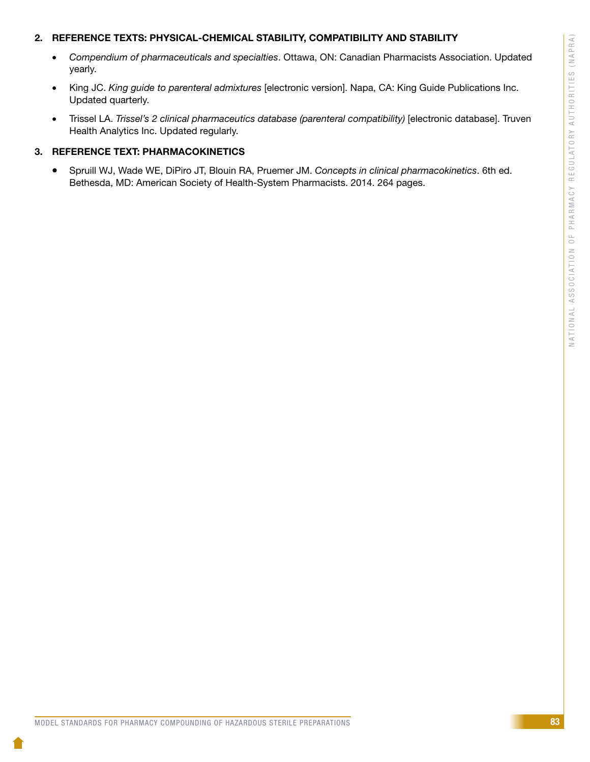#### 2. REFERENCE TEXTS: PHYSICAL-CHEMICAL STABILITY, COMPATIBILITY AND STABILITY

- • *Compendium of pharmaceuticals and specialties*. Ottawa, ON: Canadian Pharmacists Association. Updated yearly.
- King JC. *King guide to parenteral admixtures* [electronic version]. Napa, CA: King Guide Publications Inc. Updated quarterly.
- • Trissel LA. *Trissel's 2 clinical pharmaceutics database (parenteral compatibility)* [electronic database]. Truven Health Analytics Inc. Updated regularly.

#### 3. REFERENCE TEXT: PHARMACOKINETICS

• Spruill WJ, Wade WE, DiPiro JT, Blouin RA, Pruemer JM. *Concepts in clinical pharmacokinetics*. 6th ed. Bethesda, MD: American Society of Health-System Pharmacists. 2014. 264 pages.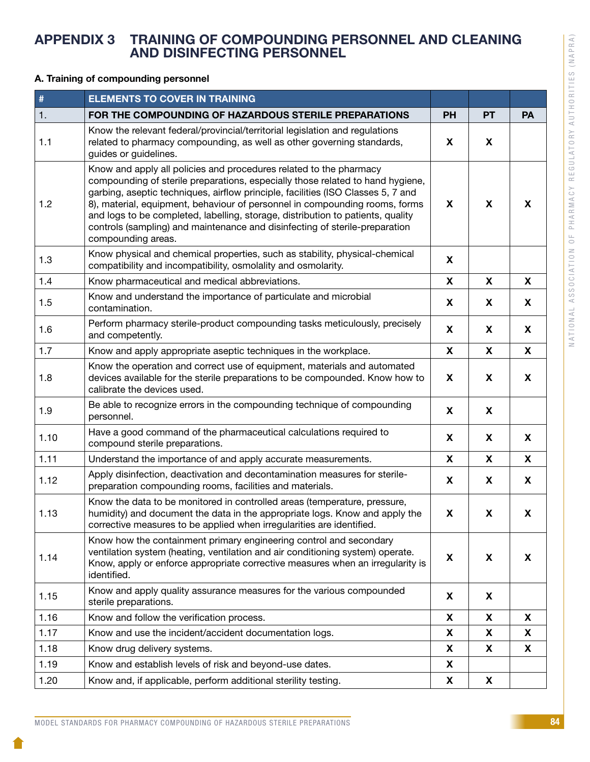# APPENDIX 3 TRAINING OF COMPOUNDING PERSONNEL AND CLEANING AND DISINFECTING PERSONNEL

#### A. Training of compounding personnel

| #    | <b>ELEMENTS TO COVER IN TRAINING</b>                                                                                                                                                                                                                                                                                                                                                                                                                                                                            |           |           |           |
|------|-----------------------------------------------------------------------------------------------------------------------------------------------------------------------------------------------------------------------------------------------------------------------------------------------------------------------------------------------------------------------------------------------------------------------------------------------------------------------------------------------------------------|-----------|-----------|-----------|
| 1.   | FOR THE COMPOUNDING OF HAZARDOUS STERILE PREPARATIONS                                                                                                                                                                                                                                                                                                                                                                                                                                                           | <b>PH</b> | <b>PT</b> | <b>PA</b> |
| 1.1  | Know the relevant federal/provincial/territorial legislation and regulations<br>related to pharmacy compounding, as well as other governing standards,<br>guides or guidelines.                                                                                                                                                                                                                                                                                                                                 | X         | X         |           |
| 1.2  | Know and apply all policies and procedures related to the pharmacy<br>compounding of sterile preparations, especially those related to hand hygiene,<br>garbing, aseptic techniques, airflow principle, facilities (ISO Classes 5, 7 and<br>8), material, equipment, behaviour of personnel in compounding rooms, forms<br>and logs to be completed, labelling, storage, distribution to patients, quality<br>controls (sampling) and maintenance and disinfecting of sterile-preparation<br>compounding areas. | X         | X         | X         |
| 1.3  | Know physical and chemical properties, such as stability, physical-chemical<br>compatibility and incompatibility, osmolality and osmolarity.                                                                                                                                                                                                                                                                                                                                                                    | X         |           |           |
| 1.4  | Know pharmaceutical and medical abbreviations.                                                                                                                                                                                                                                                                                                                                                                                                                                                                  | X         | X         | X         |
| 1.5  | Know and understand the importance of particulate and microbial<br>contamination.                                                                                                                                                                                                                                                                                                                                                                                                                               | X         | X         | X         |
| 1.6  | Perform pharmacy sterile-product compounding tasks meticulously, precisely<br>and competently.                                                                                                                                                                                                                                                                                                                                                                                                                  | X         | X         | X         |
| 1.7  | Know and apply appropriate aseptic techniques in the workplace.                                                                                                                                                                                                                                                                                                                                                                                                                                                 | X         | X         | X         |
| 1.8  | Know the operation and correct use of equipment, materials and automated<br>devices available for the sterile preparations to be compounded. Know how to<br>calibrate the devices used.                                                                                                                                                                                                                                                                                                                         | X         | X         | X         |
| 1.9  | Be able to recognize errors in the compounding technique of compounding<br>personnel.                                                                                                                                                                                                                                                                                                                                                                                                                           | X         | X         |           |
| 1.10 | Have a good command of the pharmaceutical calculations required to<br>compound sterile preparations.                                                                                                                                                                                                                                                                                                                                                                                                            | X         | X         | X         |
| 1.11 | Understand the importance of and apply accurate measurements.                                                                                                                                                                                                                                                                                                                                                                                                                                                   | X         | X         | X         |
| 1.12 | Apply disinfection, deactivation and decontamination measures for sterile-<br>preparation compounding rooms, facilities and materials.                                                                                                                                                                                                                                                                                                                                                                          | X         | X         | X         |
| 1.13 | Know the data to be monitored in controlled areas (temperature, pressure,<br>humidity) and document the data in the appropriate logs. Know and apply the<br>corrective measures to be applied when irregularities are identified.                                                                                                                                                                                                                                                                               | X         | X         | X         |
| 1.14 | Know how the containment primary engineering control and secondary<br>ventilation system (heating, ventilation and air conditioning system) operate.<br>Know, apply or enforce appropriate corrective measures when an irregularity is<br>identified.                                                                                                                                                                                                                                                           | X         | X         | X         |
| 1.15 | Know and apply quality assurance measures for the various compounded<br>sterile preparations.                                                                                                                                                                                                                                                                                                                                                                                                                   | X         | X         |           |
| 1.16 | Know and follow the verification process.                                                                                                                                                                                                                                                                                                                                                                                                                                                                       | X         | X         | X         |
| 1.17 | Know and use the incident/accident documentation logs.                                                                                                                                                                                                                                                                                                                                                                                                                                                          | X         | X         | X         |
| 1.18 | Know drug delivery systems.                                                                                                                                                                                                                                                                                                                                                                                                                                                                                     | X         | X         | X         |
| 1.19 | Know and establish levels of risk and beyond-use dates.                                                                                                                                                                                                                                                                                                                                                                                                                                                         | X         |           |           |
| 1.20 | Know and, if applicable, perform additional sterility testing.                                                                                                                                                                                                                                                                                                                                                                                                                                                  | X         | X         |           |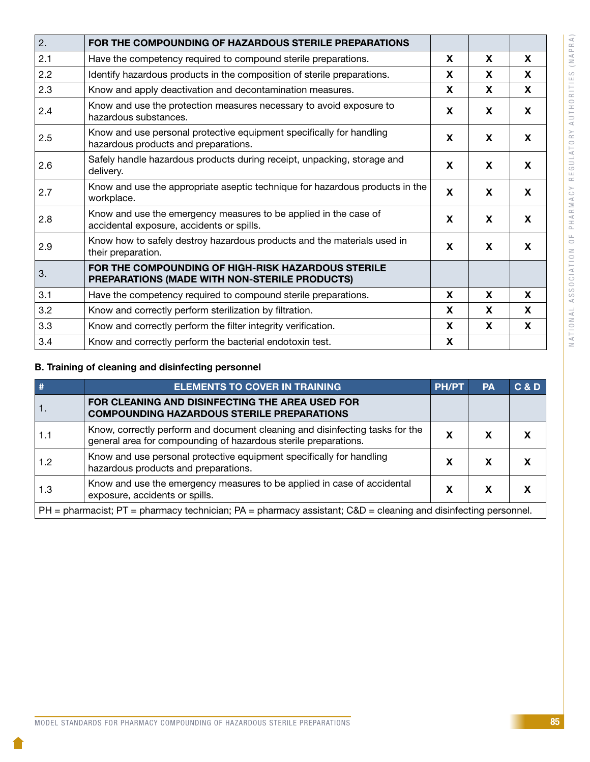| ⋖                                                    |
|------------------------------------------------------|
|                                                      |
| $\Box$                                               |
| $\Box$                                               |
|                                                      |
|                                                      |
| Z                                                    |
|                                                      |
|                                                      |
| S                                                    |
|                                                      |
| J<br>Ц                                               |
| ÷                                                    |
| н                                                    |
| ۰                                                    |
| ò                                                    |
|                                                      |
| J<br>$\overline{c}$                                  |
| I                                                    |
|                                                      |
| ⊢                                                    |
| $\Rightarrow$                                        |
| $\overline{a}$                                       |
|                                                      |
|                                                      |
| $\mathbf{r}$                                         |
| $\sim$                                               |
|                                                      |
| $\overline{\phantom{a}}$<br>$\overline{\phantom{a}}$ |
| Н                                                    |
| ⋖                                                    |
|                                                      |
| ┙                                                    |
| $\Rightarrow$                                        |
|                                                      |
| G                                                    |
| ш                                                    |
| Ē                                                    |
|                                                      |
|                                                      |
| >                                                    |
| $\subset$<br>j                                       |
|                                                      |
| $\overline{a}$                                       |
| $\overline{\phantom{a}}$                             |
| é                                                    |
| $\approx$                                            |
|                                                      |
| $\prec$                                              |
| $\pm$                                                |
|                                                      |
| $\sim$                                               |
|                                                      |
| ц.                                                   |
| $\circ$                                              |
|                                                      |
|                                                      |
| z                                                    |
| $\epsilon$<br>j                                      |
|                                                      |
| H                                                    |
|                                                      |
| ₫                                                    |
|                                                      |
| Õ                                                    |
|                                                      |
| $\circ$                                              |
| S                                                    |
| S                                                    |
|                                                      |
| d                                                    |
|                                                      |
| J                                                    |
| $\triangleleft$                                      |
|                                                      |
| ź                                                    |
| $\mathcal{C}$                                        |
| C                                                    |
|                                                      |
| ⊢                                                    |
| d                                                    |
| $\geq$                                               |
|                                                      |
|                                                      |

| 2.  | FOR THE COMPOUNDING OF HAZARDOUS STERILE PREPARATIONS                                                         |   |   |                           |
|-----|---------------------------------------------------------------------------------------------------------------|---|---|---------------------------|
| 2.1 | Have the competency required to compound sterile preparations.                                                | X | X | X                         |
| 2.2 | Identify hazardous products in the composition of sterile preparations.                                       | X | X | X                         |
| 2.3 | Know and apply deactivation and decontamination measures.                                                     | X | X | X                         |
| 2.4 | Know and use the protection measures necessary to avoid exposure to<br>hazardous substances.                  | X | X | X                         |
| 2.5 | Know and use personal protective equipment specifically for handling<br>hazardous products and preparations.  | X | X | X                         |
| 2.6 | Safely handle hazardous products during receipt, unpacking, storage and<br>delivery.                          | X | X | X                         |
| 2.7 | Know and use the appropriate aseptic technique for hazardous products in the<br>workplace.                    | X | X | $\boldsymbol{\mathsf{X}}$ |
| 2.8 | Know and use the emergency measures to be applied in the case of<br>accidental exposure, accidents or spills. | X | X | X                         |
| 2.9 | Know how to safely destroy hazardous products and the materials used in<br>their preparation.                 | X | X | $\boldsymbol{\mathsf{X}}$ |
| 3.  | FOR THE COMPOUNDING OF HIGH-RISK HAZARDOUS STERILE<br>PREPARATIONS (MADE WITH NON-STERILE PRODUCTS)           |   |   |                           |
| 3.1 | Have the competency required to compound sterile preparations.                                                | X | X | X                         |
| 3.2 | Know and correctly perform sterilization by filtration.                                                       | X | X | X                         |
| 3.3 | Know and correctly perform the filter integrity verification.                                                 | X | X | X                         |
| 3.4 | Know and correctly perform the bacterial endotoxin test.                                                      | X |   |                           |

#### B. Training of cleaning and disinfecting personnel

|                                                                                                                        | <b>ELEMENTS TO COVER IN TRAINING</b>                                                                                                            | <b>PH/PT</b> | PA | C & D |
|------------------------------------------------------------------------------------------------------------------------|-------------------------------------------------------------------------------------------------------------------------------------------------|--------------|----|-------|
| т.                                                                                                                     | FOR CLEANING AND DISINFECTING THE AREA USED FOR<br><b>COMPOUNDING HAZARDOUS STERILE PREPARATIONS</b>                                            |              |    |       |
|                                                                                                                        | Know, correctly perform and document cleaning and disinfecting tasks for the<br>general area for compounding of hazardous sterile preparations. | х            |    |       |
| 1.2                                                                                                                    | Know and use personal protective equipment specifically for handling<br>hazardous products and preparations.                                    | х            |    |       |
| 1.3                                                                                                                    | Know and use the emergency measures to be applied in case of accidental<br>exposure, accidents or spills.                                       | х            | x  |       |
| $PH =$ pharmacist; $PT =$ pharmacy technician; $PA =$ pharmacy assistant; $C&D =$ cleaning and disinfecting personnel. |                                                                                                                                                 |              |    |       |

10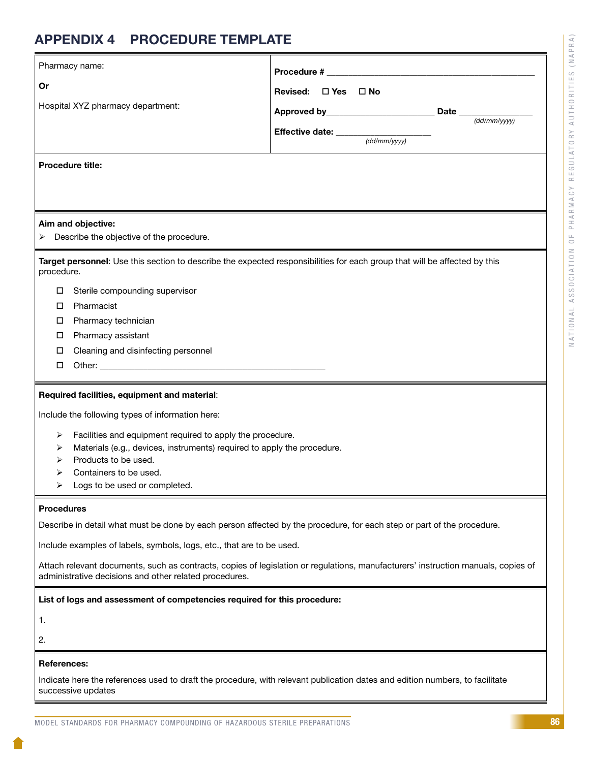# NATIONAL ASSOCIATION OF PHARMACY REGULATORY AUTHORITIES (NAPRA) NATIONAL ASSOCIATION OF PHARMACY REGULATORY AUTHORITIES (NAPRA)

# APPENDIX 4 PROCEDURE TEMPLATE

|                                                                                                                                   | Pharmacy name:                                                                                                                                     |                                                       |  |                                |  |  |
|-----------------------------------------------------------------------------------------------------------------------------------|----------------------------------------------------------------------------------------------------------------------------------------------------|-------------------------------------------------------|--|--------------------------------|--|--|
| Or                                                                                                                                |                                                                                                                                                    | Revised: □ Yes □ No                                   |  |                                |  |  |
|                                                                                                                                   | Hospital XYZ pharmacy department:                                                                                                                  |                                                       |  |                                |  |  |
|                                                                                                                                   |                                                                                                                                                    |                                                       |  | Date __________<br>(dd/mm/yyy) |  |  |
|                                                                                                                                   |                                                                                                                                                    | <b>Effective date:</b> $\frac{1}{\text{(dd/mm/yyy)}}$ |  |                                |  |  |
|                                                                                                                                   |                                                                                                                                                    |                                                       |  |                                |  |  |
|                                                                                                                                   | <b>Procedure title:</b>                                                                                                                            |                                                       |  |                                |  |  |
|                                                                                                                                   |                                                                                                                                                    |                                                       |  |                                |  |  |
|                                                                                                                                   |                                                                                                                                                    |                                                       |  |                                |  |  |
|                                                                                                                                   | Aim and objective:                                                                                                                                 |                                                       |  |                                |  |  |
|                                                                                                                                   | Describe the objective of the procedure.                                                                                                           |                                                       |  |                                |  |  |
|                                                                                                                                   | Target personnel: Use this section to describe the expected responsibilities for each group that will be affected by this                          |                                                       |  |                                |  |  |
| procedure.                                                                                                                        |                                                                                                                                                    |                                                       |  |                                |  |  |
| O.                                                                                                                                | Sterile compounding supervisor                                                                                                                     |                                                       |  |                                |  |  |
| □                                                                                                                                 | Pharmacist                                                                                                                                         |                                                       |  |                                |  |  |
| O.                                                                                                                                | Pharmacy technician                                                                                                                                |                                                       |  |                                |  |  |
| □                                                                                                                                 | Pharmacy assistant                                                                                                                                 |                                                       |  |                                |  |  |
| □                                                                                                                                 | Cleaning and disinfecting personnel                                                                                                                |                                                       |  |                                |  |  |
| □                                                                                                                                 |                                                                                                                                                    |                                                       |  |                                |  |  |
|                                                                                                                                   | Required facilities, equipment and material:                                                                                                       |                                                       |  |                                |  |  |
|                                                                                                                                   | Include the following types of information here:                                                                                                   |                                                       |  |                                |  |  |
| ➤                                                                                                                                 | Facilities and equipment required to apply the procedure.                                                                                          |                                                       |  |                                |  |  |
| ⋗                                                                                                                                 | Materials (e.g., devices, instruments) required to apply the procedure.                                                                            |                                                       |  |                                |  |  |
|                                                                                                                                   | Products to be used.                                                                                                                               |                                                       |  |                                |  |  |
|                                                                                                                                   | Containers to be used.<br>Logs to be used or completed.                                                                                            |                                                       |  |                                |  |  |
|                                                                                                                                   |                                                                                                                                                    |                                                       |  |                                |  |  |
| <b>Procedures</b>                                                                                                                 |                                                                                                                                                    |                                                       |  |                                |  |  |
|                                                                                                                                   | Describe in detail what must be done by each person affected by the procedure, for each step or part of the procedure.                             |                                                       |  |                                |  |  |
|                                                                                                                                   | Include examples of labels, symbols, logs, etc., that are to be used.                                                                              |                                                       |  |                                |  |  |
| Attach relevant documents, such as contracts, copies of legislation or regulations, manufacturers' instruction manuals, copies of |                                                                                                                                                    |                                                       |  |                                |  |  |
|                                                                                                                                   | administrative decisions and other related procedures.                                                                                             |                                                       |  |                                |  |  |
|                                                                                                                                   | List of logs and assessment of competencies required for this procedure:                                                                           |                                                       |  |                                |  |  |
| 1.                                                                                                                                |                                                                                                                                                    |                                                       |  |                                |  |  |
| 2.                                                                                                                                |                                                                                                                                                    |                                                       |  |                                |  |  |
|                                                                                                                                   |                                                                                                                                                    |                                                       |  |                                |  |  |
|                                                                                                                                   | <b>References:</b>                                                                                                                                 |                                                       |  |                                |  |  |
|                                                                                                                                   | Indicate here the references used to draft the procedure, with relevant publication dates and edition numbers, to facilitate<br>successive updates |                                                       |  |                                |  |  |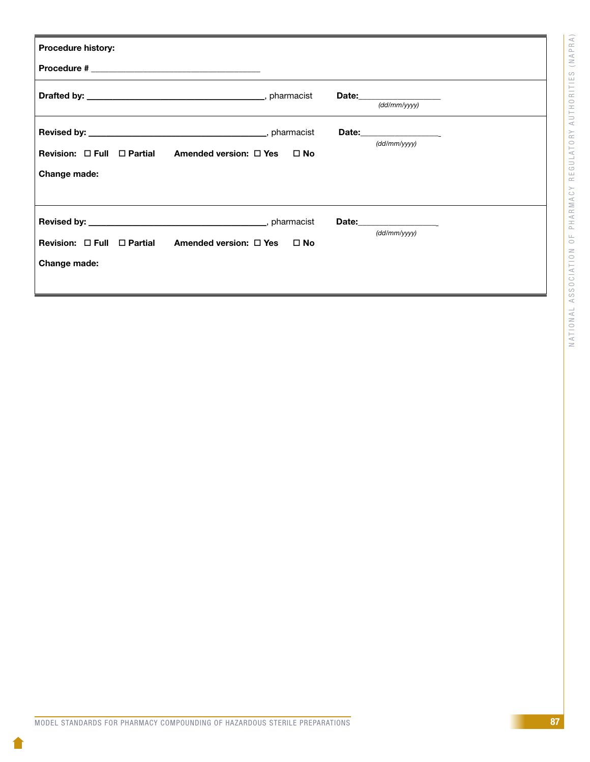| <b>Procedure history:</b>                                                                  |                                                         |
|--------------------------------------------------------------------------------------------|---------------------------------------------------------|
|                                                                                            |                                                         |
|                                                                                            | $\frac{1}{\text{(dd/mm/yyy)}}$                          |
| Revision: $\Box$ Full $\Box$ Partial Amended version: $\Box$ Yes $\Box$ No<br>Change made: | (dd/mm/vvvv)                                            |
| Revision: $\Box$ Full $\Box$ Partial Amended version: $\Box$ Yes<br>Change made:           | Date: _________________<br>(dd/mm/vvvv)<br>$\square$ No |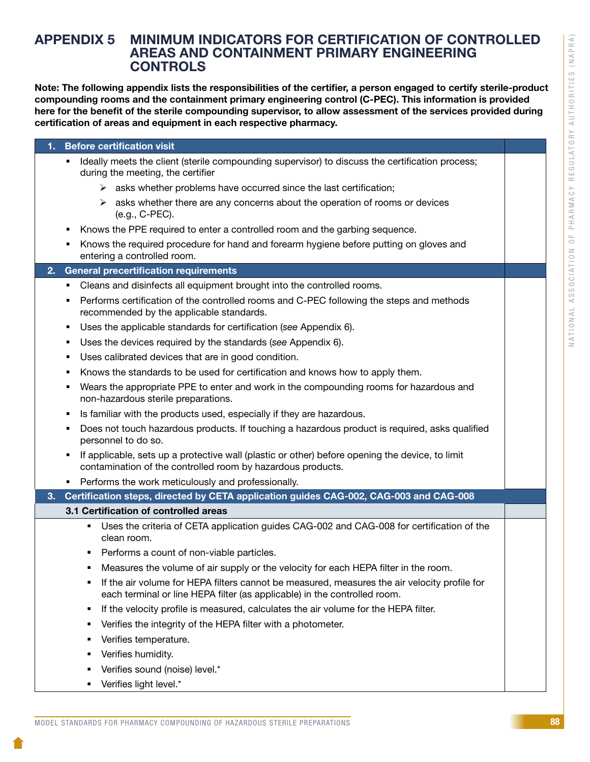### APPENDIX 5 MINIMUM INDICATORS FOR CERTIFICATION OF CONTROLLED AREAS AND CONTAINMENT PRIMARY ENGINEERING **CONTROLS**

Note: The following appendix lists the responsibilities of the certifier, a person engaged to certify sterile-product compounding rooms and the containment primary engineering control (C-PEC). This information is provided here for the benefit of the sterile compounding supervisor, to allow assessment of the services provided during certification of areas and equipment in each respective pharmacy.

| <b>Before certification visit</b><br>1.                                                                                                                             |  |
|---------------------------------------------------------------------------------------------------------------------------------------------------------------------|--|
| Ideally meets the client (sterile compounding supervisor) to discuss the certification process;<br>٠<br>during the meeting, the certifier                           |  |
| $\triangleright$ asks whether problems have occurred since the last certification;                                                                                  |  |
| asks whether there are any concerns about the operation of rooms or devices<br>➤<br>(e.g., C-PEC).                                                                  |  |
| Knows the PPE required to enter a controlled room and the garbing sequence.                                                                                         |  |
| Knows the required procedure for hand and forearm hygiene before putting on gloves and<br>٠<br>entering a controlled room.                                          |  |
| <b>General precertification requirements</b><br>2.                                                                                                                  |  |
| Cleans and disinfects all equipment brought into the controlled rooms.                                                                                              |  |
| Performs certification of the controlled rooms and C-PEC following the steps and methods<br>٠<br>recommended by the applicable standards.                           |  |
| Uses the applicable standards for certification (see Appendix 6).<br>٠                                                                                              |  |
| Uses the devices required by the standards (see Appendix 6).<br>٠                                                                                                   |  |
| Uses calibrated devices that are in good condition.<br>٠                                                                                                            |  |
| Knows the standards to be used for certification and knows how to apply them.                                                                                       |  |
| Wears the appropriate PPE to enter and work in the compounding rooms for hazardous and<br>non-hazardous sterile preparations.                                       |  |
| Is familiar with the products used, especially if they are hazardous.<br>٠                                                                                          |  |
| Does not touch hazardous products. If touching a hazardous product is required, asks qualified<br>٠<br>personnel to do so.                                          |  |
| If applicable, sets up a protective wall (plastic or other) before opening the device, to limit<br>٠<br>contamination of the controlled room by hazardous products. |  |
| • Performs the work meticulously and professionally.                                                                                                                |  |
| Certification steps, directed by CETA application guides CAG-002, CAG-003 and CAG-008<br>3.                                                                         |  |
| 3.1 Certification of controlled areas                                                                                                                               |  |
| Uses the criteria of CETA application guides CAG-002 and CAG-008 for certification of the<br>٠<br>clean room.                                                       |  |
| Performs a count of non-viable particles.                                                                                                                           |  |
| Measures the volume of air supply or the velocity for each HEPA filter in the room.                                                                                 |  |
| If the air volume for HEPA filters cannot be measured, measures the air velocity profile for                                                                        |  |
| each terminal or line HEPA filter (as applicable) in the controlled room.                                                                                           |  |
| If the velocity profile is measured, calculates the air volume for the HEPA filter.<br>٠                                                                            |  |
| Verifies the integrity of the HEPA filter with a photometer.<br>٠                                                                                                   |  |
| Verifies temperature.                                                                                                                                               |  |
| Verifies humidity.<br>٠                                                                                                                                             |  |
| Verifies sound (noise) level.*                                                                                                                                      |  |
| Verifies light level.*                                                                                                                                              |  |
|                                                                                                                                                                     |  |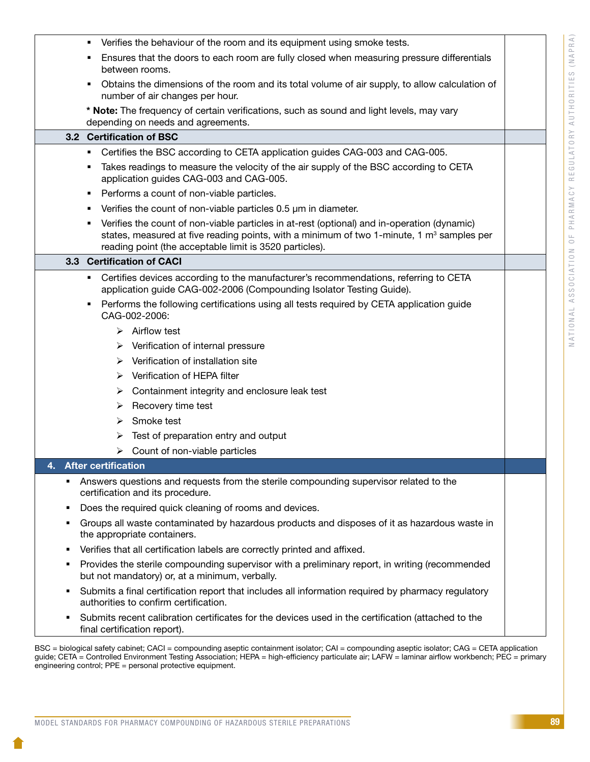|    |     | Verifies the behaviour of the room and its equipment using smoke tests.<br>٠                                                                                                                                                                               |  |
|----|-----|------------------------------------------------------------------------------------------------------------------------------------------------------------------------------------------------------------------------------------------------------------|--|
|    |     | Ensures that the doors to each room are fully closed when measuring pressure differentials<br>٠<br>between rooms.                                                                                                                                          |  |
|    |     | Obtains the dimensions of the room and its total volume of air supply, to allow calculation of<br>number of air changes per hour.                                                                                                                          |  |
|    |     | * Note: The frequency of certain verifications, such as sound and light levels, may vary<br>depending on needs and agreements.                                                                                                                             |  |
|    | 3.2 | <b>Certification of BSC</b>                                                                                                                                                                                                                                |  |
|    |     | Certifies the BSC according to CETA application guides CAG-003 and CAG-005.                                                                                                                                                                                |  |
|    |     | Takes readings to measure the velocity of the air supply of the BSC according to CETA<br>٠<br>application guides CAG-003 and CAG-005.                                                                                                                      |  |
|    |     | Performs a count of non-viable particles.<br>٠                                                                                                                                                                                                             |  |
|    |     | Verifies the count of non-viable particles 0.5 µm in diameter.                                                                                                                                                                                             |  |
|    |     | Verifies the count of non-viable particles in at-rest (optional) and in-operation (dynamic)<br>٠<br>states, measured at five reading points, with a minimum of two 1-minute, 1 $m3$ samples per<br>reading point (the acceptable limit is 3520 particles). |  |
|    |     | 3.3 Certification of CACI                                                                                                                                                                                                                                  |  |
|    |     | Certifies devices according to the manufacturer's recommendations, referring to CETA<br>٠<br>application guide CAG-002-2006 (Compounding Isolator Testing Guide).                                                                                          |  |
|    |     | Performs the following certifications using all tests required by CETA application guide<br>٠<br>CAG-002-2006:                                                                                                                                             |  |
|    |     | $\triangleright$ Airflow test                                                                                                                                                                                                                              |  |
|    |     | $\triangleright$ Verification of internal pressure                                                                                                                                                                                                         |  |
|    |     | $\triangleright$ Verification of installation site                                                                                                                                                                                                         |  |
|    |     | $\triangleright$ Verification of HEPA filter                                                                                                                                                                                                               |  |
|    |     | Containment integrity and enclosure leak test<br>➤                                                                                                                                                                                                         |  |
|    |     | $\triangleright$ Recovery time test                                                                                                                                                                                                                        |  |
|    |     | Smoke test<br>➤                                                                                                                                                                                                                                            |  |
|    |     | Test of preparation entry and output<br>➤                                                                                                                                                                                                                  |  |
|    |     | $\triangleright$ Count of non-viable particles                                                                                                                                                                                                             |  |
| 4. |     | <b>After certification</b>                                                                                                                                                                                                                                 |  |
|    | ٠   | Answers questions and requests from the sterile compounding supervisor related to the<br>certification and its procedure.                                                                                                                                  |  |
|    | Е   | Does the required quick cleaning of rooms and devices.                                                                                                                                                                                                     |  |
|    | п   | Groups all waste contaminated by hazardous products and disposes of it as hazardous waste in<br>the appropriate containers.                                                                                                                                |  |
|    | п   | Verifies that all certification labels are correctly printed and affixed.                                                                                                                                                                                  |  |
|    | п   | Provides the sterile compounding supervisor with a preliminary report, in writing (recommended<br>but not mandatory) or, at a minimum, verbally.                                                                                                           |  |
|    | ٠   | Submits a final certification report that includes all information required by pharmacy regulatory<br>authorities to confirm certification.                                                                                                                |  |
|    | Е   | Submits recent calibration certificates for the devices used in the certification (attached to the<br>final certification report).                                                                                                                         |  |

BSC = biological safety cabinet; CACI = compounding aseptic containment isolator; CAI = compounding aseptic isolator; CAG = CETA application guide; CETA = Controlled Environment Testing Association; HEPA = high-efficiency particulate air; LAFW = laminar airflow workbench; PEC = primary engineering control; PPE = personal protective equipment.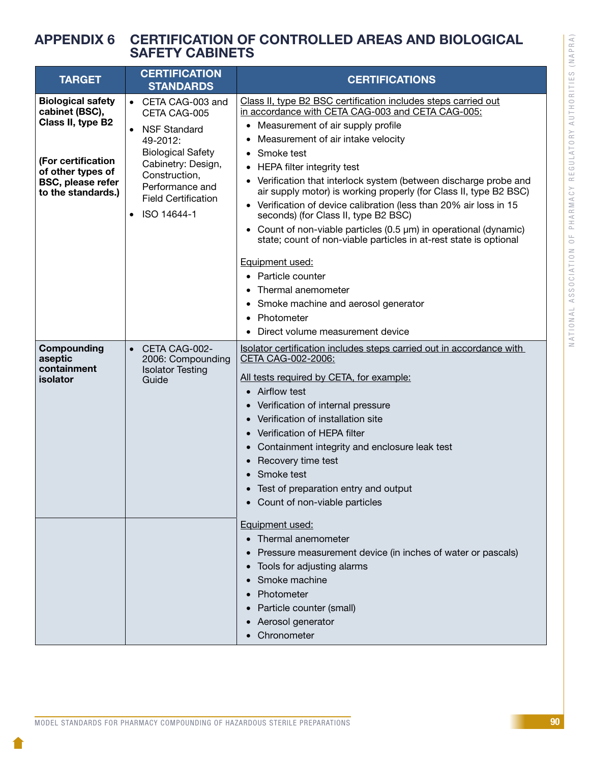## APPENDIX 6 CERTIFICATION OF CONTROLLED AREAS AND BIOLOGICAL SAFETY CABINETS

| <b>TARGET</b>                                                                                                                                                | <b>CERTIFICATION</b><br><b>STANDARDS</b>                                                                                                                                                                                           | <b>CERTIFICATIONS</b>                                                                                                                                                                                                                                                                                                                                                                                                                                                                                                                                                                                                                                                                                                                                                                                                                                                  |  |
|--------------------------------------------------------------------------------------------------------------------------------------------------------------|------------------------------------------------------------------------------------------------------------------------------------------------------------------------------------------------------------------------------------|------------------------------------------------------------------------------------------------------------------------------------------------------------------------------------------------------------------------------------------------------------------------------------------------------------------------------------------------------------------------------------------------------------------------------------------------------------------------------------------------------------------------------------------------------------------------------------------------------------------------------------------------------------------------------------------------------------------------------------------------------------------------------------------------------------------------------------------------------------------------|--|
| <b>Biological safety</b><br>cabinet (BSC),<br>Class II, type B2<br>(For certification<br>of other types of<br><b>BSC, please refer</b><br>to the standards.) | • CETA CAG-003 and<br>CETA CAG-005<br><b>NSF Standard</b><br>$\bullet$<br>49-2012:<br><b>Biological Safety</b><br>Cabinetry: Design,<br>Construction,<br>Performance and<br><b>Field Certification</b><br>ISO 14644-1<br>$\bullet$ | Class II, type B2 BSC certification includes steps carried out<br>in accordance with CETA CAG-003 and CETA CAG-005:<br>Measurement of air supply profile<br>$\bullet$<br>Measurement of air intake velocity<br>Smoke test<br>HEPA filter integrity test<br>$\bullet$<br>Verification that interlock system (between discharge probe and<br>$\bullet$<br>air supply motor) is working properly (for Class II, type B2 BSC)<br>• Verification of device calibration (less than 20% air loss in 15<br>seconds) (for Class II, type B2 BSC)<br>Count of non-viable particles $(0.5 \mu m)$ in operational (dynamic)<br>$\bullet$<br>state; count of non-viable particles in at-rest state is optional<br>Equipment used:<br>• Particle counter<br>Thermal anemometer<br>Smoke machine and aerosol generator<br>Photometer<br>$\bullet$<br>Direct volume measurement device |  |
| Compounding<br>aseptic<br>containment<br>isolator                                                                                                            | CETA CAG-002-<br>$\bullet$<br>2006: Compounding<br><b>Isolator Testing</b><br>Guide                                                                                                                                                | Isolator certification includes steps carried out in accordance with<br>CETA CAG-002-2006:<br>All tests required by CETA, for example:<br>• Airflow test<br>Verification of internal pressure<br>Verification of installation site<br>Verification of HEPA filter<br>$\bullet$<br>Containment integrity and enclosure leak test<br>$\bullet$<br>Recovery time test<br>Smoke test<br>• Test of preparation entry and output<br>• Count of non-viable particles<br>Equipment used:<br>Thermal anemometer<br>Pressure measurement device (in inches of water or pascals)<br>Tools for adjusting alarms<br>Smoke machine<br>Photometer<br>Particle counter (small)<br>Aerosol generator<br>Chronometer                                                                                                                                                                     |  |

NATIONAL ASSOCIATION OF PHARMACY REGULATORY AUTHORITIES (NAPRA)

NATIONAL ASSOCIATION OF PHARMACY REGULATORY AUTHORITIES (NAPRA)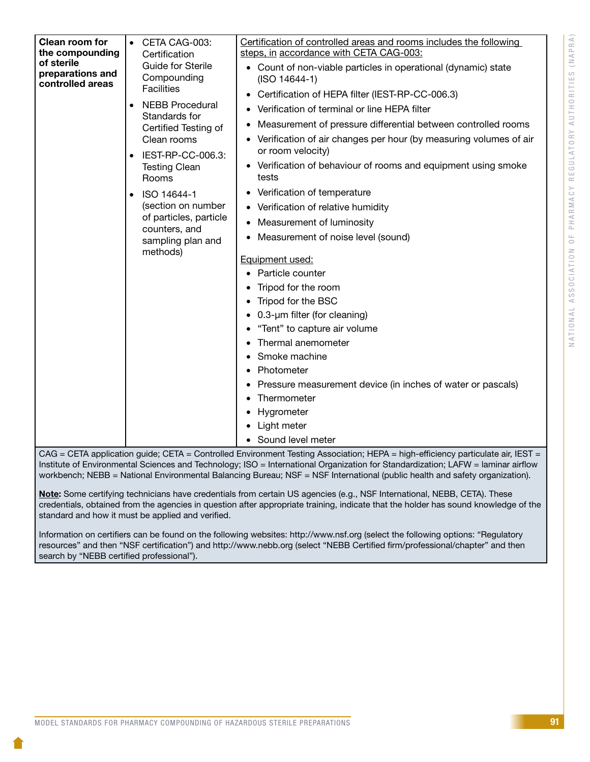| Clean room for   | CETA CAG-003:                                                                                                                                                                                                                                         | Certification of controlled areas and rooms includes the following                                                                                                                                                                                                                                                                                                                                                                                                                                                                                                                                                                                                                                                                                                         |
|------------------|-------------------------------------------------------------------------------------------------------------------------------------------------------------------------------------------------------------------------------------------------------|----------------------------------------------------------------------------------------------------------------------------------------------------------------------------------------------------------------------------------------------------------------------------------------------------------------------------------------------------------------------------------------------------------------------------------------------------------------------------------------------------------------------------------------------------------------------------------------------------------------------------------------------------------------------------------------------------------------------------------------------------------------------------|
| the compounding  | Certification                                                                                                                                                                                                                                         | steps, in accordance with CETA CAG-003:                                                                                                                                                                                                                                                                                                                                                                                                                                                                                                                                                                                                                                                                                                                                    |
| of sterile       | Guide for Sterile                                                                                                                                                                                                                                     | • Count of non-viable particles in operational (dynamic) state                                                                                                                                                                                                                                                                                                                                                                                                                                                                                                                                                                                                                                                                                                             |
| preparations and | Compounding                                                                                                                                                                                                                                           | $(ISO 14644-1)$                                                                                                                                                                                                                                                                                                                                                                                                                                                                                                                                                                                                                                                                                                                                                            |
| controlled areas | <b>Facilities</b>                                                                                                                                                                                                                                     | Certification of HEPA filter (IEST-RP-CC-006.3)                                                                                                                                                                                                                                                                                                                                                                                                                                                                                                                                                                                                                                                                                                                            |
|                  | <b>NEBB Procedural</b><br>Standards for<br>Certified Testing of<br>Clean rooms<br>IEST-RP-CC-006.3:<br><b>Testing Clean</b><br>Rooms<br>ISO 14644-1<br>(section on number<br>of particles, particle<br>counters, and<br>sampling plan and<br>methods) | Verification of terminal or line HEPA filter<br>Measurement of pressure differential between controlled rooms<br>Verification of air changes per hour (by measuring volumes of air<br>or room velocity)<br>• Verification of behaviour of rooms and equipment using smoke<br>tests<br>Verification of temperature<br>• Verification of relative humidity<br>Measurement of luminosity<br>Measurement of noise level (sound)<br>Equipment used:<br>Particle counter<br>Tripod for the room<br>Tripod for the BSC<br>• 0.3-um filter (for cleaning)<br>"Tent" to capture air volume<br>Thermal anemometer<br>Smoke machine<br>Photometer<br>Pressure measurement device (in inches of water or pascals)<br>Thermometer<br>Hygrometer<br>• Light meter<br>• Sound level meter |

CAG = CETA application guide; CETA = Controlled Environment Testing Association; HEPA = high-efficiency particulate air, IEST = Institute of Environmental Sciences and Technology; ISO = International Organization for Standardization; LAFW = laminar airflow workbench; NEBB = National Environmental Balancing Bureau; NSF = NSF International (public health and safety organization).

Note: Some certifying technicians have credentials from certain US agencies (e.g., NSF International, NEBB, CETA). These credentials, obtained from the agencies in question after appropriate training, indicate that the holder has sound knowledge of the standard and how it must be applied and verified.

Information on certifiers can be found on the following websites: http://www.nsf.org (select the following options: "Regulatory resources" and then "NSF certification") and http://www.nebb.org (select "NEBB Certified firm/professional/chapter" and then search by "NEBB certified professional").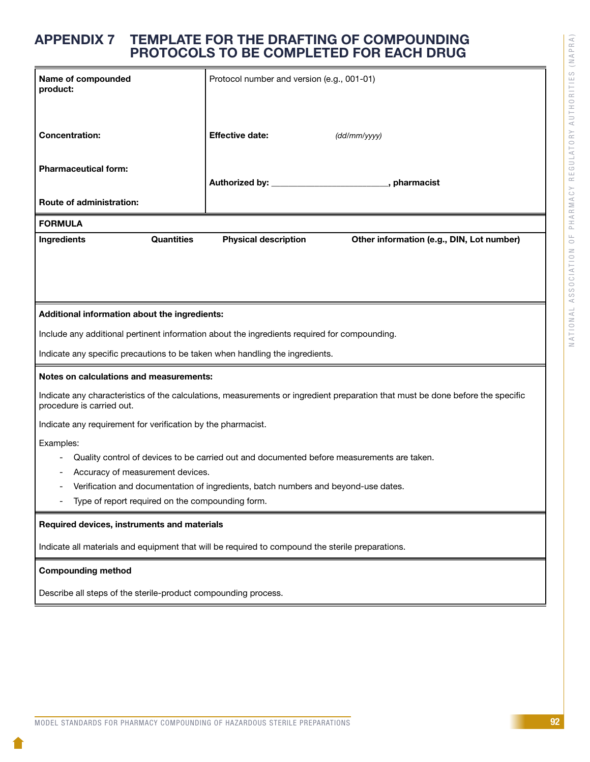## APPENDIX 7 TEMPLATE FOR THE DRAFTING OF COMPOUNDING PROTOCOLS TO BE COMPLETED FOR EACH DRUG

| Name of compounded<br>product:                                                                                                                              |                   | Protocol number and version (e.g., 001-01) |  |              |              |                                           |
|-------------------------------------------------------------------------------------------------------------------------------------------------------------|-------------------|--------------------------------------------|--|--------------|--------------|-------------------------------------------|
| <b>Concentration:</b>                                                                                                                                       |                   | <b>Effective date:</b>                     |  | (dd/mm/yyyy) |              |                                           |
| <b>Pharmaceutical form:</b>                                                                                                                                 |                   |                                            |  |              | , pharmacist |                                           |
| <b>Route of administration:</b>                                                                                                                             |                   |                                            |  |              |              |                                           |
| <b>FORMULA</b>                                                                                                                                              |                   |                                            |  |              |              |                                           |
| Ingredients                                                                                                                                                 | <b>Quantities</b> | <b>Physical description</b>                |  |              |              | Other information (e.g., DIN, Lot number) |
|                                                                                                                                                             |                   |                                            |  |              |              |                                           |
| Additional information about the ingredients:                                                                                                               |                   |                                            |  |              |              |                                           |
| Include any additional pertinent information about the ingredients required for compounding.                                                                |                   |                                            |  |              |              |                                           |
| Indicate any specific precautions to be taken when handling the ingredients.                                                                                |                   |                                            |  |              |              |                                           |
| Notes on calculations and measurements:                                                                                                                     |                   |                                            |  |              |              |                                           |
| Indicate any characteristics of the calculations, measurements or ingredient preparation that must be done before the specific<br>procedure is carried out. |                   |                                            |  |              |              |                                           |
| Indicate any requirement for verification by the pharmacist.                                                                                                |                   |                                            |  |              |              |                                           |
| Examples:                                                                                                                                                   |                   |                                            |  |              |              |                                           |
| Quality control of devices to be carried out and documented before measurements are taken.                                                                  |                   |                                            |  |              |              |                                           |
| Accuracy of measurement devices.                                                                                                                            |                   |                                            |  |              |              |                                           |
| Verification and documentation of ingredients, batch numbers and beyond-use dates.<br>Type of report required on the compounding form.                      |                   |                                            |  |              |              |                                           |
| Required devices, instruments and materials                                                                                                                 |                   |                                            |  |              |              |                                           |
|                                                                                                                                                             |                   |                                            |  |              |              |                                           |
| Indicate all materials and equipment that will be required to compound the sterile preparations.                                                            |                   |                                            |  |              |              |                                           |
| <b>Compounding method</b>                                                                                                                                   |                   |                                            |  |              |              |                                           |
| Describe all steps of the sterile-product compounding process.                                                                                              |                   |                                            |  |              |              |                                           |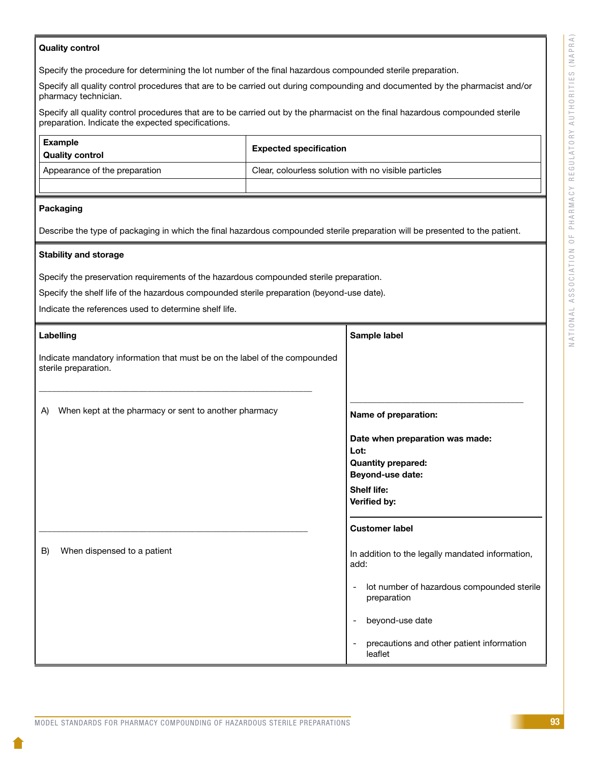#### Quality control

Specify the procedure for determining the lot number of the final hazardous compounded sterile preparation.

Specify all quality control procedures that are to be carried out during compounding and documented by the pharmacist and/or pharmacy technician.

Specify all quality control procedures that are to be carried out by the pharmacist on the final hazardous compounded sterile preparation. Indicate the expected specifications.

| Example<br><sup>i</sup> Quality control | <b>Expected specification</b>                        |  |  |
|-----------------------------------------|------------------------------------------------------|--|--|
| Appearance of the preparation           | Clear, colourless solution with no visible particles |  |  |
|                                         |                                                      |  |  |

#### Packaging

Describe the type of packaging in which the final hazardous compounded sterile preparation will be presented to the patient.

#### Stability and storage

Specify the preservation requirements of the hazardous compounded sterile preparation.

Specify the shelf life of the hazardous compounded sterile preparation (beyond-use date).

Indicate the references used to determine shelf life.

| Labelling |                                                                                                    | Sample label       |                                                           |  |
|-----------|----------------------------------------------------------------------------------------------------|--------------------|-----------------------------------------------------------|--|
|           | Indicate mandatory information that must be on the label of the compounded<br>sterile preparation. |                    |                                                           |  |
| A)        | When kept at the pharmacy or sent to another pharmacy                                              |                    | Name of preparation:                                      |  |
|           |                                                                                                    | Lot:               | Date when preparation was made:                           |  |
|           |                                                                                                    |                    | <b>Quantity prepared:</b>                                 |  |
|           |                                                                                                    |                    | Beyond-use date:                                          |  |
|           |                                                                                                    | <b>Shelf life:</b> | Verified by:                                              |  |
|           |                                                                                                    |                    | <b>Customer label</b>                                     |  |
| B)        | When dispensed to a patient                                                                        | add:               | In addition to the legally mandated information,          |  |
|           |                                                                                                    |                    | lot number of hazardous compounded sterile<br>preparation |  |
|           |                                                                                                    |                    | beyond-use date                                           |  |
|           |                                                                                                    |                    | precautions and other patient information<br>leaflet      |  |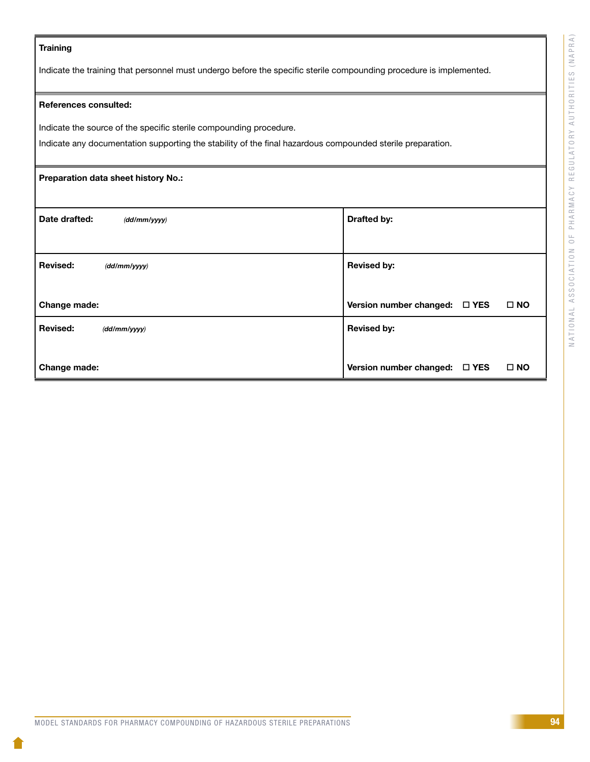#### **Training**

Indicate the training that personnel must undergo before the specific sterile compounding procedure is implemented.

#### References consulted:

Indicate the source of the specific sterile compounding procedure.

Indicate any documentation supporting the stability of the final hazardous compounded sterile preparation.

# Preparation data sheet history No.: Date drafted:  $(d/d/mm/yyy)$  and  $d$  and  $d$  and  $d$  and  $d$  and  $d$  brafted by: Revised: *(dd/mm/yyyy)* Change made: Revised by: Version number changed:  $\Box$  YES  $\Box$  NO Revised: *(dd/mm/yyyy)*  Change made: Revised by: Version number changed:  $\Box$  YES  $\Box$  NO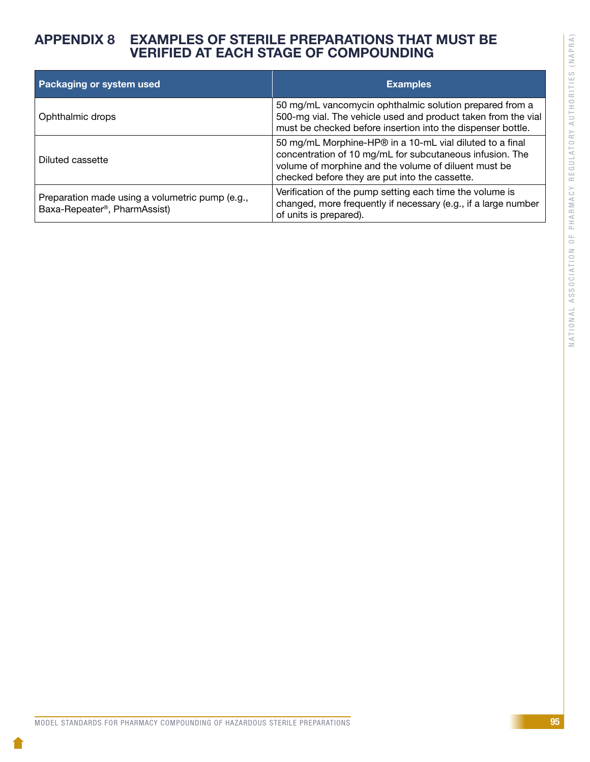## APPENDIX 8 EXAMPLES OF STERILE PREPARATIONS THAT MUST BE VERIFIED AT EACH STAGE OF COMPOUNDING

| Packaging or system used                                                                     | <b>Examples</b>                                                                                                                                                                                                                |
|----------------------------------------------------------------------------------------------|--------------------------------------------------------------------------------------------------------------------------------------------------------------------------------------------------------------------------------|
| Ophthalmic drops                                                                             | 50 mg/mL vancomycin ophthalmic solution prepared from a<br>500-mg vial. The vehicle used and product taken from the vial<br>must be checked before insertion into the dispenser bottle.                                        |
| Diluted cassette                                                                             | 50 mg/mL Morphine-HP® in a 10-mL vial diluted to a final<br>concentration of 10 mg/mL for subcutaneous infusion. The<br>volume of morphine and the volume of diluent must be<br>checked before they are put into the cassette. |
| Preparation made using a volumetric pump (e.g.,<br>Baxa-Repeater <sup>®</sup> , PharmAssist) | Verification of the pump setting each time the volume is<br>changed, more frequently if necessary (e.g., if a large number<br>of units is prepared).                                                                           |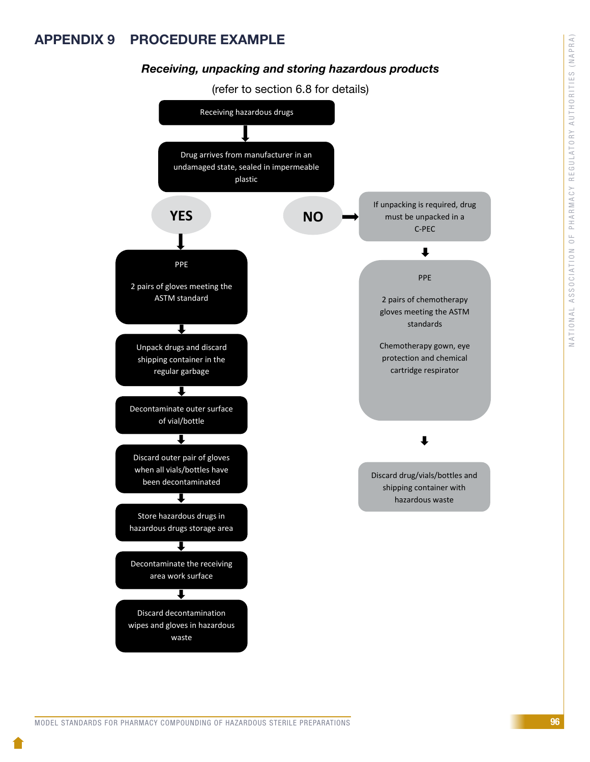# APPENDIX 9 PROCEDURE EXAMPLE

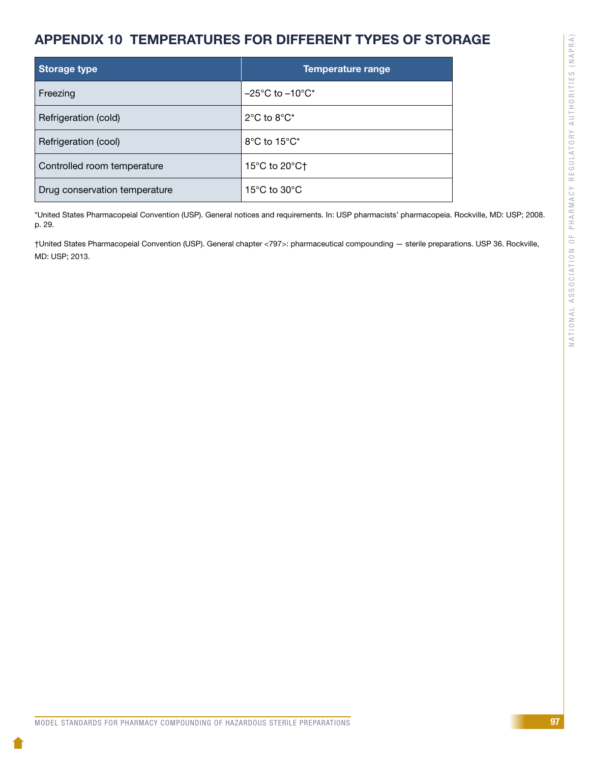# APPENDIX 10 TEMPERATURES FOR DIFFERENT TYPES OF STORAGE

| <b>Storage type</b>           | <b>Temperature range</b>                    |
|-------------------------------|---------------------------------------------|
| Freezing                      | $-25^{\circ}$ C to $-10^{\circ}$ C*         |
| Refrigeration (cold)          | $2^{\circ}$ C to $8^{\circ}$ C <sup>*</sup> |
| Refrigeration (cool)          | 8°C to 15°C*                                |
| Controlled room temperature   | 15 $\degree$ C to 20 $\degree$ C $\degree$  |
| Drug conservation temperature | 15 $\rm{^{\circ}C}$ to 30 $\rm{^{\circ}C}$  |

\*United States Pharmacopeial Convention (USP). General notices and requirements. In: USP pharmacists' pharmacopeia. Rockville, MD: USP; 2008. p. 29.

†United States Pharmacopeial Convention (USP). General chapter <797>: pharmaceutical compounding — sterile preparations. USP 36. Rockville, MD: USP; 2013.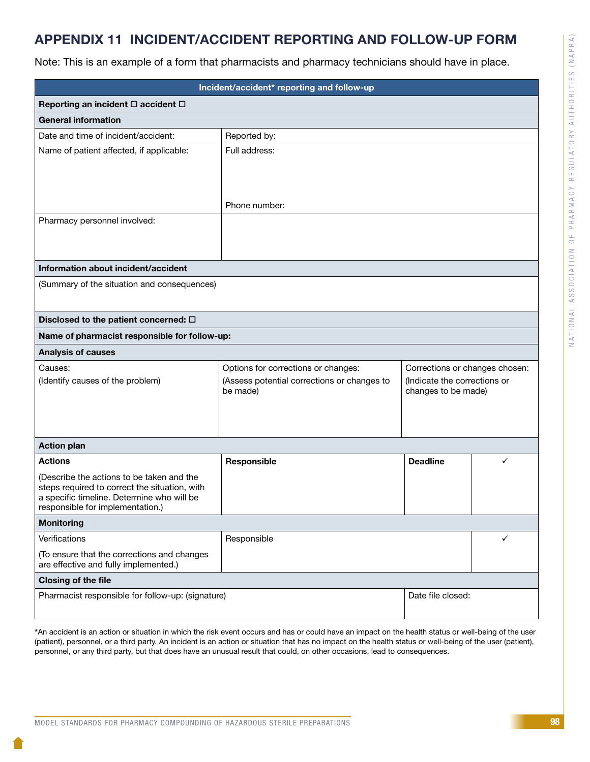# APPENDIX 11 INCIDENT/ACCIDENT REPORTING AND FOLLOW-UP FORM

Note: This is an example of a form that pharmacists and pharmacy technicians should have in place.

| Incident/accident* reporting and follow-up                                                 |                                                         |                                                     |   |  |  |  |
|--------------------------------------------------------------------------------------------|---------------------------------------------------------|-----------------------------------------------------|---|--|--|--|
| Reporting an incident □ accident □                                                         |                                                         |                                                     |   |  |  |  |
| <b>General information</b>                                                                 |                                                         |                                                     |   |  |  |  |
| Date and time of incident/accident:                                                        | Reported by:                                            |                                                     |   |  |  |  |
| Name of patient affected, if applicable:                                                   | Full address:                                           |                                                     |   |  |  |  |
|                                                                                            |                                                         |                                                     |   |  |  |  |
|                                                                                            |                                                         |                                                     |   |  |  |  |
|                                                                                            | Phone number:                                           |                                                     |   |  |  |  |
| Pharmacy personnel involved:                                                               |                                                         |                                                     |   |  |  |  |
|                                                                                            |                                                         |                                                     |   |  |  |  |
|                                                                                            |                                                         |                                                     |   |  |  |  |
| Information about incident/accident                                                        |                                                         |                                                     |   |  |  |  |
| (Summary of the situation and consequences)                                                |                                                         |                                                     |   |  |  |  |
|                                                                                            |                                                         |                                                     |   |  |  |  |
| Disclosed to the patient concerned: $\Box$                                                 |                                                         |                                                     |   |  |  |  |
| Name of pharmacist responsible for follow-up:                                              |                                                         |                                                     |   |  |  |  |
| <b>Analysis of causes</b>                                                                  |                                                         |                                                     |   |  |  |  |
| Causes:                                                                                    | Options for corrections or changes:                     | Corrections or changes chosen:                      |   |  |  |  |
| (Identify causes of the problem)                                                           | (Assess potential corrections or changes to<br>be made) | (Indicate the corrections or<br>changes to be made) |   |  |  |  |
|                                                                                            |                                                         |                                                     |   |  |  |  |
|                                                                                            |                                                         |                                                     |   |  |  |  |
|                                                                                            |                                                         |                                                     |   |  |  |  |
| <b>Action plan</b>                                                                         |                                                         |                                                     |   |  |  |  |
| <b>Actions</b>                                                                             | Responsible                                             | <b>Deadline</b>                                     | ✓ |  |  |  |
| (Describe the actions to be taken and the<br>steps required to correct the situation, with |                                                         |                                                     |   |  |  |  |
| a specific timeline. Determine who will be                                                 |                                                         |                                                     |   |  |  |  |
| responsible for implementation.)                                                           |                                                         |                                                     |   |  |  |  |
| <b>Monitoring</b>                                                                          |                                                         |                                                     |   |  |  |  |
| Verifications                                                                              | Responsible                                             |                                                     | ✓ |  |  |  |
| (To ensure that the corrections and changes<br>are effective and fully implemented.)       |                                                         |                                                     |   |  |  |  |
| <b>Closing of the file</b>                                                                 |                                                         |                                                     |   |  |  |  |
| Pharmacist responsible for follow-up: (signature)<br>Date file closed:                     |                                                         |                                                     |   |  |  |  |
|                                                                                            |                                                         |                                                     |   |  |  |  |

\*An accident is an action or situation in which the risk event occurs and has or could have an impact on the health status or well-being of the user (patient), personnel, or a third party. An incident is an action or situation that has no impact on the health status or well-being of the user (patient), personnel, or any third party, but that does have an unusual result that could, on other occasions, lead to consequences.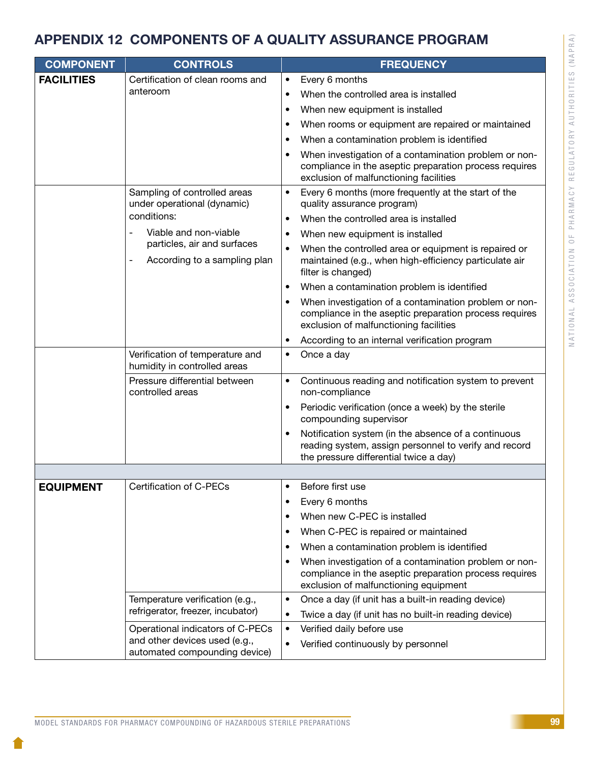# APPENDIX 12 COMPONENTS OF A QUALITY ASSURANCE PROGRAM

| <b>COMPONENT</b>  | <b>CONTROLS</b>                                                                                                                    |           | <b>FREQUENCY</b>                                                                                                                                          |  |
|-------------------|------------------------------------------------------------------------------------------------------------------------------------|-----------|-----------------------------------------------------------------------------------------------------------------------------------------------------------|--|
| <b>FACILITIES</b> | Certification of clean rooms and                                                                                                   | $\bullet$ | Every 6 months                                                                                                                                            |  |
|                   | anteroom                                                                                                                           |           | When the controlled area is installed                                                                                                                     |  |
|                   |                                                                                                                                    | $\bullet$ | When new equipment is installed                                                                                                                           |  |
|                   |                                                                                                                                    |           | When rooms or equipment are repaired or maintained                                                                                                        |  |
|                   |                                                                                                                                    |           | When a contamination problem is identified                                                                                                                |  |
|                   |                                                                                                                                    |           | When investigation of a contamination problem or non-<br>compliance in the aseptic preparation process requires<br>exclusion of malfunctioning facilities |  |
|                   | Sampling of controlled areas<br>under operational (dynamic)                                                                        | ٠         | Every 6 months (more frequently at the start of the<br>quality assurance program)                                                                         |  |
|                   | conditions:                                                                                                                        |           | When the controlled area is installed                                                                                                                     |  |
|                   | Viable and non-viable<br>$\overline{a}$<br>particles, air and surfaces<br>According to a sampling plan<br>$\overline{\phantom{0}}$ |           | When new equipment is installed                                                                                                                           |  |
|                   |                                                                                                                                    |           | When the controlled area or equipment is repaired or<br>maintained (e.g., when high-efficiency particulate air<br>filter is changed)                      |  |
|                   |                                                                                                                                    |           | When a contamination problem is identified                                                                                                                |  |
|                   |                                                                                                                                    |           | When investigation of a contamination problem or non-<br>compliance in the aseptic preparation process requires<br>exclusion of malfunctioning facilities |  |
|                   |                                                                                                                                    |           | According to an internal verification program                                                                                                             |  |
|                   | Verification of temperature and<br>humidity in controlled areas                                                                    | ٠         | Once a day                                                                                                                                                |  |
|                   | Pressure differential between<br>controlled areas                                                                                  | $\bullet$ | Continuous reading and notification system to prevent<br>non-compliance                                                                                   |  |
|                   |                                                                                                                                    | $\bullet$ | Periodic verification (once a week) by the sterile<br>compounding supervisor                                                                              |  |
|                   |                                                                                                                                    |           | Notification system (in the absence of a continuous<br>reading system, assign personnel to verify and record<br>the pressure differential twice a day)    |  |
|                   |                                                                                                                                    |           |                                                                                                                                                           |  |
| <b>EQUIPMENT</b>  | Certification of C-PECs                                                                                                            |           | Before first use                                                                                                                                          |  |
|                   |                                                                                                                                    |           | Every 6 months                                                                                                                                            |  |
|                   |                                                                                                                                    | $\bullet$ | When new C-PEC is installed                                                                                                                               |  |
|                   |                                                                                                                                    | ٠         | When C-PEC is repaired or maintained                                                                                                                      |  |
|                   |                                                                                                                                    | ٠         | When a contamination problem is identified                                                                                                                |  |
|                   |                                                                                                                                    |           | When investigation of a contamination problem or non-<br>compliance in the aseptic preparation process requires<br>exclusion of malfunctioning equipment  |  |
|                   | Temperature verification (e.g.,                                                                                                    | $\bullet$ | Once a day (if unit has a built-in reading device)                                                                                                        |  |
|                   | refrigerator, freezer, incubator)                                                                                                  | $\bullet$ | Twice a day (if unit has no built-in reading device)                                                                                                      |  |
|                   | Operational indicators of C-PECs<br>and other devices used (e.g.,<br>automated compounding device)                                 | $\bullet$ | Verified daily before use                                                                                                                                 |  |
|                   |                                                                                                                                    | ٠         | Verified continuously by personnel                                                                                                                        |  |

NATIONAL ASSOCIATION OF PHARMACY REGULATORY AUTHORITIES (NAPRA)

NATIONAL ASSOCIATION OF PHARMACY REGULATORY AUTHORITIES (NAPRA)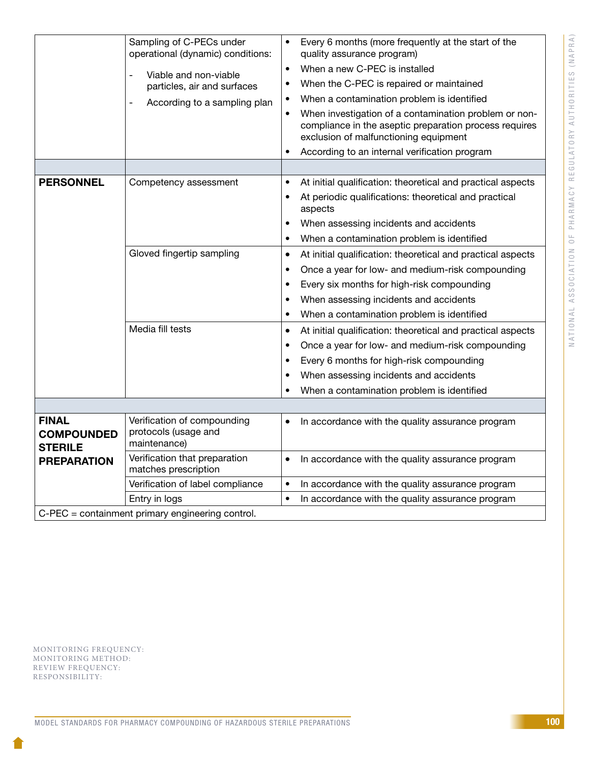|                                                                           | Sampling of C-PECs under<br>operational (dynamic) conditions:<br>Viable and non-viable<br>$\overline{a}$<br>particles, air and surfaces<br>According to a sampling plan<br>$\overline{a}$ | Every 6 months (more frequently at the start of the<br>$\bullet$<br>quality assurance program)<br>When a new C-PEC is installed<br>$\bullet$<br>When the C-PEC is repaired or maintained<br>$\bullet$<br>When a contamination problem is identified<br>$\bullet$<br>When investigation of a contamination problem or non-<br>$\bullet$<br>compliance in the aseptic preparation process requires<br>exclusion of malfunctioning equipment<br>According to an internal verification program<br>$\bullet$ |  |  |
|---------------------------------------------------------------------------|-------------------------------------------------------------------------------------------------------------------------------------------------------------------------------------------|---------------------------------------------------------------------------------------------------------------------------------------------------------------------------------------------------------------------------------------------------------------------------------------------------------------------------------------------------------------------------------------------------------------------------------------------------------------------------------------------------------|--|--|
|                                                                           |                                                                                                                                                                                           |                                                                                                                                                                                                                                                                                                                                                                                                                                                                                                         |  |  |
| <b>PERSONNEL</b>                                                          | Competency assessment                                                                                                                                                                     | At initial qualification: theoretical and practical aspects<br>$\bullet$<br>At periodic qualifications: theoretical and practical<br>$\bullet$<br>aspects<br>When assessing incidents and accidents<br>$\bullet$<br>When a contamination problem is identified<br>$\bullet$                                                                                                                                                                                                                             |  |  |
|                                                                           | Gloved fingertip sampling                                                                                                                                                                 | At initial qualification: theoretical and practical aspects<br>$\bullet$<br>Once a year for low- and medium-risk compounding<br>$\bullet$<br>Every six months for high-risk compounding<br>$\bullet$<br>When assessing incidents and accidents<br>$\bullet$<br>When a contamination problem is identified<br>$\bullet$                                                                                                                                                                                  |  |  |
|                                                                           | Media fill tests                                                                                                                                                                          | At initial qualification: theoretical and practical aspects<br>$\bullet$<br>Once a year for low- and medium-risk compounding<br>$\bullet$<br>Every 6 months for high-risk compounding<br>$\bullet$<br>When assessing incidents and accidents<br>When a contamination problem is identified<br>$\bullet$                                                                                                                                                                                                 |  |  |
|                                                                           |                                                                                                                                                                                           |                                                                                                                                                                                                                                                                                                                                                                                                                                                                                                         |  |  |
| <b>FINAL</b><br><b>COMPOUNDED</b><br><b>STERILE</b><br><b>PREPARATION</b> | Verification of compounding<br>protocols (usage and<br>maintenance)                                                                                                                       | In accordance with the quality assurance program<br>$\bullet$                                                                                                                                                                                                                                                                                                                                                                                                                                           |  |  |
|                                                                           | Verification that preparation<br>matches prescription                                                                                                                                     | In accordance with the quality assurance program<br>$\bullet$                                                                                                                                                                                                                                                                                                                                                                                                                                           |  |  |
|                                                                           | Verification of label compliance                                                                                                                                                          | In accordance with the quality assurance program<br>$\bullet$                                                                                                                                                                                                                                                                                                                                                                                                                                           |  |  |
|                                                                           | Entry in logs                                                                                                                                                                             | In accordance with the quality assurance program<br>$\bullet$                                                                                                                                                                                                                                                                                                                                                                                                                                           |  |  |
| C-PEC = containment primary engineering control.                          |                                                                                                                                                                                           |                                                                                                                                                                                                                                                                                                                                                                                                                                                                                                         |  |  |

MONITORING FREQUENCY: MONITORING METHOD: REVIEW FREQUENCY: RESPONSIBILITY: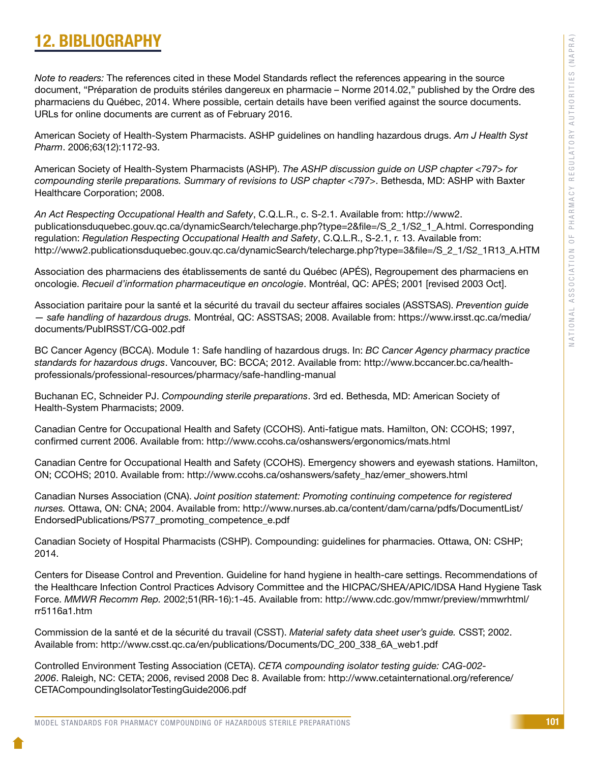# 12. BIBLIOGRAPHY

*Note to readers:* The references cited in these Model Standards reflect the references appearing in the source document, "Préparation de produits stériles dangereux en pharmacie – Norme 2014.02," published by the Ordre des pharmaciens du Québec, 2014. Where possible, certain details have been verified against the source documents. URLs for online documents are current as of February 2016.

American Society of Health-System Pharmacists. ASHP guidelines on handling hazardous drugs. *Am J Health Syst Pharm*. 2006;63(12):1172-93.

American Society of Health-System Pharmacists (ASHP). *The ASHP discussion guide on USP chapter <797> for compounding sterile preparations. Summary of revisions to USP chapter <797>*. Bethesda, MD: ASHP with Baxter Healthcare Corporation; 2008.

*An Act Respecting Occupational Health and Safety*, C.Q.L.R., c. S-2.1. Available from: http://www2. publicationsduquebec.gouv.qc.ca/dynamicSearch/telecharge.php?type=2&file=/S\_2\_1/S2\_1\_A.html. Corresponding regulation: *Regulation Respecting Occupational Health and Safety*, C.Q.L.R., S-2.1, r. 13. Available from: http://www2.publicationsduquebec.gouv.qc.ca/dynamicSearch/telecharge.php?type=3&file=/S\_2\_1/S2\_1R13\_A.HTM

Association des pharmaciens des établissements de santé du Québec (APÉS), Regroupement des pharmaciens en oncologie. *Recueil d'information pharmaceutique en oncologie*. Montréal, QC: APÉS; 2001 [revised 2003 Oct].

Association paritaire pour la santé et la sécurité du travail du secteur affaires sociales (ASSTSAS). *Prevention guide — safe handling of hazardous drugs.* Montréal, QC: ASSTSAS; 2008. Available from: https://www.irsst.qc.ca/media/ documents/PubIRSST/CG-002.pdf

BC Cancer Agency (BCCA). Module 1: Safe handling of hazardous drugs. In: *BC Cancer Agency pharmacy practice standards for hazardous drugs*. Vancouver, BC: BCCA; 2012. Available from: http://www.bccancer.bc.ca/healthprofessionals/professional-resources/pharmacy/safe-handling-manual

Buchanan EC, Schneider PJ. *Compounding sterile preparations*. 3rd ed. Bethesda, MD: American Society of Health-System Pharmacists; 2009.

Canadian Centre for Occupational Health and Safety (CCOHS). Anti-fatigue mats. Hamilton, ON: CCOHS; 1997, confirmed current 2006. Available from: http://www.ccohs.ca/oshanswers/ergonomics/mats.html

Canadian Centre for Occupational Health and Safety (CCOHS). Emergency showers and eyewash stations. Hamilton, ON; CCOHS; 2010. Available from: http://www.ccohs.ca/oshanswers/safety\_haz/emer\_showers.html

Canadian Nurses Association (CNA). *Joint position statement: Promoting continuing competence for registered nurses.* Ottawa, ON: CNA; 2004. Available from: http://www.nurses.ab.ca/content/dam/carna/pdfs/DocumentList/ EndorsedPublications/PS77\_promoting\_competence\_e.pdf

Canadian Society of Hospital Pharmacists (CSHP). Compounding: guidelines for pharmacies. Ottawa, ON: CSHP; 2014.

Centers for Disease Control and Prevention. Guideline for hand hygiene in health-care settings. Recommendations of the Healthcare Infection Control Practices Advisory Committee and the HICPAC/SHEA/APIC/IDSA Hand Hygiene Task Force. *MMWR Recomm Rep.* 2002;51(RR-16):1-45. Available from: http://www.cdc.gov/mmwr/preview/mmwrhtml/ rr5116a1.htm

Commission de la santé et de la sécurité du travail (CSST). *Material safety data sheet user's guide.* CSST; 2002. Available from: http://www.csst.qc.ca/en/publications/Documents/DC\_200\_338\_6A\_web1.pdf

Controlled Environment Testing Association (CETA). *CETA compounding isolator testing guide: CAG-002- 2006*. Raleigh, NC: CETA; 2006, revised 2008 Dec 8. Available from: http://www.cetainternational.org/reference/ CETACompoundingIsolatorTestingGuide2006.pdf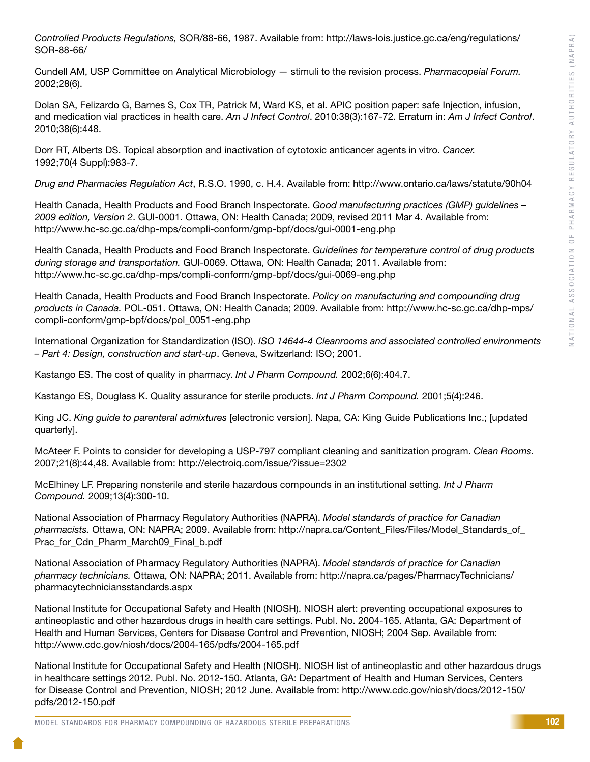*Controlled Products Regulations,* SOR/88-66, 1987. Available from: http://laws-lois.justice.gc.ca/eng/regulations/ SOR-88-66/

Cundell AM, USP Committee on Analytical Microbiology — stimuli to the revision process. *Pharmacopeial Forum.*  2002;28(6).

Dolan SA, Felizardo G, Barnes S, Cox TR, Patrick M, Ward KS, et al. APIC position paper: safe Injection, infusion, and medication vial practices in health care. *Am J Infect Control*. 2010:38(3):167-72. Erratum in: *Am J Infect Control*. 2010;38(6):448.

Dorr RT, Alberts DS. Topical absorption and inactivation of cytotoxic anticancer agents in vitro. *Cancer.* 1992;70(4 Suppl):983-7.

*Drug and Pharmacies Regulation Act*, R.S.O. 1990, c. H.4. Available from: http://www.ontario.ca/laws/statute/90h04

Health Canada, Health Products and Food Branch Inspectorate. *Good manufacturing practices (GMP) guidelines – 2009 edition, Version 2*. GUI-0001. Ottawa, ON: Health Canada; 2009, revised 2011 Mar 4. Available from: http://www.hc-sc.gc.ca/dhp-mps/compli-conform/gmp-bpf/docs/gui-0001-eng.php

Health Canada, Health Products and Food Branch Inspectorate. *Guidelines for temperature control of drug products during storage and transportation.* GUI-0069. Ottawa, ON: Health Canada; 2011. Available from: http://www.hc-sc.gc.ca/dhp-mps/compli-conform/gmp-bpf/docs/gui-0069-eng.php

Health Canada, Health Products and Food Branch Inspectorate. *Policy on manufacturing and compounding drug products in Canada.* POL-051. Ottawa, ON: Health Canada; 2009. Available from: http://www.hc-sc.gc.ca/dhp-mps/ compli-conform/gmp-bpf/docs/pol\_0051-eng.php

International Organization for Standardization (ISO). *ISO 14644-4 Cleanrooms and associated controlled environments – Part 4: Design, construction and start-up*. Geneva, Switzerland: ISO; 2001.

Kastango ES. The cost of quality in pharmacy. *Int J Pharm Compound.* 2002;6(6):404.7.

Kastango ES, Douglass K. Quality assurance for sterile products. *Int J Pharm Compound.* 2001;5(4):246.

King JC. *King guide to parenteral admixtures* [electronic version]. Napa, CA: King Guide Publications Inc.; [updated quarterly].

McAteer F. Points to consider for developing a USP-797 compliant cleaning and sanitization program. *Clean Rooms.* 2007;21(8):44,48. Available from: http://electroiq.com/issue/?issue=2302

McElhiney LF. Preparing nonsterile and sterile hazardous compounds in an institutional setting. *Int J Pharm Compound.* 2009;13(4):300-10.

National Association of Pharmacy Regulatory Authorities (NAPRA). *Model standards of practice for Canadian pharmacists.* Ottawa, ON: NAPRA; 2009. Available from: http://napra.ca/Content\_Files/Files/Model\_Standards\_of\_ Prac\_for\_Cdn\_Pharm\_March09\_Final\_b.pdf

National Association of Pharmacy Regulatory Authorities (NAPRA). *Model standards of practice for Canadian pharmacy technicians.* Ottawa, ON: NAPRA; 2011. Available from: http://napra.ca/pages/PharmacyTechnicians/ pharmacytechniciansstandards.aspx

National Institute for Occupational Safety and Health (NIOSH). NIOSH alert: preventing occupational exposures to antineoplastic and other hazardous drugs in health care settings. Publ. No. 2004-165. Atlanta, GA: Department of Health and Human Services, Centers for Disease Control and Prevention, NIOSH; 2004 Sep. Available from: http://www.cdc.gov/niosh/docs/2004-165/pdfs/2004-165.pdf

National Institute for Occupational Safety and Health (NIOSH). NIOSH list of antineoplastic and other hazardous drugs in healthcare settings 2012. Publ. No. 2012-150. Atlanta, GA: Department of Health and Human Services, Centers for Disease Control and Prevention, NIOSH; 2012 June. Available from: http://www.cdc.gov/niosh/docs/2012-150/ pdfs/2012-150.pdf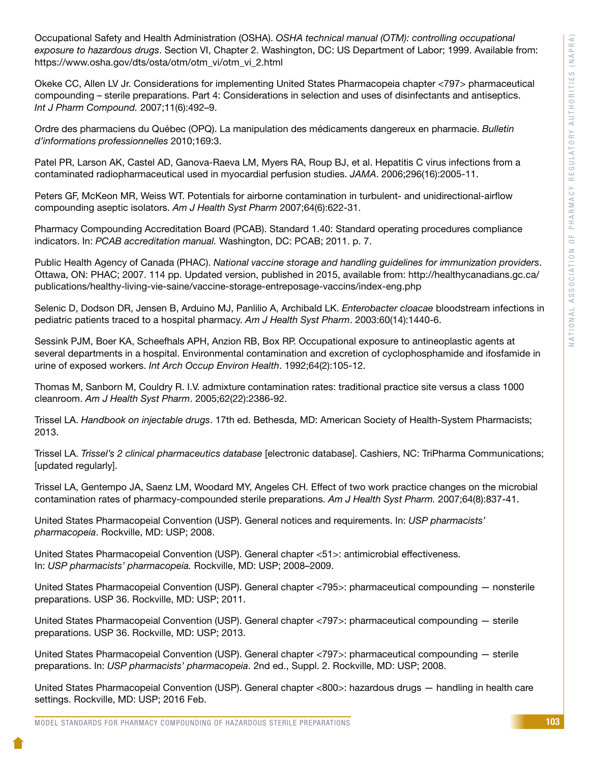Occupational Safety and Health Administration (OSHA). *OSHA technical manual (OTM): controlling occupational exposure to hazardous drugs*. Section VI, Chapter 2. Washington, DC: US Department of Labor; 1999. Available from: https://www.osha.gov/dts/osta/otm/otm\_vi/otm\_vi\_2.html

Okeke CC, Allen LV Jr. Considerations for implementing United States Pharmacopeia chapter <797> pharmaceutical compounding – sterile preparations. Part 4: Considerations in selection and uses of disinfectants and antiseptics. *Int J Pharm Compound.* 2007;11(6):492–9.

Ordre des pharmaciens du Québec (OPQ). La manipulation des médicaments dangereux en pharmacie. *Bulletin d'informations professionnelles* 2010;169:3.

Patel PR, Larson AK, Castel AD, Ganova-Raeva LM, Myers RA, Roup BJ, et al. Hepatitis C virus infections from a contaminated radiopharmaceutical used in myocardial perfusion studies. *JAMA*. 2006;296(16):2005-11.

Peters GF, McKeon MR, Weiss WT. Potentials for airborne contamination in turbulent- and unidirectional-airflow compounding aseptic isolators. *Am J Health Syst Pharm* 2007;64(6):622-31.

Pharmacy Compounding Accreditation Board (PCAB). Standard 1.40: Standard operating procedures compliance indicators. In: *PCAB accreditation manual.* Washington, DC: PCAB; 2011. p. 7.

Public Health Agency of Canada (PHAC). *National vaccine storage and handling guidelines for immunization providers*. Ottawa, ON: PHAC; 2007. 114 pp. Updated version, published in 2015, available from: http://healthycanadians.gc.ca/ publications/healthy-living-vie-saine/vaccine-storage-entreposage-vaccins/index-eng.php

Selenic D, Dodson DR, Jensen B, Arduino MJ, Panlilio A, Archibald LK. *Enterobacter cloacae* bloodstream infections in pediatric patients traced to a hospital pharmacy. *Am J Health Syst Pharm*. 2003:60(14):1440-6.

Sessink PJM, Boer KA, Scheefhals APH, Anzion RB, Box RP. Occupational exposure to antineoplastic agents at several departments in a hospital. Environmental contamination and excretion of cyclophosphamide and ifosfamide in urine of exposed workers. *Int Arch Occup Environ Health*. 1992;64(2):105-12.

Thomas M, Sanborn M, Couldry R. I.V. admixture contamination rates: traditional practice site versus a class 1000 cleanroom. *Am J Health Syst Pharm*. 2005;62(22):2386-92.

Trissel LA. *Handbook on injectable drugs*. 17th ed. Bethesda, MD: American Society of Health-System Pharmacists; 2013.

Trissel LA. *Trissel's 2 clinical pharmaceutics database* [electronic database]. Cashiers, NC: TriPharma Communications; [updated regularly].

Trissel LA, Gentempo JA, Saenz LM, Woodard MY, Angeles CH. Effect of two work practice changes on the microbial contamination rates of pharmacy-compounded sterile preparations. *Am J Health Syst Pharm.* 2007;64(8):837-41.

United States Pharmacopeial Convention (USP). General notices and requirements. In: *USP pharmacists' pharmacopeia*. Rockville, MD: USP; 2008.

United States Pharmacopeial Convention (USP). General chapter <51>: antimicrobial effectiveness. In: *USP pharmacists' pharmacopeia.* Rockville, MD: USP; 2008–2009.

United States Pharmacopeial Convention (USP). General chapter <795>: pharmaceutical compounding — nonsterile preparations. USP 36. Rockville, MD: USP; 2011.

United States Pharmacopeial Convention (USP). General chapter <797>: pharmaceutical compounding — sterile preparations. USP 36. Rockville, MD: USP; 2013.

United States Pharmacopeial Convention (USP). General chapter <797>: pharmaceutical compounding — sterile preparations. In: *USP pharmacists' pharmacopeia*. 2nd ed., Suppl. 2. Rockville, MD: USP; 2008.

United States Pharmacopeial Convention (USP). General chapter <800>: hazardous drugs — handling in health care settings. Rockville, MD: USP; 2016 Feb.